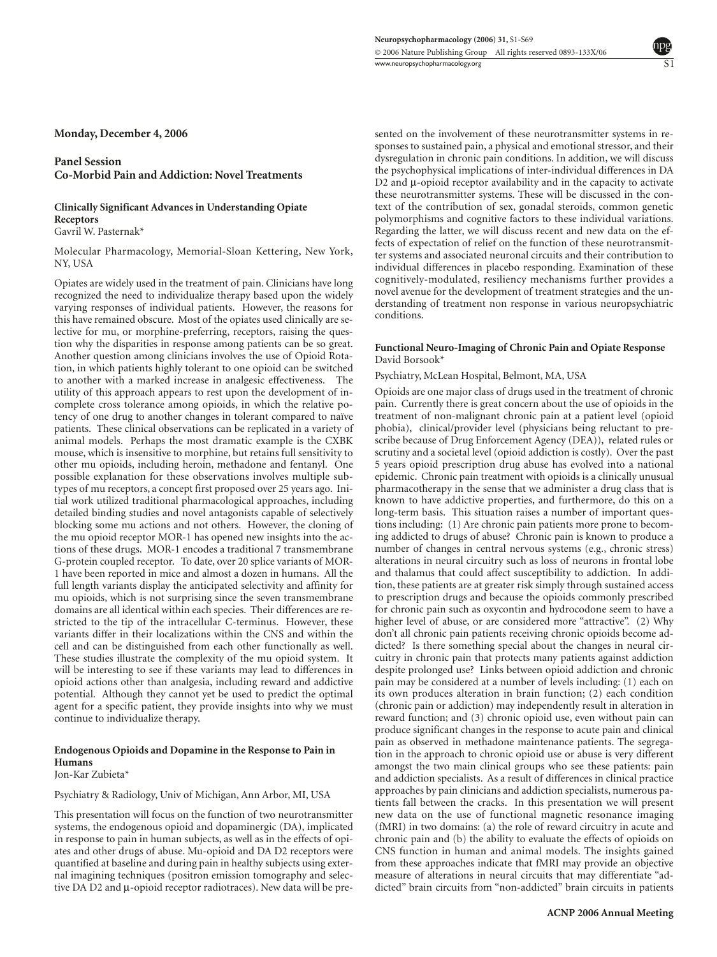**Monday, December 4, 2006**

**Panel Session Co-Morbid Pain and Addiction: Novel Treatments**

**Clinically Significant Advances in Understanding Opiate Receptors** Gavril W. Pasternak\*

Molecular Pharmacology, Memorial-Sloan Kettering, New York, NY, USA

Opiates are widely used in the treatment of pain. Clinicians have long recognized the need to individualize therapy based upon the widely varying responses of individual patients. However, the reasons for this have remained obscure. Most of the opiates used clinically are selective for mu, or morphine-preferring, receptors, raising the question why the disparities in response among patients can be so great. Another question among clinicians involves the use of Opioid Rotation, in which patients highly tolerant to one opioid can be switched to another with a marked increase in analgesic effectiveness. The utility of this approach appears to rest upon the development of incomplete cross tolerance among opioids, in which the relative potency of one drug to another changes in tolerant compared to naïve patients. These clinical observations can be replicated in a variety of animal models. Perhaps the most dramatic example is the CXBK mouse, which is insensitive to morphine, but retains full sensitivity to other mu opioids, including heroin, methadone and fentanyl. One possible explanation for these observations involves multiple subtypes of mu receptors, a concept first proposed over 25 years ago. Initial work utilized traditional pharmacological approaches, including detailed binding studies and novel antagonists capable of selectively blocking some mu actions and not others. However, the cloning of the mu opioid receptor MOR-1 has opened new insights into the actions of these drugs. MOR-1 encodes a traditional 7 transmembrane G-protein coupled receptor. To date, over 20 splice variants of MOR-1 have been reported in mice and almost a dozen in humans. All the full length variants display the anticipated selectivity and affinity for mu opioids, which is not surprising since the seven transmembrane domains are all identical within each species. Their differences are restricted to the tip of the intracellular C-terminus. However, these variants differ in their localizations within the CNS and within the cell and can be distinguished from each other functionally as well. These studies illustrate the complexity of the mu opioid system. It will be interesting to see if these variants may lead to differences in opioid actions other than analgesia, including reward and addictive potential. Although they cannot yet be used to predict the optimal agent for a specific patient, they provide insights into why we must continue to individualize therapy.

# **Endogenous Opioids and Dopamine in the Response to Pain in Humans**

Jon-Kar Zubieta\*

Psychiatry & Radiology, Univ of Michigan, Ann Arbor, MI, USA

This presentation will focus on the function of two neurotransmitter systems, the endogenous opioid and dopaminergic (DA), implicated in response to pain in human subjects, as well as in the effects of opiates and other drugs of abuse. Mu-opioid and DA D2 receptors were quantified at baseline and during pain in healthy subjects using external imagining techniques (positron emission tomography and selective DA D2 and µ-opioid receptor radiotraces). New data will be presented on the involvement of these neurotransmitter systems in responses to sustained pain, a physical and emotional stressor, and their dysregulation in chronic pain conditions. In addition, we will discuss the psychophysical implications of inter-individual differences in DA D2 and  $\mu$ -opioid receptor availability and in the capacity to activate these neurotransmitter systems. These will be discussed in the context of the contribution of sex, gonadal steroids, common genetic polymorphisms and cognitive factors to these individual variations. Regarding the latter, we will discuss recent and new data on the effects of expectation of relief on the function of these neurotransmitter systems and associated neuronal circuits and their contribution to individual differences in placebo responding. Examination of these cognitively-modulated, resiliency mechanisms further provides a novel avenue for the development of treatment strategies and the understanding of treatment non response in various neuropsychiatric conditions.

# **Functional Neuro-Imaging of Chronic Pain and Opiate Response** David Borsook\*

### Psychiatry, McLean Hospital, Belmont, MA, USA

Opioids are one major class of drugs used in the treatment of chronic pain. Currently there is great concern about the use of opioids in the treatment of non-malignant chronic pain at a patient level (opioid phobia), clinical/provider level (physicians being reluctant to prescribe because of Drug Enforcement Agency (DEA)), related rules or scrutiny and a societal level (opioid addiction is costly). Over the past 5 years opioid prescription drug abuse has evolved into a national epidemic. Chronic pain treatment with opioids is a clinically unusual pharmacotherapy in the sense that we administer a drug class that is known to have addictive properties, and furthermore, do this on a long-term basis. This situation raises a number of important questions including: (1) Are chronic pain patients more prone to becoming addicted to drugs of abuse? Chronic pain is known to produce a number of changes in central nervous systems (e.g., chronic stress) alterations in neural circuitry such as loss of neurons in frontal lobe and thalamus that could affect susceptibility to addiction. In addition, these patients are at greater risk simply through sustained access to prescription drugs and because the opioids commonly prescribed for chronic pain such as oxycontin and hydrocodone seem to have a higher level of abuse, or are considered more "attractive". (2) Why don't all chronic pain patients receiving chronic opioids become addicted? Is there something special about the changes in neural circuitry in chronic pain that protects many patients against addiction despite prolonged use? Links between opioid addiction and chronic pain may be considered at a number of levels including: (1) each on its own produces alteration in brain function; (2) each condition (chronic pain or addiction) may independently result in alteration in reward function; and (3) chronic opioid use, even without pain can produce significant changes in the response to acute pain and clinical pain as observed in methadone maintenance patients. The segregation in the approach to chronic opioid use or abuse is very different amongst the two main clinical groups who see these patients: pain and addiction specialists. As a result of differences in clinical practice approaches by pain clinicians and addiction specialists, numerous patients fall between the cracks. In this presentation we will present new data on the use of functional magnetic resonance imaging (fMRI) in two domains: (a) the role of reward circuitry in acute and chronic pain and (b) the ability to evaluate the effects of opioids on CNS function in human and animal models. The insights gained from these approaches indicate that fMRI may provide an objective measure of alterations in neural circuits that may differentiate "addicted" brain circuits from "non-addicted" brain circuits in patients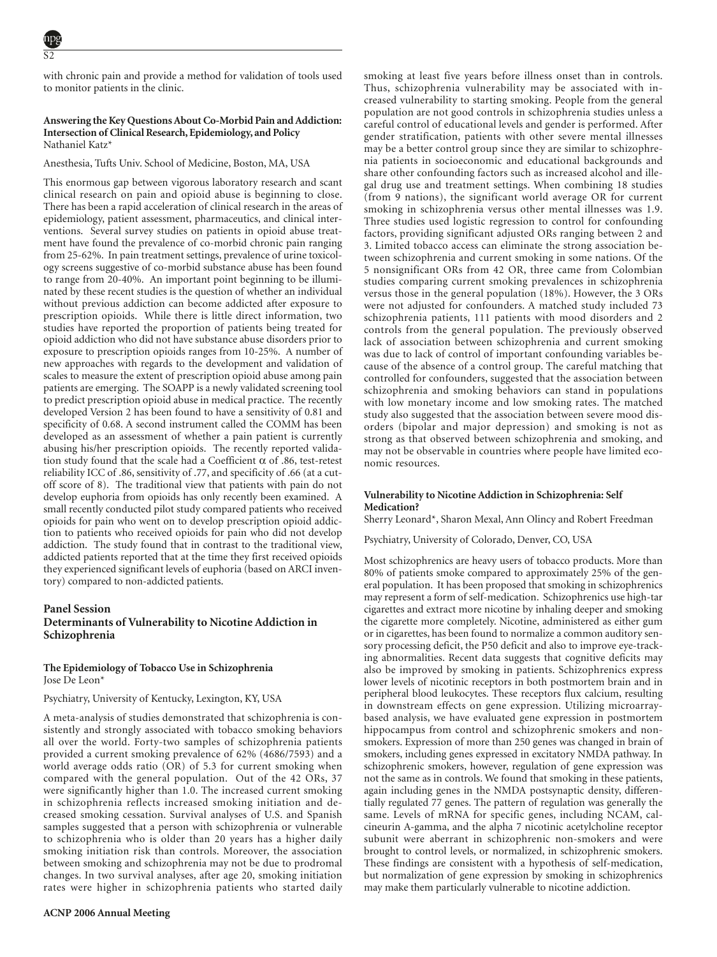with chronic pain and provide a method for validation of tools used to monitor patients in the clinic.

**Answering the Key Questions About Co-Morbid Pain and Addiction: Intersection of Clinical Research, Epidemiology, and Policy** Nathaniel Katz\*

Anesthesia, Tufts Univ. School of Medicine, Boston, MA, USA

This enormous gap between vigorous laboratory research and scant clinical research on pain and opioid abuse is beginning to close. There has been a rapid acceleration of clinical research in the areas of epidemiology, patient assessment, pharmaceutics, and clinical interventions. Several survey studies on patients in opioid abuse treatment have found the prevalence of co-morbid chronic pain ranging from 25-62%. In pain treatment settings, prevalence of urine toxicology screens suggestive of co-morbid substance abuse has been found to range from 20-40%. An important point beginning to be illuminated by these recent studies is the question of whether an individual without previous addiction can become addicted after exposure to prescription opioids. While there is little direct information, two studies have reported the proportion of patients being treated for opioid addiction who did not have substance abuse disorders prior to exposure to prescription opioids ranges from 10-25%. A number of new approaches with regards to the development and validation of scales to measure the extent of prescription opioid abuse among pain patients are emerging. The SOAPP is a newly validated screening tool to predict prescription opioid abuse in medical practice. The recently developed Version 2 has been found to have a sensitivity of 0.81 and specificity of 0.68. A second instrument called the COMM has been developed as an assessment of whether a pain patient is currently abusing his/her prescription opioids. The recently reported validation study found that the scale had a Coefficient α of .86, test-retest reliability ICC of .86, sensitivity of .77, and specificity of .66 (at a cutoff score of 8). The traditional view that patients with pain do not develop euphoria from opioids has only recently been examined. A small recently conducted pilot study compared patients who received opioids for pain who went on to develop prescription opioid addiction to patients who received opioids for pain who did not develop addiction. The study found that in contrast to the traditional view, addicted patients reported that at the time they first received opioids they experienced significant levels of euphoria (based on ARCI inventory) compared to non-addicted patients.

### **Panel Session**

# **Determinants of Vulnerability to Nicotine Addiction in Schizophrenia**

### **The Epidemiology of Tobacco Use in Schizophrenia** Jose De Leon\*

### Psychiatry, University of Kentucky, Lexington, KY, USA

A meta-analysis of studies demonstrated that schizophrenia is consistently and strongly associated with tobacco smoking behaviors all over the world. Forty-two samples of schizophrenia patients provided a current smoking prevalence of 62% (4686/7593) and a world average odds ratio (OR) of 5.3 for current smoking when compared with the general population. Out of the 42 ORs, 37 were significantly higher than 1.0. The increased current smoking in schizophrenia reflects increased smoking initiation and decreased smoking cessation. Survival analyses of U.S. and Spanish samples suggested that a person with schizophrenia or vulnerable to schizophrenia who is older than 20 years has a higher daily smoking initiation risk than controls. Moreover, the association between smoking and schizophrenia may not be due to prodromal changes. In two survival analyses, after age 20, smoking initiation rates were higher in schizophrenia patients who started daily smoking at least five years before illness onset than in controls. Thus, schizophrenia vulnerability may be associated with increased vulnerability to starting smoking. People from the general population are not good controls in schizophrenia studies unless a careful control of educational levels and gender is performed. After gender stratification, patients with other severe mental illnesses may be a better control group since they are similar to schizophrenia patients in socioeconomic and educational backgrounds and share other confounding factors such as increased alcohol and illegal drug use and treatment settings. When combining 18 studies (from 9 nations), the significant world average OR for current smoking in schizophrenia versus other mental illnesses was 1.9. Three studies used logistic regression to control for confounding factors, providing significant adjusted ORs ranging between 2 and 3. Limited tobacco access can eliminate the strong association between schizophrenia and current smoking in some nations. Of the 5 nonsignificant ORs from 42 OR, three came from Colombian studies comparing current smoking prevalences in schizophrenia versus those in the general population (18%). However, the 3 ORs were not adjusted for confounders. A matched study included 73 schizophrenia patients, 111 patients with mood disorders and 2 controls from the general population. The previously observed lack of association between schizophrenia and current smoking was due to lack of control of important confounding variables because of the absence of a control group. The careful matching that controlled for confounders, suggested that the association between schizophrenia and smoking behaviors can stand in populations with low monetary income and low smoking rates. The matched study also suggested that the association between severe mood disorders (bipolar and major depression) and smoking is not as strong as that observed between schizophrenia and smoking, and may not be observable in countries where people have limited economic resources.

## **Vulnerability to Nicotine Addiction in Schizophrenia: Self Medication?**

Sherry Leonard\*, Sharon Mexal, Ann Olincy and Robert Freedman

Psychiatry, University of Colorado, Denver, CO, USA

Most schizophrenics are heavy users of tobacco products. More than 80% of patients smoke compared to approximately 25% of the general population. It has been proposed that smoking in schizophrenics may represent a form of self-medication. Schizophrenics use high-tar cigarettes and extract more nicotine by inhaling deeper and smoking the cigarette more completely. Nicotine, administered as either gum or in cigarettes, has been found to normalize a common auditory sensory processing deficit, the P50 deficit and also to improve eye-tracking abnormalities. Recent data suggests that cognitive deficits may also be improved by smoking in patients. Schizophrenics express lower levels of nicotinic receptors in both postmortem brain and in peripheral blood leukocytes. These receptors flux calcium, resulting in downstream effects on gene expression. Utilizing microarraybased analysis, we have evaluated gene expression in postmortem hippocampus from control and schizophrenic smokers and nonsmokers. Expression of more than 250 genes was changed in brain of smokers, including genes expressed in excitatory NMDA pathway. In schizophrenic smokers, however, regulation of gene expression was not the same as in controls. We found that smoking in these patients, again including genes in the NMDA postsynaptic density, differentially regulated 77 genes. The pattern of regulation was generally the same. Levels of mRNA for specific genes, including NCAM, calcineurin A-gamma, and the alpha 7 nicotinic acetylcholine receptor subunit were aberrant in schizophrenic non-smokers and were brought to control levels, or normalized, in schizophrenic smokers. These findings are consistent with a hypothesis of self-medication, but normalization of gene expression by smoking in schizophrenics may make them particularly vulnerable to nicotine addiction.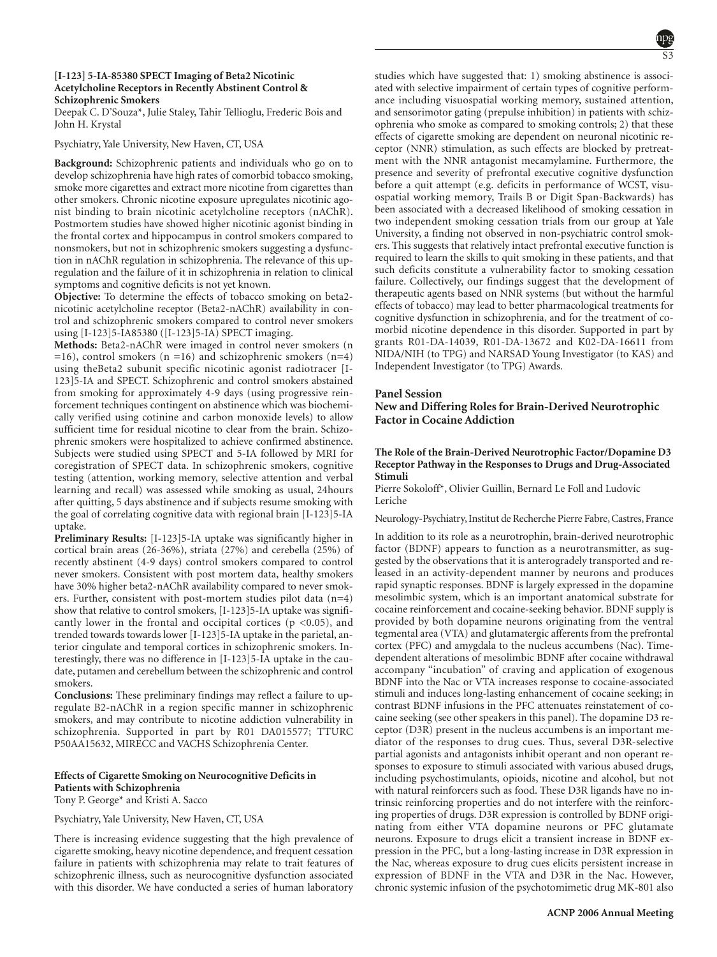### **[I-123] 5-IA-85380 SPECT Imaging of Beta2 Nicotinic Acetylcholine Receptors in Recently Abstinent Control & Schizophrenic Smokers**

Deepak C. D'Souza\*, Julie Staley, Tahir Tellioglu, Frederic Bois and John H. Krystal

Psychiatry, Yale University, New Haven, CT, USA

**Background:** Schizophrenic patients and individuals who go on to develop schizophrenia have high rates of comorbid tobacco smoking, smoke more cigarettes and extract more nicotine from cigarettes than other smokers. Chronic nicotine exposure upregulates nicotinic agonist binding to brain nicotinic acetylcholine receptors (nAChR). Postmortem studies have showed higher nicotinic agonist binding in the frontal cortex and hippocampus in control smokers compared to nonsmokers, but not in schizophrenic smokers suggesting a dysfunction in nAChR regulation in schizophrenia. The relevance of this upregulation and the failure of it in schizophrenia in relation to clinical symptoms and cognitive deficits is not yet known.

**Objective:** To determine the effects of tobacco smoking on beta2 nicotinic acetylcholine receptor (Beta2-nAChR) availability in control and schizophrenic smokers compared to control never smokers using [I-123]5-IA85380 ([I-123]5-IA) SPECT imaging.

**Methods:** Beta2-nAChR were imaged in control never smokers (n  $=16$ ), control smokers (n  $=16$ ) and schizophrenic smokers (n=4) using theBeta2 subunit specific nicotinic agonist radiotracer [I-123]5-IA and SPECT. Schizophrenic and control smokers abstained from smoking for approximately 4-9 days (using progressive reinforcement techniques contingent on abstinence which was biochemically verified using cotinine and carbon monoxide levels) to allow sufficient time for residual nicotine to clear from the brain. Schizophrenic smokers were hospitalized to achieve confirmed abstinence. Subjects were studied using SPECT and 5-IA followed by MRI for coregistration of SPECT data. In schizophrenic smokers, cognitive testing (attention, working memory, selective attention and verbal learning and recall) was assessed while smoking as usual, 24hours after quitting, 5 days abstinence and if subjects resume smoking with the goal of correlating cognitive data with regional brain [I-123]5-IA uptake.

**Preliminary Results:** [I-123]5-IA uptake was significantly higher in cortical brain areas (26-36%), striata (27%) and cerebella (25%) of recently abstinent (4-9 days) control smokers compared to control never smokers. Consistent with post mortem data, healthy smokers have 30% higher beta2-nAChR availability compared to never smokers. Further, consistent with post-mortem studies pilot data (n=4) show that relative to control smokers, [I-123]5-IA uptake was significantly lower in the frontal and occipital cortices ( $p$  <0.05), and trended towards towards lower [I-123]5-IA uptake in the parietal, anterior cingulate and temporal cortices in schizophrenic smokers. Interestingly, there was no difference in [I-123]5-IA uptake in the caudate, putamen and cerebellum between the schizophrenic and control smokers.

**Conclusions:** These preliminary findings may reflect a failure to upregulate B2-nAChR in a region specific manner in schizophrenic smokers, and may contribute to nicotine addiction vulnerability in schizophrenia. Supported in part by R01 DA015577; TTURC P50AA15632, MIRECC and VACHS Schizophrenia Center.

# **Effects of Cigarette Smoking on Neurocognitive Deficits in Patients with Schizophrenia**

Tony P. George\* and Kristi A. Sacco

Psychiatry, Yale University, New Haven, CT, USA

There is increasing evidence suggesting that the high prevalence of cigarette smoking, heavy nicotine dependence, and frequent cessation failure in patients with schizophrenia may relate to trait features of schizophrenic illness, such as neurocognitive dysfunction associated with this disorder. We have conducted a series of human laboratory



studies which have suggested that: 1) smoking abstinence is associated with selective impairment of certain types of cognitive performance including visuospatial working memory, sustained attention, and sensorimotor gating (prepulse inhibition) in patients with schizophrenia who smoke as compared to smoking controls; 2) that these effects of cigarette smoking are dependent on neuronal nicotinic receptor (NNR) stimulation, as such effects are blocked by pretreatment with the NNR antagonist mecamylamine. Furthermore, the presence and severity of prefrontal executive cognitive dysfunction before a quit attempt (e.g. deficits in performance of WCST, visuospatial working memory, Trails B or Digit Span-Backwards) has been associated with a decreased likelihood of smoking cessation in two independent smoking cessation trials from our group at Yale University, a finding not observed in non-psychiatric control smokers. This suggests that relatively intact prefrontal executive function is required to learn the skills to quit smoking in these patients, and that such deficits constitute a vulnerability factor to smoking cessation failure. Collectively, our findings suggest that the development of therapeutic agents based on NNR systems (but without the harmful effects of tobacco) may lead to better pharmacological treatments for cognitive dysfunction in schizophrenia, and for the treatment of comorbid nicotine dependence in this disorder. Supported in part by grants R01-DA-14039, R01-DA-13672 and K02-DA-16611 from NIDA/NIH (to TPG) and NARSAD Young Investigator (to KAS) and Independent Investigator (to TPG) Awards.

#### **Panel Session**

**New and Differing Roles for Brain-Derived Neurotrophic Factor in Cocaine Addiction**

## **The Role of the Brain-Derived Neurotrophic Factor/Dopamine D3 Receptor Pathway in the Responses to Drugs and Drug-Associated Stimuli**

Pierre Sokoloff\*, Olivier Guillin, Bernard Le Foll and Ludovic Leriche

Neurology-Psychiatry, Institut de Recherche Pierre Fabre, Castres, France

In addition to its role as a neurotrophin, brain-derived neurotrophic factor (BDNF) appears to function as a neurotransmitter, as suggested by the observations that it is anterogradely transported and released in an activity-dependent manner by neurons and produces rapid synaptic responses. BDNF is largely expressed in the dopamine mesolimbic system, which is an important anatomical substrate for cocaine reinforcement and cocaine-seeking behavior. BDNF supply is provided by both dopamine neurons originating from the ventral tegmental area (VTA) and glutamatergic afferents from the prefrontal cortex (PFC) and amygdala to the nucleus accumbens (Nac). Timedependent alterations of mesolimbic BDNF after cocaine withdrawal accompany "incubation" of craving and application of exogenous BDNF into the Nac or VTA increases response to cocaine-associated stimuli and induces long-lasting enhancement of cocaine seeking; in contrast BDNF infusions in the PFC attenuates reinstatement of cocaine seeking (see other speakers in this panel). The dopamine D3 receptor (D3R) present in the nucleus accumbens is an important mediator of the responses to drug cues. Thus, several D3R-selective partial agonists and antagonists inhibit operant and non operant responses to exposure to stimuli associated with various abused drugs, including psychostimulants, opioids, nicotine and alcohol, but not with natural reinforcers such as food. These D3R ligands have no intrinsic reinforcing properties and do not interfere with the reinforcing properties of drugs. D3R expression is controlled by BDNF originating from either VTA dopamine neurons or PFC glutamate neurons. Exposure to drugs elicit a transient increase in BDNF expression in the PFC, but a long-lasting increase in D3R expression in the Nac, whereas exposure to drug cues elicits persistent increase in expression of BDNF in the VTA and D3R in the Nac. However, chronic systemic infusion of the psychotomimetic drug MK-801 also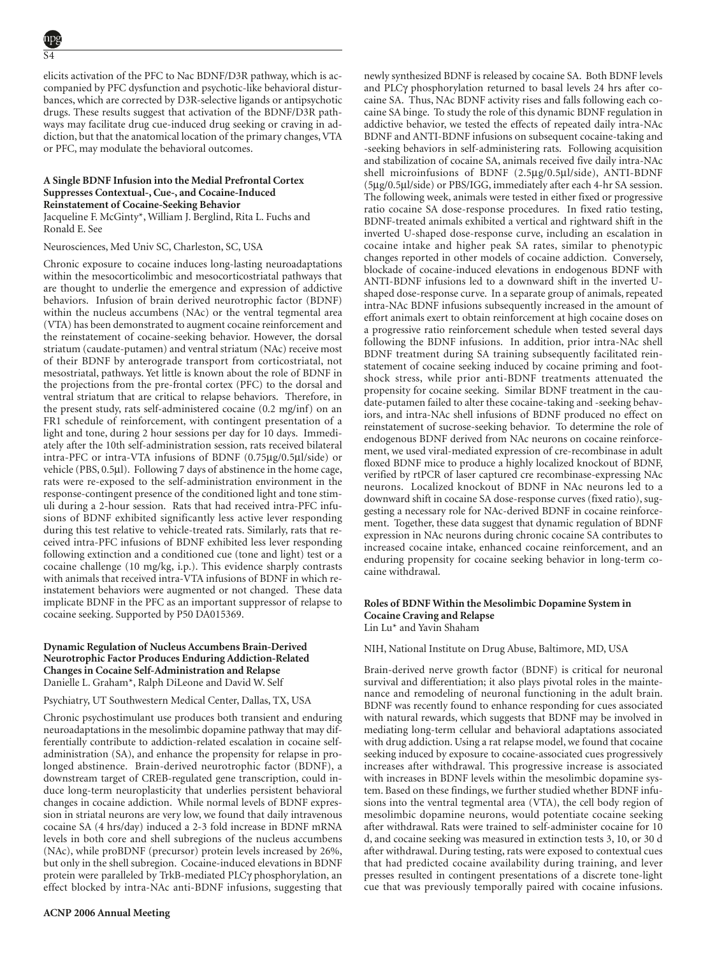elicits activation of the PFC to Nac BDNF/D3R pathway, which is accompanied by PFC dysfunction and psychotic-like behavioral disturbances, which are corrected by D3R-selective ligands or antipsychotic drugs. These results suggest that activation of the BDNF/D3R pathways may facilitate drug cue-induced drug seeking or craving in addiction, but that the anatomical location of the primary changes, VTA or PFC, may modulate the behavioral outcomes.

# **A Single BDNF Infusion into the Medial Prefrontal Cortex Suppresses Contextual-, Cue-, and Cocaine-Induced Reinstatement of Cocaine-Seeking Behavior**

Jacqueline F. McGinty\*, William J. Berglind, Rita L. Fuchs and Ronald E. See

# Neurosciences, Med Univ SC, Charleston, SC, USA

Chronic exposure to cocaine induces long-lasting neuroadaptations within the mesocorticolimbic and mesocorticostriatal pathways that are thought to underlie the emergence and expression of addictive behaviors. Infusion of brain derived neurotrophic factor (BDNF) within the nucleus accumbens (NAc) or the ventral tegmental area (VTA) has been demonstrated to augment cocaine reinforcement and the reinstatement of cocaine-seeking behavior. However, the dorsal striatum (caudate-putamen) and ventral striatum (NAc) receive most of their BDNF by anterograde transport from corticostriatal, not mesostriatal, pathways. Yet little is known about the role of BDNF in the projections from the pre-frontal cortex (PFC) to the dorsal and ventral striatum that are critical to relapse behaviors. Therefore, in the present study, rats self-administered cocaine (0.2 mg/inf) on an FR1 schedule of reinforcement, with contingent presentation of a light and tone, during 2 hour sessions per day for 10 days. Immediately after the 10th self-administration session, rats received bilateral intra-PFC or intra-VTA infusions of BDNF (0.75µg/0.5µl/side) or vehicle (PBS, 0.5µl). Following 7 days of abstinence in the home cage, rats were re-exposed to the self-administration environment in the response-contingent presence of the conditioned light and tone stimuli during a 2-hour session. Rats that had received intra-PFC infusions of BDNF exhibited significantly less active lever responding during this test relative to vehicle-treated rats. Similarly, rats that received intra-PFC infusions of BDNF exhibited less lever responding following extinction and a conditioned cue (tone and light) test or a cocaine challenge (10 mg/kg, i.p.). This evidence sharply contrasts with animals that received intra-VTA infusions of BDNF in which reinstatement behaviors were augmented or not changed. These data implicate BDNF in the PFC as an important suppressor of relapse to cocaine seeking. Supported by P50 DA015369.

# **Dynamic Regulation of Nucleus Accumbens Brain-Derived Neurotrophic Factor Produces Enduring Addiction-Related Changes in Cocaine Self-Administration and Relapse** Danielle L. Graham\*, Ralph DiLeone and David W. Self

# Psychiatry, UT Southwestern Medical Center, Dallas, TX, USA

Chronic psychostimulant use produces both transient and enduring neuroadaptations in the mesolimbic dopamine pathway that may differentially contribute to addiction-related escalation in cocaine selfadministration (SA), and enhance the propensity for relapse in prolonged abstinence. Brain-derived neurotrophic factor (BDNF), a downstream target of CREB-regulated gene transcription, could induce long-term neuroplasticity that underlies persistent behavioral changes in cocaine addiction. While normal levels of BDNF expression in striatal neurons are very low, we found that daily intravenous cocaine SA (4 hrs/day) induced a 2-3 fold increase in BDNF mRNA levels in both core and shell subregions of the nucleus accumbens (NAc), while proBDNF (precursor) protein levels increased by 26%, but only in the shell subregion. Cocaine-induced elevations in BDNF protein were paralleled by TrkB-mediated PLCγ phosphorylation, an effect blocked by intra-NAc anti-BDNF infusions, suggesting that newly synthesized BDNF is released by cocaine SA. Both BDNF levels and PLCγ phosphorylation returned to basal levels 24 hrs after cocaine SA. Thus, NAc BDNF activity rises and falls following each cocaine SA binge. To study the role of this dynamic BDNF regulation in addictive behavior, we tested the effects of repeated daily intra-NAc BDNF and ANTI-BDNF infusions on subsequent cocaine-taking and -seeking behaviors in self-administering rats. Following acquisition and stabilization of cocaine SA, animals received five daily intra-NAc shell microinfusions of BDNF (2.5µg/0.5µl/side), ANTI-BDNF (5µg/0.5µl/side) or PBS/IGG, immediately after each 4-hr SA session. The following week, animals were tested in either fixed or progressive ratio cocaine SA dose-response procedures. In fixed ratio testing, BDNF-treated animals exhibited a vertical and rightward shift in the inverted U-shaped dose-response curve, including an escalation in cocaine intake and higher peak SA rates, similar to phenotypic changes reported in other models of cocaine addiction. Conversely, blockade of cocaine-induced elevations in endogenous BDNF with ANTI-BDNF infusions led to a downward shift in the inverted Ushaped dose-response curve. In a separate group of animals, repeated intra-NAc BDNF infusions subsequently increased in the amount of effort animals exert to obtain reinforcement at high cocaine doses on a progressive ratio reinforcement schedule when tested several days following the BDNF infusions. In addition, prior intra-NAc shell BDNF treatment during SA training subsequently facilitated reinstatement of cocaine seeking induced by cocaine priming and footshock stress, while prior anti-BDNF treatments attenuated the propensity for cocaine seeking. Similar BDNF treatment in the caudate-putamen failed to alter these cocaine-taking and -seeking behaviors, and intra-NAc shell infusions of BDNF produced no effect on reinstatement of sucrose-seeking behavior. To determine the role of endogenous BDNF derived from NAc neurons on cocaine reinforcement, we used viral-mediated expression of cre-recombinase in adult floxed BDNF mice to produce a highly localized knockout of BDNF, verified by rtPCR of laser captured cre recombinase-expressing NAc neurons. Localized knockout of BDNF in NAc neurons led to a downward shift in cocaine SA dose-response curves (fixed ratio), suggesting a necessary role for NAc-derived BDNF in cocaine reinforcement. Together, these data suggest that dynamic regulation of BDNF expression in NAc neurons during chronic cocaine SA contributes to increased cocaine intake, enhanced cocaine reinforcement, and an enduring propensity for cocaine seeking behavior in long-term cocaine withdrawal.

### **Roles of BDNF Within the Mesolimbic Dopamine System in Cocaine Craving and Relapse** Lin Lu\* and Yavin Shaham

NIH, National Institute on Drug Abuse, Baltimore, MD, USA

Brain-derived nerve growth factor (BDNF) is critical for neuronal survival and differentiation; it also plays pivotal roles in the maintenance and remodeling of neuronal functioning in the adult brain. BDNF was recently found to enhance responding for cues associated with natural rewards, which suggests that BDNF may be involved in mediating long-term cellular and behavioral adaptations associated with drug addiction. Using a rat relapse model, we found that cocaine seeking induced by exposure to cocaine-associated cues progressively increases after withdrawal. This progressive increase is associated with increases in BDNF levels within the mesolimbic dopamine system. Based on these findings, we further studied whether BDNF infusions into the ventral tegmental area (VTA), the cell body region of mesolimbic dopamine neurons, would potentiate cocaine seeking after withdrawal. Rats were trained to self-administer cocaine for 10 d, and cocaine seeking was measured in extinction tests 3, 10, or 30 d after withdrawal. During testing, rats were exposed to contextual cues that had predicted cocaine availability during training, and lever presses resulted in contingent presentations of a discrete tone-light cue that was previously temporally paired with cocaine infusions.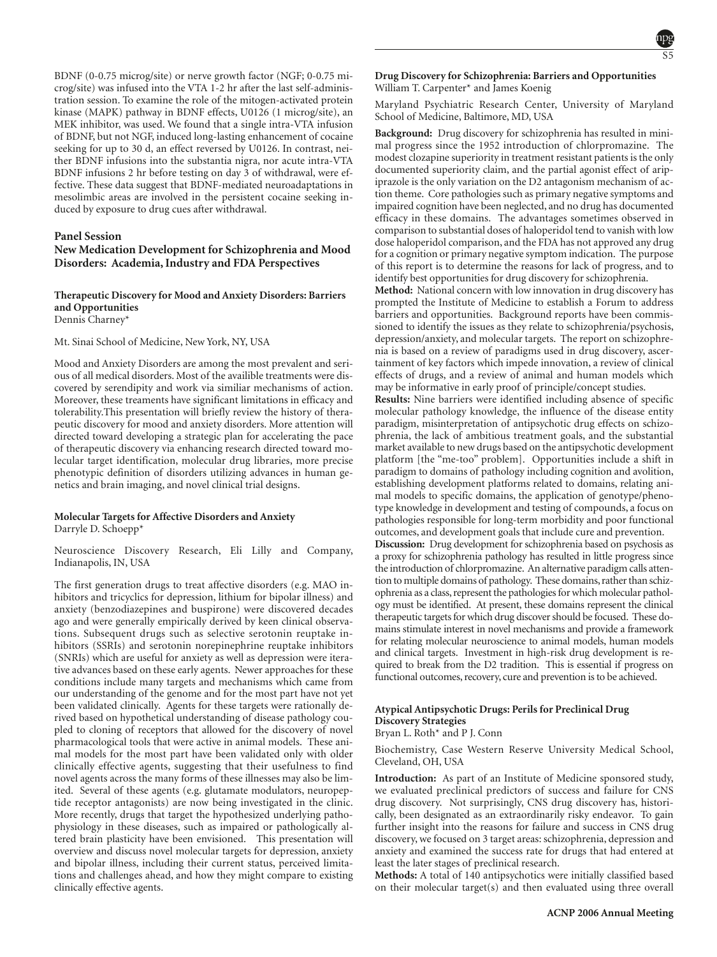BDNF (0-0.75 microg/site) or nerve growth factor (NGF; 0-0.75 microg/site) was infused into the VTA 1-2 hr after the last self-administration session. To examine the role of the mitogen-activated protein kinase (MAPK) pathway in BDNF effects, U0126 (1 microg/site), an MEK inhibitor, was used. We found that a single intra-VTA infusion of BDNF, but not NGF, induced long-lasting enhancement of cocaine seeking for up to 30 d, an effect reversed by U0126. In contrast, neither BDNF infusions into the substantia nigra, nor acute intra-VTA BDNF infusions 2 hr before testing on day 3 of withdrawal, were effective. These data suggest that BDNF-mediated neuroadaptations in mesolimbic areas are involved in the persistent cocaine seeking induced by exposure to drug cues after withdrawal.

### **Panel Session**

# **New Medication Development for Schizophrenia and Mood Disorders: Academia, Industry and FDA Perspectives**

# **Therapeutic Discovery for Mood and Anxiety Disorders: Barriers and Opportunities**

Dennis Charney\*

### Mt. Sinai School of Medicine, New York, NY, USA

Mood and Anxiety Disorders are among the most prevalent and serious of all medical disorders. Most of the availible treatments were discovered by serendipity and work via similiar mechanisms of action. Moreover, these treaments have significant limitations in efficacy and tolerability.This presentation will briefly review the history of therapeutic discovery for mood and anxiety disorders. More attention will directed toward developing a strategic plan for accelerating the pace of therapeutic discovery via enhancing research directed toward molecular target identification, molecular drug libraries, more precise phenotypic definition of disorders utilizing advances in human genetics and brain imaging, and novel clinical trial designs.

### **Molecular Targets for Affective Disorders and Anxiety** Darryle D. Schoepp\*

Neuroscience Discovery Research, Eli Lilly and Company, Indianapolis, IN, USA

The first generation drugs to treat affective disorders (e.g. MAO inhibitors and tricyclics for depression, lithium for bipolar illness) and anxiety (benzodiazepines and buspirone) were discovered decades ago and were generally empirically derived by keen clinical observations. Subsequent drugs such as selective serotonin reuptake inhibitors (SSRIs) and serotonin norepinephrine reuptake inhibitors (SNRIs) which are useful for anxiety as well as depression were iterative advances based on these early agents. Newer approaches for these conditions include many targets and mechanisms which came from our understanding of the genome and for the most part have not yet been validated clinically. Agents for these targets were rationally derived based on hypothetical understanding of disease pathology coupled to cloning of receptors that allowed for the discovery of novel pharmacological tools that were active in animal models. These animal models for the most part have been validated only with older clinically effective agents, suggesting that their usefulness to find novel agents across the many forms of these illnesses may also be limited. Several of these agents (e.g. glutamate modulators, neuropeptide receptor antagonists) are now being investigated in the clinic. More recently, drugs that target the hypothesized underlying pathophysiology in these diseases, such as impaired or pathologically altered brain plasticity have been envisioned. This presentation will overview and discuss novel molecular targets for depression, anxiety and bipolar illness, including their current status, perceived limitations and challenges ahead, and how they might compare to existing clinically effective agents.

### **Drug Discovery for Schizophrenia: Barriers and Opportunities** William T. Carpenter\* and James Koenig

Maryland Psychiatric Research Center, University of Maryland School of Medicine, Baltimore, MD, USA

**Background:** Drug discovery for schizophrenia has resulted in minimal progress since the 1952 introduction of chlorpromazine. The modest clozapine superiority in treatment resistant patients is the only documented superiority claim, and the partial agonist effect of aripiprazole is the only variation on the D2 antagonism mechanism of action theme. Core pathologies such as primary negative symptoms and impaired cognition have been neglected, and no drug has documented efficacy in these domains. The advantages sometimes observed in comparison to substantial doses of haloperidol tend to vanish with low dose haloperidol comparison, and the FDA has not approved any drug for a cognition or primary negative symptom indication. The purpose of this report is to determine the reasons for lack of progress, and to identify best opportunities for drug discovery for schizophrenia.

**Method:** National concern with low innovation in drug discovery has prompted the Institute of Medicine to establish a Forum to address barriers and opportunities. Background reports have been commissioned to identify the issues as they relate to schizophrenia/psychosis, depression/anxiety, and molecular targets. The report on schizophrenia is based on a review of paradigms used in drug discovery, ascertainment of key factors which impede innovation, a review of clinical effects of drugs, and a review of animal and human models which may be informative in early proof of principle/concept studies.

**Results:** Nine barriers were identified including absence of specific molecular pathology knowledge, the influence of the disease entity paradigm, misinterpretation of antipsychotic drug effects on schizophrenia, the lack of ambitious treatment goals, and the substantial market available to new drugs based on the antipsychotic development platform [the "me-too" problem]. Opportunities include a shift in paradigm to domains of pathology including cognition and avolition, establishing development platforms related to domains, relating animal models to specific domains, the application of genotype/phenotype knowledge in development and testing of compounds, a focus on pathologies responsible for long-term morbidity and poor functional outcomes, and development goals that include cure and prevention.

**Discussion:** Drug development for schizophrenia based on psychosis as a proxy for schizophrenia pathology has resulted in little progress since the introduction of chlorpromazine. An alternative paradigm calls attention to multiple domains of pathology. These domains,rather than schizophrenia as a class, represent the pathologies for which molecular pathology must be identified. At present, these domains represent the clinical therapeutic targets for which drug discover should be focused. These domains stimulate interest in novel mechanisms and provide a framework for relating molecular neuroscience to animal models, human models and clinical targets. Investment in high-risk drug development is required to break from the D2 tradition. This is essential if progress on functional outcomes, recovery, cure and prevention is to be achieved.

# **Atypical Antipsychotic Drugs: Perils for Preclinical Drug Discovery Strategies**

Bryan L. Roth\* and P J. Conn

Biochemistry, Case Western Reserve University Medical School, Cleveland, OH, USA

**Introduction:** As part of an Institute of Medicine sponsored study, we evaluated preclinical predictors of success and failure for CNS drug discovery. Not surprisingly, CNS drug discovery has, historically, been designated as an extraordinarily risky endeavor. To gain further insight into the reasons for failure and success in CNS drug discovery, we focused on 3 target areas: schizophrenia, depression and anxiety and examined the success rate for drugs that had entered at least the later stages of preclinical research.

**Methods:** A total of 140 antipsychotics were initially classified based on their molecular target(s) and then evaluated using three overall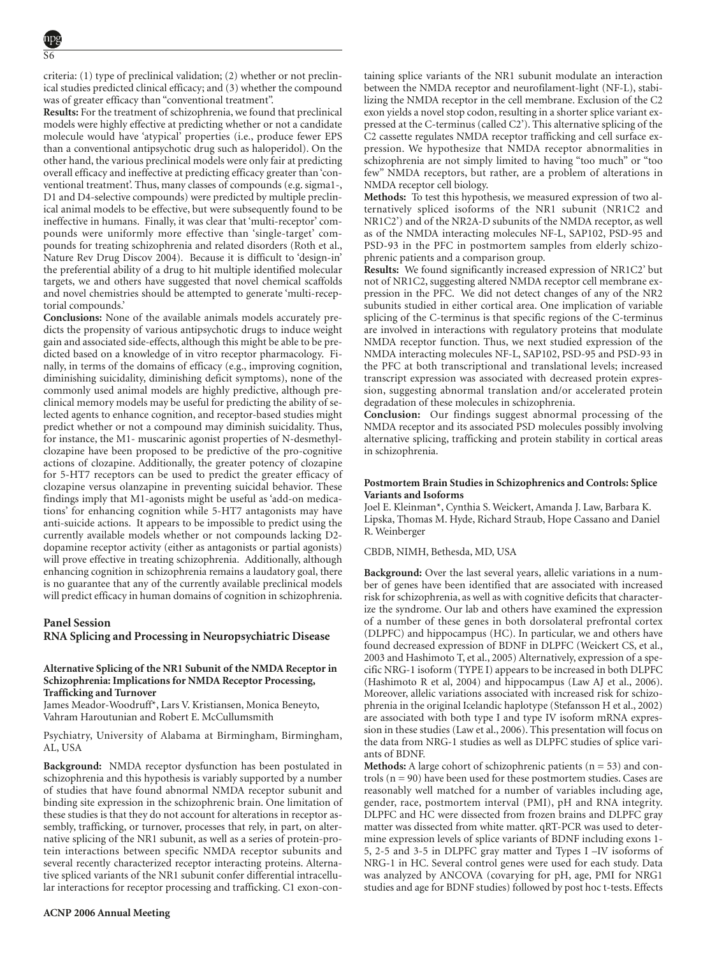criteria: (1) type of preclinical validation; (2) whether or not preclinical studies predicted clinical efficacy; and (3) whether the compound was of greater efficacy than "conventional treatment".

**Results:** For the treatment of schizophrenia, we found that preclinical models were highly effective at predicting whether or not a candidate molecule would have 'atypical' properties (i.e., produce fewer EPS than a conventional antipsychotic drug such as haloperidol). On the other hand, the various preclinical models were only fair at predicting overall efficacy and ineffective at predicting efficacy greater than 'conventional treatment'. Thus, many classes of compounds (e.g. sigma1-, D1 and D4-selective compounds) were predicted by multiple preclinical animal models to be effective, but were subsequently found to be ineffective in humans. Finally, it was clear that 'multi-receptor' compounds were uniformly more effective than 'single-target' compounds for treating schizophrenia and related disorders (Roth et al., Nature Rev Drug Discov 2004). Because it is difficult to 'design-in' the preferential ability of a drug to hit multiple identified molecular targets, we and others have suggested that novel chemical scaffolds and novel chemistries should be attempted to generate 'multi-receptorial compounds.'

**Conclusions:** None of the available animals models accurately predicts the propensity of various antipsychotic drugs to induce weight gain and associated side-effects, although this might be able to be predicted based on a knowledge of in vitro receptor pharmacology. Finally, in terms of the domains of efficacy (e.g., improving cognition, diminishing suicidality, diminishing deficit symptoms), none of the commonly used animal models are highly predictive, although preclinical memory models may be useful for predicting the ability of selected agents to enhance cognition, and receptor-based studies might predict whether or not a compound may diminish suicidality. Thus, for instance, the M1- muscarinic agonist properties of N-desmethylclozapine have been proposed to be predictive of the pro-cognitive actions of clozapine. Additionally, the greater potency of clozapine for 5-HT7 receptors can be used to predict the greater efficacy of clozapine versus olanzapine in preventing suicidal behavior. These findings imply that M1-agonists might be useful as 'add-on medications' for enhancing cognition while 5-HT7 antagonists may have anti-suicide actions. It appears to be impossible to predict using the currently available models whether or not compounds lacking D2 dopamine receptor activity (either as antagonists or partial agonists) will prove effective in treating schizophrenia. Additionally, although enhancing cognition in schizophrenia remains a laudatory goal, there is no guarantee that any of the currently available preclinical models will predict efficacy in human domains of cognition in schizophrenia.

# **Panel Session**

# **RNA Splicing and Processing in Neuropsychiatric Disease**

### **Alternative Splicing of the NR1 Subunit of the NMDA Receptor in Schizophrenia: Implications for NMDA Receptor Processing, Trafficking and Turnover**

James Meador-Woodruff\*, Lars V. Kristiansen, Monica Beneyto, Vahram Haroutunian and Robert E. McCullumsmith

Psychiatry, University of Alabama at Birmingham, Birmingham, AL, USA

**Background:** NMDA receptor dysfunction has been postulated in schizophrenia and this hypothesis is variably supported by a number of studies that have found abnormal NMDA receptor subunit and binding site expression in the schizophrenic brain. One limitation of these studies is that they do not account for alterations in receptor assembly, trafficking, or turnover, processes that rely, in part, on alternative splicing of the NR1 subunit, as well as a series of protein-protein interactions between specific NMDA receptor subunits and several recently characterized receptor interacting proteins. Alternative spliced variants of the NR1 subunit confer differential intracellular interactions for receptor processing and trafficking. C1 exon-containing splice variants of the NR1 subunit modulate an interaction between the NMDA receptor and neurofilament-light (NF-L), stabilizing the NMDA receptor in the cell membrane. Exclusion of the C2 exon yields a novel stop codon, resulting in a shorter splice variant expressed at the C-terminus (called C2'). This alternative splicing of the C2 cassette regulates NMDA receptor trafficking and cell surface expression. We hypothesize that NMDA receptor abnormalities in schizophrenia are not simply limited to having "too much" or "too few" NMDA receptors, but rather, are a problem of alterations in NMDA receptor cell biology.

**Methods:** To test this hypothesis, we measured expression of two alternatively spliced isoforms of the NR1 subunit (NR1C2 and NR1C2') and of the NR2A-D subunits of the NMDA receptor, as well as of the NMDA interacting molecules NF-L, SAP102, PSD-95 and PSD-93 in the PFC in postmortem samples from elderly schizophrenic patients and a comparison group.

**Results:** We found significantly increased expression of NR1C2' but not of NR1C2, suggesting altered NMDA receptor cell membrane expression in the PFC. We did not detect changes of any of the NR2 subunits studied in either cortical area. One implication of variable splicing of the C-terminus is that specific regions of the C-terminus are involved in interactions with regulatory proteins that modulate NMDA receptor function. Thus, we next studied expression of the NMDA interacting molecules NF-L, SAP102, PSD-95 and PSD-93 in the PFC at both transcriptional and translational levels; increased transcript expression was associated with decreased protein expression, suggesting abnormal translation and/or accelerated protein degradation of these molecules in schizophrenia.

**Conclusion:** Our findings suggest abnormal processing of the NMDA receptor and its associated PSD molecules possibly involving alternative splicing, trafficking and protein stability in cortical areas in schizophrenia.

### **Postmortem Brain Studies in Schizophrenics and Controls: Splice Variants and Isoforms**

Joel E. Kleinman\*, Cynthia S. Weickert, Amanda J. Law, Barbara K. Lipska, Thomas M. Hyde, Richard Straub, Hope Cassano and Daniel R. Weinberger

### CBDB, NIMH, Bethesda, MD, USA

**Background:** Over the last several years, allelic variations in a number of genes have been identified that are associated with increased risk for schizophrenia, as well as with cognitive deficits that characterize the syndrome. Our lab and others have examined the expression of a number of these genes in both dorsolateral prefrontal cortex (DLPFC) and hippocampus (HC). In particular, we and others have found decreased expression of BDNF in DLPFC (Weickert CS, et al., 2003 and Hashimoto T, et al., 2005) Alternatively, expression of a specific NRG-1 isoform (TYPE I) appears to be increased in both DLPFC (Hashimoto R et al, 2004) and hippocampus (Law AJ et al., 2006). Moreover, allelic variations associated with increased risk for schizophrenia in the original Icelandic haplotype (Stefansson H et al., 2002) are associated with both type I and type IV isoform mRNA expression in these studies (Law et al., 2006). This presentation will focus on the data from NRG-1 studies as well as DLPFC studies of splice variants of BDNF.

**Methods:** A large cohort of schizophrenic patients  $(n = 53)$  and controls  $(n = 90)$  have been used for these postmortem studies. Cases are reasonably well matched for a number of variables including age, gender, race, postmortem interval (PMI), pH and RNA integrity. DLPFC and HC were dissected from frozen brains and DLPFC gray matter was dissected from white matter. qRT-PCR was used to determine expression levels of splice variants of BDNF including exons 1- 5, 2-5 and 3-5 in DLPFC gray matter and Types I –IV isoforms of NRG-1 in HC. Several control genes were used for each study. Data was analyzed by ANCOVA (covarying for pH, age, PMI for NRG1 studies and age for BDNF studies) followed by post hoc t-tests. Effects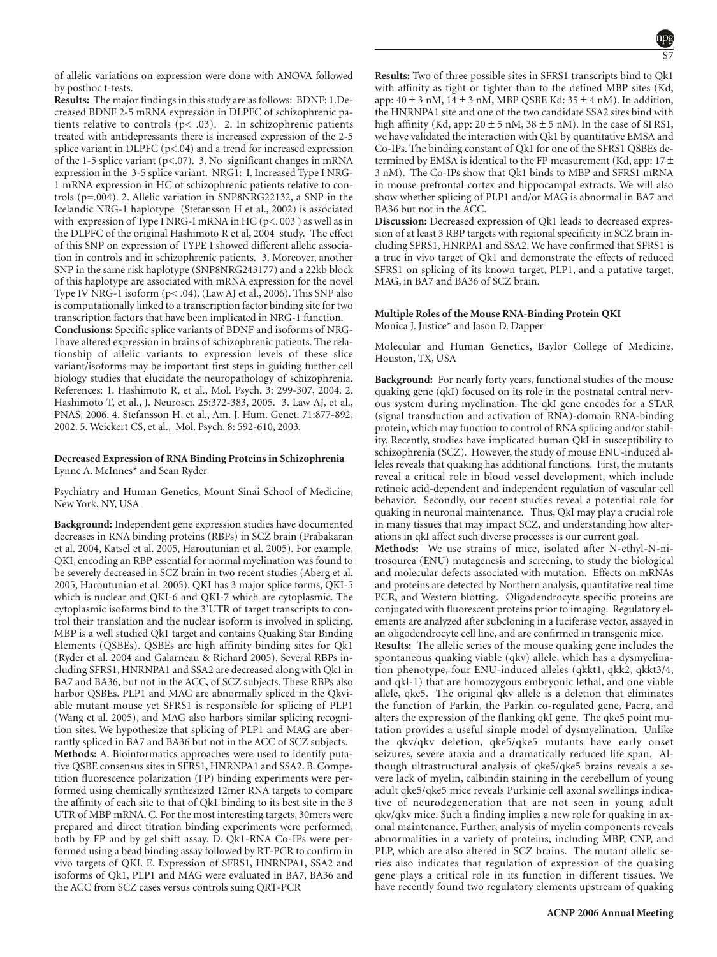of allelic variations on expression were done with ANOVA followed by posthoc t-tests.

**Results:** The major findings in this study are as follows: BDNF: 1.Decreased BDNF 2-5 mRNA expression in DLPFC of schizophrenic patients relative to controls  $(p<.03)$ . 2. In schizophrenic patients treated with antidepressants there is increased expression of the 2-5 splice variant in DLPFC  $(p<0.04)$  and a trend for increased expression of the 1-5 splice variant (p<.07). 3. No significant changes in mRNA expression in the 3-5 splice variant. NRG1: I. Increased Type I NRG-1 mRNA expression in HC of schizophrenic patients relative to controls (p=.004). 2. Allelic variation in SNP8NRG22132, a SNP in the Icelandic NRG-1 haplotype (Stefansson H et al., 2002) is associated with expression of Type I NRG-I mRNA in HC (p<. 003 ) as well as in the DLPFC of the original Hashimoto R et al, 2004 study. The effect of this SNP on expression of TYPE I showed different allelic association in controls and in schizophrenic patients. 3. Moreover, another SNP in the same risk haplotype (SNP8NRG243177) and a 22kb block of this haplotype are associated with mRNA expression for the novel Type IV NRG-1 isoform (p< .04). (Law AJ et al., 2006). This SNP also is computationally linked to a transcription factor binding site for two transcription factors that have been implicated in NRG-1 function.

**Conclusions:** Specific splice variants of BDNF and isoforms of NRG-1have altered expression in brains of schizophrenic patients. The relationship of allelic variants to expression levels of these slice variant/isoforms may be important first steps in guiding further cell biology studies that elucidate the neuropathology of schizophrenia. References: 1. Hashimoto R, et al., Mol. Psych. 3: 299-307, 2004. 2. Hashimoto T, et al., J. Neurosci. 25:372-383, 2005. 3. Law AJ, et al., PNAS, 2006. 4. Stefansson H, et al., Am. J. Hum. Genet. 71:877-892, 2002. 5. Weickert CS, et al., Mol. Psych. 8: 592-610, 2003.

### **Decreased Expression of RNA Binding Proteins in Schizophrenia** Lynne A. McInnes\* and Sean Ryder

Psychiatry and Human Genetics, Mount Sinai School of Medicine, New York, NY, USA

**Background:** Independent gene expression studies have documented decreases in RNA binding proteins (RBPs) in SCZ brain (Prabakaran et al. 2004, Katsel et al. 2005, Haroutunian et al. 2005). For example, QKI, encoding an RBP essential for normal myelination was found to be severely decreased in SCZ brain in two recent studies (Aberg et al. 2005, Haroutunian et al. 2005). QKI has 3 major splice forms, QKI-5 which is nuclear and QKI-6 and QKI-7 which are cytoplasmic. The cytoplasmic isoforms bind to the 3'UTR of target transcripts to control their translation and the nuclear isoform is involved in splicing. MBP is a well studied Qk1 target and contains Quaking Star Binding Elements (QSBEs). QSBEs are high affinity binding sites for Qk1 (Ryder et al. 2004 and Galarneau & Richard 2005). Several RBPs including SFRS1, HNRNPA1 and SSA2 are decreased along with Qk1 in BA7 and BA36, but not in the ACC, of SCZ subjects. These RBPs also harbor QSBEs. PLP1 and MAG are abnormally spliced in the Qkviable mutant mouse yet SFRS1 is responsible for splicing of PLP1 (Wang et al. 2005), and MAG also harbors similar splicing recognition sites. We hypothesize that splicing of PLP1 and MAG are aberrantly spliced in BA7 and BA36 but not in the ACC of SCZ subjects. **Methods:** A. Bioinformatics approaches were used to identify putative QSBE consensus sites in SFRS1, HNRNPA1 and SSA2. B. Competition fluorescence polarization (FP) binding experiments were performed using chemically synthesized 12mer RNA targets to compare the affinity of each site to that of Qk1 binding to its best site in the 3 UTR of MBP mRNA. C. For the most interesting targets, 30mers were prepared and direct titration binding experiments were performed, both by FP and by gel shift assay. D. Qk1-RNA Co-IPs were performed using a bead binding assay followed by RT-PCR to confirm in vivo targets of QKI. E. Expression of SFRS1, HNRNPA1, SSA2 and isoforms of Qk1, PLP1 and MAG were evaluated in BA7, BA36 and the ACC from SCZ cases versus controls suing QRT-PCR

**Results:** Two of three possible sites in SFRS1 transcripts bind to Qk1 with affinity as tight or tighter than to the defined MBP sites (Kd, app:  $40 \pm 3$  nM,  $14 \pm 3$  nM, MBP QSBE Kd:  $35 \pm 4$  nM). In addition, the HNRNPA1 site and one of the two candidate SSA2 sites bind with high affinity (Kd, app:  $20 \pm 5$  nM,  $38 \pm 5$  nM). In the case of SFRS1, we have validated the interaction with Qk1 by quantitative EMSA and Co-IPs. The binding constant of Qk1 for one of the SFRS1 QSBEs determined by EMSA is identical to the FP measurement (Kd, app:  $17 \pm$ 3 nM). The Co-IPs show that Qk1 binds to MBP and SFRS1 mRNA in mouse prefrontal cortex and hippocampal extracts. We will also show whether splicing of PLP1 and/or MAG is abnormal in BA7 and BA36 but not in the ACC.

**Discussion:** Decreased expression of Qk1 leads to decreased expression of at least 3 RBP targets with regional specificity in SCZ brain including SFRS1, HNRPA1 and SSA2. We have confirmed that SFRS1 is a true in vivo target of Qk1 and demonstrate the effects of reduced SFRS1 on splicing of its known target, PLP1, and a putative target, MAG, in BA7 and BA36 of SCZ brain.

# **Multiple Roles of the Mouse RNA-Binding Protein QKI** Monica J. Justice\* and Jason D. Dapper

Molecular and Human Genetics, Baylor College of Medicine, Houston, TX, USA

**Background:** For nearly forty years, functional studies of the mouse quaking gene (qkI) focused on its role in the postnatal central nervous system during myelination. The qkI gene encodes for a STAR (signal transduction and activation of RNA)-domain RNA-binding protein, which may function to control of RNA splicing and/or stability. Recently, studies have implicated human QkI in susceptibility to schizophrenia (SCZ). However, the study of mouse ENU-induced alleles reveals that quaking has additional functions. First, the mutants reveal a critical role in blood vessel development, which include retinoic acid-dependent and independent regulation of vascular cell behavior. Secondly, our recent studies reveal a potential role for quaking in neuronal maintenance. Thus, QkI may play a crucial role in many tissues that may impact SCZ, and understanding how alterations in qkI affect such diverse processes is our current goal.

**Methods:** We use strains of mice, isolated after N-ethyl-N-nitrosourea (ENU) mutagenesis and screening, to study the biological and molecular defects associated with mutation. Effects on mRNAs and proteins are detected by Northern analysis, quantitative real time PCR, and Western blotting. Oligodendrocyte specific proteins are conjugated with fluorescent proteins prior to imaging. Regulatory elements are analyzed after subcloning in a luciferase vector, assayed in an oligodendrocyte cell line, and are confirmed in transgenic mice.

**Results:** The allelic series of the mouse quaking gene includes the spontaneous quaking viable (qkv) allele, which has a dysmyelination phenotype, four ENU-induced alleles (qkkt1, qkk2, qkkt3/4, and qkl-1) that are homozygous embryonic lethal, and one viable allele, qke5. The original qkv allele is a deletion that eliminates the function of Parkin, the Parkin co-regulated gene, Pacrg, and alters the expression of the flanking qkI gene. The qke5 point mutation provides a useful simple model of dysmyelination. Unlike the qkv/qkv deletion, qke5/qke5 mutants have early onset seizures, severe ataxia and a dramatically reduced life span. Although ultrastructural analysis of qke5/qke5 brains reveals a severe lack of myelin, calbindin staining in the cerebellum of young adult qke5/qke5 mice reveals Purkinje cell axonal swellings indicative of neurodegeneration that are not seen in young adult qkv/qkv mice. Such a finding implies a new role for quaking in axonal maintenance. Further, analysis of myelin components reveals abnormalities in a variety of proteins, including MBP, CNP, and PLP, which are also altered in SCZ brains. The mutant allelic series also indicates that regulation of expression of the quaking gene plays a critical role in its function in different tissues. We have recently found two regulatory elements upstream of quaking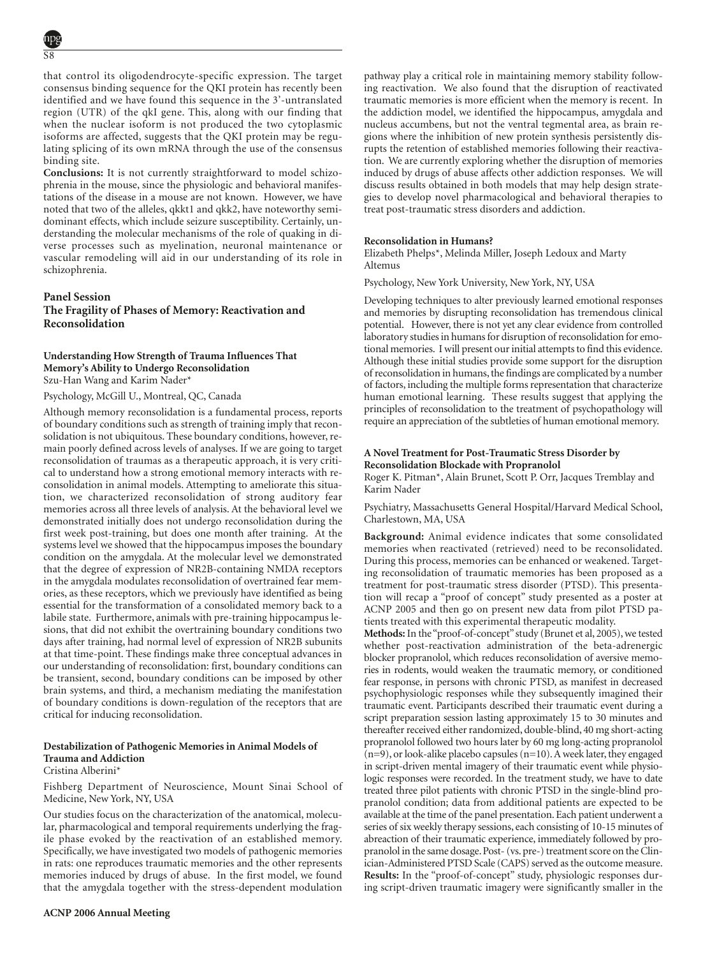S8

that control its oligodendrocyte-specific expression. The target consensus binding sequence for the QKI protein has recently been identified and we have found this sequence in the 3'-untranslated region (UTR) of the qkI gene. This, along with our finding that when the nuclear isoform is not produced the two cytoplasmic isoforms are affected, suggests that the QKI protein may be regulating splicing of its own mRNA through the use of the consensus binding site.

**Conclusions:** It is not currently straightforward to model schizophrenia in the mouse, since the physiologic and behavioral manifestations of the disease in a mouse are not known. However, we have noted that two of the alleles, qkkt1 and qkk2, have noteworthy semidominant effects, which include seizure susceptibility. Certainly, understanding the molecular mechanisms of the role of quaking in diverse processes such as myelination, neuronal maintenance or vascular remodeling will aid in our understanding of its role in schizophrenia.

# **Panel Session The Fragility of Phases of Memory: Reactivation and Reconsolidation**

### **Understanding How Strength of Trauma Influences That Memory's Ability to Undergo Reconsolidation** Szu-Han Wang and Karim Nader\*

### Psychology, McGill U., Montreal, QC, Canada

Although memory reconsolidation is a fundamental process, reports of boundary conditions such as strength of training imply that reconsolidation is not ubiquitous. These boundary conditions, however, remain poorly defined across levels of analyses. If we are going to target reconsolidation of traumas as a therapeutic approach, it is very critical to understand how a strong emotional memory interacts with reconsolidation in animal models. Attempting to ameliorate this situation, we characterized reconsolidation of strong auditory fear memories across all three levels of analysis. At the behavioral level we demonstrated initially does not undergo reconsolidation during the first week post-training, but does one month after training. At the systems level we showed that the hippocampus imposes the boundary condition on the amygdala. At the molecular level we demonstrated that the degree of expression of NR2B-containing NMDA receptors in the amygdala modulates reconsolidation of overtrained fear memories, as these receptors, which we previously have identified as being essential for the transformation of a consolidated memory back to a labile state. Furthermore, animals with pre-training hippocampus lesions, that did not exhibit the overtraining boundary conditions two days after training, had normal level of expression of NR2B subunits at that time-point. These findings make three conceptual advances in our understanding of reconsolidation: first, boundary conditions can be transient, second, boundary conditions can be imposed by other brain systems, and third, a mechanism mediating the manifestation of boundary conditions is down-regulation of the receptors that are critical for inducing reconsolidation.

#### **Destabilization of Pathogenic Memories in Animal Models of Trauma and Addiction** Cristina Alberini\*

Fishberg Department of Neuroscience, Mount Sinai School of Medicine, New York, NY, USA

Our studies focus on the characterization of the anatomical, molecular, pharmacological and temporal requirements underlying the fragile phase evoked by the reactivation of an established memory. Specifically, we have investigated two models of pathogenic memories in rats: one reproduces traumatic memories and the other represents memories induced by drugs of abuse. In the first model, we found that the amygdala together with the stress-dependent modulation

pathway play a critical role in maintaining memory stability following reactivation. We also found that the disruption of reactivated traumatic memories is more efficient when the memory is recent. In the addiction model, we identified the hippocampus, amygdala and nucleus accumbens, but not the ventral tegmental area, as brain regions where the inhibition of new protein synthesis persistently disrupts the retention of established memories following their reactivation. We are currently exploring whether the disruption of memories induced by drugs of abuse affects other addiction responses. We will discuss results obtained in both models that may help design strategies to develop novel pharmacological and behavioral therapies to treat post-traumatic stress disorders and addiction.

### **Reconsolidation in Humans?**

Elizabeth Phelps\*, Melinda Miller, Joseph Ledoux and Marty Altemus

Psychology, New York University, New York, NY, USA

Developing techniques to alter previously learned emotional responses and memories by disrupting reconsolidation has tremendous clinical potential. However, there is not yet any clear evidence from controlled laboratory studies in humans for disruption of reconsolidation for emotional memories. I will present our initial attempts to find this evidence. Although these initial studies provide some support for the disruption of reconsolidation in humans, the findings are complicated by a number of factors, including the multiple forms representation that characterize human emotional learning. These results suggest that applying the principles of reconsolidation to the treatment of psychopathology will require an appreciation of the subtleties of human emotional memory.

### **A Novel Treatment for Post-Traumatic Stress Disorder by Reconsolidation Blockade with Propranolol**

Roger K. Pitman\*, Alain Brunet, Scott P. Orr, Jacques Tremblay and Karim Nader

Psychiatry, Massachusetts General Hospital/Harvard Medical School, Charlestown, MA, USA

**Background:** Animal evidence indicates that some consolidated memories when reactivated (retrieved) need to be reconsolidated. During this process, memories can be enhanced or weakened. Targeting reconsolidation of traumatic memories has been proposed as a treatment for post-traumatic stress disorder (PTSD). This presentation will recap a "proof of concept" study presented as a poster at ACNP 2005 and then go on present new data from pilot PTSD patients treated with this experimental therapeutic modality.

**Methods:** In the"proof-of-concept"study (Brunet et al, 2005), we tested whether post-reactivation administration of the beta-adrenergic blocker propranolol, which reduces reconsolidation of aversive memories in rodents, would weaken the traumatic memory, or conditioned fear response, in persons with chronic PTSD, as manifest in decreased psychophysiologic responses while they subsequently imagined their traumatic event. Participants described their traumatic event during a script preparation session lasting approximately 15 to 30 minutes and thereafter received either randomized, double-blind, 40 mg short-acting propranolol followed two hours later by 60 mg long-acting propranolol  $(n=9)$ , or look-alike placebo capsules  $(n=10)$ . A week later, they engaged in script-driven mental imagery of their traumatic event while physiologic responses were recorded. In the treatment study, we have to date treated three pilot patients with chronic PTSD in the single-blind propranolol condition; data from additional patients are expected to be available at the time of the panel presentation. Each patient underwent a series of six weekly therapy sessions, each consisting of 10-15 minutes of abreaction of their traumatic experience, immediately followed by propranolol in the same dosage. Post- (vs. pre-) treatment score on the Clinician-Administered PTSD Scale (CAPS) served as the outcome measure. **Results:** In the "proof-of-concept" study, physiologic responses during script-driven traumatic imagery were significantly smaller in the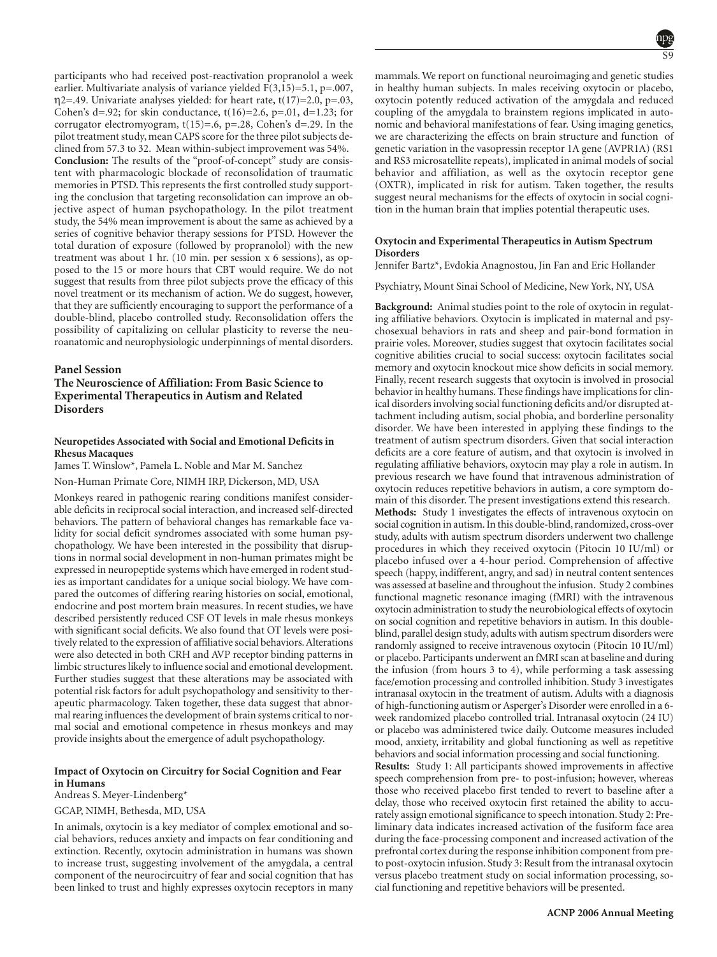participants who had received post-reactivation propranolol a week earlier. Multivariate analysis of variance yielded F(3,15)=5.1, p=.007,  $\eta$ 2=.49. Univariate analyses yielded: for heart rate, t(17)=2.0, p=.03, Cohen's d=.92; for skin conductance,  $t(16)=2.6$ , p=.01, d=1.23; for corrugator electromyogram,  $t(15)=.6$ ,  $p=.28$ , Cohen's d=.29. In the pilot treatment study, mean CAPS score for the three pilot subjects declined from 57.3 to 32. Mean within-subject improvement was 54%. **Conclusion:** The results of the "proof-of-concept" study are consistent with pharmacologic blockade of reconsolidation of traumatic memories in PTSD. This represents the first controlled study supporting the conclusion that targeting reconsolidation can improve an objective aspect of human psychopathology. In the pilot treatment study, the 54% mean improvement is about the same as achieved by a series of cognitive behavior therapy sessions for PTSD. However the total duration of exposure (followed by propranolol) with the new treatment was about 1 hr. (10 min. per session x 6 sessions), as opposed to the 15 or more hours that CBT would require. We do not suggest that results from three pilot subjects prove the efficacy of this novel treatment or its mechanism of action. We do suggest, however, that they are sufficiently encouraging to support the performance of a double-blind, placebo controlled study. Reconsolidation offers the possibility of capitalizing on cellular plasticity to reverse the neuroanatomic and neurophysiologic underpinnings of mental disorders.

# **Panel Session**

# **The Neuroscience of Affiliation: From Basic Science to Experimental Therapeutics in Autism and Related Disorders**

### **Neuropetides Associated with Social and Emotional Deficits in Rhesus Macaques**

James T. Winslow\*, Pamela L. Noble and Mar M. Sanchez Non-Human Primate Core, NIMH IRP, Dickerson, MD, USA

Monkeys reared in pathogenic rearing conditions manifest considerable deficits in reciprocal social interaction, and increased self-directed behaviors. The pattern of behavioral changes has remarkable face validity for social deficit syndromes associated with some human psychopathology. We have been interested in the possibility that disruptions in normal social development in non-human primates might be expressed in neuropeptide systems which have emerged in rodent studies as important candidates for a unique social biology. We have compared the outcomes of differing rearing histories on social, emotional, endocrine and post mortem brain measures. In recent studies, we have described persistently reduced CSF OT levels in male rhesus monkeys with significant social deficits. We also found that OT levels were positively related to the expression of affiliative social behaviors. Alterations were also detected in both CRH and AVP receptor binding patterns in limbic structures likely to influence social and emotional development. Further studies suggest that these alterations may be associated with potential risk factors for adult psychopathology and sensitivity to therapeutic pharmacology. Taken together, these data suggest that abnormal rearing influences the development of brain systems critical to normal social and emotional competence in rhesus monkeys and may provide insights about the emergence of adult psychopathology.

# **Impact of Oxytocin on Circuitry for Social Cognition and Fear in Humans**

Andreas S. Meyer-Lindenberg\*

GCAP, NIMH, Bethesda, MD, USA

In animals, oxytocin is a key mediator of complex emotional and social behaviors, reduces anxiety and impacts on fear conditioning and extinction. Recently, oxytocin administration in humans was shown to increase trust, suggesting involvement of the amygdala, a central component of the neurocircuitry of fear and social cognition that has been linked to trust and highly expresses oxytocin receptors in many

mammals. We report on functional neuroimaging and genetic studies in healthy human subjects. In males receiving oxytocin or placebo, oxytocin potently reduced activation of the amygdala and reduced coupling of the amygdala to brainstem regions implicated in autonomic and behavioral manifestations of fear. Using imaging genetics, we are characterizing the effects on brain structure and function of genetic variation in the vasopressin receptor 1A gene (AVPR1A) (RS1 and RS3 microsatellite repeats), implicated in animal models of social behavior and affiliation, as well as the oxytocin receptor gene (OXTR), implicated in risk for autism. Taken together, the results suggest neural mechanisms for the effects of oxytocin in social cognition in the human brain that implies potential therapeutic uses.

# **Oxytocin and Experimental Therapeutics in Autism Spectrum Disorders**

Jennifer Bartz\*, Evdokia Anagnostou, Jin Fan and Eric Hollander

Psychiatry, Mount Sinai School of Medicine, New York, NY, USA

**Background:** Animal studies point to the role of oxytocin in regulating affiliative behaviors. Oxytocin is implicated in maternal and psychosexual behaviors in rats and sheep and pair-bond formation in prairie voles. Moreover, studies suggest that oxytocin facilitates social cognitive abilities crucial to social success: oxytocin facilitates social memory and oxytocin knockout mice show deficits in social memory. Finally, recent research suggests that oxytocin is involved in prosocial behavior in healthy humans. These findings have implications for clinical disorders involving social functioning deficits and/or disrupted attachment including autism, social phobia, and borderline personality disorder. We have been interested in applying these findings to the treatment of autism spectrum disorders. Given that social interaction deficits are a core feature of autism, and that oxytocin is involved in regulating affiliative behaviors, oxytocin may play a role in autism. In previous research we have found that intravenous administration of oxytocin reduces repetitive behaviors in autism, a core symptom domain of this disorder. The present investigations extend this research. **Methods:** Study 1 investigates the effects of intravenous oxytocin on social cognition in autism. In this double-blind, randomized, cross-over study, adults with autism spectrum disorders underwent two challenge procedures in which they received oxytocin (Pitocin 10 IU/ml) or placebo infused over a 4-hour period. Comprehension of affective speech (happy, indifferent, angry, and sad) in neutral content sentences was assessed at baseline and throughout the infusion. Study 2 combines functional magnetic resonance imaging (fMRI) with the intravenous oxytocin administration to study the neurobiological effects of oxytocin on social cognition and repetitive behaviors in autism. In this doubleblind, parallel design study, adults with autism spectrum disorders were randomly assigned to receive intravenous oxytocin (Pitocin 10 IU/ml) or placebo. Participants underwent an fMRI scan at baseline and during the infusion (from hours 3 to 4), while performing a task assessing face/emotion processing and controlled inhibition. Study 3 investigates intranasal oxytocin in the treatment of autism. Adults with a diagnosis of high-functioning autism or Asperger's Disorder were enrolled in a 6 week randomized placebo controlled trial. Intranasal oxytocin (24 IU) or placebo was administered twice daily. Outcome measures included mood, anxiety, irritability and global functioning as well as repetitive behaviors and social information processing and social functioning.

**Results:** Study 1: All participants showed improvements in affective speech comprehension from pre- to post-infusion; however, whereas those who received placebo first tended to revert to baseline after a delay, those who received oxytocin first retained the ability to accurately assign emotional significance to speech intonation. Study 2: Preliminary data indicates increased activation of the fusiform face area during the face-processing component and increased activation of the prefrontal cortex during the response inhibition component from preto post-oxytocin infusion. Study 3: Result from the intranasal oxytocin versus placebo treatment study on social information processing, social functioning and repetitive behaviors will be presented.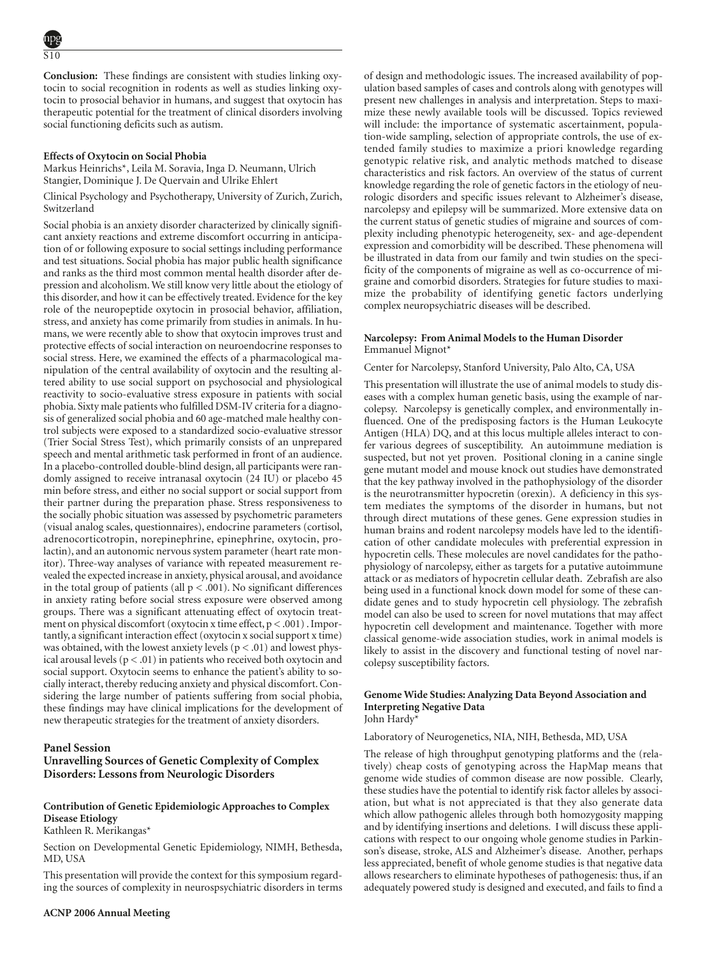**Conclusion:** These findings are consistent with studies linking oxytocin to social recognition in rodents as well as studies linking oxytocin to prosocial behavior in humans, and suggest that oxytocin has therapeutic potential for the treatment of clinical disorders involving social functioning deficits such as autism.

### **Effects of Oxytocin on Social Phobia**

Markus Heinrichs\*, Leila M. Soravia, Inga D. Neumann, Ulrich Stangier, Dominique J. De Quervain and Ulrike Ehlert

Clinical Psychology and Psychotherapy, University of Zurich, Zurich, Switzerland

Social phobia is an anxiety disorder characterized by clinically significant anxiety reactions and extreme discomfort occurring in anticipation of or following exposure to social settings including performance and test situations. Social phobia has major public health significance and ranks as the third most common mental health disorder after depression and alcoholism. We still know very little about the etiology of this disorder, and how it can be effectively treated. Evidence for the key role of the neuropeptide oxytocin in prosocial behavior, affiliation, stress, and anxiety has come primarily from studies in animals. In humans, we were recently able to show that oxytocin improves trust and protective effects of social interaction on neuroendocrine responses to social stress. Here, we examined the effects of a pharmacological manipulation of the central availability of oxytocin and the resulting altered ability to use social support on psychosocial and physiological reactivity to socio-evaluative stress exposure in patients with social phobia. Sixty male patients who fulfilled DSM-IV criteria for a diagnosis of generalized social phobia and 60 age-matched male healthy control subjects were exposed to a standardized socio-evaluative stressor (Trier Social Stress Test), which primarily consists of an unprepared speech and mental arithmetic task performed in front of an audience. In a placebo-controlled double-blind design, all participants were randomly assigned to receive intranasal oxytocin (24 IU) or placebo 45 min before stress, and either no social support or social support from their partner during the preparation phase. Stress responsiveness to the socially phobic situation was assessed by psychometric parameters (visual analog scales, questionnaires), endocrine parameters (cortisol, adrenocorticotropin, norepinephrine, epinephrine, oxytocin, prolactin), and an autonomic nervous system parameter (heart rate monitor). Three-way analyses of variance with repeated measurement revealed the expected increase in anxiety, physical arousal, and avoidance in the total group of patients (all  $p < .001$ ). No significant differences in anxiety rating before social stress exposure were observed among groups. There was a significant attenuating effect of oxytocin treatment on physical discomfort (oxytocin x time effect, p < .001) . Importantly, a significant interaction effect (oxytocin x social support x time) was obtained, with the lowest anxiety levels ( $p < .01$ ) and lowest physical arousal levels ( $p < .01$ ) in patients who received both oxytocin and social support. Oxytocin seems to enhance the patient's ability to socially interact, thereby reducing anxiety and physical discomfort. Considering the large number of patients suffering from social phobia, these findings may have clinical implications for the development of new therapeutic strategies for the treatment of anxiety disorders.

# **Panel Session**

# **Unravelling Sources of Genetic Complexity of Complex Disorders: Lessons from Neurologic Disorders**

**Contribution of Genetic Epidemiologic Approaches to Complex Disease Etiology**

Kathleen R. Merikangas\*

Section on Developmental Genetic Epidemiology, NIMH, Bethesda, MD, USA

This presentation will provide the context for this symposium regarding the sources of complexity in neurospsychiatric disorders in terms of design and methodologic issues. The increased availability of population based samples of cases and controls along with genotypes will present new challenges in analysis and interpretation. Steps to maximize these newly available tools will be discussed. Topics reviewed will include: the importance of systematic ascertainment, population-wide sampling, selection of appropriate controls, the use of extended family studies to maximize a priori knowledge regarding genotypic relative risk, and analytic methods matched to disease characteristics and risk factors. An overview of the status of current knowledge regarding the role of genetic factors in the etiology of neurologic disorders and specific issues relevant to Alzheimer's disease, narcolepsy and epilepsy will be summarized. More extensive data on the current status of genetic studies of migraine and sources of complexity including phenotypic heterogeneity, sex- and age-dependent expression and comorbidity will be described. These phenomena will be illustrated in data from our family and twin studies on the specificity of the components of migraine as well as co-occurrence of migraine and comorbid disorders. Strategies for future studies to maximize the probability of identifying genetic factors underlying complex neuropsychiatric diseases will be described.

### **Narcolepsy: From Animal Models to the Human Disorder** Emmanuel Mignot\*

Center for Narcolepsy, Stanford University, Palo Alto, CA, USA

This presentation will illustrate the use of animal models to study diseases with a complex human genetic basis, using the example of narcolepsy. Narcolepsy is genetically complex, and environmentally influenced. One of the predisposing factors is the Human Leukocyte Antigen (HLA) DQ, and at this locus multiple alleles interact to confer various degrees of susceptibility. An autoimmune mediation is suspected, but not yet proven. Positional cloning in a canine single gene mutant model and mouse knock out studies have demonstrated that the key pathway involved in the pathophysiology of the disorder is the neurotransmitter hypocretin (orexin). A deficiency in this system mediates the symptoms of the disorder in humans, but not through direct mutations of these genes. Gene expression studies in human brains and rodent narcolepsy models have led to the identification of other candidate molecules with preferential expression in hypocretin cells. These molecules are novel candidates for the pathophysiology of narcolepsy, either as targets for a putative autoimmune attack or as mediators of hypocretin cellular death. Zebrafish are also being used in a functional knock down model for some of these candidate genes and to study hypocretin cell physiology. The zebrafish model can also be used to screen for novel mutations that may affect hypocretin cell development and maintenance. Together with more classical genome-wide association studies, work in animal models is likely to assist in the discovery and functional testing of novel narcolepsy susceptibility factors.

# **Genome Wide Studies: Analyzing Data Beyond Association and Interpreting Negative Data**

John Hardy\*

Laboratory of Neurogenetics, NIA, NIH, Bethesda, MD, USA

The release of high throughput genotyping platforms and the (relatively) cheap costs of genotyping across the HapMap means that genome wide studies of common disease are now possible. Clearly, these studies have the potential to identify risk factor alleles by association, but what is not appreciated is that they also generate data which allow pathogenic alleles through both homozygosity mapping and by identifying insertions and deletions. I will discuss these applications with respect to our ongoing whole genome studies in Parkinson's disease, stroke, ALS and Alzheimer's disease. Another, perhaps less appreciated, benefit of whole genome studies is that negative data allows researchers to eliminate hypotheses of pathogenesis: thus, if an adequately powered study is designed and executed, and fails to find a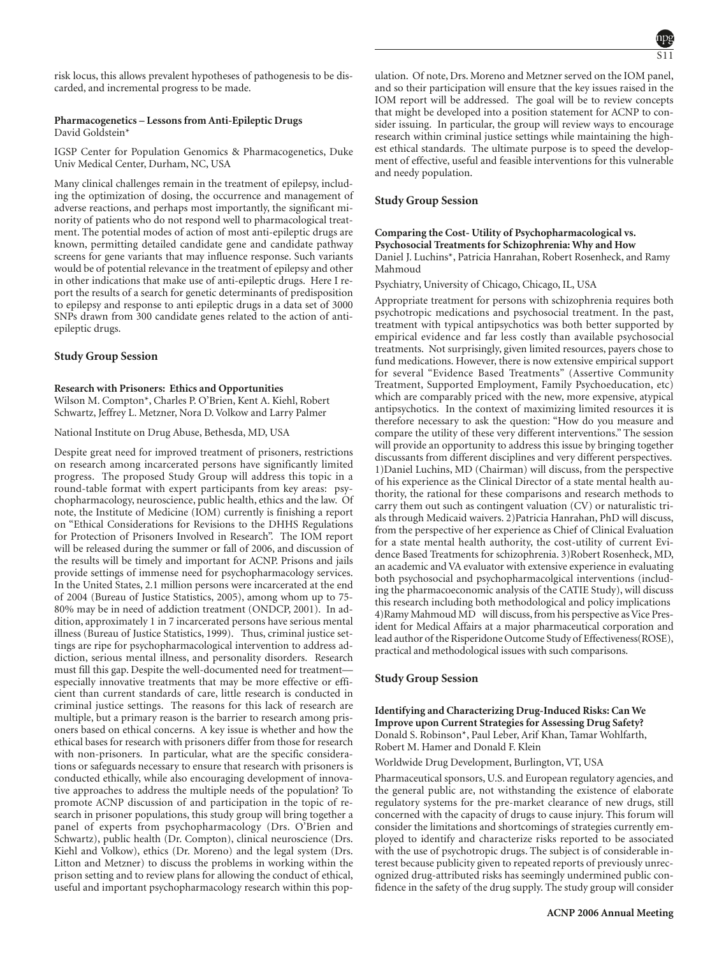risk locus, this allows prevalent hypotheses of pathogenesis to be discarded, and incremental progress to be made.

# **Pharmacogenetics – Lessons from Anti-Epileptic Drugs** David Goldstein\*

IGSP Center for Population Genomics & Pharmacogenetics, Duke Univ Medical Center, Durham, NC, USA

Many clinical challenges remain in the treatment of epilepsy, including the optimization of dosing, the occurrence and management of adverse reactions, and perhaps most importantly, the significant minority of patients who do not respond well to pharmacological treatment. The potential modes of action of most anti-epileptic drugs are known, permitting detailed candidate gene and candidate pathway screens for gene variants that may influence response. Such variants would be of potential relevance in the treatment of epilepsy and other in other indications that make use of anti-epileptic drugs. Here I report the results of a search for genetic determinants of predisposition to epilepsy and response to anti epileptic drugs in a data set of 3000 SNPs drawn from 300 candidate genes related to the action of antiepileptic drugs.

# **Study Group Session**

# **Research with Prisoners: Ethics and Opportunities** Wilson M. Compton\*, Charles P. O'Brien, Kent A. Kiehl, Robert Schwartz, Jeffrey L. Metzner, Nora D. Volkow and Larry Palmer

National Institute on Drug Abuse, Bethesda, MD, USA

Despite great need for improved treatment of prisoners, restrictions on research among incarcerated persons have significantly limited progress. The proposed Study Group will address this topic in a round-table format with expert participants from key areas: psychopharmacology, neuroscience, public health, ethics and the law. Of note, the Institute of Medicine (IOM) currently is finishing a report on "Ethical Considerations for Revisions to the DHHS Regulations for Protection of Prisoners Involved in Research". The IOM report will be released during the summer or fall of 2006, and discussion of the results will be timely and important for ACNP. Prisons and jails provide settings of immense need for psychopharmacology services. In the United States, 2.1 million persons were incarcerated at the end of 2004 (Bureau of Justice Statistics, 2005), among whom up to 75- 80% may be in need of addiction treatment (ONDCP, 2001). In addition, approximately 1 in 7 incarcerated persons have serious mental illness (Bureau of Justice Statistics, 1999). Thus, criminal justice settings are ripe for psychopharmacological intervention to address addiction, serious mental illness, and personality disorders. Research must fill this gap. Despite the well-documented need for treatment especially innovative treatments that may be more effective or efficient than current standards of care, little research is conducted in criminal justice settings. The reasons for this lack of research are multiple, but a primary reason is the barrier to research among prisoners based on ethical concerns. A key issue is whether and how the ethical bases for research with prisoners differ from those for research with non-prisoners. In particular, what are the specific considerations or safeguards necessary to ensure that research with prisoners is conducted ethically, while also encouraging development of innovative approaches to address the multiple needs of the population? To promote ACNP discussion of and participation in the topic of research in prisoner populations, this study group will bring together a panel of experts from psychopharmacology (Drs. O'Brien and Schwartz), public health (Dr. Compton), clinical neuroscience (Drs. Kiehl and Volkow), ethics (Dr. Moreno) and the legal system (Drs. Litton and Metzner) to discuss the problems in working within the prison setting and to review plans for allowing the conduct of ethical, useful and important psychopharmacology research within this population. Of note, Drs. Moreno and Metzner served on the IOM panel, and so their participation will ensure that the key issues raised in the IOM report will be addressed. The goal will be to review concepts that might be developed into a position statement for ACNP to consider issuing. In particular, the group will review ways to encourage research within criminal justice settings while maintaining the highest ethical standards. The ultimate purpose is to speed the development of effective, useful and feasible interventions for this vulnerable and needy population.

# **Study Group Session**

### **Comparing the Cost- Utility of Psychopharmacological vs. Psychosocial Treatments for Schizophrenia: Why and How** Daniel J. Luchins\*, Patricia Hanrahan, Robert Rosenheck, and Ramy Mahmoud

Psychiatry, University of Chicago, Chicago, IL, USA

Appropriate treatment for persons with schizophrenia requires both psychotropic medications and psychosocial treatment. In the past, treatment with typical antipsychotics was both better supported by empirical evidence and far less costly than available psychosocial treatments. Not surprisingly, given limited resources, payers chose to fund medications. However, there is now extensive empirical support for several "Evidence Based Treatments" (Assertive Community Treatment, Supported Employment, Family Psychoeducation, etc) which are comparably priced with the new, more expensive, atypical antipsychotics. In the context of maximizing limited resources it is therefore necessary to ask the question: "How do you measure and compare the utility of these very different interventions." The session will provide an opportunity to address this issue by bringing together discussants from different disciplines and very different perspectives. 1)Daniel Luchins, MD (Chairman) will discuss, from the perspective of his experience as the Clinical Director of a state mental health authority, the rational for these comparisons and research methods to carry them out such as contingent valuation (CV) or naturalistic trials through Medicaid waivers. 2)Patricia Hanrahan, PhD will discuss, from the perspective of her experience as Chief of Clinical Evaluation for a state mental health authority, the cost-utility of current Evidence Based Treatments for schizophrenia. 3)Robert Rosenheck, MD, an academic and VA evaluator with extensive experience in evaluating both psychosocial and psychopharmacolgical interventions (including the pharmacoeconomic analysis of the CATIE Study), will discuss this research including both methodological and policy implications 4)Ramy Mahmoud MD will discuss, from his perspective as Vice President for Medical Affairs at a major pharmaceutical corporation and lead author of the Risperidone Outcome Study of Effectiveness(ROSE), practical and methodological issues with such comparisons.

# **Study Group Session**

**Identifying and Characterizing Drug-Induced Risks: Can We Improve upon Current Strategies for Assessing Drug Safety?** Donald S. Robinson\*, Paul Leber, Arif Khan, Tamar Wohlfarth, Robert M. Hamer and Donald F. Klein

Worldwide Drug Development, Burlington, VT, USA

Pharmaceutical sponsors, U.S. and European regulatory agencies, and the general public are, not withstanding the existence of elaborate regulatory systems for the pre-market clearance of new drugs, still concerned with the capacity of drugs to cause injury. This forum will consider the limitations and shortcomings of strategies currently employed to identify and characterize risks reported to be associated with the use of psychotropic drugs. The subject is of considerable interest because publicity given to repeated reports of previously unrecognized drug-attributed risks has seemingly undermined public confidence in the safety of the drug supply. The study group will consider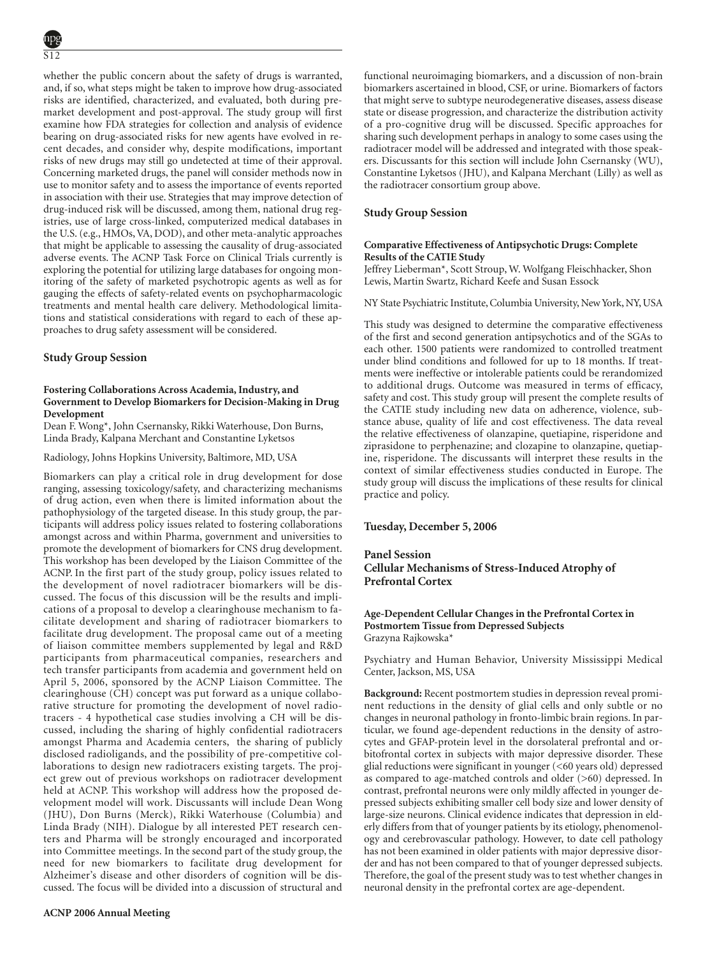whether the public concern about the safety of drugs is warranted, and, if so, what steps might be taken to improve how drug-associated risks are identified, characterized, and evaluated, both during premarket development and post-approval. The study group will first examine how FDA strategies for collection and analysis of evidence bearing on drug-associated risks for new agents have evolved in recent decades, and consider why, despite modifications, important risks of new drugs may still go undetected at time of their approval. Concerning marketed drugs, the panel will consider methods now in use to monitor safety and to assess the importance of events reported in association with their use. Strategies that may improve detection of drug-induced risk will be discussed, among them, national drug registries, use of large cross-linked, computerized medical databases in the U.S. (e.g., HMOs, VA, DOD), and other meta-analytic approaches that might be applicable to assessing the causality of drug-associated adverse events. The ACNP Task Force on Clinical Trials currently is exploring the potential for utilizing large databases for ongoing monitoring of the safety of marketed psychotropic agents as well as for gauging the effects of safety-related events on psychopharmacologic treatments and mental health care delivery. Methodological limitations and statistical considerations with regard to each of these approaches to drug safety assessment will be considered.

# **Study Group Session**

# **Fostering Collaborations Across Academia, Industry, and Government to Develop Biomarkers for Decision-Making in Drug Development**

Dean F. Wong\*, John Csernansky, Rikki Waterhouse, Don Burns, Linda Brady, Kalpana Merchant and Constantine Lyketsos

Radiology, Johns Hopkins University, Baltimore, MD, USA

Biomarkers can play a critical role in drug development for dose ranging, assessing toxicology/safety, and characterizing mechanisms of drug action, even when there is limited information about the pathophysiology of the targeted disease. In this study group, the participants will address policy issues related to fostering collaborations amongst across and within Pharma, government and universities to promote the development of biomarkers for CNS drug development. This workshop has been developed by the Liaison Committee of the ACNP. In the first part of the study group, policy issues related to the development of novel radiotracer biomarkers will be discussed. The focus of this discussion will be the results and implications of a proposal to develop a clearinghouse mechanism to facilitate development and sharing of radiotracer biomarkers to facilitate drug development. The proposal came out of a meeting of liaison committee members supplemented by legal and R&D participants from pharmaceutical companies, researchers and tech transfer participants from academia and government held on April 5, 2006, sponsored by the ACNP Liaison Committee. The clearinghouse (CH) concept was put forward as a unique collaborative structure for promoting the development of novel radiotracers - 4 hypothetical case studies involving a CH will be discussed, including the sharing of highly confidential radiotracers amongst Pharma and Academia centers, the sharing of publicly disclosed radioligands, and the possibility of pre-competitive collaborations to design new radiotracers existing targets. The project grew out of previous workshops on radiotracer development held at ACNP. This workshop will address how the proposed development model will work. Discussants will include Dean Wong (JHU), Don Burns (Merck), Rikki Waterhouse (Columbia) and Linda Brady (NIH). Dialogue by all interested PET research centers and Pharma will be strongly encouraged and incorporated into Committee meetings. In the second part of the study group, the need for new biomarkers to facilitate drug development for Alzheimer's disease and other disorders of cognition will be discussed. The focus will be divided into a discussion of structural and

functional neuroimaging biomarkers, and a discussion of non-brain biomarkers ascertained in blood, CSF, or urine. Biomarkers of factors that might serve to subtype neurodegenerative diseases, assess disease state or disease progression, and characterize the distribution activity of a pro-cognitive drug will be discussed. Specific approaches for sharing such development perhaps in analogy to some cases using the radiotracer model will be addressed and integrated with those speakers. Discussants for this section will include John Csernansky (WU), Constantine Lyketsos (JHU), and Kalpana Merchant (Lilly) as well as the radiotracer consortium group above.

# **Study Group Session**

# **Comparative Effectiveness of Antipsychotic Drugs: Complete Results of the CATIE Study**

Jeffrey Lieberman\*, Scott Stroup, W. Wolfgang Fleischhacker, Shon Lewis, Martin Swartz, Richard Keefe and Susan Essock

NY State Psychiatric Institute, Columbia University, New York, NY, USA

This study was designed to determine the comparative effectiveness of the first and second generation antipsychotics and of the SGAs to each other. 1500 patients were randomized to controlled treatment under blind conditions and followed for up to 18 months. If treatments were ineffective or intolerable patients could be rerandomized to additional drugs. Outcome was measured in terms of efficacy, safety and cost. This study group will present the complete results of the CATIE study including new data on adherence, violence, substance abuse, quality of life and cost effectiveness. The data reveal the relative effectiveness of olanzapine, quetiapine, risperidone and ziprasidone to perphenazine; and clozapine to olanzapine, quetiapine, risperidone. The discussants will interpret these results in the context of similar effectiveness studies conducted in Europe. The study group will discuss the implications of these results for clinical practice and policy.

# **Tuesday, December 5, 2006**

**Panel Session Cellular Mechanisms of Stress-Induced Atrophy of Prefrontal Cortex**

### **Age-Dependent Cellular Changes in the Prefrontal Cortex in Postmortem Tissue from Depressed Subjects** Grazyna Rajkowska\*

Psychiatry and Human Behavior, University Mississippi Medical Center, Jackson, MS, USA

**Background:** Recent postmortem studies in depression reveal prominent reductions in the density of glial cells and only subtle or no changes in neuronal pathology in fronto-limbic brain regions. In particular, we found age-dependent reductions in the density of astrocytes and GFAP-protein level in the dorsolateral prefrontal and orbitofrontal cortex in subjects with major depressive disorder. These glial reductions were significant in younger (<60 years old) depressed as compared to age-matched controls and older (>60) depressed. In contrast, prefrontal neurons were only mildly affected in younger depressed subjects exhibiting smaller cell body size and lower density of large-size neurons. Clinical evidence indicates that depression in elderly differs from that of younger patients by its etiology, phenomenology and cerebrovascular pathology. However, to date cell pathology has not been examined in older patients with major depressive disorder and has not been compared to that of younger depressed subjects. Therefore, the goal of the present study was to test whether changes in neuronal density in the prefrontal cortex are age-dependent.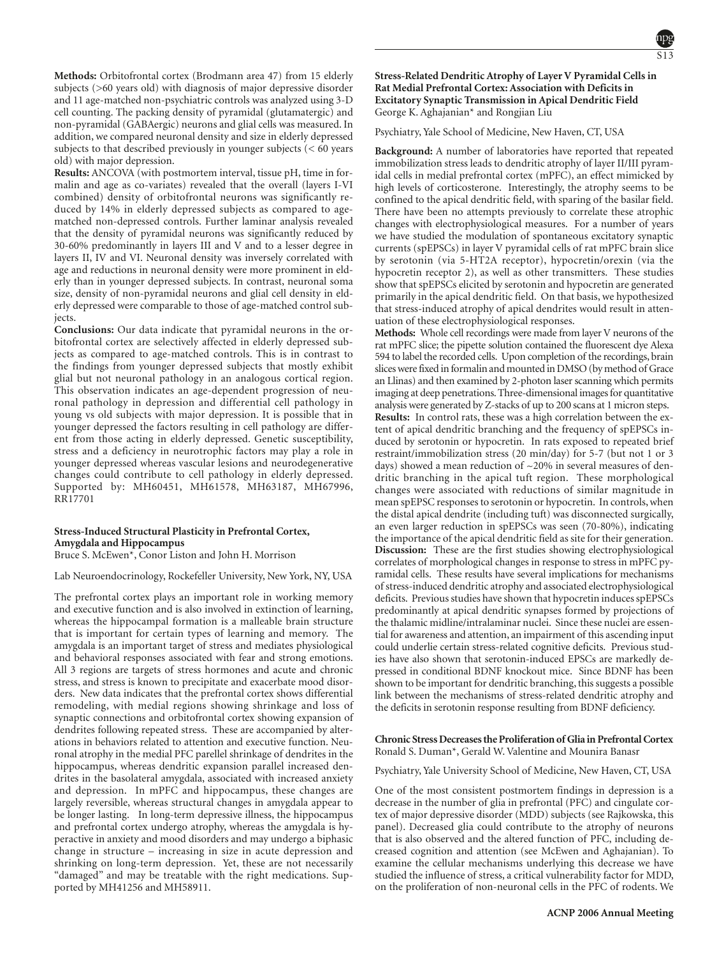**Methods:** Orbitofrontal cortex (Brodmann area 47) from 15 elderly subjects (>60 years old) with diagnosis of major depressive disorder and 11 age-matched non-psychiatric controls was analyzed using 3-D cell counting. The packing density of pyramidal (glutamatergic) and non-pyramidal (GABAergic) neurons and glial cells was measured. In addition, we compared neuronal density and size in elderly depressed subjects to that described previously in younger subjects (< 60 years old) with major depression.

**Results:** ANCOVA (with postmortem interval, tissue pH, time in formalin and age as co-variates) revealed that the overall (layers I-VI combined) density of orbitofrontal neurons was significantly reduced by 14% in elderly depressed subjects as compared to agematched non-depressed controls. Further laminar analysis revealed that the density of pyramidal neurons was significantly reduced by 30-60% predominantly in layers III and V and to a lesser degree in layers II, IV and VI. Neuronal density was inversely correlated with age and reductions in neuronal density were more prominent in elderly than in younger depressed subjects. In contrast, neuronal soma size, density of non-pyramidal neurons and glial cell density in elderly depressed were comparable to those of age-matched control subjects.

**Conclusions:** Our data indicate that pyramidal neurons in the orbitofrontal cortex are selectively affected in elderly depressed subjects as compared to age-matched controls. This is in contrast to the findings from younger depressed subjects that mostly exhibit glial but not neuronal pathology in an analogous cortical region. This observation indicates an age-dependent progression of neuronal pathology in depression and differential cell pathology in young vs old subjects with major depression. It is possible that in younger depressed the factors resulting in cell pathology are different from those acting in elderly depressed. Genetic susceptibility, stress and a deficiency in neurotrophic factors may play a role in younger depressed whereas vascular lesions and neurodegenerative changes could contribute to cell pathology in elderly depressed. Supported by: MH60451, MH61578, MH63187, MH67996, RR17701

# **Stress-Induced Structural Plasticity in Prefrontal Cortex, Amygdala and Hippocampus**

Bruce S. McEwen\*, Conor Liston and John H. Morrison

Lab Neuroendocrinology, Rockefeller University, New York, NY, USA

The prefrontal cortex plays an important role in working memory and executive function and is also involved in extinction of learning, whereas the hippocampal formation is a malleable brain structure that is important for certain types of learning and memory. The amygdala is an important target of stress and mediates physiological and behavioral responses associated with fear and strong emotions. All 3 regions are targets of stress hormones and acute and chronic stress, and stress is known to precipitate and exacerbate mood disorders. New data indicates that the prefrontal cortex shows differential remodeling, with medial regions showing shrinkage and loss of synaptic connections and orbitofrontal cortex showing expansion of dendrites following repeated stress. These are accompanied by alterations in behaviors related to attention and executive function. Neuronal atrophy in the medial PFC parellel shrinkage of dendrites in the hippocampus, whereas dendritic expansion parallel increased dendrites in the basolateral amygdala, associated with increased anxiety and depression. In mPFC and hippocampus, these changes are largely reversible, whereas structural changes in amygdala appear to be longer lasting. In long-term depressive illness, the hippocampus and prefrontal cortex undergo atrophy, whereas the amygdala is hyperactive in anxiety and mood disorders and may undergo a biphasic change in structure – increasing in size in acute depression and shrinking on long-term depression. Yet, these are not necessarily "damaged" and may be treatable with the right medications. Supported by MH41256 and MH58911.

**Stress-Related Dendritic Atrophy of Layer V Pyramidal Cells in Rat Medial Prefrontal Cortex: Association with Deficits in Excitatory Synaptic Transmission in Apical Dendritic Field** George K. Aghajanian\* and Rongjian Liu

Psychiatry, Yale School of Medicine, New Haven, CT, USA

**Background:** A number of laboratories have reported that repeated immobilization stress leads to dendritic atrophy of layer II/III pyramidal cells in medial prefrontal cortex (mPFC), an effect mimicked by high levels of corticosterone. Interestingly, the atrophy seems to be confined to the apical dendritic field, with sparing of the basilar field. There have been no attempts previously to correlate these atrophic changes with electrophysiological measures. For a number of years we have studied the modulation of spontaneous excitatory synaptic currents (spEPSCs) in layer V pyramidal cells of rat mPFC brain slice by serotonin (via 5-HT2A receptor), hypocretin/orexin (via the hypocretin receptor 2), as well as other transmitters. These studies show that spEPSCs elicited by serotonin and hypocretin are generated primarily in the apical dendritic field. On that basis, we hypothesized that stress-induced atrophy of apical dendrites would result in attenuation of these electrophysiological responses.

**Methods:** Whole cell recordings were made from layer V neurons of the rat mPFC slice; the pipette solution contained the fluorescent dye Alexa 594 to label the recorded cells. Upon completion of the recordings, brain slices were fixed in formalin and mounted in DMSO (by method of Grace an Llinas) and then examined by 2-photon laser scanning which permits imaging at deep penetrations. Three-dimensional images for quantitative analysis were generated by Z-stacks of up to 200 scans at 1 micron steps. **Results:** In control rats, these was a high correlation between the extent of apical dendritic branching and the frequency of spEPSCs induced by serotonin or hypocretin. In rats exposed to repeated brief restraint/immobilization stress (20 min/day) for 5-7 (but not 1 or 3 days) showed a mean reduction of ~20% in several measures of dendritic branching in the apical tuft region. These morphological changes were associated with reductions of similar magnitude in mean spEPSC responses to serotonin or hypocretin. In controls, when the distal apical dendrite (including tuft) was disconnected surgically, an even larger reduction in spEPSCs was seen (70-80%), indicating the importance of the apical dendritic field as site for their generation. **Discussion:** These are the first studies showing electrophysiological correlates of morphological changes in response to stress in mPFC pyramidal cells. These results have several implications for mechanisms of stress-induced dendritic atrophy and associated electrophysiological deficits. Previous studies have shown that hypocretin induces spEPSCs predominantly at apical dendritic synapses formed by projections of the thalamic midline/intralaminar nuclei. Since these nuclei are essential for awareness and attention, an impairment of this ascending input could underlie certain stress-related cognitive deficits. Previous studies have also shown that serotonin-induced EPSCs are markedly depressed in conditional BDNF knockout mice. Since BDNF has been shown to be important for dendritic branching, this suggests a possible link between the mechanisms of stress-related dendritic atrophy and the deficits in serotonin response resulting from BDNF deficiency.

### **Chronic Stress Decreases the Proliferation of Glia in Prefrontal Cortex** Ronald S. Duman\*, Gerald W. Valentine and Mounira Banasr

Psychiatry, Yale University School of Medicine, New Haven, CT, USA

One of the most consistent postmortem findings in depression is a decrease in the number of glia in prefrontal (PFC) and cingulate cortex of major depressive disorder (MDD) subjects (see Rajkowska, this panel). Decreased glia could contribute to the atrophy of neurons that is also observed and the altered function of PFC, including decreased cognition and attention (see McEwen and Aghajanian). To examine the cellular mechanisms underlying this decrease we have studied the influence of stress, a critical vulnerability factor for MDD, on the proliferation of non-neuronal cells in the PFC of rodents. We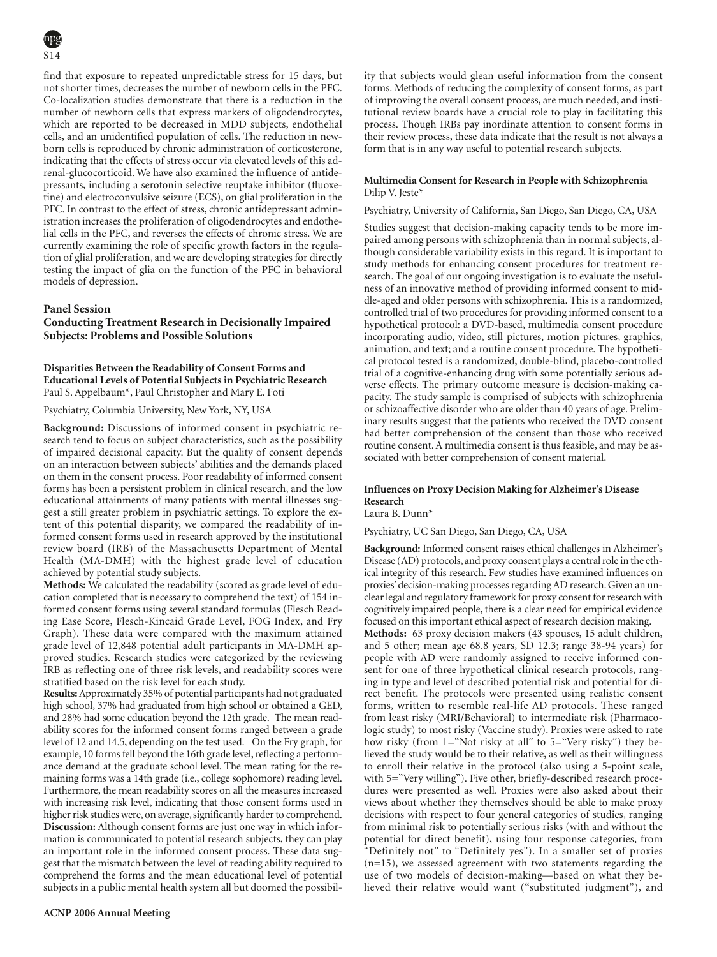find that exposure to repeated unpredictable stress for 15 days, but not shorter times, decreases the number of newborn cells in the PFC. Co-localization studies demonstrate that there is a reduction in the number of newborn cells that express markers of oligodendrocytes, which are reported to be decreased in MDD subjects, endothelial cells, and an unidentified population of cells. The reduction in newborn cells is reproduced by chronic administration of corticosterone, indicating that the effects of stress occur via elevated levels of this adrenal-glucocorticoid. We have also examined the influence of antidepressants, including a serotonin selective reuptake inhibitor (fluoxetine) and electroconvulsive seizure (ECS), on glial proliferation in the PFC. In contrast to the effect of stress, chronic antidepressant administration increases the proliferation of oligodendrocytes and endothelial cells in the PFC, and reverses the effects of chronic stress. We are currently examining the role of specific growth factors in the regulation of glial proliferation, and we are developing strategies for directly testing the impact of glia on the function of the PFC in behavioral models of depression.

# **Panel Session**

# **Conducting Treatment Research in Decisionally Impaired Subjects: Problems and Possible Solutions**

## **Disparities Between the Readability of Consent Forms and Educational Levels of Potential Subjects in Psychiatric Research** Paul S. Appelbaum\*, Paul Christopher and Mary E. Foti

Psychiatry, Columbia University, New York, NY, USA

**Background:** Discussions of informed consent in psychiatric research tend to focus on subject characteristics, such as the possibility of impaired decisional capacity. But the quality of consent depends on an interaction between subjects' abilities and the demands placed on them in the consent process. Poor readability of informed consent forms has been a persistent problem in clinical research, and the low educational attainments of many patients with mental illnesses suggest a still greater problem in psychiatric settings. To explore the extent of this potential disparity, we compared the readability of informed consent forms used in research approved by the institutional review board (IRB) of the Massachusetts Department of Mental Health (MA-DMH) with the highest grade level of education achieved by potential study subjects.

**Methods:** We calculated the readability (scored as grade level of education completed that is necessary to comprehend the text) of 154 informed consent forms using several standard formulas (Flesch Reading Ease Score, Flesch-Kincaid Grade Level, FOG Index, and Fry Graph). These data were compared with the maximum attained grade level of 12,848 potential adult participants in MA-DMH approved studies. Research studies were categorized by the reviewing IRB as reflecting one of three risk levels, and readability scores were stratified based on the risk level for each study.

**Results:**Approximately 35% of potential participants had not graduated high school, 37% had graduated from high school or obtained a GED, and 28% had some education beyond the 12th grade. The mean readability scores for the informed consent forms ranged between a grade level of 12 and 14.5, depending on the test used. On the Fry graph, for example, 10 forms fell beyond the 16th grade level, reflecting a performance demand at the graduate school level. The mean rating for the remaining forms was a 14th grade (i.e., college sophomore) reading level. Furthermore, the mean readability scores on all the measures increased with increasing risk level, indicating that those consent forms used in higher risk studies were, on average, significantly harder to comprehend. **Discussion:** Although consent forms are just one way in which information is communicated to potential research subjects, they can play an important role in the informed consent process. These data suggest that the mismatch between the level of reading ability required to comprehend the forms and the mean educational level of potential subjects in a public mental health system all but doomed the possibility that subjects would glean useful information from the consent forms. Methods of reducing the complexity of consent forms, as part of improving the overall consent process, are much needed, and institutional review boards have a crucial role to play in facilitating this process. Though IRBs pay inordinate attention to consent forms in their review process, these data indicate that the result is not always a form that is in any way useful to potential research subjects.

## **Multimedia Consent for Research in People with Schizophrenia** Dilip V. Jeste\*

Psychiatry, University of California, San Diego, San Diego, CA, USA

Studies suggest that decision-making capacity tends to be more impaired among persons with schizophrenia than in normal subjects, although considerable variability exists in this regard. It is important to study methods for enhancing consent procedures for treatment research. The goal of our ongoing investigation is to evaluate the usefulness of an innovative method of providing informed consent to middle-aged and older persons with schizophrenia. This is a randomized, controlled trial of two procedures for providing informed consent to a hypothetical protocol: a DVD-based, multimedia consent procedure incorporating audio, video, still pictures, motion pictures, graphics, animation, and text; and a routine consent procedure. The hypothetical protocol tested is a randomized, double-blind, placebo-controlled trial of a cognitive-enhancing drug with some potentially serious adverse effects. The primary outcome measure is decision-making capacity. The study sample is comprised of subjects with schizophrenia or schizoaffective disorder who are older than 40 years of age. Preliminary results suggest that the patients who received the DVD consent had better comprehension of the consent than those who received routine consent. A multimedia consent is thus feasible, and may be associated with better comprehension of consent material.

# **Influences on Proxy Decision Making for Alzheimer's Disease Research**

Laura B. Dunn\*

Psychiatry, UC San Diego, San Diego, CA, USA

**Background:** Informed consent raises ethical challenges in Alzheimer's Disease (AD) protocols, and proxy consent plays a central role in the ethical integrity of this research. Few studies have examined influences on proxies' decision-making processes regarding AD research. Given an unclear legal and regulatory framework for proxy consent for research with cognitively impaired people, there is a clear need for empirical evidence focused on this important ethical aspect of research decision making.

**Methods:** 63 proxy decision makers (43 spouses, 15 adult children, and 5 other; mean age 68.8 years, SD 12.3; range 38-94 years) for people with AD were randomly assigned to receive informed consent for one of three hypothetical clinical research protocols, ranging in type and level of described potential risk and potential for direct benefit. The protocols were presented using realistic consent forms, written to resemble real-life AD protocols. These ranged from least risky (MRI/Behavioral) to intermediate risk (Pharmacologic study) to most risky (Vaccine study). Proxies were asked to rate how risky (from 1="Not risky at all" to 5="Very risky") they believed the study would be to their relative, as well as their willingness to enroll their relative in the protocol (also using a 5-point scale, with 5="Very willing"). Five other, briefly-described research procedures were presented as well. Proxies were also asked about their views about whether they themselves should be able to make proxy decisions with respect to four general categories of studies, ranging from minimal risk to potentially serious risks (with and without the potential for direct benefit), using four response categories, from "Definitely not" to "Definitely yes"). In a smaller set of proxies (n=15), we assessed agreement with two statements regarding the use of two models of decision-making—based on what they believed their relative would want ("substituted judgment"), and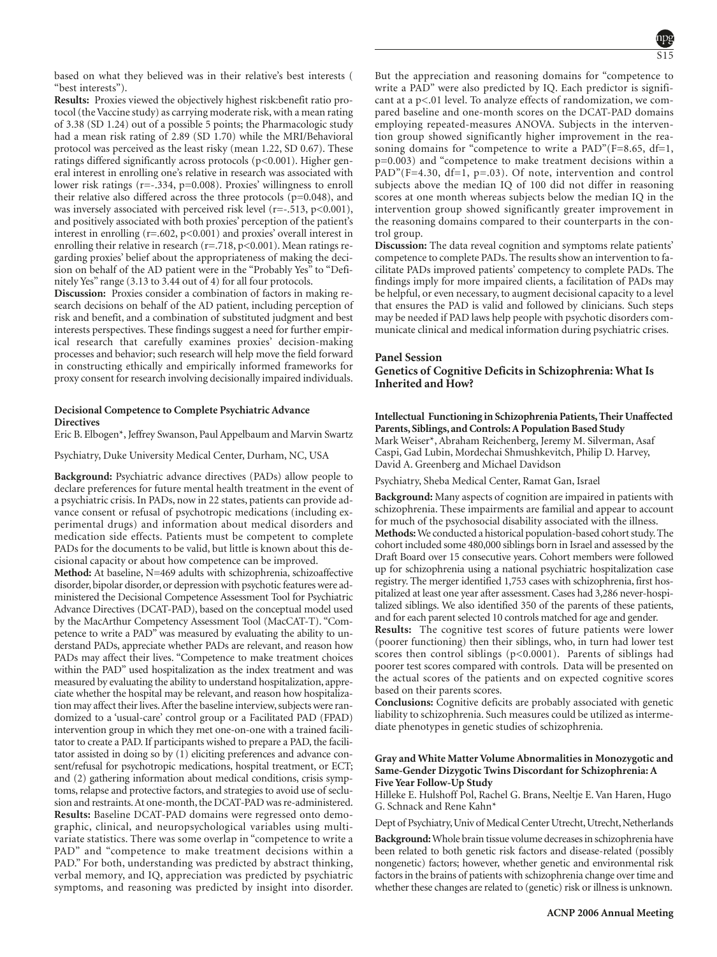based on what they believed was in their relative's best interests ( "best interests").

**Results:** Proxies viewed the objectively highest risk:benefit ratio protocol (the Vaccine study) as carrying moderate risk, with a mean rating of 3.38 (SD 1.24) out of a possible 5 points; the Pharmacologic study had a mean risk rating of 2.89 (SD 1.70) while the MRI/Behavioral protocol was perceived as the least risky (mean 1.22, SD 0.67). These ratings differed significantly across protocols  $(p<0.001)$ . Higher general interest in enrolling one's relative in research was associated with lower risk ratings (r=-.334, p=0.008). Proxies' willingness to enroll their relative also differed across the three protocols  $(p=0.048)$ , and was inversely associated with perceived risk level  $(r=-.513, p<0.001)$ , and positively associated with both proxies' perception of the patient's interest in enrolling (r=.602, p<0.001) and proxies' overall interest in enrolling their relative in research (r=.718, p<0.001). Mean ratings regarding proxies' belief about the appropriateness of making the decision on behalf of the AD patient were in the "Probably Yes" to "Definitely Yes" range (3.13 to 3.44 out of 4) for all four protocols.

**Discussion:** Proxies consider a combination of factors in making research decisions on behalf of the AD patient, including perception of risk and benefit, and a combination of substituted judgment and best interests perspectives. These findings suggest a need for further empirical research that carefully examines proxies' decision-making processes and behavior; such research will help move the field forward in constructing ethically and empirically informed frameworks for proxy consent for research involving decisionally impaired individuals.

### **Decisional Competence to Complete Psychiatric Advance Directives**

Eric B. Elbogen\*, Jeffrey Swanson, Paul Appelbaum and Marvin Swartz

Psychiatry, Duke University Medical Center, Durham, NC, USA

**Background:** Psychiatric advance directives (PADs) allow people to declare preferences for future mental health treatment in the event of a psychiatric crisis. In PADs, now in 22 states, patients can provide advance consent or refusal of psychotropic medications (including experimental drugs) and information about medical disorders and medication side effects. Patients must be competent to complete PADs for the documents to be valid, but little is known about this decisional capacity or about how competence can be improved.

**Method:** At baseline, N=469 adults with schizophrenia, schizoaffective disorder, bipolar disorder, or depression with psychotic features were administered the Decisional Competence Assessment Tool for Psychiatric Advance Directives (DCAT-PAD), based on the conceptual model used by the MacArthur Competency Assessment Tool (MacCAT-T). "Competence to write a PAD" was measured by evaluating the ability to understand PADs, appreciate whether PADs are relevant, and reason how PADs may affect their lives. "Competence to make treatment choices within the PAD" used hospitalization as the index treatment and was measured by evaluating the ability to understand hospitalization, appreciate whether the hospital may be relevant, and reason how hospitalization may affect their lives. After the baseline interview, subjects were randomized to a 'usual-care' control group or a Facilitated PAD (FPAD) intervention group in which they met one-on-one with a trained facilitator to create a PAD. If participants wished to prepare a PAD, the facilitator assisted in doing so by (1) eliciting preferences and advance consent/refusal for psychotropic medications, hospital treatment, or ECT; and (2) gathering information about medical conditions, crisis symptoms, relapse and protective factors, and strategies to avoid use of seclusion and restraints.At one-month, the DCAT-PAD was re-administered. **Results:** Baseline DCAT-PAD domains were regressed onto demographic, clinical, and neuropsychological variables using multivariate statistics. There was some overlap in "competence to write a PAD" and "competence to make treatment decisions within a PAD." For both, understanding was predicted by abstract thinking, verbal memory, and IQ, appreciation was predicted by psychiatric symptoms, and reasoning was predicted by insight into disorder.

But the appreciation and reasoning domains for "competence to write a PAD" were also predicted by IQ. Each predictor is significant at a p<.01 level. To analyze effects of randomization, we compared baseline and one-month scores on the DCAT-PAD domains employing repeated-measures ANOVA. Subjects in the intervention group showed significantly higher improvement in the reasoning domains for "competence to write a  $PAD''(F=8.65, df=1,$ p=0.003) and "competence to make treatment decisions within a PAD"(F=4.30, df=1, p=.03). Of note, intervention and control subjects above the median IQ of 100 did not differ in reasoning scores at one month whereas subjects below the median IQ in the intervention group showed significantly greater improvement in the reasoning domains compared to their counterparts in the control group.

**Discussion:** The data reveal cognition and symptoms relate patients' competence to complete PADs. The results show an intervention to facilitate PADs improved patients' competency to complete PADs. The findings imply for more impaired clients, a facilitation of PADs may be helpful, or even necessary, to augment decisional capacity to a level that ensures the PAD is valid and followed by clinicians. Such steps may be needed if PAD laws help people with psychotic disorders communicate clinical and medical information during psychiatric crises.

# **Panel Session Genetics of Cognitive Deficits in Schizophrenia: What Is Inherited and How?**

# **Intellectual Functioning in Schizophrenia Patients, Their Unaffected Parents, Siblings, and Controls: A Population Based Study** Mark Weiser\*, Abraham Reichenberg, Jeremy M. Silverman, Asaf

Caspi, Gad Lubin, Mordechai Shmushkevitch, Philip D. Harvey, David A. Greenberg and Michael Davidson

Psychiatry, Sheba Medical Center, Ramat Gan, Israel

**Background:** Many aspects of cognition are impaired in patients with schizophrenia. These impairments are familial and appear to account for much of the psychosocial disability associated with the illness. **Methods:**We conducted a historical population-based cohort study. The cohort included some 480,000 siblings born in Israel and assessed by the Draft Board over 15 consecutive years. Cohort members were followed up for schizophrenia using a national psychiatric hospitalization case registry. The merger identified 1,753 cases with schizophrenia, first hospitalized at least one year after assessment. Cases had 3,286 never-hospitalized siblings. We also identified 350 of the parents of these patients, and for each parent selected 10 controls matched for age and gender.

**Results:** The cognitive test scores of future patients were lower (poorer functioning) then their siblings, who, in turn had lower test scores then control siblings (p<0.0001). Parents of siblings had poorer test scores compared with controls. Data will be presented on the actual scores of the patients and on expected cognitive scores based on their parents scores.

**Conclusions:** Cognitive deficits are probably associated with genetic liability to schizophrenia. Such measures could be utilized as intermediate phenotypes in genetic studies of schizophrenia.

## **Gray and White Matter Volume Abnormalities in Monozygotic and Same-Gender Dizygotic Twins Discordant for Schizophrenia: A Five Year Follow-Up Study**

Hilleke E. Hulshoff Pol, Rachel G. Brans, Neeltje E. Van Haren, Hugo G. Schnack and Rene Kahn\*

Dept of Psychiatry, Univ of Medical Center Utrecht, Utrecht, Netherlands

**Background:**Whole brain tissue volume decreases in schizophrenia have been related to both genetic risk factors and disease-related (possibly nongenetic) factors; however, whether genetic and environmental risk factors in the brains of patients with schizophrenia change over time and whether these changes are related to (genetic) risk or illness is unknown.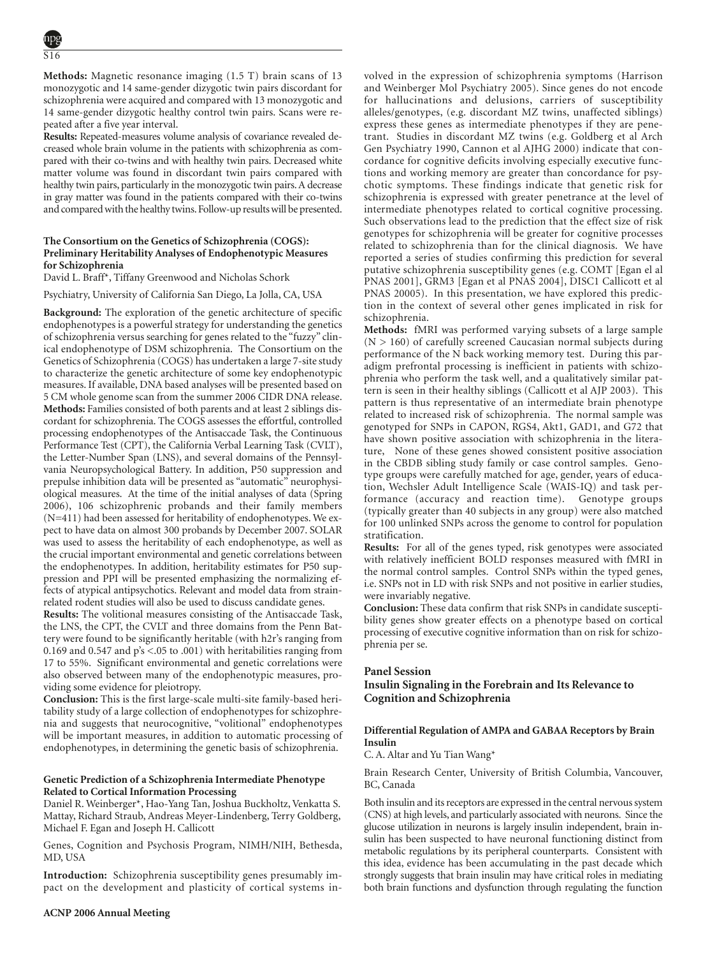**Methods:** Magnetic resonance imaging (1.5 T) brain scans of 13 monozygotic and 14 same-gender dizygotic twin pairs discordant for schizophrenia were acquired and compared with 13 monozygotic and 14 same-gender dizygotic healthy control twin pairs. Scans were repeated after a five year interval.

**Results:** Repeated-measures volume analysis of covariance revealed decreased whole brain volume in the patients with schizophrenia as compared with their co-twins and with healthy twin pairs. Decreased white matter volume was found in discordant twin pairs compared with healthy twin pairs, particularly in the monozygotic twin pairs. A decrease in gray matter was found in the patients compared with their co-twins and compared with the healthy twins.Follow-up results will be presented.

# **The Consortium on the Genetics of Schizophrenia (COGS): Preliminary Heritability Analyses of Endophenotypic Measures for Schizophrenia**

David L. Braff\*, Tiffany Greenwood and Nicholas Schork

Psychiatry, University of California San Diego, La Jolla, CA, USA

**Background:** The exploration of the genetic architecture of specific endophenotypes is a powerful strategy for understanding the genetics of schizophrenia versus searching for genes related to the "fuzzy" clinical endophenotype of DSM schizophrenia. The Consortium on the Genetics of Schizophrenia (COGS) has undertaken a large 7-site study to characterize the genetic architecture of some key endophenotypic measures. If available, DNA based analyses will be presented based on 5 CM whole genome scan from the summer 2006 CIDR DNA release. **Methods:** Families consisted of both parents and at least 2 siblings discordant for schizophrenia. The COGS assesses the effortful, controlled processing endophenotypes of the Antisaccade Task, the Continuous Performance Test (CPT), the California Verbal Learning Task (CVLT), the Letter-Number Span (LNS), and several domains of the Pennsylvania Neuropsychological Battery. In addition, P50 suppression and prepulse inhibition data will be presented as "automatic" neurophysiological measures. At the time of the initial analyses of data (Spring 2006), 106 schizophrenic probands and their family members (N=411) had been assessed for heritability of endophenotypes. We expect to have data on almost 300 probands by December 2007. SOLAR was used to assess the heritability of each endophenotype, as well as the crucial important environmental and genetic correlations between the endophenotypes. In addition, heritability estimates for P50 suppression and PPI will be presented emphasizing the normalizing effects of atypical antipsychotics. Relevant and model data from strainrelated rodent studies will also be used to discuss candidate genes.

**Results:** The volitional measures consisting of the Antisaccade Task, the LNS, the CPT, the CVLT and three domains from the Penn Battery were found to be significantly heritable (with h2r's ranging from 0.169 and 0.547 and p's <.05 to .001) with heritabilities ranging from 17 to 55%. Significant environmental and genetic correlations were also observed between many of the endophenotypic measures, providing some evidence for pleiotropy.

**Conclusion:** This is the first large-scale multi-site family-based heritability study of a large collection of endophenotypes for schizophrenia and suggests that neurocognitive, "volitional" endophenotypes will be important measures, in addition to automatic processing of endophenotypes, in determining the genetic basis of schizophrenia.

## **Genetic Prediction of a Schizophrenia Intermediate Phenotype Related to Cortical Information Processing**

Daniel R. Weinberger\*, Hao-Yang Tan, Joshua Buckholtz, Venkatta S. Mattay, Richard Straub, Andreas Meyer-Lindenberg, Terry Goldberg, Michael F. Egan and Joseph H. Callicott

Genes, Cognition and Psychosis Program, NIMH/NIH, Bethesda, MD, USA

**Introduction:** Schizophrenia susceptibility genes presumably impact on the development and plasticity of cortical systems involved in the expression of schizophrenia symptoms (Harrison and Weinberger Mol Psychiatry 2005). Since genes do not encode for hallucinations and delusions, carriers of susceptibility alleles/genotypes, (e.g. discordant MZ twins, unaffected siblings) express these genes as intermediate phenotypes if they are penetrant. Studies in discordant MZ twins (e.g. Goldberg et al Arch Gen Psychiatry 1990, Cannon et al AJHG 2000) indicate that concordance for cognitive deficits involving especially executive functions and working memory are greater than concordance for psychotic symptoms. These findings indicate that genetic risk for schizophrenia is expressed with greater penetrance at the level of intermediate phenotypes related to cortical cognitive processing. Such observations lead to the prediction that the effect size of risk genotypes for schizophrenia will be greater for cognitive processes related to schizophrenia than for the clinical diagnosis. We have reported a series of studies confirming this prediction for several putative schizophrenia susceptibility genes (e.g. COMT [Egan el al PNAS 2001], GRM3 [Egan et al PNAS 2004], DISC1 Callicott et al PNAS 20005). In this presentation, we have explored this prediction in the context of several other genes implicated in risk for schizophrenia.

**Methods:** fMRI was performed varying subsets of a large sample  $(N > 160)$  of carefully screened Caucasian normal subjects during performance of the N back working memory test. During this paradigm prefrontal processing is inefficient in patients with schizophrenia who perform the task well, and a qualitatively similar pattern is seen in their healthy siblings (Callicott et al AJP 2003). This pattern is thus representative of an intermediate brain phenotype related to increased risk of schizophrenia. The normal sample was genotyped for SNPs in CAPON, RGS4, Akt1, GAD1, and G72 that have shown positive association with schizophrenia in the literature, None of these genes showed consistent positive association in the CBDB sibling study family or case control samples. Genotype groups were carefully matched for age, gender, years of education, Wechsler Adult Intelligence Scale (WAIS-IQ) and task performance (accuracy and reaction time). Genotype groups (typically greater than 40 subjects in any group) were also matched for 100 unlinked SNPs across the genome to control for population stratification.

**Results:** For all of the genes typed, risk genotypes were associated with relatively inefficient BOLD responses measured with fMRI in the normal control samples. Control SNPs within the typed genes, i.e. SNPs not in LD with risk SNPs and not positive in earlier studies, were invariably negative.

**Conclusion:** These data confirm that risk SNPs in candidate susceptibility genes show greater effects on a phenotype based on cortical processing of executive cognitive information than on risk for schizophrenia per se.

### **Panel Session**

**Insulin Signaling in the Forebrain and Its Relevance to Cognition and Schizophrenia**

# **Differential Regulation of AMPA and GABAA Receptors by Brain Insulin**

C. A. Altar and Yu Tian Wang\*

Brain Research Center, University of British Columbia, Vancouver, BC, Canada

Both insulin and its receptors are expressed in the central nervous system (CNS) at high levels, and particularly associated with neurons. Since the glucose utilization in neurons is largely insulin independent, brain insulin has been suspected to have neuronal functioning distinct from metabolic regulations by its peripheral counterparts. Consistent with this idea, evidence has been accumulating in the past decade which strongly suggests that brain insulin may have critical roles in mediating both brain functions and dysfunction through regulating the function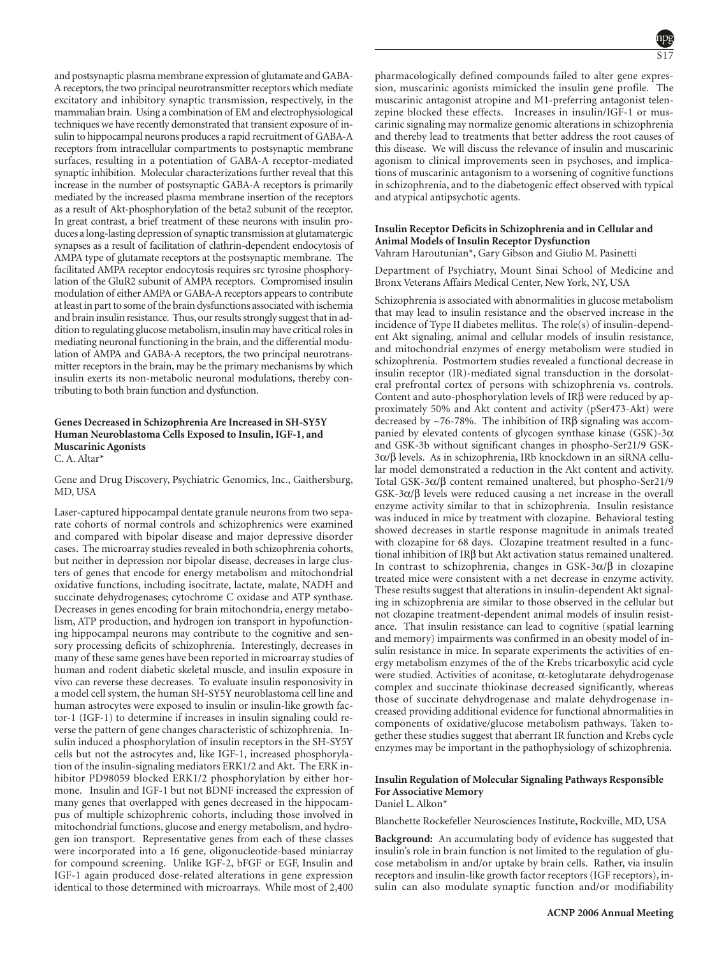and postsynaptic plasma membrane expression of glutamate and GABA-A receptors, the two principal neurotransmitter receptors which mediate excitatory and inhibitory synaptic transmission, respectively, in the mammalian brain. Using a combination of EM and electrophysiological techniques we have recently demonstrated that transient exposure of insulin to hippocampal neurons produces a rapid recruitment of GABA-A receptors from intracellular compartments to postsynaptic membrane surfaces, resulting in a potentiation of GABA-A receptor-mediated synaptic inhibition. Molecular characterizations further reveal that this increase in the number of postsynaptic GABA-A receptors is primarily mediated by the increased plasma membrane insertion of the receptors as a result of Akt-phosphorylation of the beta2 subunit of the receptor. In great contrast, a brief treatment of these neurons with insulin produces a long-lasting depression of synaptic transmission at glutamatergic synapses as a result of facilitation of clathrin-dependent endocytosis of AMPA type of glutamate receptors at the postsynaptic membrane. The facilitated AMPA receptor endocytosis requires src tyrosine phosphorylation of the GluR2 subunit of AMPA receptors. Compromised insulin modulation of either AMPA or GABA-A receptors appears to contribute at least in part to some of the brain dysfunctions associated with ischemia and brain insulin resistance. Thus, our results strongly suggest that in addition to regulating glucose metabolism, insulin may have critical roles in mediating neuronal functioning in the brain, and the differential modulation of AMPA and GABA-A receptors, the two principal neurotransmitter receptors in the brain, may be the primary mechanisms by which insulin exerts its non-metabolic neuronal modulations, thereby contributing to both brain function and dysfunction.

# **Genes Decreased in Schizophrenia Are Increased in SH-SY5Y Human Neuroblastoma Cells Exposed to Insulin, IGF-1, and Muscarinic Agonists**

C. A. Altar\*

### Gene and Drug Discovery, Psychiatric Genomics, Inc., Gaithersburg, MD, USA

Laser-captured hippocampal dentate granule neurons from two separate cohorts of normal controls and schizophrenics were examined and compared with bipolar disease and major depressive disorder cases. The microarray studies revealed in both schizophrenia cohorts, but neither in depression nor bipolar disease, decreases in large clusters of genes that encode for energy metabolism and mitochondrial oxidative functions, including isocitrate, lactate, malate, NADH and succinate dehydrogenases; cytochrome C oxidase and ATP synthase. Decreases in genes encoding for brain mitochondria, energy metabolism, ATP production, and hydrogen ion transport in hypofunctioning hippocampal neurons may contribute to the cognitive and sensory processing deficits of schizophrenia. Interestingly, decreases in many of these same genes have been reported in microarray studies of human and rodent diabetic skeletal muscle, and insulin exposure in vivo can reverse these decreases. To evaluate insulin responosivity in a model cell system, the human SH-SY5Y neuroblastoma cell line and human astrocytes were exposed to insulin or insulin-like growth factor-1 (IGF-1) to determine if increases in insulin signaling could reverse the pattern of gene changes characteristic of schizophrenia. Insulin induced a phosphorylation of insulin receptors in the SH-SY5Y cells but not the astrocytes and, like IGF-1, increased phosphorylation of the insulin-signaling mediators ERK1/2 and Akt. The ERK inhibitor PD98059 blocked ERK1/2 phosphorylation by either hormone. Insulin and IGF-1 but not BDNF increased the expression of many genes that overlapped with genes decreased in the hippocampus of multiple schizophrenic cohorts, including those involved in mitochondrial functions, glucose and energy metabolism, and hydrogen ion transport. Representative genes from each of these classes were incorporated into a 16 gene, oligonucleotide-based miniarray for compound screening. Unlike IGF-2, bFGF or EGF, Insulin and IGF-1 again produced dose-related alterations in gene expression identical to those determined with microarrays. While most of 2,400

pharmacologically defined compounds failed to alter gene expression, muscarinic agonists mimicked the insulin gene profile. The muscarinic antagonist atropine and M1-preferring antagonist telenzepine blocked these effects. Increases in insulin/IGF-1 or muscarinic signaling may normalize genomic alterations in schizophrenia and thereby lead to treatments that better address the root causes of this disease. We will discuss the relevance of insulin and muscarinic agonism to clinical improvements seen in psychoses, and implications of muscarinic antagonism to a worsening of cognitive functions in schizophrenia, and to the diabetogenic effect observed with typical and atypical antipsychotic agents.

# **Insulin Receptor Deficits in Schizophrenia and in Cellular and Animal Models of Insulin Receptor Dysfunction** Vahram Haroutunian\*, Gary Gibson and Giulio M. Pasinetti

Department of Psychiatry, Mount Sinai School of Medicine and Bronx Veterans Affairs Medical Center, New York, NY, USA

Schizophrenia is associated with abnormalities in glucose metabolism that may lead to insulin resistance and the observed increase in the incidence of Type II diabetes mellitus. The role(s) of insulin-dependent Akt signaling, animal and cellular models of insulin resistance, and mitochondrial enzymes of energy metabolism were studied in schizophrenia. Postmortem studies revealed a functional decrease in insulin receptor (IR)-mediated signal transduction in the dorsolateral prefrontal cortex of persons with schizophrenia vs. controls. Content and auto-phosphorylation levels of IRβ were reduced by approximately 50% and Akt content and activity (pSer473-Akt) were decreased by ~76-78%. The inhibition of IR $\beta$  signaling was accompanied by elevated contents of glycogen synthase kinase (GSK)-3α and GSK-3b without significant changes in phospho-Ser21/9 GSK-3α/β levels. As in schizophrenia, IRb knockdown in an siRNA cellular model demonstrated a reduction in the Akt content and activity. Total GSK-3α/β content remained unaltered, but phospho-Ser21/9 GSK-3α/β levels were reduced causing a net increase in the overall enzyme activity similar to that in schizophrenia. Insulin resistance was induced in mice by treatment with clozapine. Behavioral testing showed decreases in startle response magnitude in animals treated with clozapine for 68 days. Clozapine treatment resulted in a functional inhibition of IRβ but Akt activation status remained unaltered. In contrast to schizophrenia, changes in  $GSK-3\alpha/\beta$  in clozapine treated mice were consistent with a net decrease in enzyme activity. These results suggest that alterations in insulin-dependent Akt signaling in schizophrenia are similar to those observed in the cellular but not clozapine treatment-dependent animal models of insulin resistance. That insulin resistance can lead to cognitive (spatial learning and memory) impairments was confirmed in an obesity model of insulin resistance in mice. In separate experiments the activities of energy metabolism enzymes of the of the Krebs tricarboxylic acid cycle were studied. Activities of aconitase, α-ketoglutarate dehydrogenase complex and succinate thiokinase decreased significantly, whereas those of succinate dehydrogenase and malate dehydrogenase increased providing additional evidence for functional abnormalities in components of oxidative/glucose metabolism pathways. Taken together these studies suggest that aberrant IR function and Krebs cycle enzymes may be important in the pathophysiology of schizophrenia.

### **Insulin Regulation of Molecular Signaling Pathways Responsible For Associative Memory** Daniel L. Alkon\*

Blanchette Rockefeller Neurosciences Institute, Rockville, MD, USA

**Background:** An accumulating body of evidence has suggested that insulin's role in brain function is not limited to the regulation of glucose metabolism in and/or uptake by brain cells. Rather, via insulin receptors and insulin-like growth factor receptors (IGF receptors), insulin can also modulate synaptic function and/or modifiability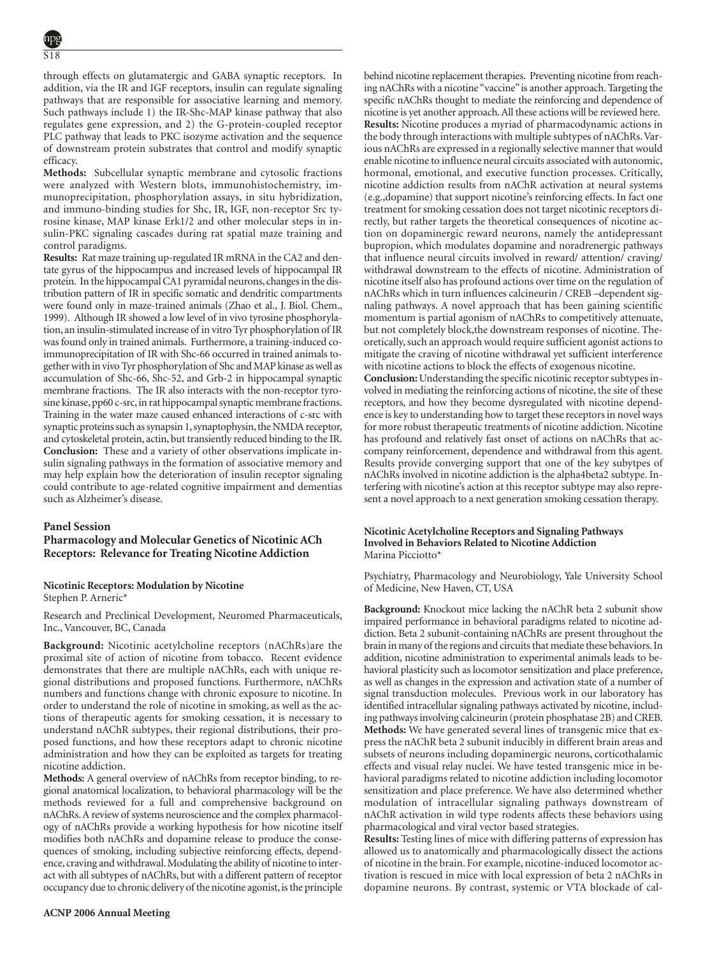through effects on glutamatergic and GABA synaptic receptors. In addition, via the IR and IGF receptors, insulin can regulate signaling pathways that are responsible for associative learning and memory. Such pathways include 1) the IR-Shc-MAP kinase pathway that also regulates gene expression, and 2) the G-protein-coupled receptor PLC pathway that leads to PKC isozyme activation and the sequence of downstream protein substrates that control and modify synaptic efficacy.

**Methods:** Subcellular synaptic membrane and cytosolic fractions were analyzed with Western blots, immunohistochemistry, immunoprecipitation, phosphorylation assays, in situ hybridization, and immuno-binding studies for Shc, IR, IGF, non-receptor Src tyrosine kinase, MAP kinase Erk1/2 and other molecular steps in insulin-PKC signaling cascades during rat spatial maze training and control paradigms.

**Results:** Rat maze training up-regulated IR mRNA in the CA2 and dentate gyrus of the hippocampus and increased levels of hippocampal IR protein. In the hippocampal CA1 pyramidal neurons, changes in the distribution pattern of IR in specific somatic and dendritic compartments were found only in maze-trained animals (Zhao et al., J. Biol. Chem., 1999). Although IR showed a low level of in vivo tyrosine phosphorylation, an insulin-stimulated increase of in vitro Tyr phosphorylation of IR was found only in trained animals. Furthermore, a training-induced coimmunoprecipitation of IR with Shc-66 occurred in trained animals together with in vivo Tyr phosphorylation of Shc and MAP kinase as well as accumulation of Shc-66, Shc-52, and Grb-2 in hippocampal synaptic membrane fractions. The IR also interacts with the non-receptor tyrosine kinase, pp60 c-src, in rat hippocampal synaptic membrane fractions. Training in the water maze caused enhanced interactions of c-src with synaptic proteins such as synapsin 1, synaptophysin, the NMDA receptor, and cytoskeletal protein, actin, but transiently reduced binding to the IR. **Conclusion:** These and a variety of other observations implicate insulin signaling pathways in the formation of associative memory and may help explain how the deterioration of insulin receptor signaling could contribute to age-related cognitive impairment and dementias such as Alzheimer's disease.

# **Panel Session**

**Pharmacology and Molecular Genetics of Nicotinic ACh Receptors: Relevance for Treating Nicotine Addiction**

# **Nicotinic Receptors: Modulation by Nicotine** Stephen P. Arneric\*

Research and Preclinical Development, Neuromed Pharmaceuticals, Inc., Vancouver, BC, Canada

**Background:** Nicotinic acetylcholine receptors (nAChRs)are the proximal site of action of nicotine from tobacco. Recent evidence demonstrates that there are multiple nAChRs, each with unique regional distributions and proposed functions. Furthermore, nAChRs numbers and functions change with chronic exposure to nicotine. In order to understand the role of nicotine in smoking, as well as the actions of therapeutic agents for smoking cessation, it is necessary to understand nAChR subtypes, their regional distributions, their proposed functions, and how these receptors adapt to chronic nicotine administration and how they can be exploited as targets for treating nicotine addiction.

**Methods:** A general overview of nAChRs from receptor binding, to regional anatomical localization, to behavioral pharmacology will be the methods reviewed for a full and comprehensive background on nAChRs. A review of systems neuroscience and the complex pharmacology of nAChRs provide a working hypothesis for how nicotine itself modifies both nAChRs and dopamine release to produce the consequences of smoking, including subjective reinforcing effects, dependence, craving and withdrawal. Modulating the ability of nicotine to interact with all subtypes of nAChRs, but with a different pattern of receptor occupancy due to chronic delivery of the nicotine agonist, is the principle

behind nicotine replacement therapies. Preventing nicotine from reaching nAChRs with a nicotine "vaccine" is another approach. Targeting the specific nAChRs thought to mediate the reinforcing and dependence of nicotine is yet another approach. All these actions will be reviewed here. **Results:** Nicotine produces a myriad of pharmacodynamic actions in the body through interactions with multiple subtypes of nAChRs.Various nAChRs are expressed in a regionally selective manner that would enable nicotine to influence neural circuits associated with autonomic, hormonal, emotional, and executive function processes. Critically, nicotine addiction results from nAChR activation at neural systems (e.g.,dopamine) that support nicotine's reinforcing effects. In fact one treatment for smoking cessation does not target nicotinic receptors directly, but rather targets the theoretical consequences of nicotine action on dopaminergic reward neurons, namely the antidepressant bupropion, which modulates dopamine and noradrenergic pathways that influence neural circuits involved in reward/ attention/ craving/ withdrawal downstream to the effects of nicotine. Administration of nicotine itself also has profound actions over time on the regulation of nAChRs which in turn influences calcineurin / CREB –dependent signaling pathways. A novel approach that has been gaining scientific momentum is partial agonism of nAChRs to competitively attenuate, but not completely block,the downstream responses of nicotine. Theoretically, such an approach would require sufficient agonist actions to mitigate the craving of nicotine withdrawal yet sufficient interference with nicotine actions to block the effects of exogenous nicotine. **Conclusion:** Understanding the specific nicotinic receptor subtypes involved in mediating the reinforcing actions of nicotine, the site of these receptors, and how they become dysregulated with nicotine dependence is key to understanding how to target these receptors in novel ways for more robust therapeutic treatments of nicotine addiction. Nicotine has profound and relatively fast onset of actions on nAChRs that accompany reinforcement, dependence and withdrawal from this agent. Results provide converging support that one of the key subytpes of nAChRs involved in nicotine addiction is the alpha4beta2 subtype. Interfering with nicotine's action at this receptor subtype may also represent a novel approach to a next generation smoking cessation therapy.

# **Nicotinic Acetylcholine Receptors and Signaling Pathways Involved in Behaviors Related to Nicotine Addiction** Marina Picciotto\*

Psychiatry, Pharmacology and Neurobiology, Yale University School of Medicine, New Haven, CT, USA

**Background:** Knockout mice lacking the nAChR beta 2 subunit show impaired performance in behavioral paradigms related to nicotine addiction. Beta 2 subunit-containing nAChRs are present throughout the brain in many of the regions and circuits that mediate these behaviors. In addition, nicotine administration to experimental animals leads to behavioral plasticity such as locomotor sensitization and place preference, as well as changes in the expression and activation state of a number of signal transduction molecules. Previous work in our laboratory has identified intracellular signaling pathways activated by nicotine, including pathways involving calcineurin (protein phosphatase 2B) and CREB. **Methods:** We have generated several lines of transgenic mice that express the nAChR beta 2 subunit inducibly in different brain areas and subsets of neurons including dopaminergic neurons, corticothalamic effects and visual relay nuclei. We have tested transgenic mice in behavioral paradigms related to nicotine addiction including locomotor sensitization and place preference. We have also determined whether modulation of intracellular signaling pathways downstream of nAChR activation in wild type rodents affects these behaviors using pharmacological and viral vector based strategies.

**Results:** Testing lines of mice with differing patterns of expression has allowed us to anatomically and pharmacologically dissect the actions of nicotine in the brain. For example, nicotine-induced locomotor activation is rescued in mice with local expression of beta 2 nAChRs in dopamine neurons. By contrast, systemic or VTA blockade of cal-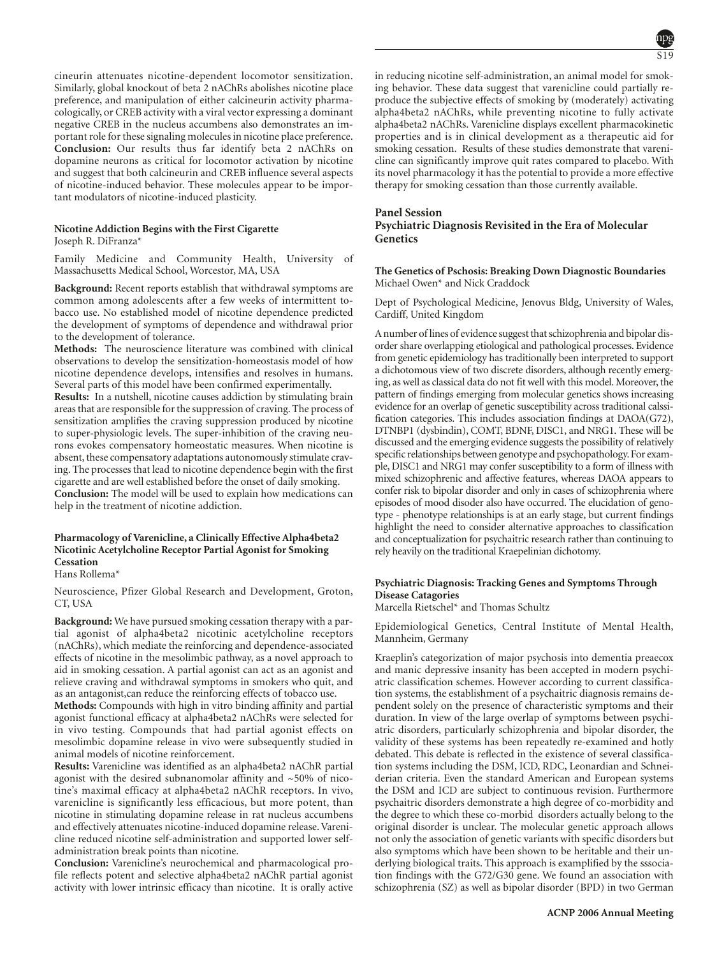cineurin attenuates nicotine-dependent locomotor sensitization. Similarly, global knockout of beta 2 nAChRs abolishes nicotine place preference, and manipulation of either calcineurin activity pharmacologically, or CREB activity with a viral vector expressing a dominant negative CREB in the nucleus accumbens also demonstrates an important role for these signaling molecules in nicotine place preference. **Conclusion:** Our results thus far identify beta 2 nAChRs on dopamine neurons as critical for locomotor activation by nicotine and suggest that both calcineurin and CREB influence several aspects of nicotine-induced behavior. These molecules appear to be important modulators of nicotine-induced plasticity.

# **Nicotine Addiction Begins with the First Cigarette**

Joseph R. DiFranza\*

Family Medicine and Community Health, University of Massachusetts Medical School, Worcestor, MA, USA

**Background:** Recent reports establish that withdrawal symptoms are common among adolescents after a few weeks of intermittent tobacco use. No established model of nicotine dependence predicted the development of symptoms of dependence and withdrawal prior to the development of tolerance.

**Methods:** The neuroscience literature was combined with clinical observations to develop the sensitization-homeostasis model of how nicotine dependence develops, intensifies and resolves in humans. Several parts of this model have been confirmed experimentally.

**Results:** In a nutshell, nicotine causes addiction by stimulating brain areas that are responsible for the suppression of craving. The process of sensitization amplifies the craving suppression produced by nicotine to super-physiologic levels. The super-inhibition of the craving neurons evokes compensatory homeostatic measures. When nicotine is absent, these compensatory adaptations autonomously stimulate craving. The processes that lead to nicotine dependence begin with the first cigarette and are well established before the onset of daily smoking. **Conclusion:** The model will be used to explain how medications can help in the treatment of nicotine addiction.

# **Pharmacology of Varenicline, a Clinically Effective Alpha4beta2 Nicotinic Acetylcholine Receptor Partial Agonist for Smoking Cessation**

Hans Rollema\*

Neuroscience, Pfizer Global Research and Development, Groton, CT, USA

**Background:** We have pursued smoking cessation therapy with a partial agonist of alpha4beta2 nicotinic acetylcholine receptors (nAChRs), which mediate the reinforcing and dependence-associated effects of nicotine in the mesolimbic pathway, as a novel approach to aid in smoking cessation. A partial agonist can act as an agonist and relieve craving and withdrawal symptoms in smokers who quit, and as an antagonist,can reduce the reinforcing effects of tobacco use.

**Methods:** Compounds with high in vitro binding affinity and partial agonist functional efficacy at alpha4beta2 nAChRs were selected for in vivo testing. Compounds that had partial agonist effects on mesolimbic dopamine release in vivo were subsequently studied in animal models of nicotine reinforcement.

**Results:** Varenicline was identified as an alpha4beta2 nAChR partial agonist with the desired subnanomolar affinity and  $\sim$  50% of nicotine's maximal efficacy at alpha4beta2 nAChR receptors. In vivo, varenicline is significantly less efficacious, but more potent, than nicotine in stimulating dopamine release in rat nucleus accumbens and effectively attenuates nicotine-induced dopamine release. Varenicline reduced nicotine self-administration and supported lower selfadministration break points than nicotine.

**Conclusion:** Varenicline's neurochemical and pharmacological profile reflects potent and selective alpha4beta2 nAChR partial agonist activity with lower intrinsic efficacy than nicotine. It is orally active in reducing nicotine self-administration, an animal model for smoking behavior. These data suggest that varenicline could partially reproduce the subjective effects of smoking by (moderately) activating alpha4beta2 nAChRs, while preventing nicotine to fully activate alpha4beta2 nAChRs. Varenicline displays excellent pharmacokinetic properties and is in clinical development as a therapeutic aid for smoking cessation. Results of these studies demonstrate that varenicline can significantly improve quit rates compared to placebo. With its novel pharmacology it has the potential to provide a more effective therapy for smoking cessation than those currently available.

# **Panel Session Psychiatric Diagnosis Revisited in the Era of Molecular Genetics**

**The Genetics of Pschosis: Breaking Down Diagnostic Boundaries** Michael Owen\* and Nick Craddock

Dept of Psychological Medicine, Jenovus Bldg, University of Wales, Cardiff, United Kingdom

A number of lines of evidence suggest that schizophrenia and bipolar disorder share overlapping etiological and pathological processes. Evidence from genetic epidemiology has traditionally been interpreted to support a dichotomous view of two discrete disorders, although recently emerging, as well as classical data do not fit well with this model. Moreover, the pattern of findings emerging from molecular genetics shows increasing evidence for an overlap of genetic susceptibility across traditional calssification categories. This includes association findings at DAOA(G72), DTNBP1 (dysbindin), COMT, BDNF, DISC1, and NRG1. These will be discussed and the emerging evidence suggests the possibility of relatively specific relationships between genotype and psychopathology.For example, DISC1 and NRG1 may confer susceptibility to a form of illness with mixed schizophrenic and affective features, whereas DAOA appears to confer risk to bipolar disorder and only in cases of schizophrenia where episodes of mood disoder also have occurred. The elucidation of genotype - phenotype relationships is at an early stage, but current findings highlight the need to consider alternative approaches to classification and conceptualization for psychaitric research rather than continuing to rely heavily on the traditional Kraepelinian dichotomy.

# **Psychiatric Diagnosis: Tracking Genes and Symptoms Through Disease Catagories**

Marcella Rietschel\* and Thomas Schultz

Epidemiological Genetics, Central Institute of Mental Health, Mannheim, Germany

Kraeplin's categorization of major psychosis into dementia preaecox and manic depressive insanity has been accepted in modern psychiatric classification schemes. However according to current classification systems, the establishment of a psychaitric diagnosis remains dependent solely on the presence of characteristic symptoms and their duration. In view of the large overlap of symptoms between psychiatric disorders, particularly schizophrenia and bipolar disorder, the validity of these systems has been repeatedly re-examined and hotly debated. This debate is reflected in the existence of several classification systems including the DSM, ICD, RDC, Leonardian and Schneiderian criteria. Even the standard American and European systems the DSM and ICD are subject to continuous revision. Furthermore psychaitric disorders demonstrate a high degree of co-morbidity and the degree to which these co-morbid disorders actually belong to the original disorder is unclear. The molecular genetic approach allows not only the association of genetic variants with specific disorders but also symptoms which have been shown to be heritable and their underlying biological traits. This approach is examplified by the sssociation findings with the G72/G30 gene. We found an association with schizophrenia (SZ) as well as bipolar disorder (BPD) in two German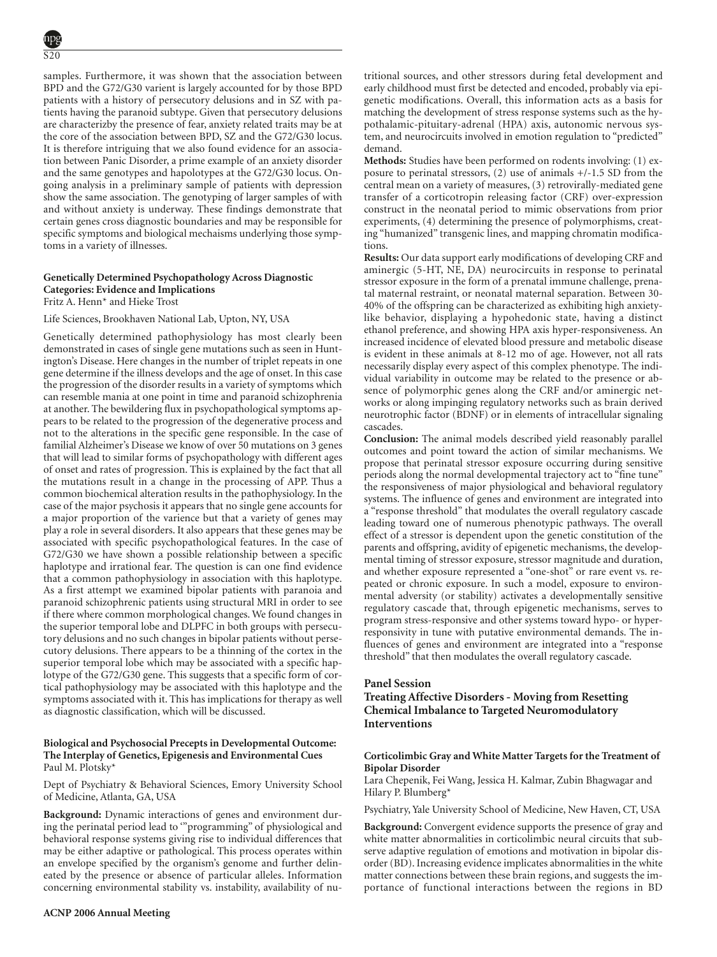samples. Furthermore, it was shown that the association between BPD and the G72/G30 varient is largely accounted for by those BPD patients with a history of persecutory delusions and in SZ with patients having the paranoid subtype. Given that persecutory delusions are characterizby the presence of fear, anxiety related traits may be at the core of the association between BPD, SZ and the G72/G30 locus. It is therefore intriguing that we also found evidence for an association between Panic Disorder, a prime example of an anxiety disorder and the same genotypes and hapolotypes at the G72/G30 locus. Ongoing analysis in a preliminary sample of patients with depression show the same association. The genotyping of larger samples of with and without anxiety is underway. These findings demonstrate that certain genes cross diagnostic boundaries and may be responsible for specific symptoms and biological mechaisms underlying those symptoms in a variety of illnesses.

# **Genetically Determined Psychopathology Across Diagnostic Categories: Evidence and Implications**

Fritz A. Henn\* and Hieke Trost

Life Sciences, Brookhaven National Lab, Upton, NY, USA

Genetically determined pathophysiology has most clearly been demonstrated in cases of single gene mutations such as seen in Huntington's Disease. Here changes in the number of triplet repeats in one gene determine if the illness develops and the age of onset. In this case the progression of the disorder results in a variety of symptoms which can resemble mania at one point in time and paranoid schizophrenia at another. The bewildering flux in psychopathological symptoms appears to be related to the progression of the degenerative process and not to the alterations in the specific gene responsible. In the case of familial Alzheimer's Disease we know of over 50 mutations on 3 genes that will lead to similar forms of psychopathology with different ages of onset and rates of progression. This is explained by the fact that all the mutations result in a change in the processing of APP. Thus a common biochemical alteration results in the pathophysiology. In the case of the major psychosis it appears that no single gene accounts for a major proportion of the varience but that a variety of genes may play a role in several disorders. It also appears that these genes may be associated with specific psychopathological features. In the case of G72/G30 we have shown a possible relationship between a specific haplotype and irrational fear. The question is can one find evidence that a common pathophysiology in association with this haplotype. As a first attempt we examined bipolar patients with paranoia and paranoid schizophrenic patients using structural MRI in order to see if there where common morphological changes. We found changes in the superior temporal lobe and DLPFC in both groups with persecutory delusions and no such changes in bipolar patients without persecutory delusions. There appears to be a thinning of the cortex in the superior temporal lobe which may be associated with a specific haplotype of the G72/G30 gene. This suggests that a specific form of cortical pathophysiology may be associated with this haplotype and the symptoms associated with it. This has implications for therapy as well as diagnostic classification, which will be discussed.

# **Biological and Psychosocial Precepts in Developmental Outcome: The Interplay of Genetics, Epigenesis and Environmental Cues** Paul M. Plotsky\*

Dept of Psychiatry & Behavioral Sciences, Emory University School of Medicine, Atlanta, GA, USA

**Background:** Dynamic interactions of genes and environment during the perinatal period lead to '"programming" of physiological and behavioral response systems giving rise to individual differences that may be either adaptive or pathological. This process operates within an envelope specified by the organism's genome and further delineated by the presence or absence of particular alleles. Information concerning environmental stability vs. instability, availability of nutritional sources, and other stressors during fetal development and early childhood must first be detected and encoded, probably via epigenetic modifications. Overall, this information acts as a basis for matching the development of stress response systems such as the hypothalamic-pituitary-adrenal (HPA) axis, autonomic nervous system, and neurocircuits involved in emotion regulation to "predicted" demand.

**Methods:** Studies have been performed on rodents involving: (1) exposure to perinatal stressors, (2) use of animals +/-1.5 SD from the central mean on a variety of measures, (3) retrovirally-mediated gene transfer of a corticotropin releasing factor (CRF) over-expression construct in the neonatal period to mimic observations from prior experiments, (4) determining the presence of polymorphisms, creating "humanized" transgenic lines, and mapping chromatin modifications.

**Results:** Our data support early modifications of developing CRF and aminergic (5-HT, NE, DA) neurocircuits in response to perinatal stressor exposure in the form of a prenatal immune challenge, prenatal maternal restraint, or neonatal maternal separation. Between 30- 40% of the offspring can be characterized as exhibiting high anxietylike behavior, displaying a hypohedonic state, having a distinct ethanol preference, and showing HPA axis hyper-responsiveness. An increased incidence of elevated blood pressure and metabolic disease is evident in these animals at 8-12 mo of age. However, not all rats necessarily display every aspect of this complex phenotype. The individual variability in outcome may be related to the presence or absence of polymorphic genes along the CRF and/or aminergic networks or along impinging regulatory networks such as brain derived neurotrophic factor (BDNF) or in elements of intracellular signaling cascades.

**Conclusion:** The animal models described yield reasonably parallel outcomes and point toward the action of similar mechanisms. We propose that perinatal stressor exposure occurring during sensitive periods along the normal developmental trajectory act to "fine tune" the responsiveness of major physiological and behavioral regulatory systems. The influence of genes and environment are integrated into a "response threshold" that modulates the overall regulatory cascade leading toward one of numerous phenotypic pathways. The overall effect of a stressor is dependent upon the genetic constitution of the parents and offspring, avidity of epigenetic mechanisms, the developmental timing of stressor exposure, stressor magnitude and duration, and whether exposure represented a "one-shot" or rare event vs. repeated or chronic exposure. In such a model, exposure to environmental adversity (or stability) activates a developmentally sensitive regulatory cascade that, through epigenetic mechanisms, serves to program stress-responsive and other systems toward hypo- or hyperresponsivity in tune with putative environmental demands. The influences of genes and environment are integrated into a "response threshold" that then modulates the overall regulatory cascade.

### **Panel Session**

# **Treating Affective Disorders - Moving from Resetting Chemical Imbalance to Targeted Neuromodulatory Interventions**

# **Corticolimbic Gray and White Matter Targets for the Treatment of Bipolar Disorder**

Lara Chepenik, Fei Wang, Jessica H. Kalmar, Zubin Bhagwagar and Hilary P. Blumberg\*

Psychiatry, Yale University School of Medicine, New Haven, CT, USA

**Background:** Convergent evidence supports the presence of gray and white matter abnormalities in corticolimbic neural circuits that subserve adaptive regulation of emotions and motivation in bipolar disorder (BD). Increasing evidence implicates abnormalities in the white matter connections between these brain regions, and suggests the importance of functional interactions between the regions in BD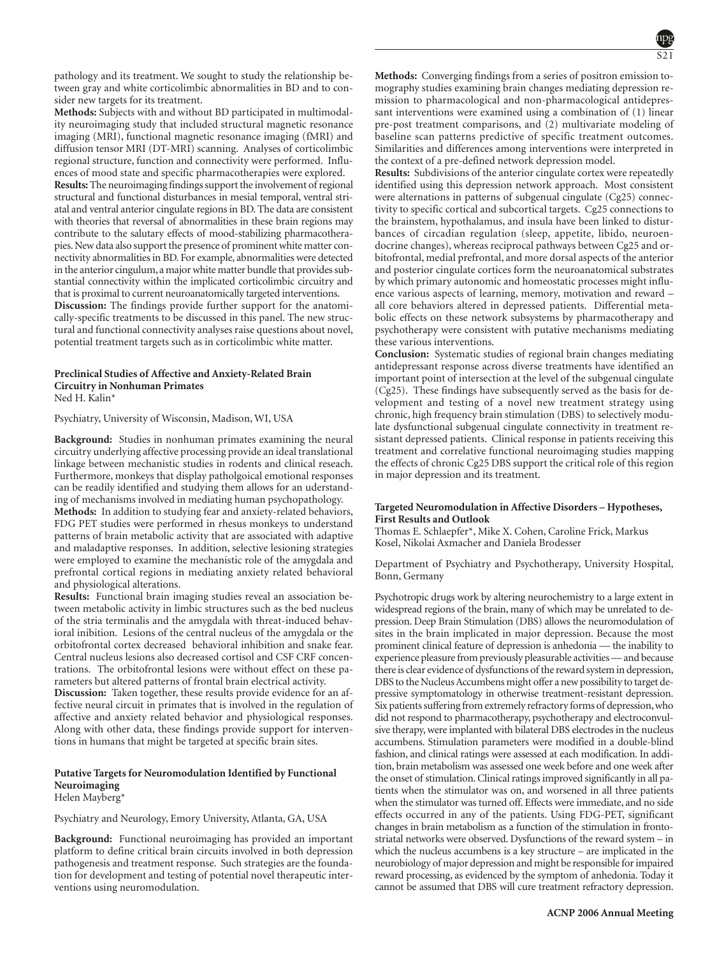pathology and its treatment. We sought to study the relationship between gray and white corticolimbic abnormalities in BD and to consider new targets for its treatment.

**Methods:** Subjects with and without BD participated in multimodality neuroimaging study that included structural magnetic resonance imaging (MRI), functional magnetic resonance imaging (fMRI) and diffusion tensor MRI (DT-MRI) scanning. Analyses of corticolimbic regional structure, function and connectivity were performed. Influences of mood state and specific pharmacotherapies were explored. **Results:**The neuroimaging findings support the involvement of regional structural and functional disturbances in mesial temporal, ventral stri-

atal and ventral anterior cingulate regions in BD. The data are consistent with theories that reversal of abnormalities in these brain regions may contribute to the salutary effects of mood-stabilizing pharmacotherapies. New data also support the presence of prominent white matter connectivity abnormalities in BD. For example, abnormalities were detected in the anterior cingulum, a major white matter bundle that provides substantial connectivity within the implicated corticolimbic circuitry and that is proximal to current neuroanatomically targeted interventions.

**Discussion:** The findings provide further support for the anatomically-specific treatments to be discussed in this panel. The new structural and functional connectivity analyses raise questions about novel, potential treatment targets such as in corticolimbic white matter.

# **Preclinical Studies of Affective and Anxiety-Related Brain Circuitry in Nonhuman Primates**

Ned H. Kalin\*

## Psychiatry, University of Wisconsin, Madison, WI, USA

**Background:** Studies in nonhuman primates examining the neural circuitry underlying affective processing provide an ideal translational linkage between mechanistic studies in rodents and clinical reseach. Furthermore, monkeys that display patholgoical emotional responses can be readily identified and studying them allows for an uderstanding of mechanisms involved in mediating human psychopathology.

**Methods:** In addition to studying fear and anxiety-related behaviors, FDG PET studies were performed in rhesus monkeys to understand patterns of brain metabolic activity that are associated with adaptive and maladaptive responses. In addition, selective lesioning strategies were employed to examine the mechanistic role of the amygdala and prefrontal cortical regions in mediating anxiety related behavioral and physiological alterations.

**Results:** Functional brain imaging studies reveal an association between metabolic activity in limbic structures such as the bed nucleus of the stria terminalis and the amygdala with threat-induced behavioral inibition. Lesions of the central nucleus of the amygdala or the orbitofrontal cortex decreased behavioral inhibition and snake fear. Central nucleus lesions also decreased cortisol and CSF CRF concentrations. The orbitofrontal lesions were without effect on these parameters but altered patterns of frontal brain electrical activity.

**Discussion:** Taken together, these results provide evidence for an affective neural circuit in primates that is involved in the regulation of affective and anxiety related behavior and physiological responses. Along with other data, these findings provide support for interventions in humans that might be targeted at specific brain sites.

# **Putative Targets for Neuromodulation Identified by Functional Neuroimaging**

Helen Mayberg\*

# Psychiatry and Neurology, Emory University, Atlanta, GA, USA

**Background:** Functional neuroimaging has provided an important platform to define critical brain circuits involved in both depression pathogenesis and treatment response. Such strategies are the foundation for development and testing of potential novel therapeutic interventions using neuromodulation.

**Methods:** Converging findings from a series of positron emission tomography studies examining brain changes mediating depression remission to pharmacological and non-pharmacological antidepressant interventions were examined using a combination of (1) linear pre-post treatment comparisons, and (2) multivariate modeling of baseline scan patterns predictive of specific treatment outcomes. Similarities and differences among interventions were interpreted in the context of a pre-defined network depression model.

**Results:** Subdivisions of the anterior cingulate cortex were repeatedly identified using this depression network approach. Most consistent were alternations in patterns of subgenual cingulate (Cg25) connectivity to specific cortical and subcortical targets. Cg25 connections to the brainstem, hypothalamus, and insula have been linked to disturbances of circadian regulation (sleep, appetite, libido, neuroendocrine changes), whereas reciprocal pathways between Cg25 and orbitofrontal, medial prefrontal, and more dorsal aspects of the anterior and posterior cingulate cortices form the neuroanatomical substrates by which primary autonomic and homeostatic processes might influence various aspects of learning, memory, motivation and reward – all core behaviors altered in depressed patients. Differential metabolic effects on these network subsystems by pharmacotherapy and psychotherapy were consistent with putative mechanisms mediating these various interventions.

**Conclusion:** Systematic studies of regional brain changes mediating antidepressant response across diverse treatments have identified an important point of intersection at the level of the subgenual cingulate (Cg25). These findings have subsequently served as the basis for development and testing of a novel new treatment strategy using chronic, high frequency brain stimulation (DBS) to selectively modulate dysfunctional subgenual cingulate connectivity in treatment resistant depressed patients. Clinical response in patients receiving this treatment and correlative functional neuroimaging studies mapping the effects of chronic Cg25 DBS support the critical role of this region in major depression and its treatment.

# **Targeted Neuromodulation in Affective Disorders – Hypotheses, First Results and Outlook**

Thomas E. Schlaepfer\*, Mike X. Cohen, Caroline Frick, Markus Kosel, Nikolai Axmacher and Daniela Brodesser

Department of Psychiatry and Psychotherapy, University Hospital, Bonn, Germany

Psychotropic drugs work by altering neurochemistry to a large extent in widespread regions of the brain, many of which may be unrelated to depression. Deep Brain Stimulation (DBS) allows the neuromodulation of sites in the brain implicated in major depression. Because the most prominent clinical feature of depression is anhedonia — the inability to experience pleasure from previously pleasurable activities — and because there is clear evidence of dysfunctions of the reward system in depression, DBS to the Nucleus Accumbens might offer a new possibility to target depressive symptomatology in otherwise treatment-resistant depression. Six patients suffering from extremely refractory forms of depression,who did not respond to pharmacotherapy, psychotherapy and electroconvulsive therapy, were implanted with bilateral DBS electrodes in the nucleus accumbens. Stimulation parameters were modified in a double-blind fashion, and clinical ratings were assessed at each modification. In addition, brain metabolism was assessed one week before and one week after the onset of stimulation. Clinical ratings improved significantly in all patients when the stimulator was on, and worsened in all three patients when the stimulator was turned off. Effects were immediate, and no side effects occurred in any of the patients. Using FDG-PET, significant changes in brain metabolism as a function of the stimulation in frontostriatal networks were observed. Dysfunctions of the reward system – in which the nucleus accumbens is a key structure – are implicated in the neurobiology of major depression and might be responsible for impaired reward processing, as evidenced by the symptom of anhedonia. Today it cannot be assumed that DBS will cure treatment refractory depression.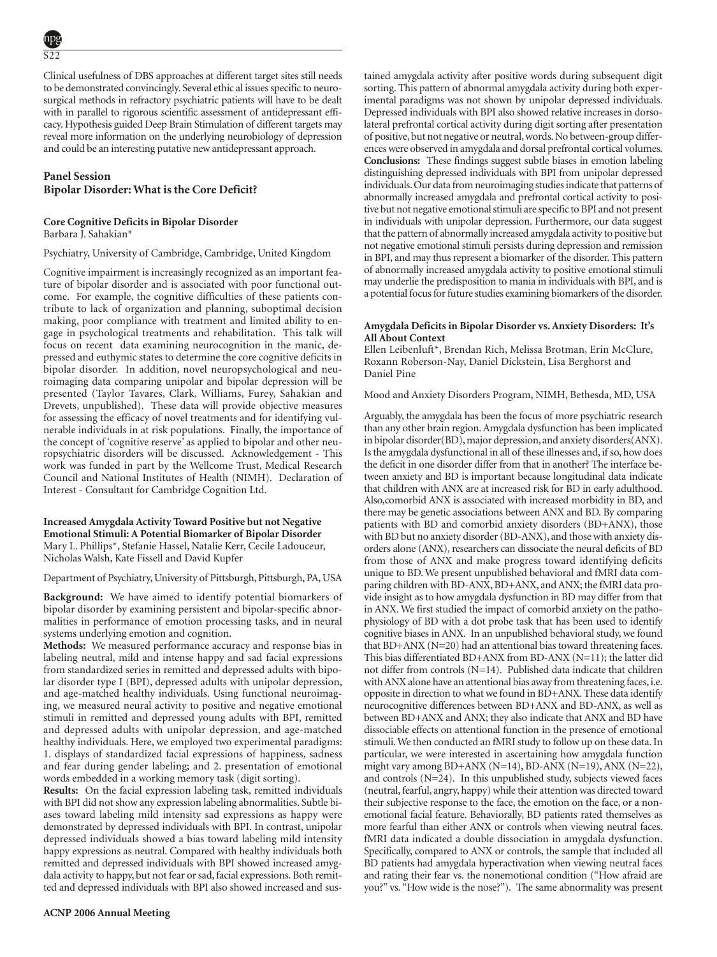Clinical usefulness of DBS approaches at different target sites still needs to be demonstrated convincingly. Several ethic al issues specific to neurosurgical methods in refractory psychiatric patients will have to be dealt with in parallel to rigorous scientific assessment of antidepressant efficacy. Hypothesis guided Deep Brain Stimulation of different targets may reveal more information on the underlying neurobiology of depression and could be an interesting putative new antidepressant approach.

# **Panel Session Bipolar Disorder: What is the Core Deficit?**

# **Core Cognitive Deficits in Bipolar Disorder** Barbara J. Sahakian\*

Psychiatry, University of Cambridge, Cambridge, United Kingdom

Cognitive impairment is increasingly recognized as an important feature of bipolar disorder and is associated with poor functional outcome. For example, the cognitive difficulties of these patients contribute to lack of organization and planning, suboptimal decision making, poor compliance with treatment and limited ability to engage in psychological treatments and rehabilitation. This talk will focus on recent data examining neurocognition in the manic, depressed and euthymic states to determine the core cognitive deficits in bipolar disorder. In addition, novel neuropsychological and neuroimaging data comparing unipolar and bipolar depression will be presented (Taylor Tavares, Clark, Williams, Furey, Sahakian and Drevets, unpublished). These data will provide objective measures for assessing the efficacy of novel treatments and for identifying vulnerable individuals in at risk populations. Finally, the importance of the concept of 'cognitive reserve' as applied to bipolar and other neuropsychiatric disorders will be discussed. Acknowledgement - This work was funded in part by the Wellcome Trust, Medical Research Council and National Institutes of Health (NIMH). Declaration of Interest - Consultant for Cambridge Cognition Ltd.

# **Increased Amygdala Activity Toward Positive but not Negative Emotional Stimuli: A Potential Biomarker of Bipolar Disorder** Mary L. Phillips\*, Stefanie Hassel, Natalie Kerr, Cecile Ladouceur, Nicholas Walsh, Kate Fissell and David Kupfer

Department of Psychiatry, University of Pittsburgh, Pittsburgh, PA, USA

**Background:** We have aimed to identify potential biomarkers of bipolar disorder by examining persistent and bipolar-specific abnormalities in performance of emotion processing tasks, and in neural systems underlying emotion and cognition.

**Methods:** We measured performance accuracy and response bias in labeling neutral, mild and intense happy and sad facial expressions from standardized series in remitted and depressed adults with bipolar disorder type I (BPI), depressed adults with unipolar depression, and age-matched healthy individuals. Using functional neuroimaging, we measured neural activity to positive and negative emotional stimuli in remitted and depressed young adults with BPI, remitted and depressed adults with unipolar depression, and age-matched healthy individuals. Here, we employed two experimental paradigms: 1. displays of standardized facial expressions of happiness, sadness and fear during gender labeling; and 2. presentation of emotional words embedded in a working memory task (digit sorting).

**Results:** On the facial expression labeling task, remitted individuals with BPI did not show any expression labeling abnormalities. Subtle biases toward labeling mild intensity sad expressions as happy were demonstrated by depressed individuals with BPI. In contrast, unipolar depressed individuals showed a bias toward labeling mild intensity happy expressions as neutral. Compared with healthy individuals both remitted and depressed individuals with BPI showed increased amygdala activity to happy, but not fear or sad, facial expressions. Both remitted and depressed individuals with BPI also showed increased and sustained amygdala activity after positive words during subsequent digit sorting. This pattern of abnormal amygdala activity during both experimental paradigms was not shown by unipolar depressed individuals. Depressed individuals with BPI also showed relative increases in dorsolateral prefrontal cortical activity during digit sorting after presentation of positive, but not negative or neutral, words. No between-group differences were observed in amygdala and dorsal prefrontal cortical volumes. **Conclusions:** These findings suggest subtle biases in emotion labeling distinguishing depressed individuals with BPI from unipolar depressed individuals.Our data from neuroimaging studies indicate that patterns of abnormally increased amygdala and prefrontal cortical activity to positive but not negative emotional stimuli are specific to BPI and not present in individuals with unipolar depression. Furthermore, our data suggest that the pattern of abnormally increased amygdala activity to positive but not negative emotional stimuli persists during depression and remission in BPI, and may thus represent a biomarker of the disorder. This pattern of abnormally increased amygdala activity to positive emotional stimuli may underlie the predisposition to mania in individuals with BPI, and is a potential focus for future studies examining biomarkers of the disorder.

# **Amygdala Deficits in Bipolar Disorder vs. Anxiety Disorders: It's All About Context**

Ellen Leibenluft\*, Brendan Rich, Melissa Brotman, Erin McClure, Roxann Roberson-Nay, Daniel Dickstein, Lisa Berghorst and Daniel Pine

Mood and Anxiety Disorders Program, NIMH, Bethesda, MD, USA

Arguably, the amygdala has been the focus of more psychiatric research than any other brain region. Amygdala dysfunction has been implicated in bipolar disorder(BD), major depression, and anxiety disorders(ANX). Isthe amygdala dysfunctional in all of these illnesses and, if so, how does the deficit in one disorder differ from that in another? The interface between anxiety and BD is important because longitudinal data indicate that children with ANX are at increased risk for BD in early adulthood. Also,comorbid ANX is associated with increased morbidity in BD, and there may be genetic associations between ANX and BD. By comparing patients with BD and comorbid anxiety disorders (BD+ANX), those with BD but no anxiety disorder (BD-ANX), and those with anxiety disorders alone (ANX), researchers can dissociate the neural deficits of BD from those of ANX and make progress toward identifying deficits unique to BD. We present unpublished behavioral and fMRI data comparing children with BD-ANX, BD+ANX, and ANX; the fMRI data provide insight as to how amygdala dysfunction in BD may differ from that in ANX. We first studied the impact of comorbid anxiety on the pathophysiology of BD with a dot probe task that has been used to identify cognitive biases in ANX. In an unpublished behavioral study, we found that BD+ANX (N=20) had an attentional bias toward threatening faces. This bias differentiated BD+ANX from BD-ANX (N=11); the latter did not differ from controls (N=14). Published data indicate that children with ANX alone have an attentional bias away from threatening faces, i.e. opposite in direction to what we found in BD+ANX. These data identify neurocognitive differences between BD+ANX and BD-ANX, as well as between BD+ANX and ANX; they also indicate that ANX and BD have dissociable effects on attentional function in the presence of emotional stimuli. We then conducted an fMRI study to follow up on these data. In particular, we were interested in ascertaining how amygdala function might vary among BD+ANX (N=14), BD-ANX (N=19), ANX (N=22), and controls (N=24). In this unpublished study, subjects viewed faces (neutral, fearful, angry, happy) while their attention was directed toward their subjective response to the face, the emotion on the face, or a nonemotional facial feature. Behaviorally, BD patients rated themselves as more fearful than either ANX or controls when viewing neutral faces. fMRI data indicated a double dissociation in amygdala dysfunction. Specifically, compared to ANX or controls, the sample that included all BD patients had amygdala hyperactivation when viewing neutral faces and rating their fear vs. the nonemotional condition ("How afraid are you?" vs. "How wide is the nose?"). The same abnormality was present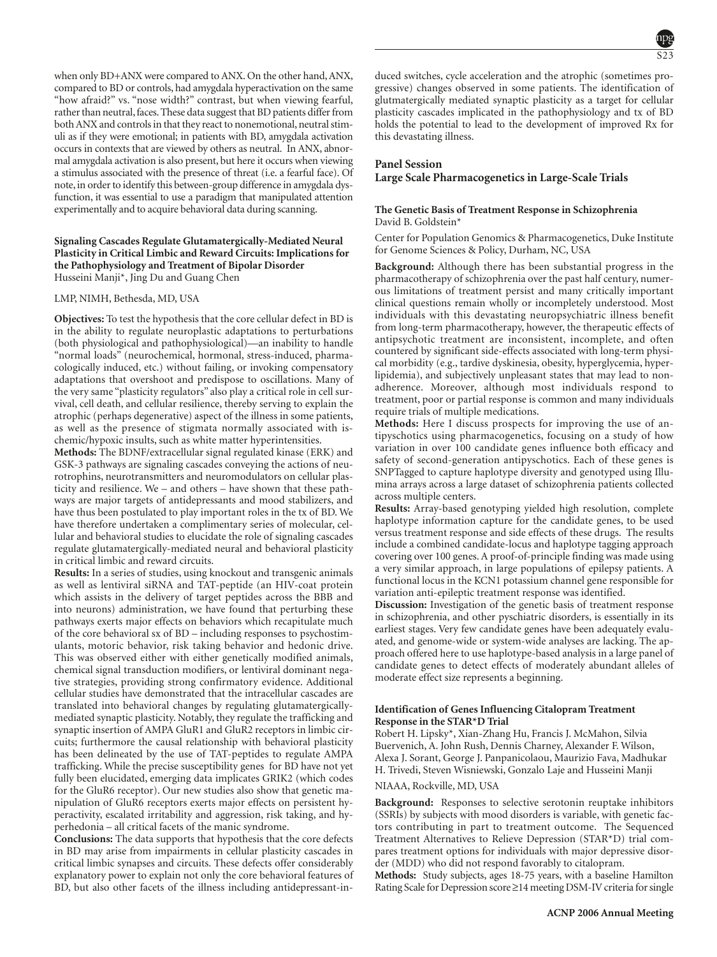when only BD+ANX were compared to ANX. On the other hand, ANX, compared to BD or controls, had amygdala hyperactivation on the same "how afraid?" vs. "nose width?" contrast, but when viewing fearful, rather than neutral, faces. These data suggest that BD patients differ from both ANX and controls in that they react to nonemotional, neutral stimuli as if they were emotional; in patients with BD, amygdala activation occurs in contexts that are viewed by others as neutral. In ANX, abnormal amygdala activation is also present, but here it occurs when viewing a stimulus associated with the presence of threat (i.e. a fearful face). Of note, in order to identify this between-group difference in amygdala dysfunction, it was essential to use a paradigm that manipulated attention experimentally and to acquire behavioral data during scanning.

### **Signaling Cascades Regulate Glutamatergically-Mediated Neural Plasticity in Critical Limbic and Reward Circuits: Implications for the Pathophysiology and Treatment of Bipolar Disorder** Husseini Manji\*, Jing Du and Guang Chen

LMP, NIMH, Bethesda, MD, USA

**Objectives:** To test the hypothesis that the core cellular defect in BD is in the ability to regulate neuroplastic adaptations to perturbations (both physiological and pathophysiological)—an inability to handle "normal loads" (neurochemical, hormonal, stress-induced, pharmacologically induced, etc.) without failing, or invoking compensatory adaptations that overshoot and predispose to oscillations. Many of the very same "plasticity regulators" also play a critical role in cell survival, cell death, and cellular resilience, thereby serving to explain the atrophic (perhaps degenerative) aspect of the illness in some patients, as well as the presence of stigmata normally associated with ischemic/hypoxic insults, such as white matter hyperintensities.

**Methods:** The BDNF/extracellular signal regulated kinase (ERK) and GSK-3 pathways are signaling cascades conveying the actions of neurotrophins, neurotransmitters and neuromodulators on cellular plasticity and resilience. We – and others – have shown that these pathways are major targets of antidepressants and mood stabilizers, and have thus been postulated to play important roles in the tx of BD. We have therefore undertaken a complimentary series of molecular, cellular and behavioral studies to elucidate the role of signaling cascades regulate glutamatergically-mediated neural and behavioral plasticity in critical limbic and reward circuits.

**Results:** In a series of studies, using knockout and transgenic animals as well as lentiviral siRNA and TAT-peptide (an HIV-coat protein which assists in the delivery of target peptides across the BBB and into neurons) administration, we have found that perturbing these pathways exerts major effects on behaviors which recapitulate much of the core behavioral sx of BD – including responses to psychostimulants, motoric behavior, risk taking behavior and hedonic drive. This was observed either with either genetically modified animals, chemical signal transduction modifiers, or lentiviral dominant negative strategies, providing strong confirmatory evidence. Additional cellular studies have demonstrated that the intracellular cascades are translated into behavioral changes by regulating glutamatergicallymediated synaptic plasticity. Notably, they regulate the trafficking and synaptic insertion of AMPA GluR1 and GluR2 receptors in limbic circuits; furthermore the causal relationship with behavioral plasticity has been delineated by the use of TAT-peptides to regulate AMPA trafficking. While the precise susceptibility genes for BD have not yet fully been elucidated, emerging data implicates GRIK2 (which codes for the GluR6 receptor). Our new studies also show that genetic manipulation of GluR6 receptors exerts major effects on persistent hyperactivity, escalated irritability and aggression, risk taking, and hyperhedonia – all critical facets of the manic syndrome.

**Conclusions:** The data supports that hypothesis that the core defects in BD may arise from impairments in cellular plasticity cascades in critical limbic synapses and circuits. These defects offer considerably explanatory power to explain not only the core behavioral features of BD, but also other facets of the illness including antidepressant-in-



duced switches, cycle acceleration and the atrophic (sometimes progressive) changes observed in some patients. The identification of glutmatergically mediated synaptic plasticity as a target for cellular plasticity cascades implicated in the pathophysiology and tx of BD holds the potential to lead to the development of improved Rx for this devastating illness.

### **Panel Session**

### **Large Scale Pharmacogenetics in Large-Scale Trials**

### **The Genetic Basis of Treatment Response in Schizophrenia** David B. Goldstein\*

Center for Population Genomics & Pharmacogenetics, Duke Institute for Genome Sciences & Policy, Durham, NC, USA

**Background:** Although there has been substantial progress in the pharmacotherapy of schizophrenia over the past half century, numerous limitations of treatment persist and many critically important clinical questions remain wholly or incompletely understood. Most individuals with this devastating neuropsychiatric illness benefit from long-term pharmacotherapy, however, the therapeutic effects of antipsychotic treatment are inconsistent, incomplete, and often countered by significant side-effects associated with long-term physical morbidity (e.g., tardive dyskinesia, obesity, hyperglycemia, hyperlipidemia), and subjectively unpleasant states that may lead to nonadherence. Moreover, although most individuals respond to treatment, poor or partial response is common and many individuals require trials of multiple medications.

**Methods:** Here I discuss prospects for improving the use of antipyschotics using pharmacogenetics, focusing on a study of how variation in over 100 candidate genes influence both efficacy and safety of second-generation antipyschotics. Each of these genes is SNPTagged to capture haplotype diversity and genotyped using Illumina arrays across a large dataset of schizophrenia patients collected across multiple centers.

**Results:** Array-based genotyping yielded high resolution, complete haplotype information capture for the candidate genes, to be used versus treatment response and side effects of these drugs. The results include a combined candidate-locus and haplotype tagging approach covering over 100 genes. A proof-of-principle finding was made using a very similar approach, in large populations of epilepsy patients. A functional locus in the KCN1 potassium channel gene responsible for variation anti-epileptic treatment response was identified.

**Discussion:** Investigation of the genetic basis of treatment response in schizophrenia, and other pyschiatric disorders, is essentially in its earliest stages. Very few candidate genes have been adequately evaluated, and genome-wide or system-wide analyses are lacking. The approach offered here to use haplotype-based analysis in a large panel of candidate genes to detect effects of moderately abundant alleles of moderate effect size represents a beginning.

### **Identification of Genes Influencing Citalopram Treatment Response in the STAR\*D Trial**

Robert H. Lipsky\*, Xian-Zhang Hu, Francis J. McMahon, Silvia Buervenich, A. John Rush, Dennis Charney, Alexander F. Wilson, Alexa J. Sorant, George J. Panpanicolaou, Maurizio Fava, Madhukar H. Trivedi, Steven Wisniewski, Gonzalo Laje and Husseini Manji

### NIAAA, Rockville, MD, USA

**Background:** Responses to selective serotonin reuptake inhibitors (SSRIs) by subjects with mood disorders is variable, with genetic factors contributing in part to treatment outcome. The Sequenced Treatment Alternatives to Relieve Depression (STAR\*D) trial compares treatment options for individuals with major depressive disorder (MDD) who did not respond favorably to citalopram.

**Methods:** Study subjects, ages 18-75 years, with a baseline Hamilton Rating Scale for Depression score ≥14 meeting DSM-IV criteria for single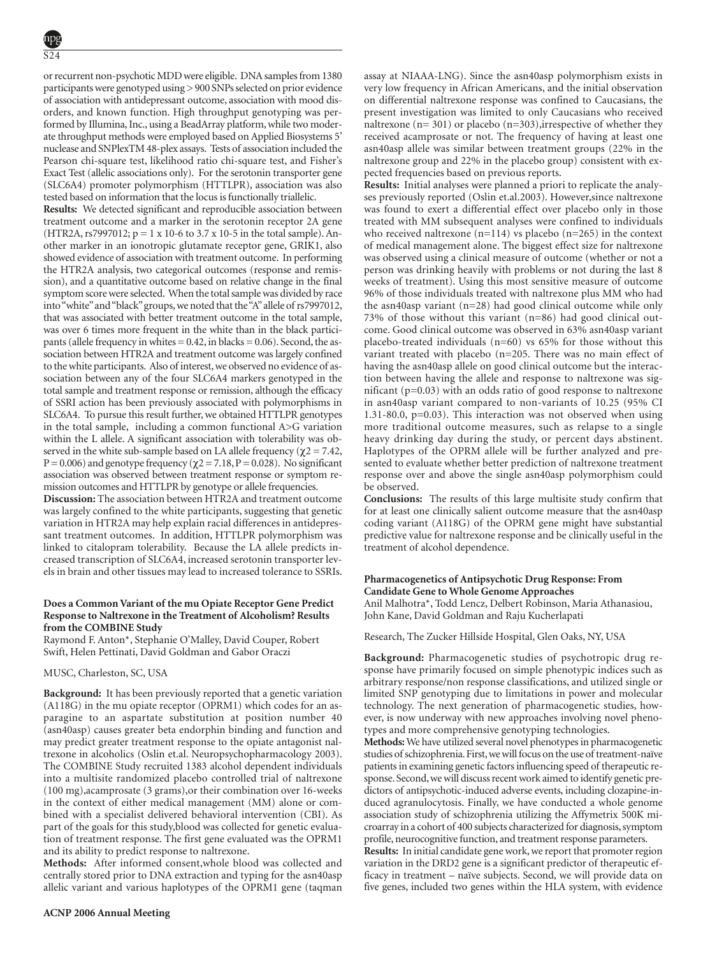or recurrent non-psychotic MDD were eligible. DNA samples from 1380 participants were genotyped using > 900 SNPs selected on prior evidence of association with antidepressant outcome, association with mood disorders, and known function. High throughput genotyping was performed by Illumina, Inc., using a BeadArray platform, while two moderate throughput methods were employed based on Applied Biosystems 5' nuclease and SNPlexTM 48-plex assays. Tests of association included the Pearson chi-square test, likelihood ratio chi-square test, and Fisher's Exact Test (allelic associations only). For the serotonin transporter gene (SLC6A4) promoter polymorphism (HTTLPR), association was also tested based on information that the locus is functionally triallelic.

**Results:** We detected significant and reproducible association between treatment outcome and a marker in the serotonin receptor 2A gene (HTR2A, rs7997012; p = 1 x 10-6 to 3.7 x 10-5 in the total sample). Another marker in an ionotropic glutamate receptor gene, GRIK1, also showed evidence of association with treatment outcome. In performing the HTR2A analysis, two categorical outcomes (response and remission), and a quantitative outcome based on relative change in the final symptom score were selected. When the total sample was divided by race into"white"and"black"groups, we noted that the"A"allele of rs7997012, that was associated with better treatment outcome in the total sample, was over 6 times more frequent in the white than in the black participants (allele frequency in whites  $= 0.42$ , in blacks  $= 0.06$ ). Second, the association between HTR2A and treatment outcome was largely confined to the white participants. Also of interest, we observed no evidence of association between any of the four SLC6A4 markers genotyped in the total sample and treatment response or remission, although the efficacy of SSRI action has been previously associated with polymorphisms in SLC6A4. To pursue this result further, we obtained HTTLPR genotypes in the total sample, including a common functional A>G variation within the L allele. A significant association with tolerability was observed in the white sub-sample based on LA allele frequency ( $\chi$ 2 = 7.42, P = 0.006) and genotype frequency ( $\chi$ 2 = 7.18, P = 0.028). No significant association was observed between treatment response or symptom remission outcomes and HTTLPR by genotype or allele frequencies. **Discussion:** The association between HTR2A and treatment outcome was largely confined to the white participants, suggesting that genetic

variation in HTR2A may help explain racial differences in antidepressant treatment outcomes. In addition, HTTLPR polymorphism was linked to citalopram tolerability. Because the LA allele predicts increased transcription of SLC6A4, increased serotonin transporter levels in brain and other tissues may lead to increased tolerance to SSRIs.

# **Does a Common Variant of the mu Opiate Receptor Gene Predict Response to Naltrexone in the Treatment of Alcoholism? Results from the COMBINE Study**

Raymond F. Anton\*, Stephanie O'Malley, David Couper, Robert Swift, Helen Pettinati, David Goldman and Gabor Oraczi

# MUSC, Charleston, SC, USA

**Background:** It has been previously reported that a genetic variation (A118G) in the mu opiate receptor (OPRM1) which codes for an asparagine to an aspartate substitution at position number 40 (asn40asp) causes greater beta endorphin binding and function and may predict greater treatment response to the opiate antagonist naltrexone in alcoholics (Oslin et.al. Neuropsychopharmacology 2003). The COMBINE Study recruited 1383 alcohol dependent individuals into a multisite randomized placebo controlled trial of naltrexone (100 mg),acamprosate (3 grams),or their combination over 16-weeks in the context of either medical management (MM) alone or combined with a specialist delivered behavioral intervention (CBI). As part of the goals for this study,blood was collected for genetic evaluation of treatment response. The first gene evaluated was the OPRM1 and its ability to predict response to naltrexone.

**Methods:** After informed consent,whole blood was collected and centrally stored prior to DNA extraction and typing for the asn40asp allelic variant and various haplotypes of the OPRM1 gene (taqman assay at NIAAA-LNG). Since the asn40asp polymorphism exists in very low frequency in African Americans, and the initial observation on differential naltrexone response was confined to Caucasians, the present investigation was limited to only Caucasians who received naltrexone ( $n=$  301) or placebo ( $n=$  303), irrespective of whether they received acamprosate or not. The frequency of having at least one asn40asp allele was similar between treatment groups (22% in the naltrexone group and 22% in the placebo group) consistent with expected frequencies based on previous reports.

**Results:** Initial analyses were planned a priori to replicate the analyses previously reported (Oslin et.al.2003). However,since naltrexone was found to exert a differential effect over placebo only in those treated with MM subsequent analyses were confined to individuals who received naltrexone  $(n=114)$  vs placebo  $(n=265)$  in the context of medical management alone. The biggest effect size for naltrexone was observed using a clinical measure of outcome (whether or not a person was drinking heavily with problems or not during the last 8 weeks of treatment). Using this most sensitive measure of outcome 96% of those individuals treated with naltrexone plus MM who had the asn40asp variant (n=28) had good clinical outcome while only 73% of those without this variant (n=86) had good clinical outcome. Good clinical outcome was observed in 63% asn40asp variant placebo-treated individuals (n=60) vs 65% for those without this variant treated with placebo (n=205. There was no main effect of having the asn40asp allele on good clinical outcome but the interaction between having the allele and response to naltrexone was significant (p=0.03) with an odds ratio of good response to naltrexone in asn40asp variant compared to non-variants of 10.25 (95% CI 1.31-80.0, p=0.03). This interaction was not observed when using more traditional outcome measures, such as relapse to a single heavy drinking day during the study, or percent days abstinent. Haplotypes of the OPRM allele will be further analyzed and presented to evaluate whether better prediction of naltrexone treatment response over and above the single asn40asp polymorphism could be observed.

**Conclusions:** The results of this large multisite study confirm that for at least one clinically salient outcome measure that the asn40asp coding variant (A118G) of the OPRM gene might have substantial predictive value for naltrexone response and be clinically useful in the treatment of alcohol dependence.

# **Pharmacogenetics of Antipsychotic Drug Response: From Candidate Gene to Whole Genome Approaches**

Anil Malhotra\*, Todd Lencz, Delbert Robinson, Maria Athanasiou, John Kane, David Goldman and Raju Kucherlapati

Research, The Zucker Hillside Hospital, Glen Oaks, NY, USA

**Background:** Pharmacogenetic studies of psychotropic drug response have primarily focused on simple phenotypic indices such as arbitrary response/non response classifications, and utilized single or limited SNP genotyping due to limitations in power and molecular technology. The next generation of pharmacogenetic studies, however, is now underway with new approaches involving novel phenotypes and more comprehensive genotyping technologies.

**Methods:**We have utilized several novel phenotypes in pharmacogenetic studies of schizophrenia.First,we will focus on the use of treatment-naïve patients in examining genetic factors influencing speed of therapeutic response. Second, we will discuss recent work aimed to identify genetic predictors of antipsychotic-induced adverse events, including clozapine-induced agranulocytosis. Finally, we have conducted a whole genome association study of schizophrenia utilizing the Affymetrix 500K microarray in a cohort of 400 subjects characterized for diagnosis, symptom profile, neurocognitive function, and treatment response parameters.

**Results:** In initial candidate gene work, we report that promoter region variation in the DRD2 gene is a significant predictor of therapeutic efficacy in treatment – naïve subjects. Second, we will provide data on five genes, included two genes within the HLA system, with evidence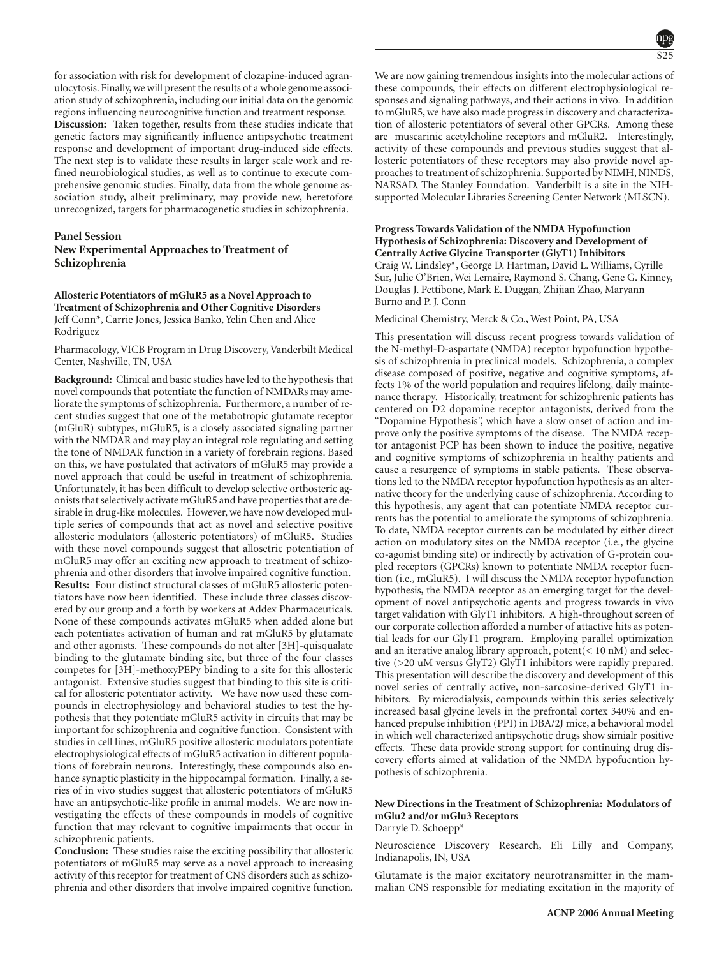for association with risk for development of clozapine-induced agranulocytosis. Finally, we will present the results of a whole genome association study of schizophrenia, including our initial data on the genomic regions influencing neurocognitive function and treatment response. **Discussion:** Taken together, results from these studies indicate that genetic factors may significantly influence antipsychotic treatment response and development of important drug-induced side effects. The next step is to validate these results in larger scale work and refined neurobiological studies, as well as to continue to execute comprehensive genomic studies. Finally, data from the whole genome association study, albeit preliminary, may provide new, heretofore unrecognized, targets for pharmacogenetic studies in schizophrenia.

### **Panel Session**

# **New Experimental Approaches to Treatment of Schizophrenia**

**Allosteric Potentiators of mGluR5 as a Novel Approach to Treatment of Schizophrenia and Other Cognitive Disorders** Jeff Conn\*, Carrie Jones, Jessica Banko, Yelin Chen and Alice Rodriguez

Pharmacology, VICB Program in Drug Discovery, Vanderbilt Medical Center, Nashville, TN, USA

**Background:** Clinical and basic studies have led to the hypothesis that novel compounds that potentiate the function of NMDARs may ameliorate the symptoms of schizophrenia. Furthermore, a number of recent studies suggest that one of the metabotropic glutamate receptor (mGluR) subtypes, mGluR5, is a closely associated signaling partner with the NMDAR and may play an integral role regulating and setting the tone of NMDAR function in a variety of forebrain regions. Based on this, we have postulated that activators of mGluR5 may provide a novel approach that could be useful in treatment of schizophrenia. Unfortunately, it has been difficult to develop selective orthosteric agonists that selectively activate mGluR5 and have properties that are desirable in drug-like molecules. However, we have now developed multiple series of compounds that act as novel and selective positive allosteric modulators (allosteric potentiators) of mGluR5. Studies with these novel compounds suggest that allosetric potentiation of mGluR5 may offer an exciting new approach to treatment of schizophrenia and other disorders that involve impaired cognitive function. **Results:** Four distinct structural classes of mGluR5 allosteric potentiators have now been identified. These include three classes discovered by our group and a forth by workers at Addex Pharmaceuticals. None of these compounds activates mGluR5 when added alone but each potentiates activation of human and rat mGluR5 by glutamate and other agonists. These compounds do not alter [3H]-quisqualate binding to the glutamate binding site, but three of the four classes competes for [3H]-methoxyPEPy binding to a site for this allosteric antagonist. Extensive studies suggest that binding to this site is critical for allosteric potentiator activity. We have now used these compounds in electrophysiology and behavioral studies to test the hypothesis that they potentiate mGluR5 activity in circuits that may be important for schizophrenia and cognitive function. Consistent with studies in cell lines, mGluR5 positive allosteric modulators potentiate electrophysiological effects of mGluR5 activation in different populations of forebrain neurons. Interestingly, these compounds also enhance synaptic plasticity in the hippocampal formation. Finally, a series of in vivo studies suggest that allosteric potentiators of mGluR5 have an antipsychotic-like profile in animal models. We are now investigating the effects of these compounds in models of cognitive function that may relevant to cognitive impairments that occur in schizophrenic patients.

**Conclusion:** These studies raise the exciting possibility that allosteric potentiators of mGluR5 may serve as a novel approach to increasing activity of this receptor for treatment of CNS disorders such as schizophrenia and other disorders that involve impaired cognitive function.

We are now gaining tremendous insights into the molecular actions of these compounds, their effects on different electrophysiological responses and signaling pathways, and their actions in vivo. In addition to mGluR5, we have also made progress in discovery and characterization of allosteric potentiators of several other GPCRs. Among these are muscarinic acetylcholine receptors and mGluR2. Interestingly, activity of these compounds and previous studies suggest that allosteric potentiators of these receptors may also provide novel approaches to treatment of schizophrenia. Supported by NIMH, NINDS, NARSAD, The Stanley Foundation. Vanderbilt is a site in the NIHsupported Molecular Libraries Screening Center Network (MLSCN).

# **Progress Towards Validation of the NMDA Hypofunction Hypothesis of Schizophrenia: Discovery and Development of Centrally Active Glycine Transporter (GlyT1) Inhibitors**

Craig W. Lindsley\*, George D. Hartman, David L. Williams, Cyrille Sur, Julie O'Brien, Wei Lemaire, Raymond S. Chang, Gene G. Kinney, Douglas J. Pettibone, Mark E. Duggan, Zhijian Zhao, Maryann Burno and P. J. Conn

Medicinal Chemistry, Merck & Co., West Point, PA, USA

This presentation will discuss recent progress towards validation of the N-methyl-D-aspartate (NMDA) receptor hypofunction hypothesis of schizophrenia in preclinical models. Schizophrenia, a complex disease composed of positive, negative and cognitive symptoms, affects 1% of the world population and requires lifelong, daily maintenance therapy. Historically, treatment for schizophrenic patients has centered on D2 dopamine receptor antagonists, derived from the "Dopamine Hypothesis", which have a slow onset of action and improve only the positive symptoms of the disease. The NMDA receptor antagonist PCP has been shown to induce the positive, negative and cognitive symptoms of schizophrenia in healthy patients and cause a resurgence of symptoms in stable patients. These observations led to the NMDA receptor hypofunction hypothesis as an alternative theory for the underlying cause of schizophrenia. According to this hypothesis, any agent that can potentiate NMDA receptor currents has the potential to ameliorate the symptoms of schizophrenia. To date, NMDA receptor currents can be modulated by either direct action on modulatory sites on the NMDA receptor (i.e., the glycine co-agonist binding site) or indirectly by activation of G-protein coupled receptors (GPCRs) known to potentiate NMDA receptor fucntion (i.e., mGluR5). I will discuss the NMDA receptor hypofunction hypothesis, the NMDA receptor as an emerging target for the development of novel antipsychotic agents and progress towards in vivo target validation with GlyT1 inhibitors. A high-throughout screen of our corporate collection afforded a number of attactive hits as potential leads for our GlyT1 program. Employing parallel optimization and an iterative analog library approach, potent(< 10 nM) and selective (>20 uM versus GlyT2) GlyT1 inhibitors were rapidly prepared. This presentation will describe the discovery and development of this novel series of centrally active, non-sarcosine-derived GlyT1 inhibitors. By microdialysis, compounds within this series selectively increased basal glycine levels in the prefrontal cortex 340% and enhanced prepulse inhibition (PPI) in DBA/2J mice, a behavioral model in which well characterized antipsychotic drugs show simialr positive effects. These data provide strong support for continuing drug discovery efforts aimed at validation of the NMDA hypofucntion hypothesis of schizophrenia.

### **New Directions in the Treatment of Schizophrenia: Modulators of mGlu2 and/or mGlu3 Receptors** Darryle D. Schoepp\*

Neuroscience Discovery Research, Eli Lilly and Company, Indianapolis, IN, USA

Glutamate is the major excitatory neurotransmitter in the mammalian CNS responsible for mediating excitation in the majority of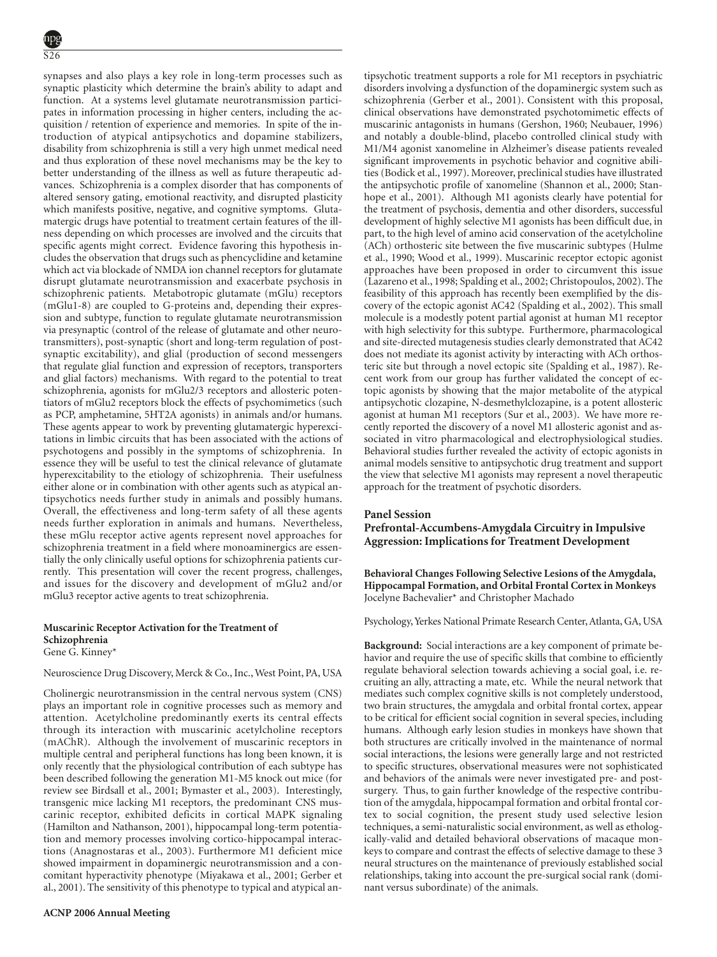synapses and also plays a key role in long-term processes such as synaptic plasticity which determine the brain's ability to adapt and function. At a systems level glutamate neurotransmission participates in information processing in higher centers, including the acquisition / retention of experience and memories. In spite of the introduction of atypical antipsychotics and dopamine stabilizers, disability from schizophrenia is still a very high unmet medical need and thus exploration of these novel mechanisms may be the key to better understanding of the illness as well as future therapeutic advances. Schizophrenia is a complex disorder that has components of altered sensory gating, emotional reactivity, and disrupted plasticity which manifests positive, negative, and cognitive symptoms. Glutamatergic drugs have potential to treatment certain features of the illness depending on which processes are involved and the circuits that specific agents might correct. Evidence favoring this hypothesis includes the observation that drugs such as phencyclidine and ketamine which act via blockade of NMDA ion channel receptors for glutamate disrupt glutamate neurotransmission and exacerbate psychosis in schizophrenic patients. Metabotropic glutamate (mGlu) receptors (mGlu1-8) are coupled to G-proteins and, depending their expression and subtype, function to regulate glutamate neurotransmission via presynaptic (control of the release of glutamate and other neurotransmitters), post-synaptic (short and long-term regulation of postsynaptic excitability), and glial (production of second messengers that regulate glial function and expression of receptors, transporters and glial factors) mechanisms. With regard to the potential to treat schizophrenia, agonists for mGlu2/3 receptors and allosteric potentiators of mGlu2 receptors block the effects of psychomimetics (such as PCP, amphetamine, 5HT2A agonists) in animals and/or humans. These agents appear to work by preventing glutamatergic hyperexcitations in limbic circuits that has been associated with the actions of psychotogens and possibly in the symptoms of schizophrenia. In essence they will be useful to test the clinical relevance of glutamate hyperexcitability to the etiology of schizophrenia. Their usefulness either alone or in combination with other agents such as atypical antipsychotics needs further study in animals and possibly humans. Overall, the effectiveness and long-term safety of all these agents needs further exploration in animals and humans. Nevertheless, these mGlu receptor active agents represent novel approaches for schizophrenia treatment in a field where monoaminergics are essentially the only clinically useful options for schizophrenia patients currently. This presentation will cover the recent progress, challenges, and issues for the discovery and development of mGlu2 and/or mGlu3 receptor active agents to treat schizophrenia.

### **Muscarinic Receptor Activation for the Treatment of Schizophrenia** Gene G. Kinney\*

Neuroscience Drug Discovery, Merck & Co., Inc., West Point, PA, USA

Cholinergic neurotransmission in the central nervous system (CNS) plays an important role in cognitive processes such as memory and attention. Acetylcholine predominantly exerts its central effects through its interaction with muscarinic acetylcholine receptors (mAChR). Although the involvement of muscarinic receptors in multiple central and peripheral functions has long been known, it is only recently that the physiological contribution of each subtype has been described following the generation M1-M5 knock out mice (for review see Birdsall et al., 2001; Bymaster et al., 2003). Interestingly, transgenic mice lacking M1 receptors, the predominant CNS muscarinic receptor, exhibited deficits in cortical MAPK signaling (Hamilton and Nathanson, 2001), hippocampal long-term potentiation and memory processes involving cortico-hippocampal interactions (Anagnostaras et al., 2003). Furthermore M1 deficient mice showed impairment in dopaminergic neurotransmission and a concomitant hyperactivity phenotype (Miyakawa et al., 2001; Gerber et al., 2001). The sensitivity of this phenotype to typical and atypical antipsychotic treatment supports a role for M1 receptors in psychiatric disorders involving a dysfunction of the dopaminergic system such as schizophrenia (Gerber et al., 2001). Consistent with this proposal, clinical observations have demonstrated psychotomimetic effects of muscarinic antagonists in humans (Gershon, 1960; Neubauer, 1996) and notably a double-blind, placebo controlled clinical study with M1/M4 agonist xanomeline in Alzheimer's disease patients revealed significant improvements in psychotic behavior and cognitive abilities (Bodick et al., 1997). Moreover, preclinical studies have illustrated the antipsychotic profile of xanomeline (Shannon et al., 2000; Stanhope et al., 2001). Although M1 agonists clearly have potential for the treatment of psychosis, dementia and other disorders, successful development of highly selective M1 agonists has been difficult due, in part, to the high level of amino acid conservation of the acetylcholine (ACh) orthosteric site between the five muscarinic subtypes (Hulme et al., 1990; Wood et al., 1999). Muscarinic receptor ectopic agonist approaches have been proposed in order to circumvent this issue (Lazareno et al., 1998; Spalding et al., 2002; Christopoulos, 2002). The feasibility of this approach has recently been exemplified by the discovery of the ectopic agonist AC42 (Spalding et al., 2002). This small molecule is a modestly potent partial agonist at human M1 receptor with high selectivity for this subtype. Furthermore, pharmacological and site-directed mutagenesis studies clearly demonstrated that AC42 does not mediate its agonist activity by interacting with ACh orthosteric site but through a novel ectopic site (Spalding et al., 1987). Recent work from our group has further validated the concept of ectopic agonists by showing that the major metabolite of the atypical antipsychotic clozapine, N-desmethylclozapine, is a potent allosteric agonist at human M1 receptors (Sur et al., 2003). We have more recently reported the discovery of a novel M1 allosteric agonist and associated in vitro pharmacological and electrophysiological studies. Behavioral studies further revealed the activity of ectopic agonists in animal models sensitive to antipsychotic drug treatment and support the view that selective M1 agonists may represent a novel therapeutic approach for the treatment of psychotic disorders.

### **Panel Session**

**Prefrontal-Accumbens-Amygdala Circuitry in Impulsive Aggression: Implications for Treatment Development**

**Behavioral Changes Following Selective Lesions of the Amygdala, Hippocampal Formation, and Orbital Frontal Cortex in Monkeys** Jocelyne Bachevalier\* and Christopher Machado

Psychology, Yerkes National Primate Research Center, Atlanta, GA, USA

**Background:** Social interactions are a key component of primate behavior and require the use of specific skills that combine to efficiently regulate behavioral selection towards achieving a social goal, i.e. recruiting an ally, attracting a mate, etc. While the neural network that mediates such complex cognitive skills is not completely understood, two brain structures, the amygdala and orbital frontal cortex, appear to be critical for efficient social cognition in several species, including humans. Although early lesion studies in monkeys have shown that both structures are critically involved in the maintenance of normal social interactions, the lesions were generally large and not restricted to specific structures, observational measures were not sophisticated and behaviors of the animals were never investigated pre- and postsurgery. Thus, to gain further knowledge of the respective contribution of the amygdala, hippocampal formation and orbital frontal cortex to social cognition, the present study used selective lesion techniques, a semi-naturalistic social environment, as well as ethologically-valid and detailed behavioral observations of macaque monkeys to compare and contrast the effects of selective damage to these 3 neural structures on the maintenance of previously established social relationships, taking into account the pre-surgical social rank (dominant versus subordinate) of the animals.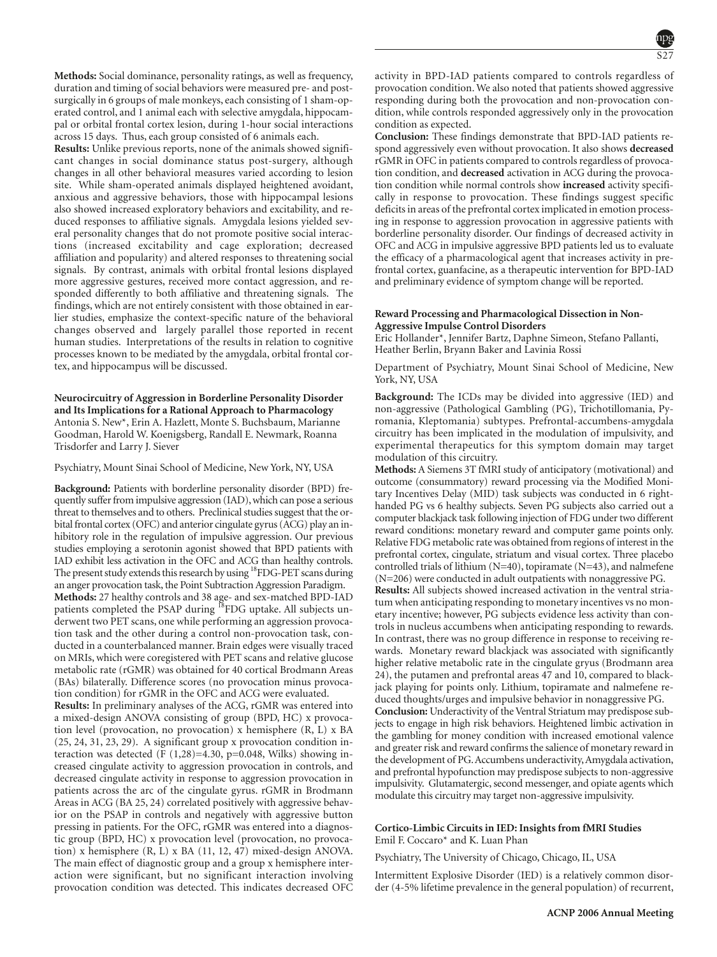**Methods:** Social dominance, personality ratings, as well as frequency, duration and timing of social behaviors were measured pre- and postsurgically in 6 groups of male monkeys, each consisting of 1 sham-operated control, and 1 animal each with selective amygdala, hippocampal or orbital frontal cortex lesion, during 1-hour social interactions across 15 days. Thus, each group consisted of 6 animals each.

**Results:** Unlike previous reports, none of the animals showed significant changes in social dominance status post-surgery, although changes in all other behavioral measures varied according to lesion site. While sham-operated animals displayed heightened avoidant, anxious and aggressive behaviors, those with hippocampal lesions also showed increased exploratory behaviors and excitability, and reduced responses to affiliative signals. Amygdala lesions yielded several personality changes that do not promote positive social interactions (increased excitability and cage exploration; decreased affiliation and popularity) and altered responses to threatening social signals. By contrast, animals with orbital frontal lesions displayed more aggressive gestures, received more contact aggression, and responded differently to both affiliative and threatening signals. The findings, which are not entirely consistent with those obtained in earlier studies, emphasize the context-specific nature of the behavioral changes observed and largely parallel those reported in recent human studies. Interpretations of the results in relation to cognitive processes known to be mediated by the amygdala, orbital frontal cortex, and hippocampus will be discussed.

**Neurocircuitry of Aggression in Borderline Personality Disorder and Its Implications for a Rational Approach to Pharmacology** Antonia S. New\*, Erin A. Hazlett, Monte S. Buchsbaum, Marianne Goodman, Harold W. Koenigsberg, Randall E. Newmark, Roanna Trisdorfer and Larry J. Siever

Psychiatry, Mount Sinai School of Medicine, New York, NY, USA

**Background:** Patients with borderline personality disorder (BPD) frequently suffer from impulsive aggression (IAD), which can pose a serious threat to themselves and to others. Preclinical studies suggest that the orbital frontal cortex (OFC) and anterior cingulate gyrus (ACG) play an inhibitory role in the regulation of impulsive aggression. Our previous studies employing a serotonin agonist showed that BPD patients with IAD exhibit less activation in the OFC and ACG than healthy controls. The present study extends this research by using <sup>18</sup>FDG-PET scans during an anger provocation task, the Point Subtraction Aggression Paradigm. **Methods:** 27 healthy controls and 38 age- and sex-matched BPD-IAD patients completed the PSAP during <sup>18</sup>FDG uptake. All subjects underwent two PET scans, one while performing an aggression provocation task and the other during a control non-provocation task, conducted in a counterbalanced manner. Brain edges were visually traced on MRIs, which were coregistered with PET scans and relative glucose metabolic rate (rGMR) was obtained for 40 cortical Brodmann Areas (BAs) bilaterally. Difference scores (no provocation minus provocation condition) for rGMR in the OFC and ACG were evaluated. **Results:** In preliminary analyses of the ACG, rGMR was entered into a mixed-design ANOVA consisting of group (BPD, HC) x provocation level (provocation, no provocation) x hemisphere (R, L) x BA (25, 24, 31, 23, 29). A significant group x provocation condition interaction was detected  $(F (1,28)=4.30, p=0.048,$  Wilks) showing increased cingulate activity to aggression provocation in controls, and decreased cingulate activity in response to aggression provocation in patients across the arc of the cingulate gyrus. rGMR in Brodmann Areas in ACG (BA 25, 24) correlated positively with aggressive behavior on the PSAP in controls and negatively with aggressive button pressing in patients. For the OFC, rGMR was entered into a diagnos-

tic group (BPD, HC) x provocation level (provocation, no provocation) x hemisphere (R, L) x BA (11, 12, 47) mixed-design ANOVA. The main effect of diagnostic group and a group x hemisphere interaction were significant, but no significant interaction involving provocation condition was detected. This indicates decreased OFC

activity in BPD-IAD patients compared to controls regardless of provocation condition. We also noted that patients showed aggressive responding during both the provocation and non-provocation condition, while controls responded aggressively only in the provocation condition as expected.

**Conclusion:** These findings demonstrate that BPD-IAD patients respond aggressively even without provocation. It also shows **decreased** rGMR in OFC in patients compared to controls regardless of provocation condition, and **decreased** activation in ACG during the provocation condition while normal controls show **increased** activity specifically in response to provocation. These findings suggest specific deficits in areas of the prefrontal cortex implicated in emotion processing in response to aggression provocation in aggressive patients with borderline personality disorder. Our findings of decreased activity in OFC and ACG in impulsive aggressive BPD patients led us to evaluate the efficacy of a pharmacological agent that increases activity in prefrontal cortex, guanfacine, as a therapeutic intervention for BPD-IAD and preliminary evidence of symptom change will be reported.

### **Reward Processing and Pharmacological Dissection in Non-Aggressive Impulse Control Disorders**

Eric Hollander\*, Jennifer Bartz, Daphne Simeon, Stefano Pallanti, Heather Berlin, Bryann Baker and Lavinia Rossi

Department of Psychiatry, Mount Sinai School of Medicine, New York, NY, USA

**Background:** The ICDs may be divided into aggressive (IED) and non-aggressive (Pathological Gambling (PG), Trichotillomania, Pyromania, Kleptomania) subtypes. Prefrontal-accumbens-amygdala circuitry has been implicated in the modulation of impulsivity, and experimental therapeutics for this symptom domain may target modulation of this circuitry.

**Methods:** A Siemens 3T fMRI study of anticipatory (motivational) and outcome (consummatory) reward processing via the Modified Monitary Incentives Delay (MID) task subjects was conducted in 6 righthanded PG vs 6 healthy subjects. Seven PG subjects also carried out a computer blackjack task following injection of FDG under two different reward conditions: monetary reward and computer game points only. Relative FDG metabolic rate was obtained from regions of interest in the prefrontal cortex, cingulate, striatum and visual cortex. Three placebo controlled trials of lithium  $(N=40)$ , topiramate  $(N=43)$ , and nalmefene (N=206) were conducted in adult outpatients with nonaggressive PG.

**Results:** All subjects showed increased activation in the ventral striatum when anticipating responding to monetary incentives vs no monetary incentive; however, PG subjects evidence less activity than controls in nucleus accumbens when anticipating responding to rewards. In contrast, there was no group difference in response to receiving rewards. Monetary reward blackjack was associated with significantly higher relative metabolic rate in the cingulate gryus (Brodmann area 24), the putamen and prefrontal areas 47 and 10, compared to blackjack playing for points only. Lithium, topiramate and nalmefene reduced thoughts/urges and impulsive behavior in nonaggressive PG.

**Conclusion:** Underactivity of the Ventral Striatum may predispose subjects to engage in high risk behaviors. Heightened limbic activation in the gambling for money condition with increased emotional valence and greater risk and reward confirms the salience of monetary reward in the development of PG.Accumbens underactivity,Amygdala activation, and prefrontal hypofunction may predispose subjects to non-aggressive impulsivity. Glutamatergic, second messenger, and opiate agents which modulate this circuitry may target non-aggressive impulsivity.

# **Cortico-Limbic Circuits in IED: Insights from fMRI Studies** Emil F. Coccaro\* and K. Luan Phan

Psychiatry, The University of Chicago, Chicago, IL, USA

Intermittent Explosive Disorder (IED) is a relatively common disorder (4-5% lifetime prevalence in the general population) of recurrent,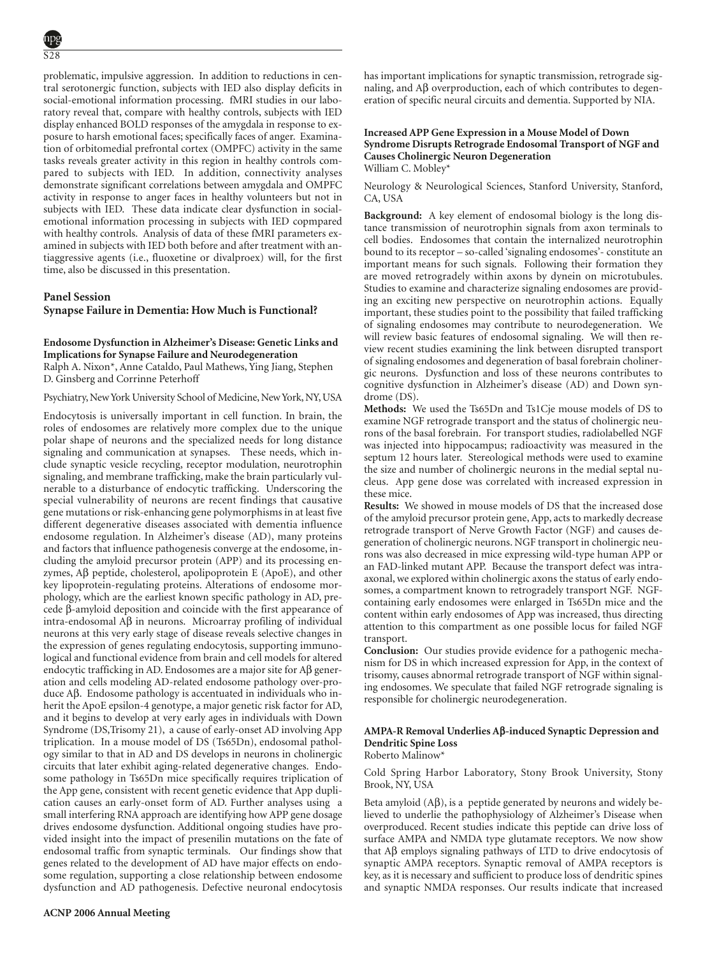

problematic, impulsive aggression. In addition to reductions in central serotonergic function, subjects with IED also display deficits in social-emotional information processing. fMRI studies in our laboratory reveal that, compare with healthy controls, subjects with IED display enhanced BOLD responses of the amygdala in response to exposure to harsh emotional faces; specifically faces of anger. Examination of orbitomedial prefrontal cortex (OMPFC) activity in the same tasks reveals greater activity in this region in healthy controls compared to subjects with IED. In addition, connectivity analyses demonstrate significant correlations between amygdala and OMPFC activity in response to anger faces in healthy volunteers but not in subjects with IED. These data indicate clear dysfunction in socialemotional information processing in subjects with IED copmpared with healthy controls. Analysis of data of these fMRI parameters examined in subjects with IED both before and after treatment with antiaggressive agents (i.e., fluoxetine or divalproex) will, for the first time, also be discussed in this presentation.

# **Panel Session**

**Synapse Failure in Dementia: How Much is Functional?**

# **Endosome Dysfunction in Alzheimer's Disease: Genetic Links and Implications for Synapse Failure and Neurodegeneration**

Ralph A. Nixon\*, Anne Cataldo, Paul Mathews, Ying Jiang, Stephen D. Ginsberg and Corrinne Peterhoff

Psychiatry, New York University School of Medicine, New York, NY, USA

Endocytosis is universally important in cell function. In brain, the roles of endosomes are relatively more complex due to the unique polar shape of neurons and the specialized needs for long distance signaling and communication at synapses. These needs, which include synaptic vesicle recycling, receptor modulation, neurotrophin signaling, and membrane trafficking, make the brain particularly vulnerable to a disturbance of endocytic trafficking. Underscoring the special vulnerability of neurons are recent findings that causative gene mutations or risk-enhancing gene polymorphisms in at least five different degenerative diseases associated with dementia influence endosome regulation. In Alzheimer's disease (AD), many proteins and factors that influence pathogenesis converge at the endosome, including the amyloid precursor protein (APP) and its processing enzymes, Aβ peptide, cholesterol, apolipoprotein E (ApoE), and other key lipoprotein-regulating proteins. Alterations of endosome morphology, which are the earliest known specific pathology in AD, precede β-amyloid deposition and coincide with the first appearance of intra-endosomal Aβ in neurons. Microarray profiling of individual neurons at this very early stage of disease reveals selective changes in the expression of genes regulating endocytosis, supporting immunological and functional evidence from brain and cell models for altered endocytic trafficking in AD. Endosomes are a major site for Aβ generation and cells modeling AD-related endosome pathology over-produce Aβ. Endosome pathology is accentuated in individuals who inherit the ApoE epsilon-4 genotype, a major genetic risk factor for AD, and it begins to develop at very early ages in individuals with Down Syndrome (DS,Trisomy 21), a cause of early-onset AD involving App triplication. In a mouse model of DS (Ts65Dn), endosomal pathology similar to that in AD and DS develops in neurons in cholinergic circuits that later exhibit aging-related degenerative changes. Endosome pathology in Ts65Dn mice specifically requires triplication of the App gene, consistent with recent genetic evidence that App duplication causes an early-onset form of AD. Further analyses using a small interfering RNA approach are identifying how APP gene dosage drives endosome dysfunction. Additional ongoing studies have provided insight into the impact of presenilin mutations on the fate of endosomal traffic from synaptic terminals. Our findings show that genes related to the development of AD have major effects on endosome regulation, supporting a close relationship between endosome dysfunction and AD pathogenesis. Defective neuronal endocytosis

**ACNP 2006 Annual Meeting**

has important implications for synaptic transmission, retrograde signaling, and Aβ overproduction, each of which contributes to degeneration of specific neural circuits and dementia. Supported by NIA.

### **Increased APP Gene Expression in a Mouse Model of Down Syndrome Disrupts Retrograde Endosomal Transport of NGF and Causes Cholinergic Neuron Degeneration** William C. Mobley\*

Neurology & Neurological Sciences, Stanford University, Stanford, CA, USA

**Background:** A key element of endosomal biology is the long distance transmission of neurotrophin signals from axon terminals to cell bodies. Endosomes that contain the internalized neurotrophin bound to its receptor – so-called 'signaling endosomes'- constitute an important means for such signals. Following their formation they are moved retrogradely within axons by dynein on microtubules. Studies to examine and characterize signaling endosomes are providing an exciting new perspective on neurotrophin actions. Equally important, these studies point to the possibility that failed trafficking of signaling endosomes may contribute to neurodegeneration. We will review basic features of endosomal signaling. We will then review recent studies examining the link between disrupted transport of signaling endosomes and degeneration of basal forebrain cholinergic neurons. Dysfunction and loss of these neurons contributes to cognitive dysfunction in Alzheimer's disease (AD) and Down syndrome (DS).

**Methods:** We used the Ts65Dn and Ts1Cje mouse models of DS to examine NGF retrograde transport and the status of cholinergic neurons of the basal forebrain. For transport studies, radiolabelled NGF was injected into hippocampus; radioactivity was measured in the septum 12 hours later. Stereological methods were used to examine the size and number of cholinergic neurons in the medial septal nucleus. App gene dose was correlated with increased expression in these mice.

**Results:** We showed in mouse models of DS that the increased dose of the amyloid precursor protein gene, App, acts to markedly decrease retrograde transport of Nerve Growth Factor (NGF) and causes degeneration of cholinergic neurons. NGF transport in cholinergic neurons was also decreased in mice expressing wild-type human APP or an FAD-linked mutant APP. Because the transport defect was intraaxonal, we explored within cholinergic axons the status of early endosomes, a compartment known to retrogradely transport NGF. NGFcontaining early endosomes were enlarged in Ts65Dn mice and the content within early endosomes of App was increased, thus directing attention to this compartment as one possible locus for failed NGF transport.

**Conclusion:** Our studies provide evidence for a pathogenic mechanism for DS in which increased expression for App, in the context of trisomy, causes abnormal retrograde transport of NGF within signaling endosomes. We speculate that failed NGF retrograde signaling is responsible for cholinergic neurodegeneration.

# **AMPA-R Removal Underlies Aβ-induced Synaptic Depression and Dendritic Spine Loss**

Roberto Malinow\*

Cold Spring Harbor Laboratory, Stony Brook University, Stony Brook, NY, USA

Beta amyloid (Aβ), is a peptide generated by neurons and widely believed to underlie the pathophysiology of Alzheimer's Disease when overproduced. Recent studies indicate this peptide can drive loss of surface AMPA and NMDA type glutamate receptors. We now show that Aβ employs signaling pathways of LTD to drive endocytosis of synaptic AMPA receptors. Synaptic removal of AMPA receptors is key, as it is necessary and sufficient to produce loss of dendritic spines and synaptic NMDA responses. Our results indicate that increased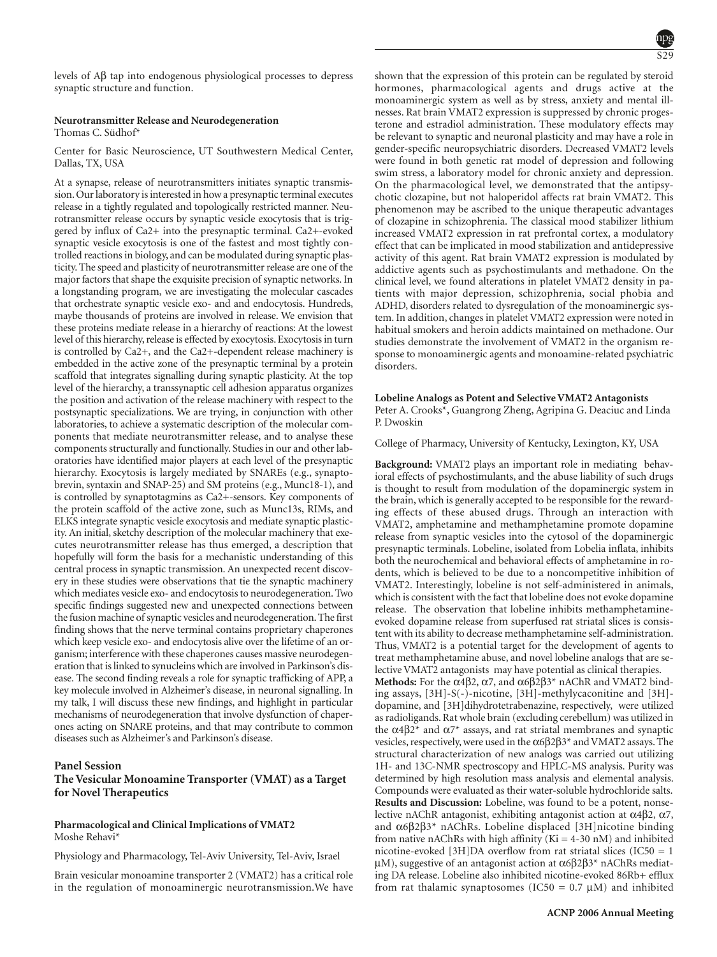levels of Aβ tap into endogenous physiological processes to depress synaptic structure and function.

#### **Neurotransmitter Release and Neurodegeneration** Thomas C. Südhof\*

Center for Basic Neuroscience, UT Southwestern Medical Center, Dallas, TX, USA

At a synapse, release of neurotransmitters initiates synaptic transmission. Our laboratory is interested in how a presynaptic terminal executes release in a tightly regulated and topologically restricted manner. Neurotransmitter release occurs by synaptic vesicle exocytosis that is triggered by influx of Ca2+ into the presynaptic terminal. Ca2+-evoked synaptic vesicle exocytosis is one of the fastest and most tightly controlled reactions in biology, and can be modulated during synaptic plasticity. The speed and plasticity of neurotransmitter release are one of the major factors that shape the exquisite precision of synaptic networks. In a longstanding program, we are investigating the molecular cascades that orchestrate synaptic vesicle exo- and and endocytosis. Hundreds, maybe thousands of proteins are involved in release. We envision that these proteins mediate release in a hierarchy of reactions: At the lowest level of this hierarchy, release is effected by exocytosis. Exocytosis in turn is controlled by Ca2+, and the Ca2+-dependent release machinery is embedded in the active zone of the presynaptic terminal by a protein scaffold that integrates signalling during synaptic plasticity. At the top level of the hierarchy, a transsynaptic cell adhesion apparatus organizes the position and activation of the release machinery with respect to the postsynaptic specializations. We are trying, in conjunction with other laboratories, to achieve a systematic description of the molecular components that mediate neurotransmitter release, and to analyse these components structurally and functionally. Studies in our and other laboratories have identified major players at each level of the presynaptic hierarchy. Exocytosis is largely mediated by SNAREs (e.g., synaptobrevin, syntaxin and SNAP-25) and SM proteins (e.g., Munc18-1), and is controlled by synaptotagmins as Ca2+-sensors. Key components of the protein scaffold of the active zone, such as Munc13s, RIMs, and ELKS integrate synaptic vesicle exocytosis and mediate synaptic plasticity. An initial, sketchy description of the molecular machinery that executes neurotransmitter release has thus emerged, a description that hopefully will form the basis for a mechanistic understanding of this central process in synaptic transmission. An unexpected recent discovery in these studies were observations that tie the synaptic machinery which mediates vesicle exo- and endocytosis to neurodegeneration. Two specific findings suggested new and unexpected connections between the fusion machine of synaptic vesicles and neurodegeneration. The first finding shows that the nerve terminal contains proprietary chaperones which keep vesicle exo- and endocytosis alive over the lifetime of an organism; interference with these chaperones causes massive neurodegeneration that is linked to synucleins which are involved in Parkinson's disease. The second finding reveals a role for synaptic trafficking of APP, a key molecule involved in Alzheimer's disease, in neuronal signalling. In my talk, I will discuss these new findings, and highlight in particular mechanisms of neurodegeneration that involve dysfunction of chaperones acting on SNARE proteins, and that may contribute to common diseases such as Alzheimer's and Parkinson's disease.

### **Panel Session**

# **The Vesicular Monoamine Transporter (VMAT) as a Target for Novel Therapeutics**

### **Pharmacological and Clinical Implications of VMAT2** Moshe Rehavi\*

Physiology and Pharmacology, Tel-Aviv University, Tel-Aviv, Israel

Brain vesicular monoamine transporter 2 (VMAT2) has a critical role in the regulation of monoaminergic neurotransmission.We have



shown that the expression of this protein can be regulated by steroid hormones, pharmacological agents and drugs active at the monoaminergic system as well as by stress, anxiety and mental illnesses. Rat brain VMAT2 expression is suppressed by chronic progesterone and estradiol administration. These modulatory effects may be relevant to synaptic and neuronal plasticity and may have a role in gender-specific neuropsychiatric disorders. Decreased VMAT2 levels were found in both genetic rat model of depression and following swim stress, a laboratory model for chronic anxiety and depression. On the pharmacological level, we demonstrated that the antipsychotic clozapine, but not haloperidol affects rat brain VMAT2. This phenomenon may be ascribed to the unique therapeutic advantages of clozapine in schizophrenia. The classical mood stabilizer lithium increased VMAT2 expression in rat prefrontal cortex, a modulatory effect that can be implicated in mood stabilization and antidepressive activity of this agent. Rat brain VMAT2 expression is modulated by addictive agents such as psychostimulants and methadone. On the clinical level, we found alterations in platelet VMAT2 density in patients with major depression, schizophrenia, social phobia and ADHD, disorders related to dysregulation of the monoaminergic system. In addition, changes in platelet VMAT2 expression were noted in habitual smokers and heroin addicts maintained on methadone. Our studies demonstrate the involvement of VMAT2 in the organism response to monoaminergic agents and monoamine-related psychiatric disorders.

#### **Lobeline Analogs as Potent and Selective VMAT2 Antagonists**

Peter A. Crooks\*, Guangrong Zheng, Agripina G. Deaciuc and Linda P. Dwoskin

College of Pharmacy, University of Kentucky, Lexington, KY, USA

**Background:** VMAT2 plays an important role in mediating behavioral effects of psychostimulants, and the abuse liability of such drugs is thought to result from modulation of the dopaminergic system in the brain, which is generally accepted to be responsible for the rewarding effects of these abused drugs. Through an interaction with VMAT2, amphetamine and methamphetamine promote dopamine release from synaptic vesicles into the cytosol of the dopaminergic presynaptic terminals. Lobeline, isolated from Lobelia inflata, inhibits both the neurochemical and behavioral effects of amphetamine in rodents, which is believed to be due to a noncompetitive inhibition of VMAT2. Interestingly, lobeline is not self-administered in animals, which is consistent with the fact that lobeline does not evoke dopamine release. The observation that lobeline inhibits methamphetamineevoked dopamine release from superfused rat striatal slices is consistent with its ability to decrease methamphetamine self-administration. Thus, VMAT2 is a potential target for the development of agents to treat methamphetamine abuse, and novel lobeline analogs that are selective VMAT2 antagonists may have potential as clinical therapies. **Methods:** For the  $\alpha$ 4β2,  $\alpha$ 7, and  $\alpha$ 6β2β3<sup>\*</sup> nAChR and VMAT2 binding assays, [3H]-S(-)-nicotine, [3H]-methylycaconitine and [3H] dopamine, and [3H]dihydrotetrabenazine, respectively, were utilized as radioligands. Rat whole brain (excluding cerebellum) was utilized in the  $α4β2*$  and  $α7*$  assays, and rat striatal membranes and synaptic vesicles, respectively, were used in the α6β2β3\* and VMAT2 assays. The structural characterization of new analogs was carried out utilizing 1H- and 13C-NMR spectroscopy and HPLC-MS analysis. Purity was determined by high resolution mass analysis and elemental analysis. Compounds were evaluated as their water-soluble hydrochloride salts. **Results and Discussion:** Lobeline, was found to be a potent, nonselective nAChR antagonist, exhibiting antagonist action at α4β2, α7, and  $\alpha$ 6β2β3<sup>\*</sup> nAChRs. Lobeline displaced [3H]nicotine binding from native nAChRs with high affinity  $(Ki = 4-30$  nM) and inhibited nicotine-evoked [3H]DA overflow from rat striatal slices (IC50 = 1 µM), suggestive of an antagonist action at α6β2β3\* nAChRs mediating DA release. Lobeline also inhibited nicotine-evoked 86Rb+ efflux from rat thalamic synaptosomes (IC50 =  $0.7 \mu$ M) and inhibited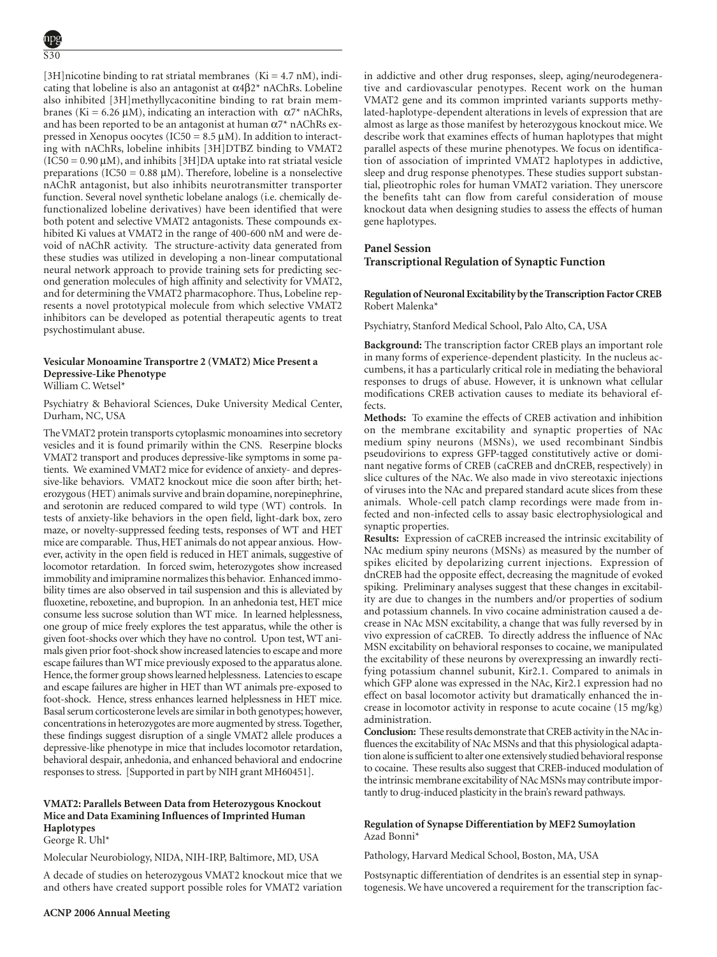[3H]nicotine binding to rat striatal membranes  $(Ki = 4.7 \text{ nM})$ , indicating that lobeline is also an antagonist at  $α4β2*$  nAChRs. Lobeline also inhibited [3H]methyllycaconitine binding to rat brain membranes (Ki = 6.26  $\mu$ M), indicating an interaction with  $\alpha$ <sup>\*</sup> nAChRs, and has been reported to be an antagonist at human  $\alpha$ <sup>\*</sup> nAChRs expressed in Xenopus oocytes ( $IC50 = 8.5 \mu M$ ). In addition to interacting with nAChRs, lobeline inhibits [3H]DTBZ binding to VMAT2  $(IC50 = 0.90 \mu M)$ , and inhibits [3H]DA uptake into rat striatal vesicle preparations (IC50 =  $0.88 \mu M$ ). Therefore, lobeline is a nonselective nAChR antagonist, but also inhibits neurotransmitter transporter function. Several novel synthetic lobelane analogs (i.e. chemically defunctionalized lobeline derivatives) have been identified that were both potent and selective VMAT2 antagonists. These compounds exhibited Ki values at VMAT2 in the range of 400-600 nM and were devoid of nAChR activity. The structure-activity data generated from these studies was utilized in developing a non-linear computational neural network approach to provide training sets for predicting second generation molecules of high affinity and selectivity for VMAT2, and for determining the VMAT2 pharmacophore. Thus, Lobeline represents a novel prototypical molecule from which selective VMAT2 inhibitors can be developed as potential therapeutic agents to treat psychostimulant abuse.

# **Vesicular Monoamine Transportre 2 (VMAT2) Mice Present a Depressive-Like Phenotype**

William C. Wetsel\*

Psychiatry & Behavioral Sciences, Duke University Medical Center, Durham, NC, USA

The VMAT2 protein transports cytoplasmic monoamines into secretory vesicles and it is found primarily within the CNS. Reserpine blocks VMAT2 transport and produces depressive-like symptoms in some patients. We examined VMAT2 mice for evidence of anxiety- and depressive-like behaviors. VMAT2 knockout mice die soon after birth; heterozygous (HET) animals survive and brain dopamine, norepinephrine, and serotonin are reduced compared to wild type (WT) controls. In tests of anxiety-like behaviors in the open field, light-dark box, zero maze, or novelty-suppressed feeding tests, responses of WT and HET mice are comparable. Thus, HET animals do not appear anxious. However, activity in the open field is reduced in HET animals, suggestive of locomotor retardation. In forced swim, heterozygotes show increased immobility and imipramine normalizes this behavior. Enhanced immobility times are also observed in tail suspension and this is alleviated by fluoxetine, reboxetine, and bupropion. In an anhedonia test, HET mice consume less sucrose solution than WT mice. In learned helplessness, one group of mice freely explores the test apparatus, while the other is given foot-shocks over which they have no control. Upon test, WT animals given prior foot-shock show increased latencies to escape and more escape failures than WT mice previously exposed to the apparatus alone. Hence, the former group shows learned helplessness. Latencies to escape and escape failures are higher in HET than WT animals pre-exposed to foot-shock. Hence, stress enhances learned helplessness in HET mice. Basal serum corticosterone levels are similar in both genotypes; however, concentrations in heterozygotes are more augmented by stress. Together, these findings suggest disruption of a single VMAT2 allele produces a depressive-like phenotype in mice that includes locomotor retardation, behavioral despair, anhedonia, and enhanced behavioral and endocrine responses to stress. [Supported in part by NIH grant MH60451].

# **VMAT2: Parallels Between Data from Heterozygous Knockout Mice and Data Examining Influences of Imprinted Human Haplotypes**

George R. Uhl\*

Molecular Neurobiology, NIDA, NIH-IRP, Baltimore, MD, USA

A decade of studies on heterozygous VMAT2 knockout mice that we and others have created support possible roles for VMAT2 variation in addictive and other drug responses, sleep, aging/neurodegenerative and cardiovascular penotypes. Recent work on the human VMAT2 gene and its common imprinted variants supports methylated-haplotype-dependent alterations in levels of expression that are almost as large as those manifest by heterozygous knockout mice. We describe work that examines effects of human haplotypes that might parallel aspects of these murine phenotypes. We focus on identification of association of imprinted VMAT2 haplotypes in addictive, sleep and drug response phenotypes. These studies support substantial, plieotrophic roles for human VMAT2 variation. They unerscore the benefits taht can flow from careful consideration of mouse knockout data when designing studies to assess the effects of human gene haplotypes.

# **Panel Session Transcriptional Regulation of Synaptic Function**

### **Regulation of Neuronal Excitability by the Transcription Factor CREB** Robert Malenka\*

Psychiatry, Stanford Medical School, Palo Alto, CA, USA

**Background:** The transcription factor CREB plays an important role in many forms of experience-dependent plasticity. In the nucleus accumbens, it has a particularly critical role in mediating the behavioral responses to drugs of abuse. However, it is unknown what cellular modifications CREB activation causes to mediate its behavioral effects.

**Methods:** To examine the effects of CREB activation and inhibition on the membrane excitability and synaptic properties of NAc medium spiny neurons (MSNs), we used recombinant Sindbis pseudovirions to express GFP-tagged constitutively active or dominant negative forms of CREB (caCREB and dnCREB, respectively) in slice cultures of the NAc. We also made in vivo stereotaxic injections of viruses into the NAc and prepared standard acute slices from these animals. Whole-cell patch clamp recordings were made from infected and non-infected cells to assay basic electrophysiological and synaptic properties.

**Results:** Expression of caCREB increased the intrinsic excitability of NAc medium spiny neurons (MSNs) as measured by the number of spikes elicited by depolarizing current injections. Expression of dnCREB had the opposite effect, decreasing the magnitude of evoked spiking. Preliminary analyses suggest that these changes in excitability are due to changes in the numbers and/or properties of sodium and potassium channels. In vivo cocaine administration caused a decrease in NAc MSN excitability, a change that was fully reversed by in vivo expression of caCREB. To directly address the influence of NAc MSN excitability on behavioral responses to cocaine, we manipulated the excitability of these neurons by overexpressing an inwardly rectifying potassium channel subunit, Kir2.1. Compared to animals in which GFP alone was expressed in the NAc, Kir2.1 expression had no effect on basal locomotor activity but dramatically enhanced the increase in locomotor activity in response to acute cocaine (15 mg/kg) administration.

**Conclusion:** These results demonstrate that CREB activity in the NAc influences the excitability of NAc MSNs and that this physiological adaptation alone is sufficient to alter one extensively studied behavioral response to cocaine. These results also suggest that CREB-induced modulation of the intrinsic membrane excitability of NAc MSNs may contribute importantly to drug-induced plasticity in the brain's reward pathways.

# **Regulation of Synapse Differentiation by MEF2 Sumoylation** Azad Bonni\*

Pathology, Harvard Medical School, Boston, MA, USA

Postsynaptic differentiation of dendrites is an essential step in synaptogenesis. We have uncovered a requirement for the transcription fac-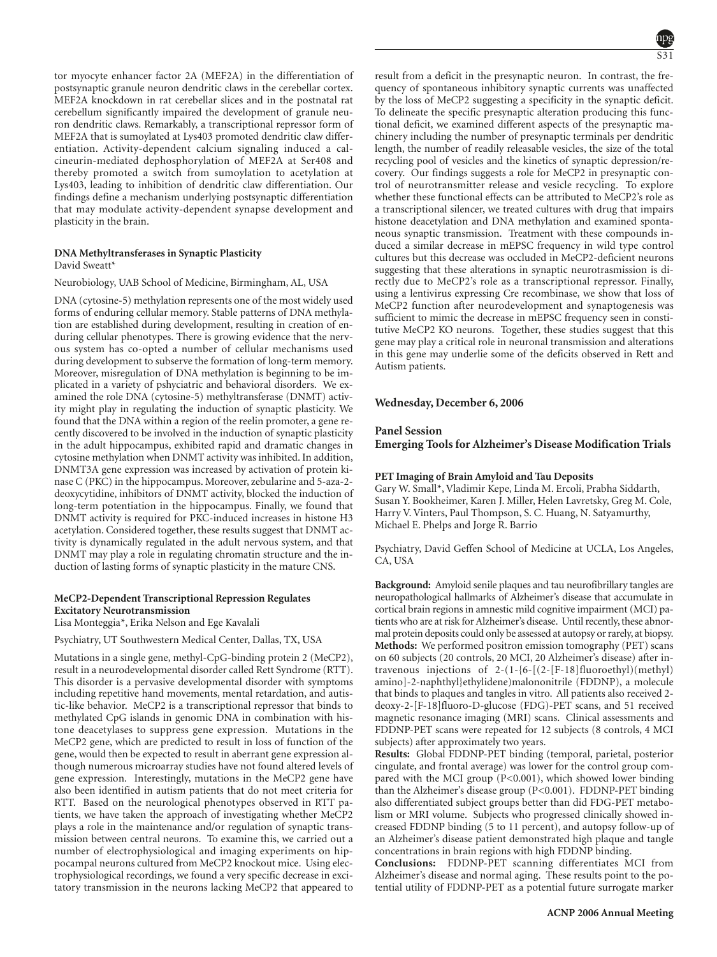tor myocyte enhancer factor 2A (MEF2A) in the differentiation of postsynaptic granule neuron dendritic claws in the cerebellar cortex. MEF2A knockdown in rat cerebellar slices and in the postnatal rat cerebellum significantly impaired the development of granule neuron dendritic claws. Remarkably, a transcriptional repressor form of MEF2A that is sumoylated at Lys403 promoted dendritic claw differentiation. Activity-dependent calcium signaling induced a calcineurin-mediated dephosphorylation of MEF2A at Ser408 and thereby promoted a switch from sumoylation to acetylation at Lys403, leading to inhibition of dendritic claw differentiation. Our findings define a mechanism underlying postsynaptic differentiation that may modulate activity-dependent synapse development and plasticity in the brain.

### **DNA Methyltransferases in Synaptic Plasticity**

David Sweatt\*

Neurobiology, UAB School of Medicine, Birmingham, AL, USA

DNA (cytosine-5) methylation represents one of the most widely used forms of enduring cellular memory. Stable patterns of DNA methylation are established during development, resulting in creation of enduring cellular phenotypes. There is growing evidence that the nervous system has co-opted a number of cellular mechanisms used during development to subserve the formation of long-term memory. Moreover, misregulation of DNA methylation is beginning to be implicated in a variety of pshyciatric and behavioral disorders. We examined the role DNA (cytosine-5) methyltransferase (DNMT) activity might play in regulating the induction of synaptic plasticity. We found that the DNA within a region of the reelin promoter, a gene recently discovered to be involved in the induction of synaptic plasticity in the adult hippocampus, exhibited rapid and dramatic changes in cytosine methylation when DNMT activity was inhibited. In addition, DNMT3A gene expression was increased by activation of protein kinase C (PKC) in the hippocampus. Moreover, zebularine and 5-aza-2 deoxycytidine, inhibitors of DNMT activity, blocked the induction of long-term potentiation in the hippocampus. Finally, we found that DNMT activity is required for PKC-induced increases in histone H3 acetylation. Considered together, these results suggest that DNMT activity is dynamically regulated in the adult nervous system, and that DNMT may play a role in regulating chromatin structure and the induction of lasting forms of synaptic plasticity in the mature CNS.

### **MeCP2-Dependent Transcriptional Repression Regulates Excitatory Neurotransmission**

Lisa Monteggia\*, Erika Nelson and Ege Kavalali

Psychiatry, UT Southwestern Medical Center, Dallas, TX, USA

Mutations in a single gene, methyl-CpG-binding protein 2 (MeCP2), result in a neurodevelopmental disorder called Rett Syndrome (RTT). This disorder is a pervasive developmental disorder with symptoms including repetitive hand movements, mental retardation, and autistic-like behavior. MeCP2 is a transcriptional repressor that binds to methylated CpG islands in genomic DNA in combination with histone deacetylases to suppress gene expression. Mutations in the MeCP2 gene, which are predicted to result in loss of function of the gene, would then be expected to result in aberrant gene expression although numerous microarray studies have not found altered levels of gene expression. Interestingly, mutations in the MeCP2 gene have also been identified in autism patients that do not meet criteria for RTT. Based on the neurological phenotypes observed in RTT patients, we have taken the approach of investigating whether MeCP2 plays a role in the maintenance and/or regulation of synaptic transmission between central neurons. To examine this, we carried out a number of electrophysiological and imaging experiments on hippocampal neurons cultured from MeCP2 knockout mice. Using electrophysiological recordings, we found a very specific decrease in excitatory transmission in the neurons lacking MeCP2 that appeared to

result from a deficit in the presynaptic neuron. In contrast, the frequency of spontaneous inhibitory synaptic currents was unaffected by the loss of MeCP2 suggesting a specificity in the synaptic deficit. To delineate the specific presynaptic alteration producing this functional deficit, we examined different aspects of the presynaptic machinery including the number of presynaptic terminals per dendritic length, the number of readily releasable vesicles, the size of the total recycling pool of vesicles and the kinetics of synaptic depression/recovery. Our findings suggests a role for MeCP2 in presynaptic control of neurotransmitter release and vesicle recycling. To explore whether these functional effects can be attributed to MeCP2's role as a transcriptional silencer, we treated cultures with drug that impairs histone deacetylation and DNA methylation and examined spontaneous synaptic transmission. Treatment with these compounds induced a similar decrease in mEPSC frequency in wild type control cultures but this decrease was occluded in MeCP2-deficient neurons suggesting that these alterations in synaptic neurotrasmission is directly due to MeCP2's role as a transcriptional repressor. Finally, using a lentivirus expressing Cre recombinase, we show that loss of MeCP2 function after neurodevelopment and synaptogenesis was sufficient to mimic the decrease in mEPSC frequency seen in constitutive MeCP2 KO neurons. Together, these studies suggest that this gene may play a critical role in neuronal transmission and alterations in this gene may underlie some of the deficits observed in Rett and Autism patients.

# **Wednesday, December 6, 2006**

### **Panel Session**

**Emerging Tools for Alzheimer's Disease Modification Trials**

### **PET Imaging of Brain Amyloid and Tau Deposits**

Gary W. Small\*, Vladimir Kepe, Linda M. Ercoli, Prabha Siddarth, Susan Y. Bookheimer, Karen J. Miller, Helen Lavretsky, Greg M. Cole, Harry V. Vinters, Paul Thompson, S. C. Huang, N. Satyamurthy, Michael E. Phelps and Jorge R. Barrio

Psychiatry, David Geffen School of Medicine at UCLA, Los Angeles, CA, USA

**Background:** Amyloid senile plaques and tau neurofibrillary tangles are neuropathological hallmarks of Alzheimer's disease that accumulate in cortical brain regions in amnestic mild cognitive impairment (MCI) patients who are at risk for Alzheimer's disease. Until recently, these abnormal protein deposits could only be assessed at autopsy or rarely, at biopsy. **Methods:** We performed positron emission tomography (PET) scans on 60 subjects (20 controls, 20 MCI, 20 Alzheimer's disease) after intravenous injections of  $2-(1-\{6-\lceil(2-\lceil F-18\rceil\}-100))$  (methyl) amino]-2-naphthyl}ethylidene)malononitrile (FDDNP), a molecule that binds to plaques and tangles in vitro. All patients also received 2 deoxy-2-[F-18]fluoro-D-glucose (FDG)-PET scans, and 51 received magnetic resonance imaging (MRI) scans. Clinical assessments and FDDNP-PET scans were repeated for 12 subjects (8 controls, 4 MCI subjects) after approximately two years.

**Results:** Global FDDNP-PET binding (temporal, parietal, posterior cingulate, and frontal average) was lower for the control group compared with the MCI group (P<0.001), which showed lower binding than the Alzheimer's disease group (P<0.001). FDDNP-PET binding also differentiated subject groups better than did FDG-PET metabolism or MRI volume. Subjects who progressed clinically showed increased FDDNP binding (5 to 11 percent), and autopsy follow-up of an Alzheimer's disease patient demonstrated high plaque and tangle concentrations in brain regions with high FDDNP binding.

**Conclusions:** FDDNP-PET scanning differentiates MCI from Alzheimer's disease and normal aging. These results point to the potential utility of FDDNP-PET as a potential future surrogate marker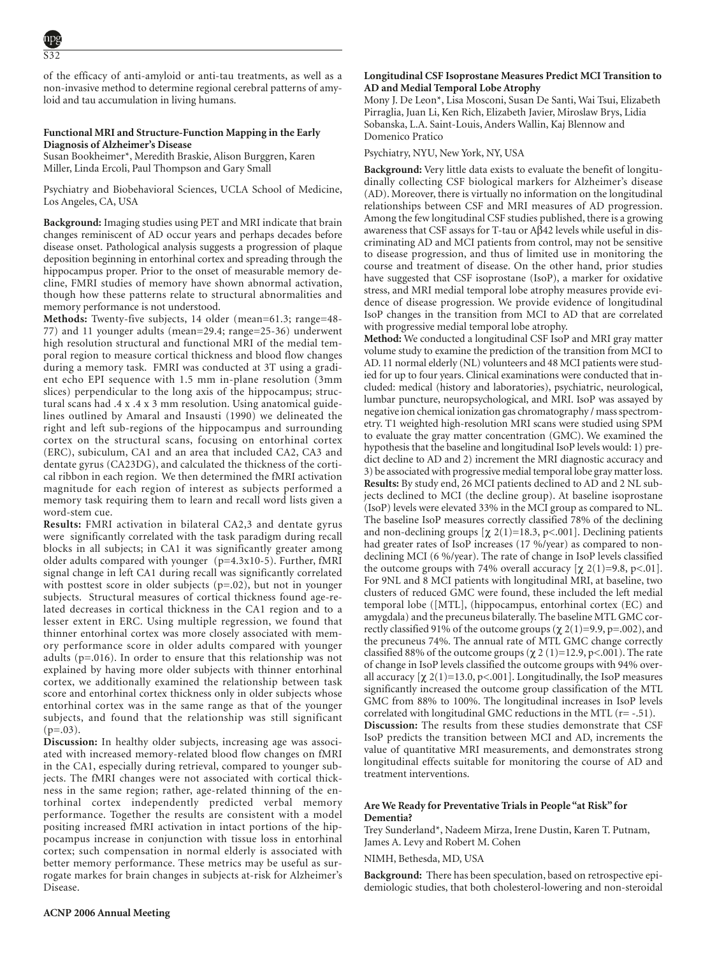of the efficacy of anti-amyloid or anti-tau treatments, as well as a non-invasive method to determine regional cerebral patterns of amyloid and tau accumulation in living humans.

# **Functional MRI and Structure-Function Mapping in the Early Diagnosis of Alzheimer's Disease**

Susan Bookheimer\*, Meredith Braskie, Alison Burggren, Karen Miller, Linda Ercoli, Paul Thompson and Gary Small

Psychiatry and Biobehavioral Sciences, UCLA School of Medicine, Los Angeles, CA, USA

**Background:** Imaging studies using PET and MRI indicate that brain changes reminiscent of AD occur years and perhaps decades before disease onset. Pathological analysis suggests a progression of plaque deposition beginning in entorhinal cortex and spreading through the hippocampus proper. Prior to the onset of measurable memory decline, FMRI studies of memory have shown abnormal activation, though how these patterns relate to structural abnormalities and memory performance is not understood.

**Methods:** Twenty-five subjects, 14 older (mean=61.3; range=48- 77) and 11 younger adults (mean=29.4; range=25-36) underwent high resolution structural and functional MRI of the medial temporal region to measure cortical thickness and blood flow changes during a memory task. FMRI was conducted at 3T using a gradient echo EPI sequence with 1.5 mm in-plane resolution (3mm slices) perpendicular to the long axis of the hippocampus; structural scans had .4 x .4 x 3 mm resolution. Using anatomical guidelines outlined by Amaral and Insausti (1990) we delineated the right and left sub-regions of the hippocampus and surrounding cortex on the structural scans, focusing on entorhinal cortex (ERC), subiculum, CA1 and an area that included CA2, CA3 and dentate gyrus (CA23DG), and calculated the thickness of the cortical ribbon in each region. We then determined the fMRI activation magnitude for each region of interest as subjects performed a memory task requiring them to learn and recall word lists given a word-stem cue.

**Results:** FMRI activation in bilateral CA2,3 and dentate gyrus were significantly correlated with the task paradigm during recall blocks in all subjects; in CA1 it was significantly greater among older adults compared with younger  $(p=4.3x10-5)$ . Further, fMRI signal change in left CA1 during recall was significantly correlated with posttest score in older subjects (p=.02), but not in younger subjects. Structural measures of cortical thickness found age-related decreases in cortical thickness in the CA1 region and to a lesser extent in ERC. Using multiple regression, we found that thinner entorhinal cortex was more closely associated with memory performance score in older adults compared with younger adults (p=.016). In order to ensure that this relationship was not explained by having more older subjects with thinner entorhinal cortex, we additionally examined the relationship between task score and entorhinal cortex thickness only in older subjects whose entorhinal cortex was in the same range as that of the younger subjects, and found that the relationship was still significant  $(p=.03)$ .

**Discussion:** In healthy older subjects, increasing age was associated with increased memory-related blood flow changes on fMRI in the CA1, especially during retrieval, compared to younger subjects. The fMRI changes were not associated with cortical thickness in the same region; rather, age-related thinning of the entorhinal cortex independently predicted verbal memory performance. Together the results are consistent with a model positing increased fMRI activation in intact portions of the hippocampus increase in conjunction with tissue loss in entorhinal cortex; such compensation in normal elderly is associated with better memory performance. These metrics may be useful as surrogate markes for brain changes in subjects at-risk for Alzheimer's Disease.

## **Longitudinal CSF Isoprostane Measures Predict MCI Transition to AD and Medial Temporal Lobe Atrophy**

Mony J. De Leon\*, Lisa Mosconi, Susan De Santi, Wai Tsui, Elizabeth Pirraglia, Juan Li, Ken Rich, Elizabeth Javier, Miroslaw Brys, Lidia Sobanska, L.A. Saint-Louis, Anders Wallin, Kaj Blennow and Domenico Pratico

# Psychiatry, NYU, New York, NY, USA

**Background:** Very little data exists to evaluate the benefit of longitudinally collecting CSF biological markers for Alzheimer's disease (AD). Moreover, there is virtually no information on the longitudinal relationships between CSF and MRI measures of AD progression. Among the few longitudinal CSF studies published, there is a growing awareness that CSF assays for T-tau or Aβ42 levels while useful in discriminating AD and MCI patients from control, may not be sensitive to disease progression, and thus of limited use in monitoring the course and treatment of disease. On the other hand, prior studies have suggested that CSF isoprostane (IsoP), a marker for oxidative stress, and MRI medial temporal lobe atrophy measures provide evidence of disease progression. We provide evidence of longitudinal IsoP changes in the transition from MCI to AD that are correlated with progressive medial temporal lobe atrophy.

**Method:** We conducted a longitudinal CSF IsoP and MRI gray matter volume study to examine the prediction of the transition from MCI to AD. 11 normal elderly (NL) volunteers and 48 MCI patients were studied for up to four years. Clinical examinations were conducted that included: medical (history and laboratories), psychiatric, neurological, lumbar puncture, neuropsychological, and MRI. IsoP was assayed by negative ion chemical ionization gas chromatography / mass spectrometry. T1 weighted high-resolution MRI scans were studied using SPM to evaluate the gray matter concentration (GMC). We examined the hypothesis that the baseline and longitudinal IsoP levels would: 1) predict decline to AD and 2) increment the MRI diagnostic accuracy and 3) be associated with progressive medial temporal lobe gray matter loss. **Results:** By study end, 26 MCI patients declined to AD and 2 NL subjects declined to MCI (the decline group). At baseline isoprostane (IsoP) levels were elevated 33% in the MCI group as compared to NL. The baseline IsoP measures correctly classified 78% of the declining and non-declining groups  $[\chi 2(1) = 18.3, \text{ p} < .001]$ . Declining patients had greater rates of IsoP increases (17 %/year) as compared to nondeclining MCI (6 %/year). The rate of change in IsoP levels classified the outcome groups with 74% overall accuracy  $[\chi 2(1)=9.8, \text{ p}<-10.01]$ . For 9NL and 8 MCI patients with longitudinal MRI, at baseline, two clusters of reduced GMC were found, these included the left medial temporal lobe ([MTL], (hippocampus, entorhinal cortex (EC) and amygdala) and the precuneus bilaterally. The baseline MTL GMC correctly classified 91% of the outcome groups ( $\chi$  2(1)=9.9, p=.002), and the precuneus 74%. The annual rate of MTL GMC change correctly classified 88% of the outcome groups ( $\chi$  2 (1)=12.9, p<.001). The rate of change in IsoP levels classified the outcome groups with 94% overall accuracy  $[\chi 2(1) = 13.0, p < .001]$ . Longitudinally, the IsoP measures significantly increased the outcome group classification of the MTL GMC from 88% to 100%. The longitudinal increases in IsoP levels correlated with longitudinal GMC reductions in the MTL (r= -.51). **Discussion:** The results from these studies demonstrate that CSF IsoP predicts the transition between MCI and AD, increments the value of quantitative MRI measurements, and demonstrates strong longitudinal effects suitable for monitoring the course of AD and treatment interventions.

# **Are We Ready for Preventative Trials in People "at Risk" for Dementia?**

Trey Sunderland\*, Nadeem Mirza, Irene Dustin, Karen T. Putnam, James A. Levy and Robert M. Cohen

### NIMH, Bethesda, MD, USA

**Background:** There has been speculation, based on retrospective epidemiologic studies, that both cholesterol-lowering and non-steroidal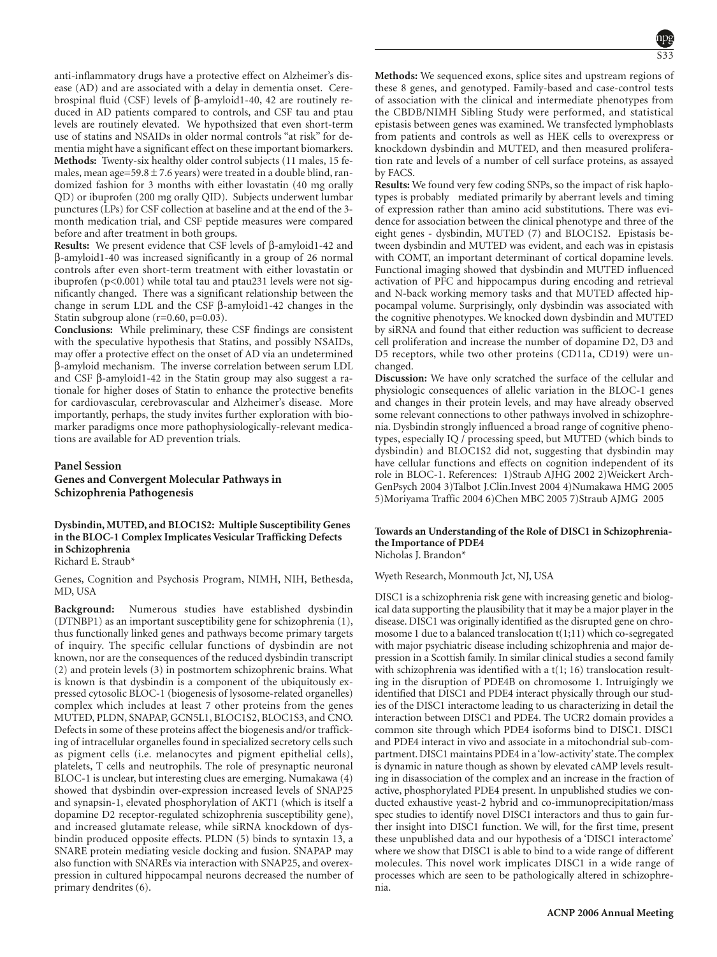anti-inflammatory drugs have a protective effect on Alzheimer's disease (AD) and are associated with a delay in dementia onset. Cerebrospinal fluid (CSF) levels of β-amyloid1-40, 42 are routinely reduced in AD patients compared to controls, and CSF tau and ptau levels are routinely elevated. We hypothsized that even short-term use of statins and NSAIDs in older normal controls "at risk" for dementia might have a significant effect on these important biomarkers. **Methods:** Twenty-six healthy older control subjects (11 males, 15 females, mean age=59.8  $\pm$  7.6 years) were treated in a double blind, randomized fashion for 3 months with either lovastatin (40 mg orally QD) or ibuprofen (200 mg orally QID). Subjects underwent lumbar punctures (LPs) for CSF collection at baseline and at the end of the 3 month medication trial, and CSF peptide measures were compared before and after treatment in both groups.

**Results:** We present evidence that CSF levels of β-amyloid1-42 and β-amyloid1-40 was increased significantly in a group of 26 normal controls after even short-term treatment with either lovastatin or ibuprofen (p<0.001) while total tau and ptau231 levels were not significantly changed. There was a significant relationship between the change in serum LDL and the CSF β-amyloid1-42 changes in the Statin subgroup alone (r=0.60, p=0.03).

**Conclusions:** While preliminary, these CSF findings are consistent with the speculative hypothesis that Statins, and possibly NSAIDs, may offer a protective effect on the onset of AD via an undetermined β-amyloid mechanism. The inverse correlation between serum LDL and CSF β-amyloid1-42 in the Statin group may also suggest a rationale for higher doses of Statin to enhance the protective benefits for cardiovascular, cerebrovascular and Alzheimer's disease. More importantly, perhaps, the study invites further exploration with biomarker paradigms once more pathophysiologically-relevant medications are available for AD prevention trials.

# **Panel Session Genes and Convergent Molecular Pathways in Schizophrenia Pathogenesis**

### **Dysbindin, MUTED, and BLOC1S2: Multiple Susceptibility Genes in the BLOC-1 Complex Implicates Vesicular Trafficking Defects in Schizophrenia** Richard E. Straub\*

Genes, Cognition and Psychosis Program, NIMH, NIH, Bethesda, MD, USA

**Background:** Numerous studies have established dysbindin (DTNBP1) as an important susceptibility gene for schizophrenia (1), thus functionally linked genes and pathways become primary targets of inquiry. The specific cellular functions of dysbindin are not known, nor are the consequences of the reduced dysbindin transcript (2) and protein levels (3) in postmortem schizophrenic brains. What is known is that dysbindin is a component of the ubiquitously expressed cytosolic BLOC-1 (biogenesis of lysosome-related organelles) complex which includes at least 7 other proteins from the genes MUTED, PLDN, SNAPAP, GCN5L1, BLOC1S2, BLOC1S3, and CNO. Defects in some of these proteins affect the biogenesis and/or trafficking of intracellular organelles found in specialized secretory cells such as pigment cells (i.e. melanocytes and pigment epithelial cells), platelets, T cells and neutrophils. The role of presynaptic neuronal BLOC-1 is unclear, but interesting clues are emerging. Numakawa (4) showed that dysbindin over-expression increased levels of SNAP25 and synapsin-1, elevated phosphorylation of AKT1 (which is itself a dopamine D2 receptor-regulated schizophrenia susceptibility gene), and increased glutamate release, while siRNA knockdown of dysbindin produced opposite effects. PLDN (5) binds to syntaxin 13, a SNARE protein mediating vesicle docking and fusion. SNAPAP may also function with SNAREs via interaction with SNAP25, and overexpression in cultured hippocampal neurons decreased the number of primary dendrites (6).

**Methods:** We sequenced exons, splice sites and upstream regions of these 8 genes, and genotyped. Family-based and case-control tests of association with the clinical and intermediate phenotypes from the CBDB/NIMH Sibling Study were performed, and statistical epistasis between genes was examined. We transfected lymphoblasts from patients and controls as well as HEK cells to overexpress or knockdown dysbindin and MUTED, and then measured proliferation rate and levels of a number of cell surface proteins, as assayed by FACS.

**Results:** We found very few coding SNPs, so the impact of risk haplotypes is probably mediated primarily by aberrant levels and timing of expression rather than amino acid substitutions. There was evidence for association between the clinical phenotype and three of the eight genes - dysbindin, MUTED (7) and BLOC1S2. Epistasis between dysbindin and MUTED was evident, and each was in epistasis with COMT, an important determinant of cortical dopamine levels. Functional imaging showed that dysbindin and MUTED influenced activation of PFC and hippocampus during encoding and retrieval and N-back working memory tasks and that MUTED affected hippocampal volume. Surprisingly, only dysbindin was associated with the cognitive phenotypes. We knocked down dysbindin and MUTED by siRNA and found that either reduction was sufficient to decrease cell proliferation and increase the number of dopamine D2, D3 and D5 receptors, while two other proteins (CD11a, CD19) were unchanged.

**Discussion:** We have only scratched the surface of the cellular and physiologic consequences of allelic variation in the BLOC-1 genes and changes in their protein levels, and may have already observed some relevant connections to other pathways involved in schizophrenia. Dysbindin strongly influenced a broad range of cognitive phenotypes, especially IQ / processing speed, but MUTED (which binds to dysbindin) and BLOC1S2 did not, suggesting that dysbindin may have cellular functions and effects on cognition independent of its role in BLOC-1. References: 1)Straub AJHG 2002 2)Weickert Arch-GenPsych 2004 3)Talbot J.Clin.Invest 2004 4)Numakawa HMG 2005 5)Moriyama Traffic 2004 6)Chen MBC 2005 7)Straub AJMG 2005

# **Towards an Understanding of the Role of DISC1 in Schizophreniathe Importance of PDE4**

Nicholas J. Brandon\*

Wyeth Research, Monmouth Jct, NJ, USA

DISC1 is a schizophrenia risk gene with increasing genetic and biological data supporting the plausibility that it may be a major player in the disease. DISC1 was originally identified as the disrupted gene on chromosome 1 due to a balanced translocation t(1;11) which co-segregated with major psychiatric disease including schizophrenia and major depression in a Scottish family. In similar clinical studies a second family with schizophrenia was identified with a t(1; 16) translocation resulting in the disruption of PDE4B on chromosome 1. Intruigingly we identified that DISC1 and PDE4 interact physically through our studies of the DISC1 interactome leading to us characterizing in detail the interaction between DISC1 and PDE4. The UCR2 domain provides a common site through which PDE4 isoforms bind to DISC1. DISC1 and PDE4 interact in vivo and associate in a mitochondrial sub-compartment. DISC1 maintains PDE4 in a'low-activity' state. The complex is dynamic in nature though as shown by elevated cAMP levels resulting in disassociation of the complex and an increase in the fraction of active, phosphorylated PDE4 present. In unpublished studies we conducted exhaustive yeast-2 hybrid and co-immunoprecipitation/mass spec studies to identify novel DISC1 interactors and thus to gain further insight into DISC1 function. We will, for the first time, present these unpublished data and our hypothesis of a 'DISC1 interactome' where we show that DISC1 is able to bind to a wide range of different molecules. This novel work implicates DISC1 in a wide range of processes which are seen to be pathologically altered in schizophrenia.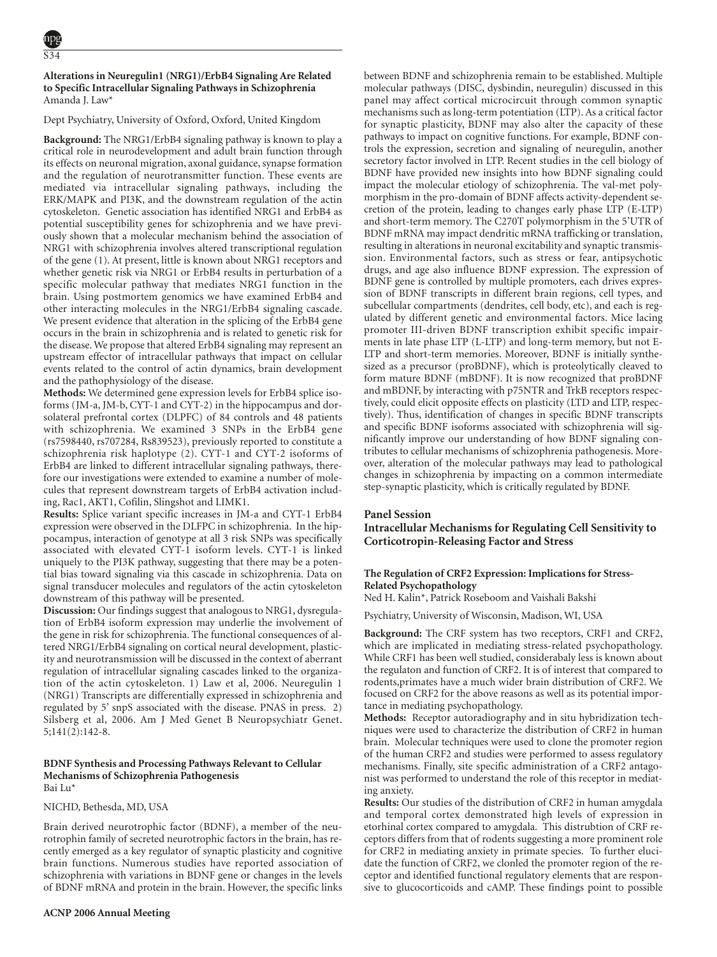**Alterations in Neuregulin1 (NRG1)/ErbB4 Signaling Are Related to Specific Intracellular Signaling Pathways in Schizophrenia** Amanda J. Law\*

### Dept Psychiatry, University of Oxford, Oxford, United Kingdom

**Background:** The NRG1/ErbB4 signaling pathway is known to play a critical role in neurodevelopment and adult brain function through its effects on neuronal migration, axonal guidance, synapse formation and the regulation of neurotransmitter function. These events are mediated via intracellular signaling pathways, including the ERK/MAPK and PI3K, and the downstream regulation of the actin cytoskeleton. Genetic association has identified NRG1 and ErbB4 as potential susceptibility genes for schizophrenia and we have previously shown that a molecular mechanism behind the association of NRG1 with schizophrenia involves altered transcriptional regulation of the gene (1). At present, little is known about NRG1 receptors and whether genetic risk via NRG1 or ErbB4 results in perturbation of a specific molecular pathway that mediates NRG1 function in the brain. Using postmortem genomics we have examined ErbB4 and other interacting molecules in the NRG1/ErbB4 signaling cascade. We present evidence that alteration in the splicing of the ErbB4 gene occurs in the brain in schizophrenia and is related to genetic risk for the disease. We propose that altered ErbB4 signaling may represent an upstream effector of intracellular pathways that impact on cellular events related to the control of actin dynamics, brain development and the pathophysiology of the disease.

**Methods:** We determined gene expression levels for ErbB4 splice isoforms (JM-a, JM-b, CYT-1 and CYT-2) in the hippocampus and dorsolateral prefrontal cortex (DLPFC) of 84 controls and 48 patients with schizophrenia. We examined 3 SNPs in the ErbB4 gene (rs7598440, rs707284, Rs839523), previously reported to constitute a schizophrenia risk haplotype (2). CYT-1 and CYT-2 isoforms of ErbB4 are linked to different intracellular signaling pathways, therefore our investigations were extended to examine a number of molecules that represent downstream targets of ErbB4 activation including, Rac1, AKT1, Cofilin, Slingshot and LIMK1.

**Results:** Splice variant specific increases in JM-a and CYT-1 ErbB4 expression were observed in the DLFPC in schizophrenia. In the hippocampus, interaction of genotype at all 3 risk SNPs was specifically associated with elevated CYT-1 isoform levels. CYT-1 is linked uniquely to the PI3K pathway, suggesting that there may be a potential bias toward signaling via this cascade in schizophrenia. Data on signal transducer molecules and regulators of the actin cytoskeleton downstream of this pathway will be presented.

**Discussion:** Our findings suggest that analogous to NRG1, dysregulation of ErbB4 isoform expression may underlie the involvement of the gene in risk for schizophrenia. The functional consequences of altered NRG1/ErbB4 signaling on cortical neural development, plasticity and neurotransmission will be discussed in the context of aberrant regulation of intracellular signaling cascades linked to the organization of the actin cytoskeleton. 1) Law et al, 2006. Neuregulin 1 (NRG1) Transcripts are differentially expressed in schizophrenia and regulated by 5' snpS associated with the disease. PNAS in press. 2) Silsberg et al, 2006. Am J Med Genet B Neuropsychiatr Genet. 5;141(2):142-8.

### **BDNF Synthesis and Processing Pathways Relevant to Cellular Mechanisms of Schizophrenia Pathogenesis** Bai Lu\*

### NICHD, Bethesda, MD, USA

Brain derived neurotrophic factor (BDNF), a member of the neurotrophin family of secreted neurotrophic factors in the brain, has recently emerged as a key regulator of synaptic plasticity and cognitive brain functions. Numerous studies have reported association of schizophrenia with variations in BDNF gene or changes in the levels of BDNF mRNA and protein in the brain. However, the specific links between BDNF and schizophrenia remain to be established. Multiple molecular pathways (DISC, dysbindin, neuregulin) discussed in this panel may affect cortical microcircuit through common synaptic mechanisms such as long-term potentiation (LTP). As a critical factor for synaptic plasticity, BDNF may also alter the capacity of these pathways to impact on cognitive functions. For example, BDNF controls the expression, secretion and signaling of neuregulin, another secretory factor involved in LTP. Recent studies in the cell biology of BDNF have provided new insights into how BDNF signaling could impact the molecular etiology of schizophrenia. The val-met polymorphism in the pro-domain of BDNF affects activity-dependent secretion of the protein, leading to changes early phase LTP (E-LTP) and short-term memory. The C270T polymorphism in the 5'UTR of BDNF mRNA may impact dendritic mRNA trafficking or translation, resulting in alterations in neuronal excitability and synaptic transmission. Environmental factors, such as stress or fear, antipsychotic drugs, and age also influence BDNF expression. The expression of BDNF gene is controlled by multiple promoters, each drives expression of BDNF transcripts in different brain regions, cell types, and subcellular compartments (dendrites, cell body, etc), and each is regulated by different genetic and environmental factors. Mice lacing promoter III-driven BDNF transcription exhibit specific impairments in late phase LTP (L-LTP) and long-term memory, but not E-LTP and short-term memories. Moreover, BDNF is initially synthesized as a precursor (proBDNF), which is proteolytically cleaved to form mature BDNF (mBDNF). It is now recognized that proBDNF and mBDNF, by interacting with p75NTR and TrkB receptors respectively, could elicit opposite effects on plasticity (LTD and LTP, respectively). Thus, identification of changes in specific BDNF transcripts and specific BDNF isoforms associated with schizophrenia will significantly improve our understanding of how BDNF signaling contributes to cellular mechanisms of schizophrenia pathogenesis. Moreover, alteration of the molecular pathways may lead to pathological changes in schizophrenia by impacting on a common intermediate step-synaptic plasticity, which is critically regulated by BDNF.

### **Panel Session**

**Intracellular Mechanisms for Regulating Cell Sensitivity to Corticotropin-Releasing Factor and Stress**

### **The Regulation of CRF2 Expression: Implications for Stress-Related Psychopathology**

Ned H. Kalin\*, Patrick Roseboom and Vaishali Bakshi

Psychiatry, University of Wisconsin, Madison, WI, USA

**Background:** The CRF system has two receptors, CRF1 and CRF2, which are implicated in mediating stress-related psychopathology. While CRF1 has been well studied, considerabaly less is known about the regulaton and function of CRF2. It is of interest that compared to rodents,primates have a much wider brain distribution of CRF2. We focused on CRF2 for the above reasons as well as its potential importance in mediating psychopathology.

**Methods:** Receptor autoradiography and in situ hybridization techniques were used to characterize the distribution of CRF2 in human brain. Molecular techniques were used to clone the promoter region of the human CRF2 and studies were performed to assess regulatory mechanisms. Finally, site specific administration of a CRF2 antagonist was performed to understand the role of this receptor in mediating anxiety.

**Results:** Our studies of the distribution of CRF2 in human amygdala and temporal cortex demonstrated high levels of expression in etorhinal cortex compared to amygdala. This distrubtion of CRF receptors differs from that of rodents suggesting a more prominent role for CRF2 in mediating anxiety in primate species. To further elucidate the function of CRF2, we clonled the promoter region of the receptor and identified functional regulatory elements that are responsive to glucocorticoids and cAMP. These findings point to possible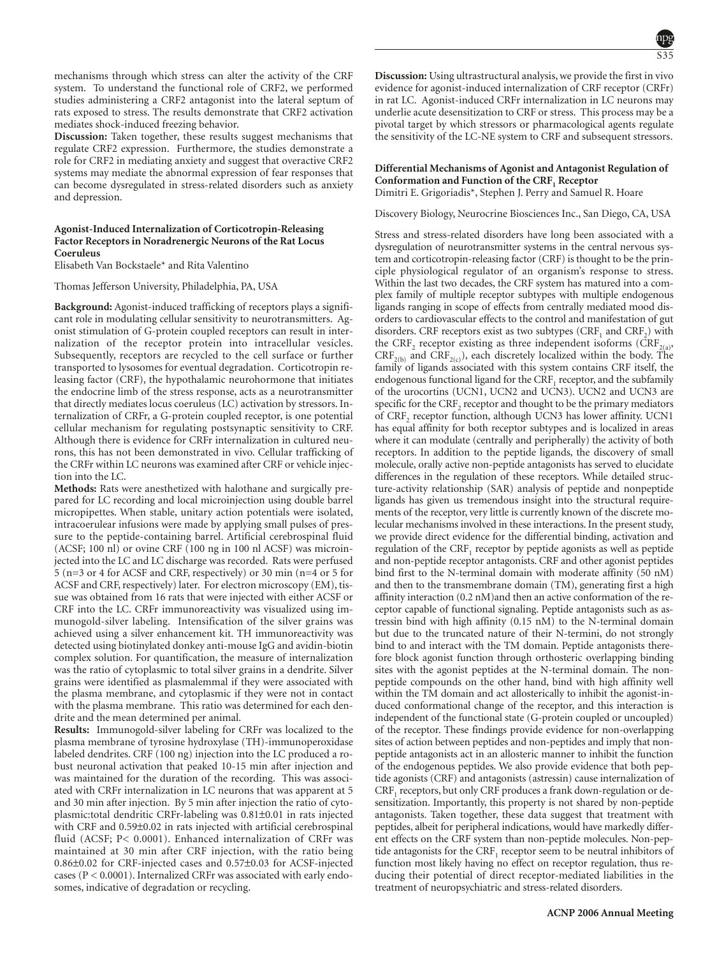mechanisms through which stress can alter the activity of the CRF system. To understand the functional role of CRF2, we performed studies administering a CRF2 antagonist into the lateral septum of rats exposed to stress. The results demonstrate that CRF2 activation mediates shock-induced freezing behavior.

**Discussion:** Taken together, these results suggest mechanisms that regulate CRF2 expression. Furthermore, the studies demonstrate a role for CRF2 in mediating anxiety and suggest that overactive CRF2 systems may mediate the abnormal expression of fear responses that can become dysregulated in stress-related disorders such as anxiety and depression.

# **Agonist-Induced Internalization of Corticotropin-Releasing Factor Receptors in Noradrenergic Neurons of the Rat Locus Coeruleus**

Elisabeth Van Bockstaele\* and Rita Valentino

Thomas Jefferson University, Philadelphia, PA, USA

**Background:** Agonist-induced trafficking of receptors plays a significant role in modulating cellular sensitivity to neurotransmitters. Agonist stimulation of G-protein coupled receptors can result in internalization of the receptor protein into intracellular vesicles. Subsequently, receptors are recycled to the cell surface or further transported to lysosomes for eventual degradation. Corticotropin releasing factor (CRF), the hypothalamic neurohormone that initiates the endocrine limb of the stress response, acts as a neurotransmitter that directly mediates locus coeruleus (LC) activation by stressors. Internalization of CRFr, a G-protein coupled receptor, is one potential cellular mechanism for regulating postsynaptic sensitivity to CRF. Although there is evidence for CRFr internalization in cultured neurons, this has not been demonstrated in vivo. Cellular trafficking of the CRFr within LC neurons was examined after CRF or vehicle injection into the LC.

**Methods:** Rats were anesthetized with halothane and surgically prepared for LC recording and local microinjection using double barrel micropipettes. When stable, unitary action potentials were isolated, intracoerulear infusions were made by applying small pulses of pressure to the peptide-containing barrel. Artificial cerebrospinal fluid (ACSF; 100 nl) or ovine CRF (100 ng in 100 nl ACSF) was microinjected into the LC and LC discharge was recorded. Rats were perfused 5 (n=3 or 4 for ACSF and CRF, respectively) or 30 min (n=4 or 5 for ACSF and CRF, respectively) later. For electron microscopy (EM), tissue was obtained from 16 rats that were injected with either ACSF or CRF into the LC. CRFr immunoreactivity was visualized using immunogold-silver labeling. Intensification of the silver grains was achieved using a silver enhancement kit. TH immunoreactivity was detected using biotinylated donkey anti-mouse IgG and avidin-biotin complex solution. For quantification, the measure of internalization was the ratio of cytoplasmic to total silver grains in a dendrite. Silver grains were identified as plasmalemmal if they were associated with the plasma membrane, and cytoplasmic if they were not in contact with the plasma membrane. This ratio was determined for each dendrite and the mean determined per animal.

**Results:** Immunogold-silver labeling for CRFr was localized to the plasma membrane of tyrosine hydroxylase (TH)-immunoperoxidase labeled dendrites. CRF (100 ng) injection into the LC produced a robust neuronal activation that peaked 10-15 min after injection and was maintained for the duration of the recording. This was associated with CRFr internalization in LC neurons that was apparent at 5 and 30 min after injection. By 5 min after injection the ratio of cytoplasmic:total dendritic CRFr-labeling was 0.81±0.01 in rats injected with CRF and 0.59±0.02 in rats injected with artificial cerebrospinal fluid (ACSF; P< 0.0001). Enhanced internalization of CRFr was maintained at 30 min after CRF injection, with the ratio being 0.86±0.02 for CRF-injected cases and 0.57±0.03 for ACSF-injected cases (P < 0.0001). Internalized CRFr was associated with early endosomes, indicative of degradation or recycling.



**Discussion:** Using ultrastructural analysis, we provide the first in vivo evidence for agonist-induced internalization of CRF receptor (CRFr) in rat LC. Agonist-induced CRFr internalization in LC neurons may underlie acute desensitization to CRF or stress. This process may be a pivotal target by which stressors or pharmacological agents regulate the sensitivity of the LC-NE system to CRF and subsequent stressors.

# **Differential Mechanisms of Agonist and Antagonist Regulation of Conformation and Function of the CRF<sub>1</sub> Receptor**

Dimitri E. Grigoriadis\*, Stephen J. Perry and Samuel R. Hoare

Discovery Biology, Neurocrine Biosciences Inc., San Diego, CA, USA

Stress and stress-related disorders have long been associated with a dysregulation of neurotransmitter systems in the central nervous system and corticotropin-releasing factor (CRF) is thought to be the principle physiological regulator of an organism's response to stress. Within the last two decades, the CRF system has matured into a complex family of multiple receptor subtypes with multiple endogenous ligands ranging in scope of effects from centrally mediated mood disorders to cardiovascular effects to the control and manifestation of gut disorders. CRF receptors exist as two subtypes  $(CRF<sub>1</sub>$  and  $CRF<sub>2</sub>)$  with the CRF<sub>2</sub> receptor existing as three independent isoforms (CRF<sub>2(a)</sub>,  $CRF_{2(b)}$  and  $CRF_{2(c)}$ , each discretely localized within the body. The family of ligands associated with this system contains CRF itself, the endogenous functional ligand for the  $CRF<sub>1</sub>$  receptor, and the subfamily of the urocortins (UCN1, UCN2 and UCN3). UCN2 and UCN3 are specific for the CRF<sub>2</sub> receptor and thought to be the primary mediators of CRF<sub>2</sub> receptor function, although UCN3 has lower affinity. UCN1 has equal affinity for both receptor subtypes and is localized in areas where it can modulate (centrally and peripherally) the activity of both receptors. In addition to the peptide ligands, the discovery of small molecule, orally active non-peptide antagonists has served to elucidate differences in the regulation of these receptors. While detailed structure-activity relationship (SAR) analysis of peptide and nonpeptide ligands has given us tremendous insight into the structural requirements of the receptor, very little is currently known of the discrete molecular mechanisms involved in these interactions. In the present study, we provide direct evidence for the differential binding, activation and regulation of the  $CRF<sub>1</sub>$  receptor by peptide agonists as well as peptide and non-peptide receptor antagonists. CRF and other agonist peptides bind first to the N-terminal domain with moderate affinity (50 nM) and then to the transmembrane domain (TM), generating first a high affinity interaction (0.2 nM)and then an active conformation of the receptor capable of functional signaling. Peptide antagonists such as astressin bind with high affinity (0.15 nM) to the N-terminal domain but due to the truncated nature of their N-termini, do not strongly bind to and interact with the TM domain. Peptide antagonists therefore block agonist function through orthosteric overlapping binding sites with the agonist peptides at the N-terminal domain. The nonpeptide compounds on the other hand, bind with high affinity well within the TM domain and act allosterically to inhibit the agonist-induced conformational change of the receptor, and this interaction is independent of the functional state (G-protein coupled or uncoupled) of the receptor. These findings provide evidence for non-overlapping sites of action between peptides and non-peptides and imply that nonpeptide antagonists act in an allosteric manner to inhibit the function of the endogenous peptides. We also provide evidence that both peptide agonists (CRF) and antagonists (astressin) cause internalization of CRF<sub>1</sub> receptors, but only CRF produces a frank down-regulation or desensitization. Importantly, this property is not shared by non-peptide antagonists. Taken together, these data suggest that treatment with peptides, albeit for peripheral indications, would have markedly different effects on the CRF system than non-peptide molecules. Non-peptide antagonists for the  $CRF<sub>1</sub>$  receptor seem to be neutral inhibitors of function most likely having no effect on receptor regulation, thus reducing their potential of direct receptor-mediated liabilities in the treatment of neuropsychiatric and stress-related disorders.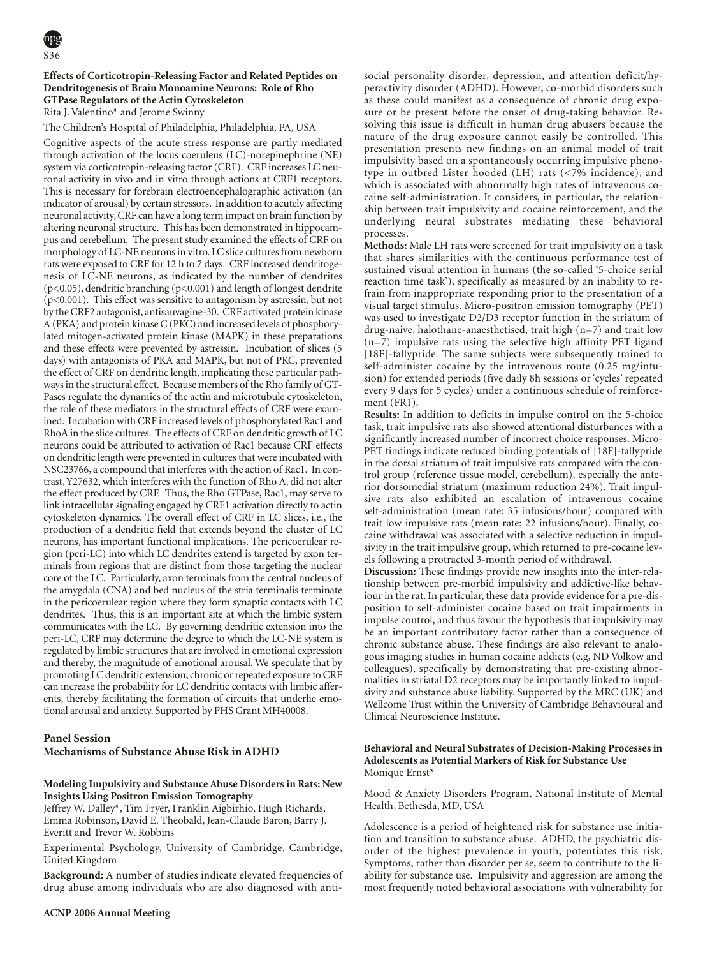### **Effects of Corticotropin-Releasing Factor and Related Peptides on Dendritogenesis of Brain Monoamine Neurons: Role of Rho GTPase Regulators of the Actin Cytoskeleton** Rita J. Valentino\* and Jerome Swinny

# The Children's Hospital of Philadelphia, Philadelphia, PA, USA

Cognitive aspects of the acute stress response are partly mediated through activation of the locus coeruleus (LC)-norepinephrine (NE) system via corticotropin-releasing factor (CRF). CRF increases LC neuronal activity in vivo and in vitro through actions at CRF1 receptors. This is necessary for forebrain electroencephalographic activation (an indicator of arousal) by certain stressors. In addition to acutely affecting neuronal activity, CRF can have a long term impact on brain function by altering neuronal structure. This has been demonstrated in hippocampus and cerebellum. The present study examined the effects of CRF on morphology of LC-NE neurons in vitro. LC slice cultures from newborn rats were exposed to CRF for 12 h to 7 days. CRF increased dendritogenesis of LC-NE neurons, as indicated by the number of dendrites (p<0.05), dendritic branching (p<0.001) and length of longest dendrite (p<0.001). This effect was sensitive to antagonism by astressin, but not by the CRF2 antagonist, antisauvagine-30. CRF activated protein kinase A(PKA) and protein kinase C (PKC) and increased levels of phosphorylated mitogen-activated protein kinase (MAPK) in these preparations and these effects were prevented by astressin. Incubation of slices (5 days) with antagonists of PKA and MAPK, but not of PKC, prevented the effect of CRF on dendritic length, implicating these particular pathways in the structural effect. Because members of the Rho family of GT-Pases regulate the dynamics of the actin and microtubule cytoskeleton, the role of these mediators in the structural effects of CRF were examined. Incubation with CRF increased levels of phosphorylated Rac1 and RhoA in the slice cultures. The effects of CRF on dendritic growth of LC neurons could be attributed to activation of Rac1 because CRF effects on dendritic length were prevented in cultures that were incubated with NSC23766, a compound that interferes with the action of Rac1. In contrast, Y27632, which interferes with the function of Rho A, did not alter the effect produced by CRF. Thus, the Rho GTPase, Rac1, may serve to link intracellular signaling engaged by CRF1 activation directly to actin cytoskeleton dynamics. The overall effect of CRF in LC slices, i.e., the production of a dendritic field that extends beyond the cluster of LC neurons, has important functional implications. The pericoerulear region (peri-LC) into which LC dendrites extend is targeted by axon terminals from regions that are distinct from those targeting the nuclear core of the LC. Particularly, axon terminals from the central nucleus of the amygdala (CNA) and bed nucleus of the stria terminalis terminate in the pericoerulear region where they form synaptic contacts with LC dendrites. Thus, this is an important site at which the limbic system communicates with the LC. By governing dendritic extension into the peri-LC, CRF may determine the degree to which the LC-NE system is regulated by limbic structures that are involved in emotional expression and thereby, the magnitude of emotional arousal. We speculate that by promoting LC dendritic extension, chronic or repeated exposure to CRF can increase the probability for LC dendritic contacts with limbic afferents, thereby facilitating the formation of circuits that underlie emotional arousal and anxiety. Supported by PHS Grant MH40008.

# **Panel Session**

**Mechanisms of Substance Abuse Risk in ADHD**

### **Modeling Impulsivity and Substance Abuse Disorders in Rats: New Insights Using Positron Emission Tomography**

Jeffrey W. Dalley\*, Tim Fryer, Franklin Aigbirhio, Hugh Richards, Emma Robinson, David E. Theobald, Jean-Claude Baron, Barry J. Everitt and Trevor W. Robbins

Experimental Psychology, University of Cambridge, Cambridge, United Kingdom

**Background:** A number of studies indicate elevated frequencies of drug abuse among individuals who are also diagnosed with antisocial personality disorder, depression, and attention deficit/hyperactivity disorder (ADHD). However, co-morbid disorders such as these could manifest as a consequence of chronic drug exposure or be present before the onset of drug-taking behavior. Resolving this issue is difficult in human drug abusers because the nature of the drug exposure cannot easily be controlled. This presentation presents new findings on an animal model of trait impulsivity based on a spontaneously occurring impulsive phenotype in outbred Lister hooded (LH) rats (<7% incidence), and which is associated with abnormally high rates of intravenous cocaine self-administration. It considers, in particular, the relationship between trait impulsivity and cocaine reinforcement, and the underlying neural substrates mediating these behavioral processes.

**Methods:** Male LH rats were screened for trait impulsivity on a task that shares similarities with the continuous performance test of sustained visual attention in humans (the so-called '5-choice serial reaction time task'), specifically as measured by an inability to refrain from inappropriate responding prior to the presentation of a visual target stimulus. Micro-positron emission tomography (PET) was used to investigate D2/D3 receptor function in the striatum of drug-naive, halothane-anaesthetised, trait high (n=7) and trait low (n=7) impulsive rats using the selective high affinity PET ligand [18F]-fallypride. The same subjects were subsequently trained to self-administer cocaine by the intravenous route (0.25 mg/infusion) for extended periods (five daily 8h sessions or 'cycles' repeated every 9 days for 5 cycles) under a continuous schedule of reinforcement (FR1).

**Results:** In addition to deficits in impulse control on the 5-choice task, trait impulsive rats also showed attentional disturbances with a significantly increased number of incorrect choice responses. Micro-PET findings indicate reduced binding potentials of [18F]-fallypride in the dorsal striatum of trait impulsive rats compared with the control group (reference tissue model, cerebellum), especially the anterior dorsomedial striatum (maximum reduction 24%). Trait impulsive rats also exhibited an escalation of intravenous cocaine self-administration (mean rate: 35 infusions/hour) compared with trait low impulsive rats (mean rate: 22 infusions/hour). Finally, cocaine withdrawal was associated with a selective reduction in impulsivity in the trait impulsive group, which returned to pre-cocaine levels following a protracted 3-month period of withdrawal.

**Discussion:** These findings provide new insights into the inter-relationship between pre-morbid impulsivity and addictive-like behaviour in the rat. In particular, these data provide evidence for a pre-disposition to self-administer cocaine based on trait impairments in impulse control, and thus favour the hypothesis that impulsivity may be an important contributory factor rather than a consequence of chronic substance abuse. These findings are also relevant to analogous imaging studies in human cocaine addicts (e.g, ND Volkow and colleagues), specifically by demonstrating that pre-existing abnormalities in striatal D2 receptors may be importantly linked to impulsivity and substance abuse liability. Supported by the MRC (UK) and Wellcome Trust within the University of Cambridge Behavioural and Clinical Neuroscience Institute.

### **Behavioral and Neural Substrates of Decision-Making Processes in Adolescents as Potential Markers of Risk for Substance Use** Monique Ernst\*

Mood & Anxiety Disorders Program, National Institute of Mental Health, Bethesda, MD, USA

Adolescence is a period of heightened risk for substance use initiation and transition to substance abuse. ADHD, the psychiatric disorder of the highest prevalence in youth, potentiates this risk. Symptoms, rather than disorder per se, seem to contribute to the liability for substance use. Impulsivity and aggression are among the most frequently noted behavioral associations with vulnerability for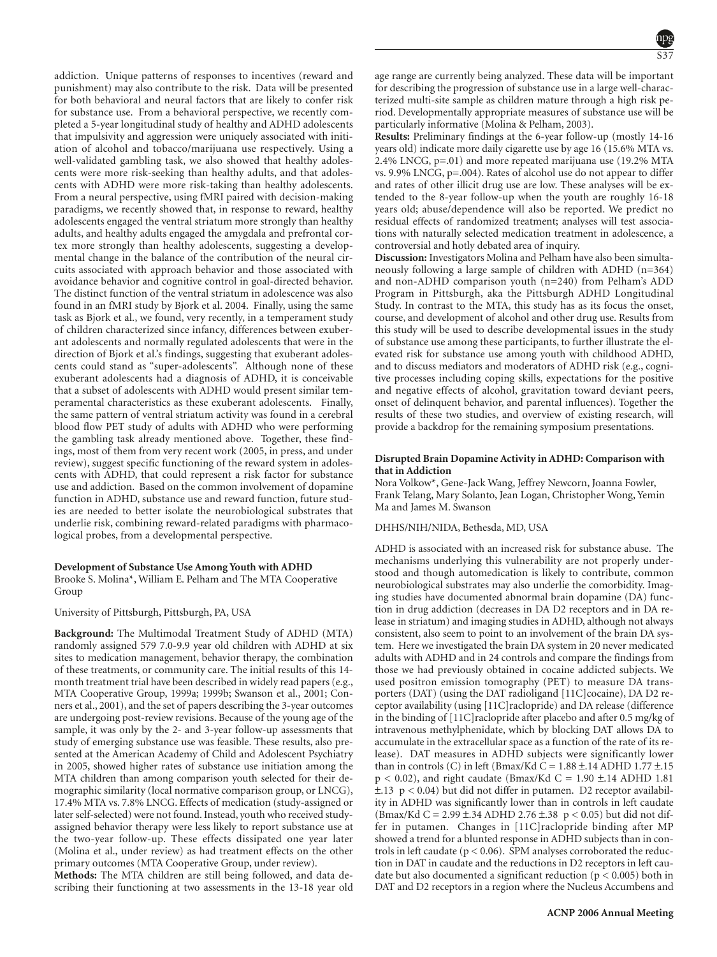addiction. Unique patterns of responses to incentives (reward and punishment) may also contribute to the risk. Data will be presented for both behavioral and neural factors that are likely to confer risk for substance use. From a behavioral perspective, we recently completed a 5-year longitudinal study of healthy and ADHD adolescents that impulsivity and aggression were uniquely associated with initiation of alcohol and tobacco/marijuana use respectively. Using a well-validated gambling task, we also showed that healthy adolescents were more risk-seeking than healthy adults, and that adolescents with ADHD were more risk-taking than healthy adolescents. From a neural perspective, using fMRI paired with decision-making paradigms, we recently showed that, in response to reward, healthy adolescents engaged the ventral striatum more strongly than healthy adults, and healthy adults engaged the amygdala and prefrontal cortex more strongly than healthy adolescents, suggesting a developmental change in the balance of the contribution of the neural circuits associated with approach behavior and those associated with avoidance behavior and cognitive control in goal-directed behavior. The distinct function of the ventral striatum in adolescence was also found in an fMRI study by Bjork et al. 2004. Finally, using the same task as Bjork et al., we found, very recently, in a temperament study of children characterized since infancy, differences between exuberant adolescents and normally regulated adolescents that were in the direction of Bjork et al.'s findings, suggesting that exuberant adolescents could stand as "super-adolescents". Although none of these exuberant adolescents had a diagnosis of ADHD, it is conceivable that a subset of adolescents with ADHD would present similar temperamental characteristics as these exuberant adolescents. Finally, the same pattern of ventral striatum activity was found in a cerebral blood flow PET study of adults with ADHD who were performing the gambling task already mentioned above. Together, these findings, most of them from very recent work (2005, in press, and under review), suggest specific functioning of the reward system in adolescents with ADHD, that could represent a risk factor for substance use and addiction. Based on the common involvement of dopamine function in ADHD, substance use and reward function, future studies are needed to better isolate the neurobiological substrates that underlie risk, combining reward-related paradigms with pharmacological probes, from a developmental perspective.

### **Development of Substance Use Among Youth with ADHD** Brooke S. Molina\*, William E. Pelham and The MTA Cooperative

Group

University of Pittsburgh, Pittsburgh, PA, USA

**Background:** The Multimodal Treatment Study of ADHD (MTA) randomly assigned 579 7.0-9.9 year old children with ADHD at six sites to medication management, behavior therapy, the combination of these treatments, or community care. The initial results of this 14 month treatment trial have been described in widely read papers (e.g., MTA Cooperative Group, 1999a; 1999b; Swanson et al., 2001; Conners et al., 2001), and the set of papers describing the 3-year outcomes are undergoing post-review revisions. Because of the young age of the sample, it was only by the 2- and 3-year follow-up assessments that study of emerging substance use was feasible. These results, also presented at the American Academy of Child and Adolescent Psychiatry in 2005, showed higher rates of substance use initiation among the MTA children than among comparison youth selected for their demographic similarity (local normative comparison group, or LNCG), 17.4% MTA vs. 7.8% LNCG. Effects of medication (study-assigned or later self-selected) were not found. Instead, youth who received studyassigned behavior therapy were less likely to report substance use at the two-year follow-up. These effects dissipated one year later (Molina et al., under review) as had treatment effects on the other primary outcomes (MTA Cooperative Group, under review).

**Methods:** The MTA children are still being followed, and data describing their functioning at two assessments in the 13-18 year old

age range are currently being analyzed. These data will be important for describing the progression of substance use in a large well-characterized multi-site sample as children mature through a high risk period. Developmentally appropriate measures of substance use will be particularly informative (Molina & Pelham, 2003).

**Results:** Preliminary findings at the 6-year follow-up (mostly 14-16 years old) indicate more daily cigarette use by age 16 (15.6% MTA vs. 2.4% LNCG, p=.01) and more repeated marijuana use (19.2% MTA vs. 9.9% LNCG, p=.004). Rates of alcohol use do not appear to differ and rates of other illicit drug use are low. These analyses will be extended to the 8-year follow-up when the youth are roughly 16-18 years old; abuse/dependence will also be reported. We predict no residual effects of randomized treatment; analyses will test associations with naturally selected medication treatment in adolescence, a controversial and hotly debated area of inquiry.

**Discussion:** Investigators Molina and Pelham have also been simultaneously following a large sample of children with ADHD (n=364) and non-ADHD comparison youth (n=240) from Pelham's ADD Program in Pittsburgh, aka the Pittsburgh ADHD Longitudinal Study. In contrast to the MTA, this study has as its focus the onset, course, and development of alcohol and other drug use. Results from this study will be used to describe developmental issues in the study of substance use among these participants, to further illustrate the elevated risk for substance use among youth with childhood ADHD, and to discuss mediators and moderators of ADHD risk (e.g., cognitive processes including coping skills, expectations for the positive and negative effects of alcohol, gravitation toward deviant peers, onset of delinquent behavior, and parental influences). Together the results of these two studies, and overview of existing research, will provide a backdrop for the remaining symposium presentations.

# **Disrupted Brain Dopamine Activity in ADHD: Comparison with that in Addiction**

Nora Volkow\*, Gene-Jack Wang, Jeffrey Newcorn, Joanna Fowler, Frank Telang, Mary Solanto, Jean Logan, Christopher Wong, Yemin Ma and James M. Swanson

# DHHS/NIH/NIDA, Bethesda, MD, USA

ADHD is associated with an increased risk for substance abuse. The mechanisms underlying this vulnerability are not properly understood and though automedication is likely to contribute, common neurobiological substrates may also underlie the comorbidity. Imaging studies have documented abnormal brain dopamine (DA) function in drug addiction (decreases in DA D2 receptors and in DA release in striatum) and imaging studies in ADHD, although not always consistent, also seem to point to an involvement of the brain DA system. Here we investigated the brain DA system in 20 never medicated adults with ADHD and in 24 controls and compare the findings from those we had previously obtained in cocaine addicted subjects. We used positron emission tomography (PET) to measure DA transporters (DAT) (using the DAT radioligand [11C]cocaine), DA D2 receptor availability (using [11C]raclopride) and DA release (difference in the binding of [11C]raclopride after placebo and after 0.5 mg/kg of intravenous methylphenidate, which by blocking DAT allows DA to accumulate in the extracellular space as a function of the rate of its release). DAT measures in ADHD subjects were significantly lower than in controls (C) in left (Bmax/Kd C =  $1.88 \pm 0.14$  ADHD  $1.77 \pm 0.15$  $p < 0.02$ ), and right caudate (Bmax/Kd C = 1.90  $\pm$ .14 ADHD 1.81 ±.13 p < 0.04) but did not differ in putamen. D2 receptor availability in ADHD was significantly lower than in controls in left caudate (Bmax/Kd C = 2.99  $\pm$ .34 ADHD 2.76  $\pm$ .38 p < 0.05) but did not differ in putamen. Changes in [11C]raclopride binding after MP showed a trend for a blunted response in ADHD subjects than in controls in left caudate ( $p < 0.06$ ). SPM analyses corroborated the reduction in DAT in caudate and the reductions in D2 receptors in left caudate but also documented a significant reduction ( $p < 0.005$ ) both in DAT and D2 receptors in a region where the Nucleus Accumbens and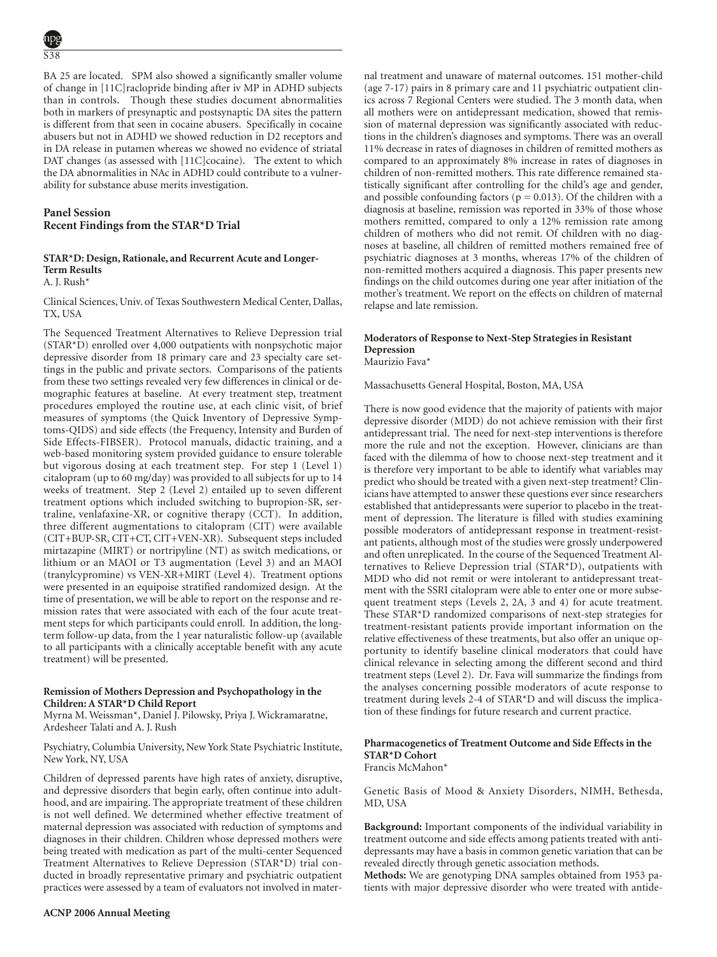BA 25 are located. SPM also showed a significantly smaller volume of change in [11C]raclopride binding after iv MP in ADHD subjects than in controls. Though these studies document abnormalities both in markers of presynaptic and postsynaptic DA sites the pattern is different from that seen in cocaine abusers. Specifically in cocaine abusers but not in ADHD we showed reduction in D2 receptors and in DA release in putamen whereas we showed no evidence of striatal DAT changes (as assessed with [11C]cocaine). The extent to which the DA abnormalities in NAc in ADHD could contribute to a vulnerability for substance abuse merits investigation.

# **Panel Session Recent Findings from the STAR\*D Trial**

# **STAR\*D: Design, Rationale, and Recurrent Acute and Longer-Term Results**

A. J. Rush\*

Clinical Sciences, Univ. of Texas Southwestern Medical Center, Dallas, TX, USA

The Sequenced Treatment Alternatives to Relieve Depression trial (STAR\*D) enrolled over 4,000 outpatients with nonpsychotic major depressive disorder from 18 primary care and 23 specialty care settings in the public and private sectors. Comparisons of the patients from these two settings revealed very few differences in clinical or demographic features at baseline. At every treatment step, treatment procedures employed the routine use, at each clinic visit, of brief measures of symptoms (the Quick Inventory of Depressive Symptoms-QIDS) and side effects (the Frequency, Intensity and Burden of Side Effects-FIBSER). Protocol manuals, didactic training, and a web-based monitoring system provided guidance to ensure tolerable but vigorous dosing at each treatment step. For step 1 (Level 1) citalopram (up to 60 mg/day) was provided to all subjects for up to 14 weeks of treatment. Step 2 (Level 2) entailed up to seven different treatment options which included switching to bupropion-SR, sertraline, venlafaxine-XR, or cognitive therapy (CCT). In addition, three different augmentations to citalopram (CIT) were available (CIT+BUP-SR, CIT+CT, CIT+VEN-XR). Subsequent steps included mirtazapine (MIRT) or nortripyline (NT) as switch medications, or lithium or an MAOI or T3 augmentation (Level 3) and an MAOI (tranylcypromine) vs VEN-XR+MIRT (Level 4). Treatment options were presented in an equipoise stratified randomized design. At the time of presentation, we will be able to report on the response and remission rates that were associated with each of the four acute treatment steps for which participants could enroll. In addition, the longterm follow-up data, from the 1 year naturalistic follow-up (available to all participants with a clinically acceptable benefit with any acute treatment) will be presented.

# **Remission of Mothers Depression and Psychopathology in the Children: A STAR\*D Child Report**

Myrna M. Weissman\*, Daniel J. Pilowsky, Priya J. Wickramaratne, Ardesheer Talati and A. J. Rush

Psychiatry, Columbia University, New York State Psychiatric Institute, New York, NY, USA

Children of depressed parents have high rates of anxiety, disruptive, and depressive disorders that begin early, often continue into adulthood, and are impairing. The appropriate treatment of these children is not well defined. We determined whether effective treatment of maternal depression was associated with reduction of symptoms and diagnoses in their children. Children whose depressed mothers were being treated with medication as part of the multi-center Sequenced Treatment Alternatives to Relieve Depression (STAR\*D) trial conducted in broadly representative primary and psychiatric outpatient practices were assessed by a team of evaluators not involved in maternal treatment and unaware of maternal outcomes. 151 mother-child (age 7-17) pairs in 8 primary care and 11 psychiatric outpatient clinics across 7 Regional Centers were studied. The 3 month data, when all mothers were on antidepressant medication, showed that remission of maternal depression was significantly associated with reductions in the children's diagnoses and symptoms. There was an overall 11% decrease in rates of diagnoses in children of remitted mothers as compared to an approximately 8% increase in rates of diagnoses in children of non-remitted mothers. This rate difference remained statistically significant after controlling for the child's age and gender, and possible confounding factors ( $p = 0.013$ ). Of the children with a diagnosis at baseline, remission was reported in 33% of those whose mothers remitted, compared to only a 12% remission rate among children of mothers who did not remit. Of children with no diagnoses at baseline, all children of remitted mothers remained free of psychiatric diagnoses at 3 months, whereas 17% of the children of non-remitted mothers acquired a diagnosis. This paper presents new findings on the child outcomes during one year after initiation of the mother's treatment. We report on the effects on children of maternal relapse and late remission.

# **Moderators of Response to Next-Step Strategies in Resistant Depression**

Maurizio Fava\*

Massachusetts General Hospital, Boston, MA, USA

There is now good evidence that the majority of patients with major depressive disorder (MDD) do not achieve remission with their first antidepressant trial. The need for next-step interventions is therefore more the rule and not the exception. However, clinicians are than faced with the dilemma of how to choose next-step treatment and it is therefore very important to be able to identify what variables may predict who should be treated with a given next-step treatment? Clinicians have attempted to answer these questions ever since researchers established that antidepressants were superior to placebo in the treatment of depression. The literature is filled with studies examining possible moderators of antidepressant response in treatment-resistant patients, although most of the studies were grossly underpowered and often unreplicated. In the course of the Sequenced Treatment Alternatives to Relieve Depression trial (STAR\*D), outpatients with MDD who did not remit or were intolerant to antidepressant treatment with the SSRI citalopram were able to enter one or more subsequent treatment steps (Levels 2, 2A, 3 and 4) for acute treatment. These STAR\*D randomized comparisons of next-step strategies for treatment-resistant patients provide important information on the relative effectiveness of these treatments, but also offer an unique opportunity to identify baseline clinical moderators that could have clinical relevance in selecting among the different second and third treatment steps (Level 2). Dr. Fava will summarize the findings from the analyses concerning possible moderators of acute response to treatment during levels 2-4 of STAR\*D and will discuss the implication of these findings for future research and current practice.

### **Pharmacogenetics of Treatment Outcome and Side Effects in the STAR\*D Cohort** Francis McMahon\*

Genetic Basis of Mood & Anxiety Disorders, NIMH, Bethesda, MD, USA

**Background:** Important components of the individual variability in treatment outcome and side effects among patients treated with antidepressants may have a basis in common genetic variation that can be revealed directly through genetic association methods.

**Methods:** We are genotyping DNA samples obtained from 1953 patients with major depressive disorder who were treated with antide-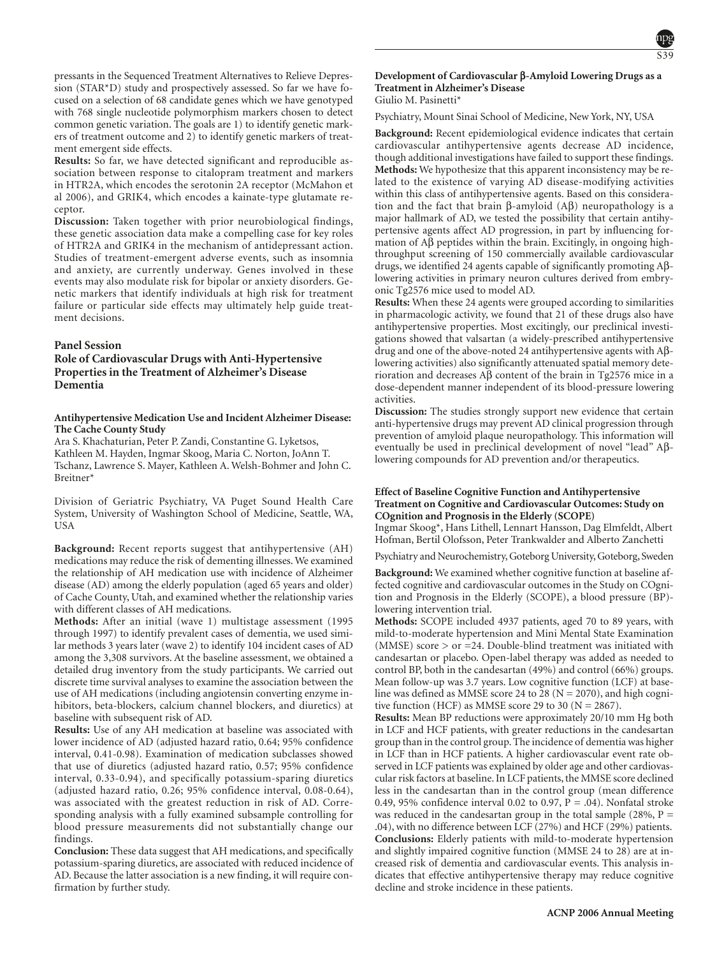

pressants in the Sequenced Treatment Alternatives to Relieve Depression (STAR\*D) study and prospectively assessed. So far we have focused on a selection of 68 candidate genes which we have genotyped with 768 single nucleotide polymorphism markers chosen to detect common genetic variation. The goals are 1) to identify genetic markers of treatment outcome and 2) to identify genetic markers of treatment emergent side effects.

**Results:** So far, we have detected significant and reproducible association between response to citalopram treatment and markers in HTR2A, which encodes the serotonin 2A receptor (McMahon et al 2006), and GRIK4, which encodes a kainate-type glutamate receptor.

**Discussion:** Taken together with prior neurobiological findings, these genetic association data make a compelling case for key roles of HTR2A and GRIK4 in the mechanism of antidepressant action. Studies of treatment-emergent adverse events, such as insomnia and anxiety, are currently underway. Genes involved in these events may also modulate risk for bipolar or anxiety disorders. Genetic markers that identify individuals at high risk for treatment failure or particular side effects may ultimately help guide treatment decisions.

# **Panel Session**

# **Role of Cardiovascular Drugs with Anti-Hypertensive Properties in the Treatment of Alzheimer's Disease Dementia**

### **Antihypertensive Medication Use and Incident Alzheimer Disease: The Cache County Study**

Ara S. Khachaturian, Peter P. Zandi, Constantine G. Lyketsos, Kathleen M. Hayden, Ingmar Skoog, Maria C. Norton, JoAnn T. Tschanz, Lawrence S. Mayer, Kathleen A. Welsh-Bohmer and John C. Breitner\*

Division of Geriatric Psychiatry, VA Puget Sound Health Care System, University of Washington School of Medicine, Seattle, WA, USA

**Background:** Recent reports suggest that antihypertensive (AH) medications may reduce the risk of dementing illnesses. We examined the relationship of AH medication use with incidence of Alzheimer disease (AD) among the elderly population (aged 65 years and older) of Cache County, Utah, and examined whether the relationship varies with different classes of AH medications.

**Methods:** After an initial (wave 1) multistage assessment (1995 through 1997) to identify prevalent cases of dementia, we used similar methods 3 years later (wave 2) to identify 104 incident cases of AD among the 3,308 survivors. At the baseline assessment, we obtained a detailed drug inventory from the study participants. We carried out discrete time survival analyses to examine the association between the use of AH medications (including angiotensin converting enzyme inhibitors, beta-blockers, calcium channel blockers, and diuretics) at baseline with subsequent risk of AD.

**Results:** Use of any AH medication at baseline was associated with lower incidence of AD (adjusted hazard ratio, 0.64; 95% confidence interval, 0.41-0.98). Examination of medication subclasses showed that use of diuretics (adjusted hazard ratio, 0.57; 95% confidence interval, 0.33-0.94), and specifically potassium-sparing diuretics (adjusted hazard ratio, 0.26; 95% confidence interval, 0.08-0.64), was associated with the greatest reduction in risk of AD. Corresponding analysis with a fully examined subsample controlling for blood pressure measurements did not substantially change our findings.

**Conclusion:** These data suggest that AH medications, and specifically potassium-sparing diuretics, are associated with reduced incidence of AD. Because the latter association is a new finding, it will require confirmation by further study.

# **Development of Cardiovascular β-Amyloid Lowering Drugs as a Treatment in Alzheimer's Disease**

Giulio M. Pasinetti\*

Psychiatry, Mount Sinai School of Medicine, New York, NY, USA

**Background:** Recent epidemiological evidence indicates that certain cardiovascular antihypertensive agents decrease AD incidence, though additional investigations have failed to support these findings. **Methods:** We hypothesize that this apparent inconsistency may be related to the existence of varying AD disease-modifying activities within this class of antihypertensive agents. Based on this consideration and the fact that brain β-amyloid (Aβ) neuropathology is a major hallmark of AD, we tested the possibility that certain antihypertensive agents affect AD progression, in part by influencing formation of Aβ peptides within the brain. Excitingly, in ongoing highthroughput screening of 150 commercially available cardiovascular drugs, we identified 24 agents capable of significantly promoting Aβlowering activities in primary neuron cultures derived from embryonic Tg2576 mice used to model AD.

**Results:** When these 24 agents were grouped according to similarities in pharmacologic activity, we found that 21 of these drugs also have antihypertensive properties. Most excitingly, our preclinical investigations showed that valsartan (a widely-prescribed antihypertensive drug and one of the above-noted 24 antihypertensive agents with Aβlowering activities) also significantly attenuated spatial memory deterioration and decreases Aβ content of the brain in Tg2576 mice in a dose-dependent manner independent of its blood-pressure lowering activities.

**Discussion:** The studies strongly support new evidence that certain anti-hypertensive drugs may prevent AD clinical progression through prevention of amyloid plaque neuropathology. This information will eventually be used in preclinical development of novel "lead" Aβlowering compounds for AD prevention and/or therapeutics.

## **Effect of Baseline Cognitive Function and Antihypertensive Treatment on Cognitive and Cardiovascular Outcomes: Study on COgnition and Prognosis in the Elderly (SCOPE)**

Ingmar Skoog\*, Hans Lithell, Lennart Hansson, Dag Elmfeldt, Albert Hofman, Bertil Olofsson, Peter Trankwalder and Alberto Zanchetti

Psychiatry and Neurochemistry, Goteborg University, Goteborg, Sweden

**Background:** We examined whether cognitive function at baseline affected cognitive and cardiovascular outcomes in the Study on COgnition and Prognosis in the Elderly (SCOPE), a blood pressure (BP) lowering intervention trial.

**Methods:** SCOPE included 4937 patients, aged 70 to 89 years, with mild-to-moderate hypertension and Mini Mental State Examination (MMSE) score > or =24. Double-blind treatment was initiated with candesartan or placebo. Open-label therapy was added as needed to control BP, both in the candesartan (49%) and control (66%) groups. Mean follow-up was 3.7 years. Low cognitive function (LCF) at baseline was defined as MMSE score 24 to 28 ( $N = 2070$ ), and high cognitive function (HCF) as MMSE score 29 to 30 ( $N = 2867$ ).

**Results:** Mean BP reductions were approximately 20/10 mm Hg both in LCF and HCF patients, with greater reductions in the candesartan group than in the control group. The incidence of dementia was higher in LCF than in HCF patients. A higher cardiovascular event rate observed in LCF patients was explained by older age and other cardiovascular risk factors at baseline. In LCF patients, the MMSE score declined less in the candesartan than in the control group (mean difference 0.49, 95% confidence interval 0.02 to 0.97,  $P = .04$ ). Nonfatal stroke was reduced in the candesartan group in the total sample  $(28\%, P =$ .04), with no difference between LCF (27%) and HCF (29%) patients. **Conclusions:** Elderly patients with mild-to-moderate hypertension and slightly impaired cognitive function (MMSE 24 to 28) are at increased risk of dementia and cardiovascular events. This analysis indicates that effective antihypertensive therapy may reduce cognitive decline and stroke incidence in these patients.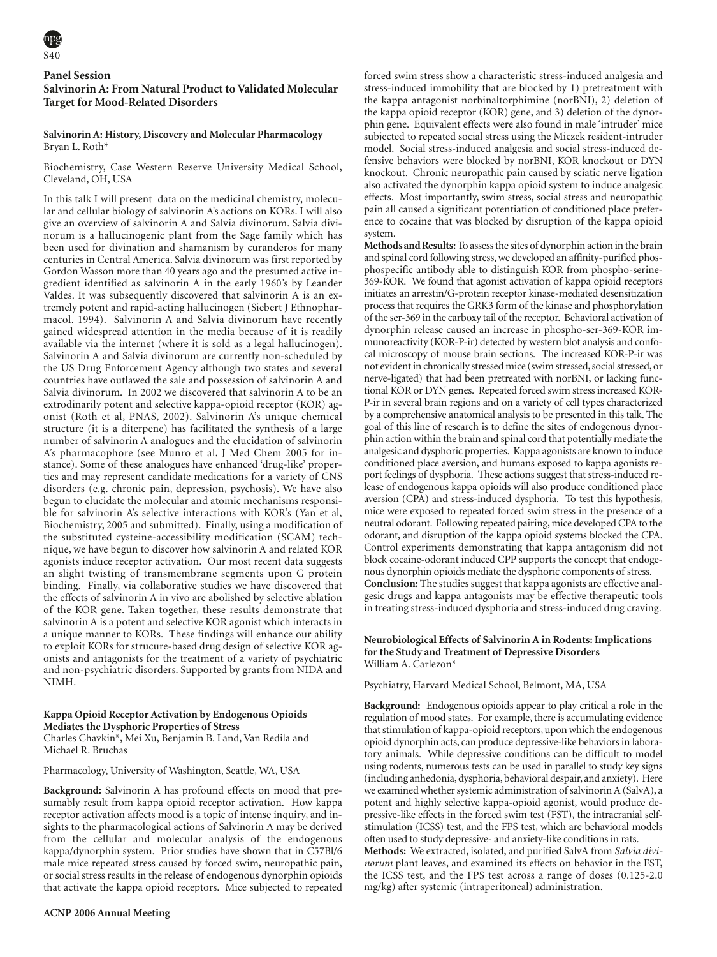

#### **Panel Session**

# **Salvinorin A: From Natural Product to Validated Molecular Target for Mood-Related Disorders**

### **Salvinorin A: History, Discovery and Molecular Pharmacology** Bryan L. Roth\*

Biochemistry, Case Western Reserve University Medical School, Cleveland, OH, USA

In this talk I will present data on the medicinal chemistry, molecular and cellular biology of salvinorin A's actions on KORs. I will also give an overview of salvinorin A and Salvia divinorum. Salvia divinorum is a hallucinogenic plant from the Sage family which has been used for divination and shamanism by curanderos for many centuries in Central America. Salvia divinorum was first reported by Gordon Wasson more than 40 years ago and the presumed active ingredient identified as salvinorin A in the early 1960's by Leander Valdes. It was subsequently discovered that salvinorin A is an extremely potent and rapid-acting hallucinogen (Siebert J Ethnopharmacol. 1994). Salvinorin A and Salvia divinorum have recently gained widespread attention in the media because of it is readily available via the internet (where it is sold as a legal hallucinogen). Salvinorin A and Salvia divinorum are currently non-scheduled by the US Drug Enforcement Agency although two states and several countries have outlawed the sale and possession of salvinorin A and Salvia divinorum. In 2002 we discovered that salvinorin A to be an extrodinarily potent and selective kappa-opioid receptor (KOR) agonist (Roth et al, PNAS, 2002). Salvinorin A's unique chemical structure (it is a diterpene) has facilitated the synthesis of a large number of salvinorin A analogues and the elucidation of salvinorin A's pharmacophore (see Munro et al, J Med Chem 2005 for instance). Some of these analogues have enhanced 'drug-like' properties and may represent candidate medications for a variety of CNS disorders (e.g. chronic pain, depression, psychosis). We have also begun to elucidate the molecular and atomic mechanisms responsible for salvinorin A's selective interactions with KOR's (Yan et al, Biochemistry, 2005 and submitted). Finally, using a modification of the substituted cysteine-accessibility modification (SCAM) technique, we have begun to discover how salvinorin A and related KOR agonists induce receptor activation. Our most recent data suggests an slight twisting of transmembrane segments upon G protein binding. Finally, via collaborative studies we have discovered that the effects of salvinorin A in vivo are abolished by selective ablation of the KOR gene. Taken together, these results demonstrate that salvinorin A is a potent and selective KOR agonist which interacts in a unique manner to KORs. These findings will enhance our ability to exploit KORs for strucure-based drug design of selective KOR agonists and antagonists for the treatment of a variety of psychiatric and non-psychiatric disorders. Supported by grants from NIDA and NIMH.

## **Kappa Opioid Receptor Activation by Endogenous Opioids Mediates the Dysphoric Properties of Stress**

Charles Chavkin\*, Mei Xu, Benjamin B. Land, Van Redila and Michael R. Bruchas

Pharmacology, University of Washington, Seattle, WA, USA

**Background:** Salvinorin A has profound effects on mood that presumably result from kappa opioid receptor activation. How kappa receptor activation affects mood is a topic of intense inquiry, and insights to the pharmacological actions of Salvinorin A may be derived from the cellular and molecular analysis of the endogenous kappa/dynorphin system. Prior studies have shown that in C57Bl/6 male mice repeated stress caused by forced swim, neuropathic pain, or social stress results in the release of endogenous dynorphin opioids that activate the kappa opioid receptors. Mice subjected to repeated forced swim stress show a characteristic stress-induced analgesia and stress-induced immobility that are blocked by 1) pretreatment with the kappa antagonist norbinaltorphimine (norBNI), 2) deletion of the kappa opioid receptor (KOR) gene, and 3) deletion of the dynorphin gene. Equivalent effects were also found in male 'intruder' mice subjected to repeated social stress using the Miczek resident-intruder model. Social stress-induced analgesia and social stress-induced defensive behaviors were blocked by norBNI, KOR knockout or DYN knockout. Chronic neuropathic pain caused by sciatic nerve ligation also activated the dynorphin kappa opioid system to induce analgesic effects. Most importantly, swim stress, social stress and neuropathic pain all caused a significant potentiation of conditioned place preference to cocaine that was blocked by disruption of the kappa opioid system.

**Methods and Results:**To assess the sites of dynorphin action in the brain and spinal cord following stress, we developed an affinity-purified phosphospecific antibody able to distinguish KOR from phospho-serine-369-KOR. We found that agonist activation of kappa opioid receptors initiates an arrestin/G-protein receptor kinase-mediated desensitization process that requires the GRK3 form of the kinase and phosphorylation of the ser-369 in the carboxy tail of the receptor. Behavioral activation of dynorphin release caused an increase in phospho-ser-369-KOR immunoreactivity (KOR-P-ir) detected by western blot analysis and confocal microscopy of mouse brain sections. The increased KOR-P-ir was not evident in chronically stressed mice (swim stressed, social stressed, or nerve-ligated) that had been pretreated with norBNI, or lacking functional KOR or DYN genes. Repeated forced swim stress increased KOR-P-ir in several brain regions and on a variety of cell types characterized by a comprehensive anatomical analysis to be presented in this talk. The goal of this line of research is to define the sites of endogenous dynorphin action within the brain and spinal cord that potentially mediate the analgesic and dysphoric properties. Kappa agonists are known to induce conditioned place aversion, and humans exposed to kappa agonists report feelings of dysphoria. These actions suggest that stress-induced release of endogenous kappa opioids will also produce conditioned place aversion (CPA) and stress-induced dysphoria. To test this hypothesis, mice were exposed to repeated forced swim stress in the presence of a neutral odorant. Following repeated pairing, mice developed CPA to the odorant, and disruption of the kappa opioid systems blocked the CPA. Control experiments demonstrating that kappa antagonism did not block cocaine-odorant induced CPP supports the concept that endogenous dynorphin opioids mediate the dysphoric components of stress. **Conclusion:** The studies suggest that kappa agonists are effective analgesic drugs and kappa antagonists may be effective therapeutic tools in treating stress-induced dysphoria and stress-induced drug craving.

### **Neurobiological Effects of Salvinorin A in Rodents: Implications for the Study and Treatment of Depressive Disorders** William A. Carlezon\*

Psychiatry, Harvard Medical School, Belmont, MA, USA

**Background:** Endogenous opioids appear to play critical a role in the regulation of mood states. For example, there is accumulating evidence that stimulation of kappa-opioid receptors, upon which the endogenous opioid dynorphin acts, can produce depressive-like behaviors in laboratory animals. While depressive conditions can be difficult to model using rodents, numerous tests can be used in parallel to study key signs (including anhedonia, dysphoria, behavioral despair, and anxiety). Here we examined whether systemic administration of salvinorin A (SalvA), a potent and highly selective kappa-opioid agonist, would produce depressive-like effects in the forced swim test (FST), the intracranial selfstimulation (ICSS) test, and the FPS test, which are behavioral models often used to study depressive- and anxiety-like conditions in rats. **Methods:** We extracted, isolated, and purified SalvA from *Salvia divinorum* plant leaves, and examined its effects on behavior in the FST, the ICSS test, and the FPS test across a range of doses (0.125-2.0 mg/kg) after systemic (intraperitoneal) administration.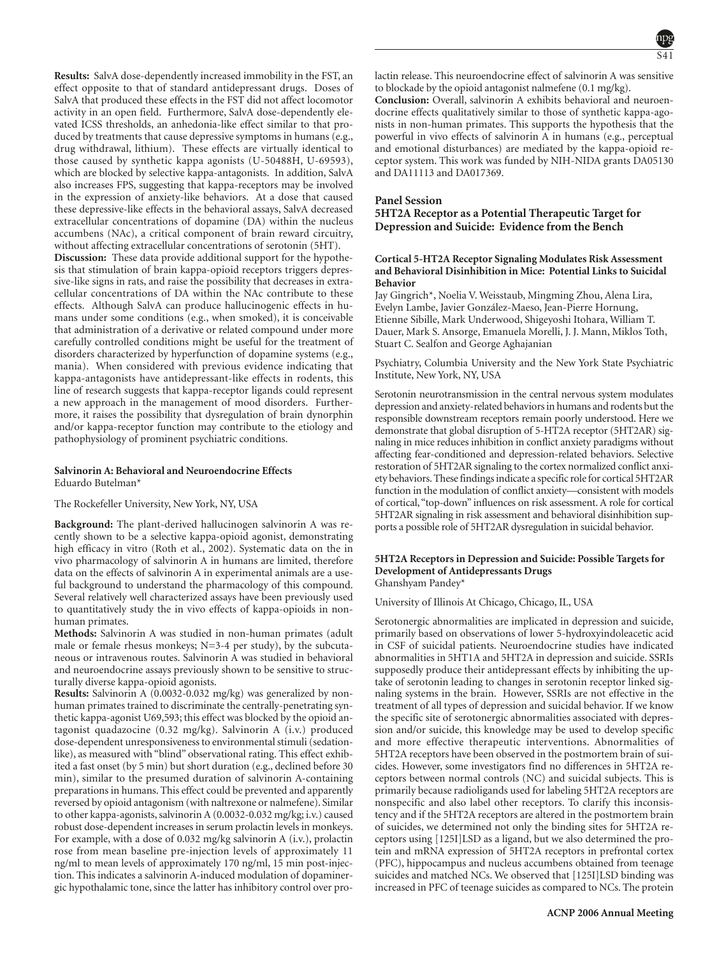**Results:** SalvA dose-dependently increased immobility in the FST, an effect opposite to that of standard antidepressant drugs. Doses of SalvA that produced these effects in the FST did not affect locomotor activity in an open field. Furthermore, SalvA dose-dependently elevated ICSS thresholds, an anhedonia-like effect similar to that produced by treatments that cause depressive symptoms in humans (e.g., drug withdrawal, lithium). These effects are virtually identical to those caused by synthetic kappa agonists (U-50488H, U-69593), which are blocked by selective kappa-antagonists. In addition, SalvA also increases FPS, suggesting that kappa-receptors may be involved in the expression of anxiety-like behaviors. At a dose that caused these depressive-like effects in the behavioral assays, SalvA decreased extracellular concentrations of dopamine (DA) within the nucleus accumbens (NAc), a critical component of brain reward circuitry, without affecting extracellular concentrations of serotonin (5HT).

**Discussion:** These data provide additional support for the hypothesis that stimulation of brain kappa-opioid receptors triggers depressive-like signs in rats, and raise the possibility that decreases in extracellular concentrations of DA within the NAc contribute to these effects. Although SalvA can produce hallucinogenic effects in humans under some conditions (e.g., when smoked), it is conceivable that administration of a derivative or related compound under more carefully controlled conditions might be useful for the treatment of disorders characterized by hyperfunction of dopamine systems (e.g., mania). When considered with previous evidence indicating that kappa-antagonists have antidepressant-like effects in rodents, this line of research suggests that kappa-receptor ligands could represent a new approach in the management of mood disorders. Furthermore, it raises the possibility that dysregulation of brain dynorphin and/or kappa-receptor function may contribute to the etiology and pathophysiology of prominent psychiatric conditions.

### **Salvinorin A: Behavioral and Neuroendocrine Effects** Eduardo Butelman\*

# The Rockefeller University, New York, NY, USA

**Background:** The plant-derived hallucinogen salvinorin A was recently shown to be a selective kappa-opioid agonist, demonstrating high efficacy in vitro (Roth et al., 2002). Systematic data on the in vivo pharmacology of salvinorin A in humans are limited, therefore data on the effects of salvinorin A in experimental animals are a useful background to understand the pharmacology of this compound. Several relatively well characterized assays have been previously used to quantitatively study the in vivo effects of kappa-opioids in nonhuman primates.

**Methods:** Salvinorin A was studied in non-human primates (adult male or female rhesus monkeys;  $N=3-4$  per study), by the subcutaneous or intravenous routes. Salvinorin A was studied in behavioral and neuroendocrine assays previously shown to be sensitive to structurally diverse kappa-opioid agonists.

**Results:** Salvinorin A (0.0032-0.032 mg/kg) was generalized by nonhuman primates trained to discriminate the centrally-penetrating synthetic kappa-agonist U69,593; this effect was blocked by the opioid antagonist quadazocine (0.32 mg/kg). Salvinorin A (i.v.) produced dose-dependent unresponsiveness to environmental stimuli (sedationlike), as measured with "blind" observational rating. This effect exhibited a fast onset (by 5 min) but short duration (e.g., declined before 30 min), similar to the presumed duration of salvinorin A-containing preparations in humans. This effect could be prevented and apparently reversed by opioid antagonism (with naltrexone or nalmefene). Similar to other kappa-agonists, salvinorin A (0.0032-0.032 mg/kg; i.v.) caused robust dose-dependent increases in serum prolactin levels in monkeys. For example, with a dose of 0.032 mg/kg salvinorin A (i.v.), prolactin rose from mean baseline pre-injection levels of approximately 11 ng/ml to mean levels of approximately 170 ng/ml, 15 min post-injection. This indicates a salvinorin A-induced modulation of dopaminergic hypothalamic tone, since the latter has inhibitory control over prolactin release. This neuroendocrine effect of salvinorin A was sensitive to blockade by the opioid antagonist nalmefene (0.1 mg/kg).

**Conclusion:** Overall, salvinorin A exhibits behavioral and neuroendocrine effects qualitatively similar to those of synthetic kappa-agonists in non-human primates. This supports the hypothesis that the powerful in vivo effects of salvinorin A in humans (e.g., perceptual and emotional disturbances) are mediated by the kappa-opioid receptor system. This work was funded by NIH-NIDA grants DA05130 and DA11113 and DA017369.

### **Panel Session**

**5HT2A Receptor as a Potential Therapeutic Target for Depression and Suicide: Evidence from the Bench**

### **Cortical 5-HT2A Receptor Signaling Modulates Risk Assessment and Behavioral Disinhibition in Mice: Potential Links to Suicidal Behavior**

Jay Gingrich\*, Noelia V. Weisstaub, Mingming Zhou, Alena Lira, Evelyn Lambe, Javier González-Maeso, Jean-Pierre Hornung, Etienne Sibille, Mark Underwood, Shigeyoshi Itohara, William T. Dauer, Mark S. Ansorge, Emanuela Morelli, J. J. Mann, Miklos Toth, Stuart C. Sealfon and George Aghajanian

Psychiatry, Columbia University and the New York State Psychiatric Institute, New York, NY, USA

Serotonin neurotransmission in the central nervous system modulates depression and anxiety-related behaviors in humans and rodents but the responsible downstream receptors remain poorly understood. Here we demonstrate that global disruption of 5-HT2A receptor (5HT2AR) signaling in mice reduces inhibition in conflict anxiety paradigms without affecting fear-conditioned and depression-related behaviors. Selective restoration of 5HT2AR signaling to the cortex normalized conflict anxiety behaviors. These findings indicate a specific role for cortical 5HT2AR function in the modulation of conflict anxiety—consistent with models of cortical, "top-down" influences on risk assessment. A role for cortical 5HT2AR signaling in risk assessment and behavioral disinhibition supports a possible role of 5HT2AR dysregulation in suicidal behavior.

### **5HT2A Receptors in Depression and Suicide: Possible Targets for Development of Antidepressants Drugs** Ghanshyam Pandey\*

University of Illinois At Chicago, Chicago, IL, USA

Serotonergic abnormalities are implicated in depression and suicide, primarily based on observations of lower 5-hydroxyindoleacetic acid in CSF of suicidal patients. Neuroendocrine studies have indicated abnormalities in 5HT1A and 5HT2A in depression and suicide. SSRIs supposedly produce their antidepressant effects by inhibiting the uptake of serotonin leading to changes in serotonin receptor linked signaling systems in the brain. However, SSRIs are not effective in the treatment of all types of depression and suicidal behavior. If we know the specific site of serotonergic abnormalities associated with depression and/or suicide, this knowledge may be used to develop specific and more effective therapeutic interventions. Abnormalities of 5HT2A receptors have been observed in the postmortem brain of suicides. However, some investigators find no differences in 5HT2A receptors between normal controls (NC) and suicidal subjects. This is primarily because radioligands used for labeling 5HT2A receptors are nonspecific and also label other receptors. To clarify this inconsistency and if the 5HT2A receptors are altered in the postmortem brain of suicides, we determined not only the binding sites for 5HT2A receptors using [125I]LSD as a ligand, but we also determined the protein and mRNA expression of 5HT2A receptors in prefrontal cortex (PFC), hippocampus and nucleus accumbens obtained from teenage suicides and matched NCs. We observed that [125I]LSD binding was increased in PFC of teenage suicides as compared to NCs. The protein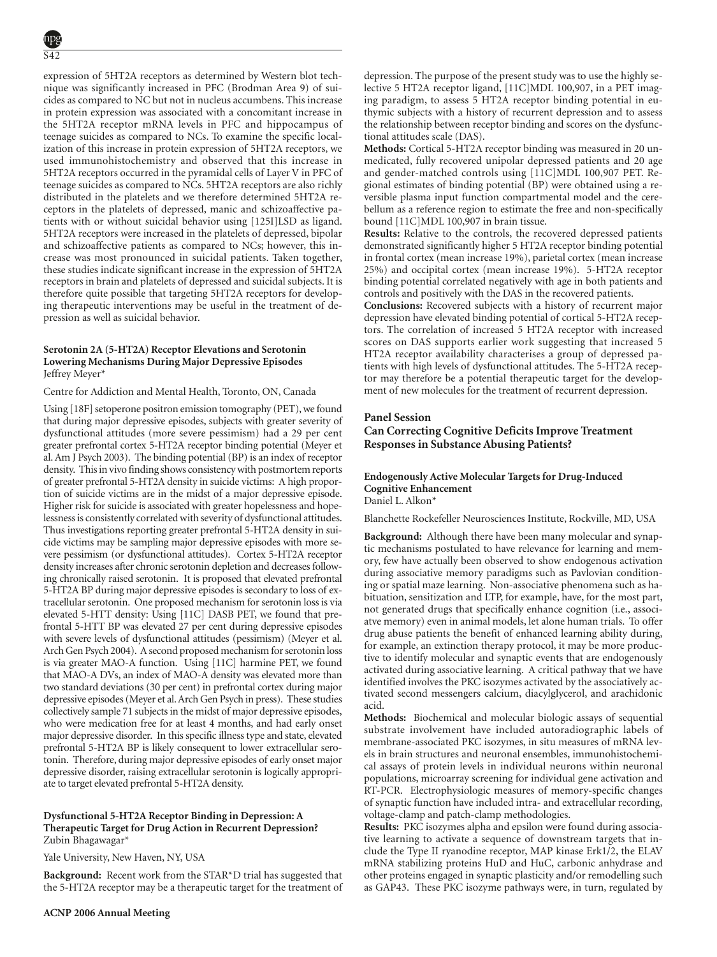expression of 5HT2A receptors as determined by Western blot technique was significantly increased in PFC (Brodman Area 9) of suicides as compared to NC but not in nucleus accumbens. This increase in protein expression was associated with a concomitant increase in the 5HT2A receptor mRNA levels in PFC and hippocampus of teenage suicides as compared to NCs. To examine the specific localization of this increase in protein expression of 5HT2A receptors, we used immunohistochemistry and observed that this increase in 5HT2A receptors occurred in the pyramidal cells of Layer V in PFC of teenage suicides as compared to NCs. 5HT2A receptors are also richly distributed in the platelets and we therefore determined 5HT2A receptors in the platelets of depressed, manic and schizoaffective patients with or without suicidal behavior using [125I]LSD as ligand. 5HT2A receptors were increased in the platelets of depressed, bipolar and schizoaffective patients as compared to NCs; however, this increase was most pronounced in suicidal patients. Taken together, these studies indicate significant increase in the expression of 5HT2A receptors in brain and platelets of depressed and suicidal subjects. It is therefore quite possible that targeting 5HT2A receptors for developing therapeutic interventions may be useful in the treatment of depression as well as suicidal behavior.

# **Serotonin 2A (5-HT2A) Receptor Elevations and Serotonin Lowering Mechanisms During Major Depressive Episodes** Jeffrey Meyer\*

Centre for Addiction and Mental Health, Toronto, ON, Canada

Using [18F] setoperone positron emission tomography (PET), we found that during major depressive episodes, subjects with greater severity of dysfunctional attitudes (more severe pessimism) had a 29 per cent greater prefrontal cortex 5-HT2A receptor binding potential (Meyer et al. Am J Psych 2003). The binding potential (BP) is an index of receptor density. This in vivo finding shows consistency with postmortem reports of greater prefrontal 5-HT2A density in suicide victims: A high proportion of suicide victims are in the midst of a major depressive episode. Higher risk for suicide is associated with greater hopelessness and hopelessness is consistently correlated with severity of dysfunctional attitudes. Thus investigations reporting greater prefrontal 5-HT2A density in suicide victims may be sampling major depressive episodes with more severe pessimism (or dysfunctional attitudes). Cortex 5-HT2A receptor density increases after chronic serotonin depletion and decreases following chronically raised serotonin. It is proposed that elevated prefrontal 5-HT2A BP during major depressive episodes is secondary to loss of extracellular serotonin. One proposed mechanism for serotonin loss is via elevated 5-HTT density: Using [11C] DASB PET, we found that prefrontal 5-HTT BP was elevated 27 per cent during depressive episodes with severe levels of dysfunctional attitudes (pessimism) (Meyer et al. Arch Gen Psych 2004). A second proposed mechanism for serotonin loss is via greater MAO-A function. Using [11C] harmine PET, we found that MAO-A DVs, an index of MAO-A density was elevated more than two standard deviations (30 per cent) in prefrontal cortex during major depressive episodes (Meyer et al.Arch Gen Psych in press). These studies collectively sample 71 subjects in the midst of major depressive episodes, who were medication free for at least 4 months, and had early onset major depressive disorder. In this specific illness type and state, elevated prefrontal 5-HT2A BP is likely consequent to lower extracellular serotonin. Therefore, during major depressive episodes of early onset major depressive disorder, raising extracellular serotonin is logically appropriate to target elevated prefrontal 5-HT2A density.

# **Dysfunctional 5-HT2A Receptor Binding in Depression: A Therapeutic Target for Drug Action in Recurrent Depression?** Zubin Bhagawagar\*

Yale University, New Haven, NY, USA

**Background:** Recent work from the STAR\*D trial has suggested that the 5-HT2A receptor may be a therapeutic target for the treatment of depression. The purpose of the present study was to use the highly selective 5 HT2A receptor ligand, [11C]MDL 100,907, in a PET imaging paradigm, to assess 5 HT2A receptor binding potential in euthymic subjects with a history of recurrent depression and to assess the relationship between receptor binding and scores on the dysfunctional attitudes scale (DAS).

**Methods:** Cortical 5-HT2A receptor binding was measured in 20 unmedicated, fully recovered unipolar depressed patients and 20 age and gender-matched controls using [11C]MDL 100,907 PET. Regional estimates of binding potential (BP) were obtained using a reversible plasma input function compartmental model and the cerebellum as a reference region to estimate the free and non-specifically bound [11C]MDL 100,907 in brain tissue.

**Results:** Relative to the controls, the recovered depressed patients demonstrated significantly higher 5 HT2A receptor binding potential in frontal cortex (mean increase 19%), parietal cortex (mean increase 25%) and occipital cortex (mean increase 19%). 5-HT2A receptor binding potential correlated negatively with age in both patients and controls and positively with the DAS in the recovered patients.

**Conclusions:** Recovered subjects with a history of recurrent major depression have elevated binding potential of cortical 5-HT2A receptors. The correlation of increased 5 HT2A receptor with increased scores on DAS supports earlier work suggesting that increased 5 HT2A receptor availability characterises a group of depressed patients with high levels of dysfunctional attitudes. The 5-HT2A receptor may therefore be a potential therapeutic target for the development of new molecules for the treatment of recurrent depression.

# **Panel Session**

# **Can Correcting Cognitive Deficits Improve Treatment Responses in Substance Abusing Patients?**

### **Endogenously Active Molecular Targets for Drug-Induced Cognitive Enhancement** Daniel L. Alkon\*

Blanchette Rockefeller Neurosciences Institute, Rockville, MD, USA

**Background:** Although there have been many molecular and synaptic mechanisms postulated to have relevance for learning and memory, few have actually been observed to show endogenous activation during associative memory paradigms such as Pavlovian conditioning or spatial maze learning. Non-associative phenomena such as habituation, sensitization and LTP, for example, have, for the most part, not generated drugs that specifically enhance cognition (i.e., associatve memory) even in animal models, let alone human trials. To offer drug abuse patients the benefit of enhanced learning ability during, for example, an extinction therapy protocol, it may be more productive to identify molecular and synaptic events that are endogenously activated during associative learning. A critical pathway that we have identified involves the PKC isozymes activated by the associatively activated second messengers calcium, diacylglycerol, and arachidonic acid.

**Methods:** Biochemical and molecular biologic assays of sequential substrate involvement have included autoradiographic labels of membrane-associated PKC isozymes, in situ measures of mRNA levels in brain structures and neuronal ensembles, immunohistochemical assays of protein levels in individual neurons within neuronal populations, microarray screening for individual gene activation and RT-PCR. Electrophysiologic measures of memory-specific changes of synaptic function have included intra- and extracellular recording, voltage-clamp and patch-clamp methodologies.

**Results:** PKC isozymes alpha and epsilon were found during associative learning to activate a sequence of downstream targets that include the Type II ryanodine receptor, MAP kinase Erk1/2, the ELAV mRNA stabilizing proteins HuD and HuC, carbonic anhydrase and other proteins engaged in synaptic plasticity and/or remodelling such as GAP43. These PKC isozyme pathways were, in turn, regulated by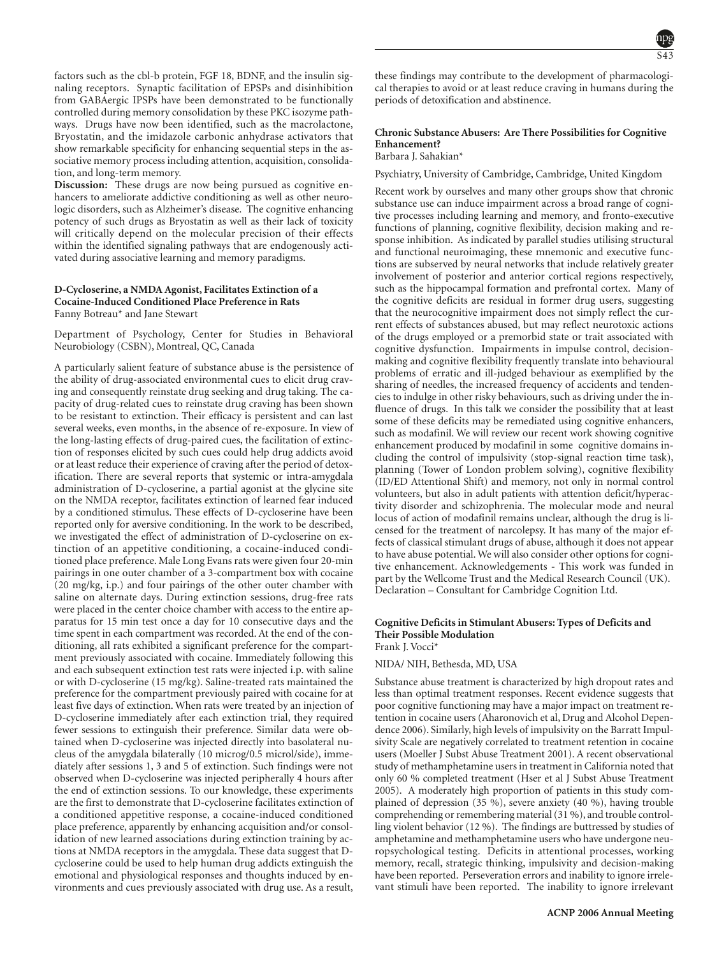

factors such as the cbl-b protein, FGF 18, BDNF, and the insulin signaling receptors. Synaptic facilitation of EPSPs and disinhibition from GABAergic IPSPs have been demonstrated to be functionally controlled during memory consolidation by these PKC isozyme pathways. Drugs have now been identified, such as the macrolactone, Bryostatin, and the imidazole carbonic anhydrase activators that show remarkable specificity for enhancing sequential steps in the associative memory process including attention, acquisition, consolidation, and long-term memory.

**Discussion:** These drugs are now being pursued as cognitive enhancers to ameliorate addictive conditioning as well as other neurologic disorders, such as Alzheimer's disease. The cognitive enhancing potency of such drugs as Bryostatin as well as their lack of toxicity will critically depend on the molecular precision of their effects within the identified signaling pathways that are endogenously activated during associative learning and memory paradigms.

### **D-Cycloserine, a NMDA Agonist, Facilitates Extinction of a Cocaine-Induced Conditioned Place Preference in Rats** Fanny Botreau\* and Jane Stewart

Department of Psychology, Center for Studies in Behavioral Neurobiology (CSBN), Montreal, QC, Canada

A particularly salient feature of substance abuse is the persistence of the ability of drug-associated environmental cues to elicit drug craving and consequently reinstate drug seeking and drug taking. The capacity of drug-related cues to reinstate drug craving has been shown to be resistant to extinction. Their efficacy is persistent and can last several weeks, even months, in the absence of re-exposure. In view of the long-lasting effects of drug-paired cues, the facilitation of extinction of responses elicited by such cues could help drug addicts avoid or at least reduce their experience of craving after the period of detoxification. There are several reports that systemic or intra-amygdala administration of D-cycloserine, a partial agonist at the glycine site on the NMDA receptor, facilitates extinction of learned fear induced by a conditioned stimulus. These effects of D-cycloserine have been reported only for aversive conditioning. In the work to be described, we investigated the effect of administration of D-cycloserine on extinction of an appetitive conditioning, a cocaine-induced conditioned place preference. Male Long Evans rats were given four 20-min pairings in one outer chamber of a 3-compartment box with cocaine (20 mg/kg, i.p.) and four pairings of the other outer chamber with saline on alternate days. During extinction sessions, drug-free rats were placed in the center choice chamber with access to the entire apparatus for 15 min test once a day for 10 consecutive days and the time spent in each compartment was recorded. At the end of the conditioning, all rats exhibited a significant preference for the compartment previously associated with cocaine. Immediately following this and each subsequent extinction test rats were injected i.p. with saline or with D-cycloserine (15 mg/kg). Saline-treated rats maintained the preference for the compartment previously paired with cocaine for at least five days of extinction. When rats were treated by an injection of D-cycloserine immediately after each extinction trial, they required fewer sessions to extinguish their preference. Similar data were obtained when D-cycloserine was injected directly into basolateral nucleus of the amygdala bilaterally (10 microg/0.5 microl/side), immediately after sessions 1, 3 and 5 of extinction. Such findings were not observed when D-cycloserine was injected peripherally 4 hours after the end of extinction sessions. To our knowledge, these experiments are the first to demonstrate that D-cycloserine facilitates extinction of a conditioned appetitive response, a cocaine-induced conditioned place preference, apparently by enhancing acquisition and/or consolidation of new learned associations during extinction training by actions at NMDA receptors in the amygdala. These data suggest that Dcycloserine could be used to help human drug addicts extinguish the emotional and physiological responses and thoughts induced by environments and cues previously associated with drug use. As a result,

these findings may contribute to the development of pharmacological therapies to avoid or at least reduce craving in humans during the periods of detoxification and abstinence.

# **Chronic Substance Abusers: Are There Possibilities for Cognitive Enhancement?**

# Barbara J. Sahakian\*

Psychiatry, University of Cambridge, Cambridge, United Kingdom

Recent work by ourselves and many other groups show that chronic substance use can induce impairment across a broad range of cognitive processes including learning and memory, and fronto-executive functions of planning, cognitive flexibility, decision making and response inhibition. As indicated by parallel studies utilising structural and functional neuroimaging, these mnemonic and executive functions are subserved by neural networks that include relatively greater involvement of posterior and anterior cortical regions respectively, such as the hippocampal formation and prefrontal cortex. Many of the cognitive deficits are residual in former drug users, suggesting that the neurocognitive impairment does not simply reflect the current effects of substances abused, but may reflect neurotoxic actions of the drugs employed or a premorbid state or trait associated with cognitive dysfunction. Impairments in impulse control, decisionmaking and cognitive flexibility frequently translate into behavioural problems of erratic and ill-judged behaviour as exemplified by the sharing of needles, the increased frequency of accidents and tendencies to indulge in other risky behaviours, such as driving under the influence of drugs. In this talk we consider the possibility that at least some of these deficits may be remediated using cognitive enhancers, such as modafinil. We will review our recent work showing cognitive enhancement produced by modafinil in some cognitive domains including the control of impulsivity (stop-signal reaction time task), planning (Tower of London problem solving), cognitive flexibility (ID/ED Attentional Shift) and memory, not only in normal control volunteers, but also in adult patients with attention deficit/hyperactivity disorder and schizophrenia. The molecular mode and neural locus of action of modafinil remains unclear, although the drug is licensed for the treatment of narcolepsy. It has many of the major effects of classical stimulant drugs of abuse, although it does not appear to have abuse potential. We will also consider other options for cognitive enhancement. Acknowledgements - This work was funded in part by the Wellcome Trust and the Medical Research Council (UK). Declaration – Consultant for Cambridge Cognition Ltd.

# **Cognitive Deficits in Stimulant Abusers: Types of Deficits and Their Possible Modulation**

Frank J. Vocci\*

### NIDA/ NIH, Bethesda, MD, USA

Substance abuse treatment is characterized by high dropout rates and less than optimal treatment responses. Recent evidence suggests that poor cognitive functioning may have a major impact on treatment retention in cocaine users (Aharonovich et al, Drug and Alcohol Dependence 2006). Similarly, high levels of impulsivity on the Barratt Impulsivity Scale are negatively correlated to treatment retention in cocaine users (Moeller J Subst Abuse Treatment 2001). A recent observational study of methamphetamine users in treatment in California noted that only 60 % completed treatment (Hser et al J Subst Abuse Treatment 2005). A moderately high proportion of patients in this study complained of depression (35 %), severe anxiety (40 %), having trouble comprehending or remembering material (31 %), and trouble controlling violent behavior (12 %). The findings are buttressed by studies of amphetamine and methamphetamine users who have undergone neuropsychological testing. Deficits in attentional processes, working memory, recall, strategic thinking, impulsivity and decision-making have been reported. Perseveration errors and inability to ignore irrelevant stimuli have been reported. The inability to ignore irrelevant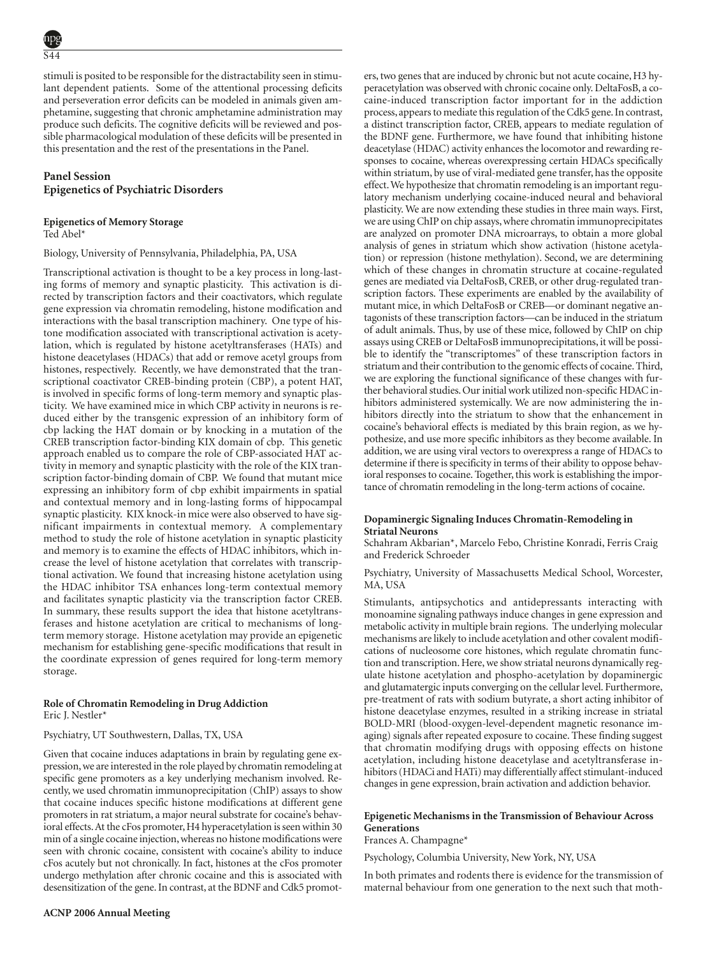stimuli is posited to be responsible for the distractability seen in stimulant dependent patients. Some of the attentional processing deficits and perseveration error deficits can be modeled in animals given amphetamine, suggesting that chronic amphetamine administration may produce such deficits. The cognitive deficits will be reviewed and possible pharmacological modulation of these deficits will be presented in this presentation and the rest of the presentations in the Panel.

# **Panel Session Epigenetics of Psychiatric Disorders**

### **Epigenetics of Memory Storage** Ted Abel\*

### Biology, University of Pennsylvania, Philadelphia, PA, USA

Transcriptional activation is thought to be a key process in long-lasting forms of memory and synaptic plasticity. This activation is directed by transcription factors and their coactivators, which regulate gene expression via chromatin remodeling, histone modification and interactions with the basal transcription machinery. One type of histone modification associated with transcriptional activation is acetylation, which is regulated by histone acetyltransferases (HATs) and histone deacetylases (HDACs) that add or remove acetyl groups from histones, respectively. Recently, we have demonstrated that the transcriptional coactivator CREB-binding protein (CBP), a potent HAT, is involved in specific forms of long-term memory and synaptic plasticity. We have examined mice in which CBP activity in neurons is reduced either by the transgenic expression of an inhibitory form of cbp lacking the HAT domain or by knocking in a mutation of the CREB transcription factor-binding KIX domain of cbp. This genetic approach enabled us to compare the role of CBP-associated HAT activity in memory and synaptic plasticity with the role of the KIX transcription factor-binding domain of CBP. We found that mutant mice expressing an inhibitory form of cbp exhibit impairments in spatial and contextual memory and in long-lasting forms of hippocampal synaptic plasticity. KIX knock-in mice were also observed to have significant impairments in contextual memory. A complementary method to study the role of histone acetylation in synaptic plasticity and memory is to examine the effects of HDAC inhibitors, which increase the level of histone acetylation that correlates with transcriptional activation. We found that increasing histone acetylation using the HDAC inhibitor TSA enhances long-term contextual memory and facilitates synaptic plasticity via the transcription factor CREB. In summary, these results support the idea that histone acetyltransferases and histone acetylation are critical to mechanisms of longterm memory storage. Histone acetylation may provide an epigenetic mechanism for establishing gene-specific modifications that result in the coordinate expression of genes required for long-term memory storage.

### **Role of Chromatin Remodeling in Drug Addiction** Eric J. Nestler\*

### Psychiatry, UT Southwestern, Dallas, TX, USA

Given that cocaine induces adaptations in brain by regulating gene expression, we are interested in the role played by chromatin remodeling at specific gene promoters as a key underlying mechanism involved. Recently, we used chromatin immunoprecipitation (ChIP) assays to show that cocaine induces specific histone modifications at different gene promoters in rat striatum, a major neural substrate for cocaine's behavioral effects.At the cFos promoter, H4 hyperacetylation is seen within 30 min of a single cocaine injection, whereas no histone modifications were seen with chronic cocaine, consistent with cocaine's ability to induce cFos acutely but not chronically. In fact, histones at the cFos promoter undergo methylation after chronic cocaine and this is associated with desensitization of the gene. In contrast, at the BDNF and Cdk5 promotprocess, appears to mediate this regulation of the Cdk5 gene. In contrast, a distinct transcription factor, CREB, appears to mediate regulation of the BDNF gene. Furthermore, we have found that inhibiting histone deacetylase (HDAC) activity enhances the locomotor and rewarding responses to cocaine, whereas overexpressing certain HDACs specifically within striatum, by use of viral-mediated gene transfer, has the opposite effect. We hypothesize that chromatin remodeling is an important regulatory mechanism underlying cocaine-induced neural and behavioral plasticity. We are now extending these studies in three main ways. First, we are using ChIP on chip assays, where chromatin immunoprecipitates are analyzed on promoter DNA microarrays, to obtain a more global analysis of genes in striatum which show activation (histone acetylation) or repression (histone methylation). Second, we are determining which of these changes in chromatin structure at cocaine-regulated genes are mediated via DeltaFosB, CREB, or other drug-regulated transcription factors. These experiments are enabled by the availability of mutant mice, in which DeltaFosB or CREB—or dominant negative antagonists of these transcription factors—can be induced in the striatum of adult animals. Thus, by use of these mice, followed by ChIP on chip assays using CREB or DeltaFosB immunoprecipitations, it will be possible to identify the "transcriptomes" of these transcription factors in striatum and their contribution to the genomic effects of cocaine. Third, we are exploring the functional significance of these changes with further behavioral studies. Our initial work utilized non-specific HDAC inhibitors administered systemically. We are now administering the inhibitors directly into the striatum to show that the enhancement in cocaine's behavioral effects is mediated by this brain region, as we hypothesize, and use more specific inhibitors as they become available. In addition, we are using viral vectors to overexpress a range of HDACs to determine if there is specificity in terms of their ability to oppose behavioral responses to cocaine. Together, this work is establishing the importance of chromatin remodeling in the long-term actions of cocaine.

ers, two genes that are induced by chronic but not acute cocaine, H3 hyperacetylation was observed with chronic cocaine only. DeltaFosB, a cocaine-induced transcription factor important for in the addiction

## **Dopaminergic Signaling Induces Chromatin-Remodeling in Striatal Neurons**

Schahram Akbarian\*, Marcelo Febo, Christine Konradi, Ferris Craig and Frederick Schroeder

Psychiatry, University of Massachusetts Medical School, Worcester, MA, USA

Stimulants, antipsychotics and antidepressants interacting with monoamine signaling pathways induce changes in gene expression and metabolic activity in multiple brain regions. The underlying molecular mechanisms are likely to include acetylation and other covalent modifications of nucleosome core histones, which regulate chromatin function and transcription. Here, we show striatal neurons dynamically regulate histone acetylation and phospho-acetylation by dopaminergic and glutamatergic inputs converging on the cellular level. Furthermore, pre-treatment of rats with sodium butyrate, a short acting inhibitor of histone deacetylase enzymes, resulted in a striking increase in striatal BOLD-MRI (blood-oxygen-level-dependent magnetic resonance imaging) signals after repeated exposure to cocaine. These finding suggest that chromatin modifying drugs with opposing effects on histone acetylation, including histone deacetylase and acetyltransferase inhibitors (HDACi and HATi) may differentially affect stimulant-induced changes in gene expression, brain activation and addiction behavior.

# **Epigenetic Mechanisms in the Transmission of Behaviour Across Generations**

Frances A. Champagne\*

Psychology, Columbia University, New York, NY, USA

In both primates and rodents there is evidence for the transmission of maternal behaviour from one generation to the next such that moth-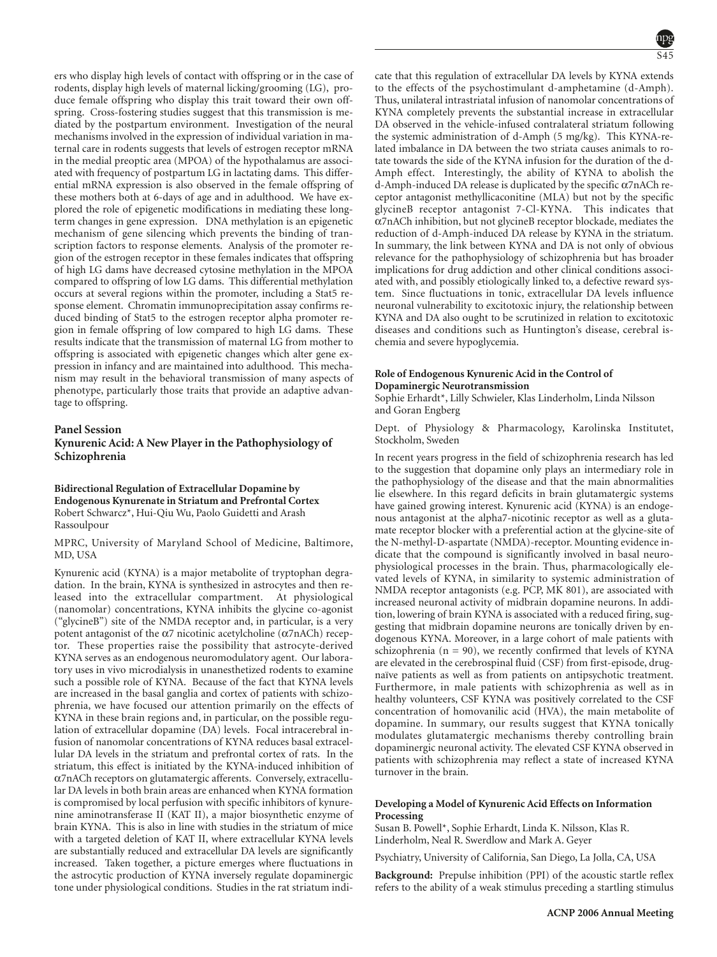ers who display high levels of contact with offspring or in the case of rodents, display high levels of maternal licking/grooming (LG), produce female offspring who display this trait toward their own offspring. Cross-fostering studies suggest that this transmission is mediated by the postpartum environment. Investigation of the neural mechanisms involved in the expression of individual variation in maternal care in rodents suggests that levels of estrogen receptor mRNA in the medial preoptic area (MPOA) of the hypothalamus are associated with frequency of postpartum LG in lactating dams. This differential mRNA expression is also observed in the female offspring of these mothers both at 6-days of age and in adulthood. We have explored the role of epigenetic modifications in mediating these longterm changes in gene expression. DNA methylation is an epigenetic mechanism of gene silencing which prevents the binding of transcription factors to response elements. Analysis of the promoter region of the estrogen receptor in these females indicates that offspring of high LG dams have decreased cytosine methylation in the MPOA compared to offspring of low LG dams. This differential methylation occurs at several regions within the promoter, including a Stat5 response element. Chromatin immunoprecipitation assay confirms reduced binding of Stat5 to the estrogen receptor alpha promoter region in female offspring of low compared to high LG dams. These results indicate that the transmission of maternal LG from mother to offspring is associated with epigenetic changes which alter gene expression in infancy and are maintained into adulthood. This mechanism may result in the behavioral transmission of many aspects of phenotype, particularly those traits that provide an adaptive advantage to offspring.

# **Panel Session Kynurenic Acid: A New Player in the Pathophysiology of Schizophrenia**

**Bidirectional Regulation of Extracellular Dopamine by Endogenous Kynurenate in Striatum and Prefrontal Cortex** Robert Schwarcz\*, Hui-Qiu Wu, Paolo Guidetti and Arash Rassoulpour

MPRC, University of Maryland School of Medicine, Baltimore, MD, USA

Kynurenic acid (KYNA) is a major metabolite of tryptophan degradation. In the brain, KYNA is synthesized in astrocytes and then released into the extracellular compartment. At physiological (nanomolar) concentrations, KYNA inhibits the glycine co-agonist ("glycineB") site of the NMDA receptor and, in particular, is a very potent antagonist of the α7 nicotinic acetylcholine ( $α7nACh$ ) receptor. These properties raise the possibility that astrocyte-derived KYNA serves as an endogenous neuromodulatory agent. Our laboratory uses in vivo microdialysis in unanesthetized rodents to examine such a possible role of KYNA. Because of the fact that KYNA levels are increased in the basal ganglia and cortex of patients with schizophrenia, we have focused our attention primarily on the effects of KYNA in these brain regions and, in particular, on the possible regulation of extracellular dopamine (DA) levels. Focal intracerebral infusion of nanomolar concentrations of KYNA reduces basal extracellular DA levels in the striatum and prefrontal cortex of rats. In the striatum, this effect is initiated by the KYNA-induced inhibition of α7nACh receptors on glutamatergic afferents. Conversely, extracellular DA levels in both brain areas are enhanced when KYNA formation is compromised by local perfusion with specific inhibitors of kynurenine aminotransferase II (KAT II), a major biosynthetic enzyme of brain KYNA. This is also in line with studies in the striatum of mice with a targeted deletion of KAT II, where extracellular KYNA levels are substantially reduced and extracellular DA levels are significantly increased. Taken together, a picture emerges where fluctuations in the astrocytic production of KYNA inversely regulate dopaminergic tone under physiological conditions. Studies in the rat striatum indicate that this regulation of extracellular DA levels by KYNA extends to the effects of the psychostimulant d-amphetamine (d-Amph). Thus, unilateral intrastriatal infusion of nanomolar concentrations of KYNA completely prevents the substantial increase in extracellular DA observed in the vehicle-infused contralateral striatum following the systemic administration of d-Amph (5 mg/kg). This KYNA-related imbalance in DA between the two striata causes animals to rotate towards the side of the KYNA infusion for the duration of the d-Amph effect. Interestingly, the ability of KYNA to abolish the d-Amph-induced DA release is duplicated by the specific α7nACh receptor antagonist methyllicaconitine (MLA) but not by the specific glycineB receptor antagonist 7-Cl-KYNA. This indicates that α7nACh inhibition, but not glycineB receptor blockade, mediates the reduction of d-Amph-induced DA release by KYNA in the striatum. In summary, the link between KYNA and DA is not only of obvious relevance for the pathophysiology of schizophrenia but has broader implications for drug addiction and other clinical conditions associated with, and possibly etiologically linked to, a defective reward system. Since fluctuations in tonic, extracellular DA levels influence neuronal vulnerability to excitotoxic injury, the relationship between KYNA and DA also ought to be scrutinized in relation to excitotoxic diseases and conditions such as Huntington's disease, cerebral ischemia and severe hypoglycemia.

### **Role of Endogenous Kynurenic Acid in the Control of Dopaminergic Neurotransmission**

Sophie Erhardt\*, Lilly Schwieler, Klas Linderholm, Linda Nilsson and Goran Engberg

Dept. of Physiology & Pharmacology, Karolinska Institutet, Stockholm, Sweden

In recent years progress in the field of schizophrenia research has led to the suggestion that dopamine only plays an intermediary role in the pathophysiology of the disease and that the main abnormalities lie elsewhere. In this regard deficits in brain glutamatergic systems have gained growing interest. Kynurenic acid (KYNA) is an endogenous antagonist at the alpha7-nicotinic receptor as well as a glutamate receptor blocker with a preferential action at the glycine-site of the N-methyl-D-aspartate (NMDA)-receptor. Mounting evidence indicate that the compound is significantly involved in basal neurophysiological processes in the brain. Thus, pharmacologically elevated levels of KYNA, in similarity to systemic administration of NMDA receptor antagonists (e.g. PCP, MK 801), are associated with increased neuronal activity of midbrain dopamine neurons. In addition, lowering of brain KYNA is associated with a reduced firing, suggesting that midbrain dopamine neurons are tonically driven by endogenous KYNA. Moreover, in a large cohort of male patients with schizophrenia ( $n = 90$ ), we recently confirmed that levels of KYNA are elevated in the cerebrospinal fluid (CSF) from first-episode, drugnaïve patients as well as from patients on antipsychotic treatment. Furthermore, in male patients with schizophrenia as well as in healthy volunteers, CSF KYNA was positively correlated to the CSF concentration of homovanilic acid (HVA), the main metabolite of dopamine. In summary, our results suggest that KYNA tonically modulates glutamatergic mechanisms thereby controlling brain dopaminergic neuronal activity. The elevated CSF KYNA observed in patients with schizophrenia may reflect a state of increased KYNA turnover in the brain.

# **Developing a Model of Kynurenic Acid Effects on Information Processing**

Susan B. Powell\*, Sophie Erhardt, Linda K. Nilsson, Klas R. Linderholm, Neal R. Swerdlow and Mark A. Geyer

Psychiatry, University of California, San Diego, La Jolla, CA, USA

**Background:** Prepulse inhibition (PPI) of the acoustic startle reflex refers to the ability of a weak stimulus preceding a startling stimulus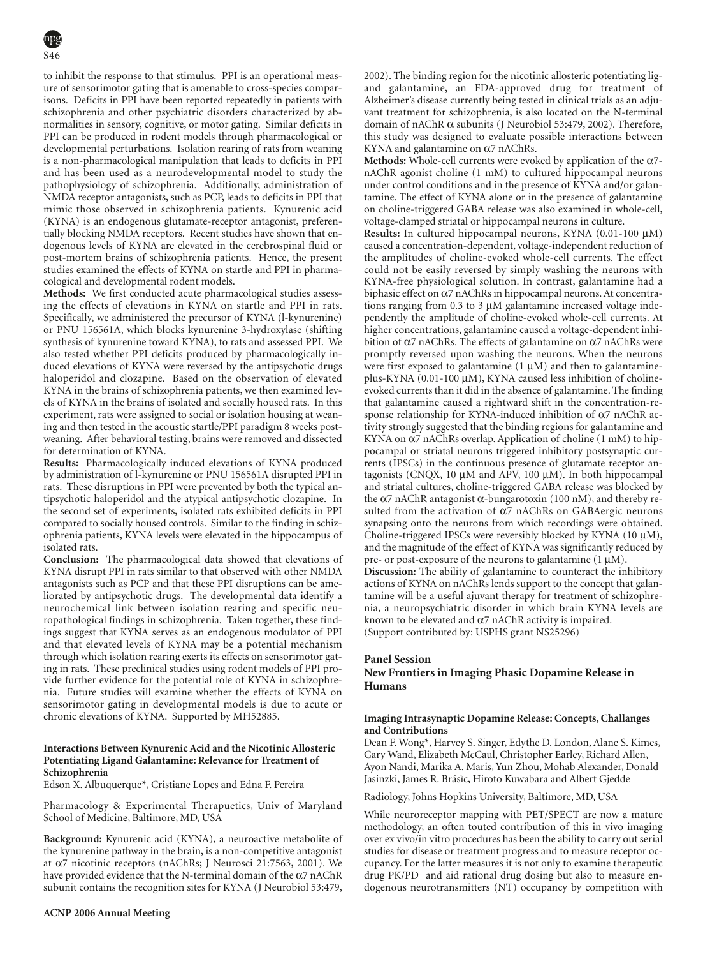to inhibit the response to that stimulus. PPI is an operational measure of sensorimotor gating that is amenable to cross-species comparisons. Deficits in PPI have been reported repeatedly in patients with schizophrenia and other psychiatric disorders characterized by abnormalities in sensory, cognitive, or motor gating. Similar deficits in PPI can be produced in rodent models through pharmacological or developmental perturbations. Isolation rearing of rats from weaning is a non-pharmacological manipulation that leads to deficits in PPI and has been used as a neurodevelopmental model to study the pathophysiology of schizophrenia. Additionally, administration of NMDA receptor antagonists, such as PCP, leads to deficits in PPI that mimic those observed in schizophrenia patients. Kynurenic acid (KYNA) is an endogenous glutamate-receptor antagonist, preferentially blocking NMDA receptors. Recent studies have shown that endogenous levels of KYNA are elevated in the cerebrospinal fluid or post-mortem brains of schizophrenia patients. Hence, the present studies examined the effects of KYNA on startle and PPI in pharmacological and developmental rodent models.

**Methods:** We first conducted acute pharmacological studies assessing the effects of elevations in KYNA on startle and PPI in rats. Specifically, we administered the precursor of KYNA (l-kynurenine) or PNU 156561A, which blocks kynurenine 3-hydroxylase (shifting synthesis of kynurenine toward KYNA), to rats and assessed PPI. We also tested whether PPI deficits produced by pharmacologically induced elevations of KYNA were reversed by the antipsychotic drugs haloperidol and clozapine. Based on the observation of elevated KYNA in the brains of schizophrenia patients, we then examined levels of KYNA in the brains of isolated and socially housed rats. In this experiment, rats were assigned to social or isolation housing at weaning and then tested in the acoustic startle/PPI paradigm 8 weeks postweaning. After behavioral testing, brains were removed and dissected for determination of KYNA.

**Results:** Pharmacologically induced elevations of KYNA produced by administration of l-kynurenine or PNU 156561A disrupted PPI in rats. These disruptions in PPI were prevented by both the typical antipsychotic haloperidol and the atypical antipsychotic clozapine. In the second set of experiments, isolated rats exhibited deficits in PPI compared to socially housed controls. Similar to the finding in schizophrenia patients, KYNA levels were elevated in the hippocampus of isolated rats.

**Conclusion:** The pharmacological data showed that elevations of KYNA disrupt PPI in rats similar to that observed with other NMDA antagonists such as PCP and that these PPI disruptions can be ameliorated by antipsychotic drugs. The developmental data identify a neurochemical link between isolation rearing and specific neuropathological findings in schizophrenia. Taken together, these findings suggest that KYNA serves as an endogenous modulator of PPI and that elevated levels of KYNA may be a potential mechanism through which isolation rearing exerts its effects on sensorimotor gating in rats. These preclinical studies using rodent models of PPI provide further evidence for the potential role of KYNA in schizophrenia. Future studies will examine whether the effects of KYNA on sensorimotor gating in developmental models is due to acute or chronic elevations of KYNA. Supported by MH52885.

# **Interactions Between Kynurenic Acid and the Nicotinic Allosteric Potentiating Ligand Galantamine: Relevance for Treatment of Schizophrenia**

Edson X. Albuquerque\*, Cristiane Lopes and Edna F. Pereira

Pharmacology & Experimental Therapuetics, Univ of Maryland School of Medicine, Baltimore, MD, USA

**Background:** Kynurenic acid (KYNA), a neuroactive metabolite of the kynurenine pathway in the brain, is a non-competitive antagonist at α7 nicotinic receptors (nAChRs; J Neurosci 21:7563, 2001). We have provided evidence that the N-terminal domain of the α7 nAChR subunit contains the recognition sites for KYNA (J Neurobiol 53:479, 2002). The binding region for the nicotinic allosteric potentiating ligand galantamine, an FDA-approved drug for treatment of Alzheimer's disease currently being tested in clinical trials as an adjuvant treatment for schizophrenia, is also located on the N-terminal domain of nAChR α subunits (J Neurobiol 53:479, 2002). Therefore, this study was designed to evaluate possible interactions between KYNA and galantamine on  $\alpha$ 7 nAChRs.

**Methods:** Whole-cell currents were evoked by application of the α7 nAChR agonist choline (1 mM) to cultured hippocampal neurons under control conditions and in the presence of KYNA and/or galantamine. The effect of KYNA alone or in the presence of galantamine on choline-triggered GABA release was also examined in whole-cell, voltage-clamped striatal or hippocampal neurons in culture.

**Results:** In cultured hippocampal neurons, KYNA (0.01-100 µM) caused a concentration-dependent, voltage-independent reduction of the amplitudes of choline-evoked whole-cell currents. The effect could not be easily reversed by simply washing the neurons with KYNA-free physiological solution. In contrast, galantamine had a biphasic effect on α7 nAChRs in hippocampal neurons. At concentrations ranging from 0.3 to 3 µM galantamine increased voltage independently the amplitude of choline-evoked whole-cell currents. At higher concentrations, galantamine caused a voltage-dependent inhibition of  $\alpha$ 7 nAChRs. The effects of galantamine on  $\alpha$ 7 nAChRs were promptly reversed upon washing the neurons. When the neurons were first exposed to galantamine  $(1 \mu M)$  and then to galantamineplus-KYNA (0.01-100 µM), KYNA caused less inhibition of cholineevoked currents than it did in the absence of galantamine. The finding that galantamine caused a rightward shift in the concentration-response relationship for KYNA-induced inhibition of  $\alpha$ 7 nAChR activity strongly suggested that the binding regions for galantamine and KYNA on α7 nAChRs overlap. Application of choline (1 mM) to hippocampal or striatal neurons triggered inhibitory postsynaptic currents (IPSCs) in the continuous presence of glutamate receptor antagonists (CNQX, 10 µM and APV, 100 µM). In both hippocampal and striatal cultures, choline-triggered GABA release was blocked by the α7 nAChR antagonist α-bungarotoxin (100 nM), and thereby resulted from the activation of α7 nAChRs on GABAergic neurons synapsing onto the neurons from which recordings were obtained. Choline-triggered IPSCs were reversibly blocked by KYNA (10  $\mu$ M), and the magnitude of the effect of KYNA was significantly reduced by pre- or post-exposure of the neurons to galantamine  $(1 \mu M)$ . **Discussion:** The ability of galantamine to counteract the inhibitory actions of KYNA on nAChRs lends support to the concept that galantamine will be a useful ajuvant therapy for treatment of schizophrenia, a neuropsychiatric disorder in which brain KYNA levels are known to be elevated and  $\alpha$ 7 nAChR activity is impaired. (Support contributed by: USPHS grant NS25296)

### **Panel Session**

# **New Frontiers in Imaging Phasic Dopamine Release in Humans**

## **Imaging Intrasynaptic Dopamine Release: Concepts, Challanges and Contributions**

Dean F. Wong\*, Harvey S. Singer, Edythe D. London, Alane S. Kimes, Gary Wand, Elizabeth McCaul, Christopher Earley, Richard Allen, Ayon Nandi, Marika A. Maris, Yun Zhou, Mohab Alexander, Donald Jasinzki, James R. Brásìc, Hiroto Kuwabara and Albert Gjedde

Radiology, Johns Hopkins University, Baltimore, MD, USA

While neuroreceptor mapping with PET/SPECT are now a mature methodology, an often touted contribution of this in vivo imaging over ex vivo/in vitro procedures has been the ability to carry out serial studies for disease or treatment progress and to measure receptor occupancy. For the latter measures it is not only to examine therapeutic drug PK/PD and aid rational drug dosing but also to measure endogenous neurotransmitters (NT) occupancy by competition with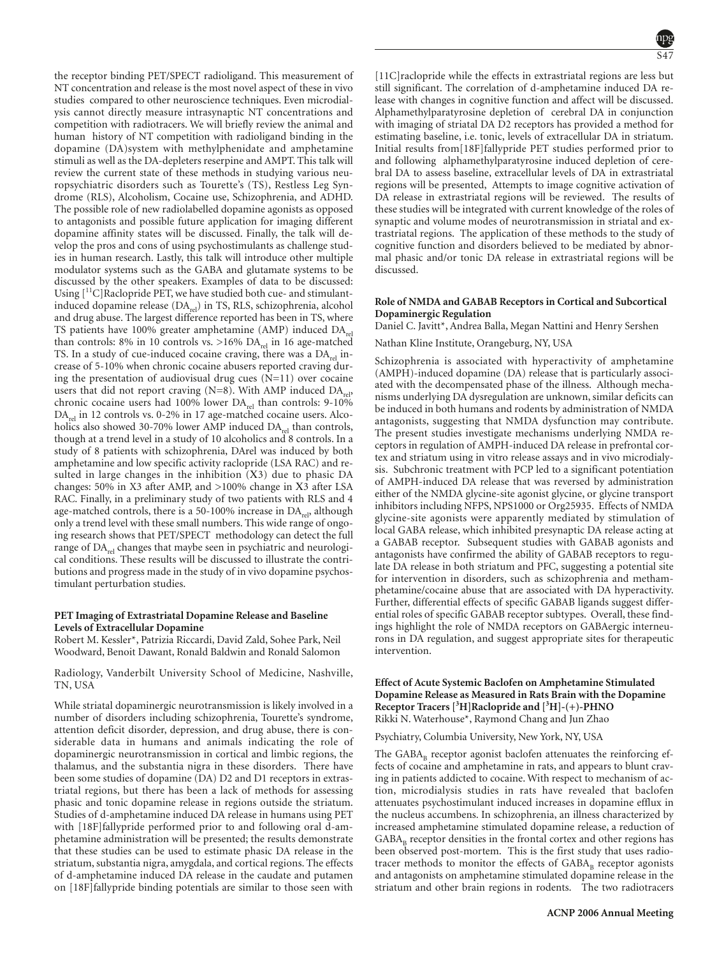the receptor binding PET/SPECT radioligand. This measurement of NT concentration and release is the most novel aspect of these in vivo studies compared to other neuroscience techniques. Even microdialysis cannot directly measure intrasynaptic NT concentrations and competition with radiotracers. We will briefly review the animal and human history of NT competition with radioligand binding in the dopamine (DA)system with methylphenidate and amphetamine stimuli as well as the DA-depleters reserpine and AMPT. This talk will review the current state of these methods in studying various neuropsychiatric disorders such as Tourette's (TS), Restless Leg Syndrome (RLS), Alcoholism, Cocaine use, Schizophrenia, and ADHD. The possible role of new radiolabelled dopamine agonists as opposed to antagonists and possible future application for imaging different dopamine affinity states will be discussed. Finally, the talk will develop the pros and cons of using psychostimulants as challenge studies in human research. Lastly, this talk will introduce other multiple modulator systems such as the GABA and glutamate systems to be discussed by the other speakers. Examples of data to be discussed: Using  $[$ <sup>11</sup>C]Raclopride PET, we have studied both cue- and stimulantinduced dopamine release (DA<sub>rel</sub>) in TS, RLS, schizophrenia, alcohol and drug abuse. The largest difference reported has been in TS, where TS patients have 100% greater amphetamine (AMP) induced  $DA_{re}$ than controls: 8% in 10 controls vs. >16%  $DA_{rel}$  in 16 age-matched TS. In a study of cue-induced cocaine craving, there was a  $DA<sub>rel</sub>$  increase of 5-10% when chronic cocaine abusers reported craving during the presentation of audiovisual drug cues (N=11) over cocaine users that did not report craving (N=8). With AMP induced  $DA_{rel}$ , chronic cocaine users had 100% lower DA<sub>rel</sub> than controls: 9-10% DA<sub>rel</sub> in 12 controls vs. 0-2% in 17 age-matched cocaine users. Alcoholics also showed 30-70% lower AMP induced  $DA_{rel}$  than controls, though at a trend level in a study of 10 alcoholics and 8 controls. In a study of 8 patients with schizophrenia, DArel was induced by both amphetamine and low specific activity raclopride (LSA RAC) and resulted in large changes in the inhibition (Χ3) due to phasic DA changes: 50% in X3 after AMP, and >100% change in Χ3 after LSA RAC. Finally, in a preliminary study of two patients with RLS and 4 age-matched controls, there is a 50-100% increase in  $DA<sub>rel</sub>$ , although only a trend level with these small numbers. This wide range of ongoing research shows that PET/SPECT methodology can detect the full range of  $DA_{rel}$  changes that maybe seen in psychiatric and neurological conditions. These results will be discussed to illustrate the contributions and progress made in the study of in vivo dopamine psychostimulant perturbation studies.

# **PET Imaging of Extrastriatal Dopamine Release and Baseline Levels of Extracellular Dopamine**

Robert M. Kessler\*, Patrizia Riccardi, David Zald, Sohee Park, Neil Woodward, Benoit Dawant, Ronald Baldwin and Ronald Salomon

Radiology, Vanderbilt University School of Medicine, Nashville, TN, USA

While striatal dopaminergic neurotransmission is likely involved in a number of disorders including schizophrenia, Tourette's syndrome, attention deficit disorder, depression, and drug abuse, there is considerable data in humans and animals indicating the role of dopaminergic neurotransmission in cortical and limbic regions, the thalamus, and the substantia nigra in these disorders. There have been some studies of dopamine (DA) D2 and D1 receptors in extrastriatal regions, but there has been a lack of methods for assessing phasic and tonic dopamine release in regions outside the striatum. Studies of d-amphetamine induced DA release in humans using PET with [18F]fallypride performed prior to and following oral d-amphetamine administration will be presented; the results demonstrate that these studies can be used to estimate phasic DA release in the striatum, substantia nigra, amygdala, and cortical regions. The effects of d-amphetamine induced DA release in the caudate and putamen on [18F]fallypride binding potentials are similar to those seen with

[11C] raclopride while the effects in extrastriatal regions are less but still significant. The correlation of d-amphetamine induced DA release with changes in cognitive function and affect will be discussed. Alphamethylparatyrosine depletion of cerebral DA in conjunction with imaging of striatal DA D2 receptors has provided a method for estimating baseline, i.e. tonic, levels of extracellular DA in striatum. Initial results from[18F]fallypride PET studies performed prior to and following alphamethylparatyrosine induced depletion of cerebral DA to assess baseline, extracellular levels of DA in extrastriatal regions will be presented, Attempts to image cognitive activation of DA release in extrastriatal regions will be reviewed. The results of these studies will be integrated with current knowledge of the roles of synaptic and volume modes of neurotransmission in striatal and extrastriatal regions. The application of these methods to the study of cognitive function and disorders believed to be mediated by abnormal phasic and/or tonic DA release in extrastriatal regions will be discussed.

# **Role of NMDA and GABAB Receptors in Cortical and Subcortical Dopaminergic Regulation**

Daniel C. Javitt\*, Andrea Balla, Megan Nattini and Henry Sershen

### Nathan Kline Institute, Orangeburg, NY, USA

Schizophrenia is associated with hyperactivity of amphetamine (AMPH)-induced dopamine (DA) release that is particularly associated with the decompensated phase of the illness. Although mechanisms underlying DA dysregulation are unknown, similar deficits can be induced in both humans and rodents by administration of NMDA antagonists, suggesting that NMDA dysfunction may contribute. The present studies investigate mechanisms underlying NMDA receptors in regulation of AMPH-induced DA release in prefrontal cortex and striatum using in vitro release assays and in vivo microdialysis. Subchronic treatment with PCP led to a significant potentiation of AMPH-induced DA release that was reversed by administration either of the NMDA glycine-site agonist glycine, or glycine transport inhibitors including NFPS, NPS1000 or Org25935. Effects of NMDA glycine-site agonists were apparently mediated by stimulation of local GABA release, which inhibited presynaptic DA release acting at a GABAB receptor. Subsequent studies with GABAB agonists and antagonists have confirmed the ability of GABAB receptors to regulate DA release in both striatum and PFC, suggesting a potential site for intervention in disorders, such as schizophrenia and methamphetamine/cocaine abuse that are associated with DA hyperactivity. Further, differential effects of specific GABAB ligands suggest differential roles of specific GABAB receptor subtypes. Overall, these findings highlight the role of NMDA receptors on GABAergic interneurons in DA regulation, and suggest appropriate sites for therapeutic intervention.

### **Effect of Acute Systemic Baclofen on Amphetamine Stimulated Dopamine Release as Measured in Rats Brain with the Dopamine** Receptor Tracers [<sup>3</sup>H]Raclopride and [<sup>3</sup>H]-(+)-PHNO Rikki N. Waterhouse\*, Raymond Chang and Jun Zhao

Psychiatry, Columbia University, New York, NY, USA

The  $GABA_R$  receptor agonist baclofen attenuates the reinforcing effects of cocaine and amphetamine in rats, and appears to blunt craving in patients addicted to cocaine. With respect to mechanism of action, microdialysis studies in rats have revealed that baclofen attenuates psychostimulant induced increases in dopamine efflux in the nucleus accumbens. In schizophrenia, an illness characterized by increased amphetamine stimulated dopamine release, a reduction of  $GABA<sub>n</sub>$  receptor densities in the frontal cortex and other regions has been observed post-mortem. This is the first study that uses radiotracer methods to monitor the effects of GABA<sub>B</sub> receptor agonists and antagonists on amphetamine stimulated dopamine release in the striatum and other brain regions in rodents. The two radiotracers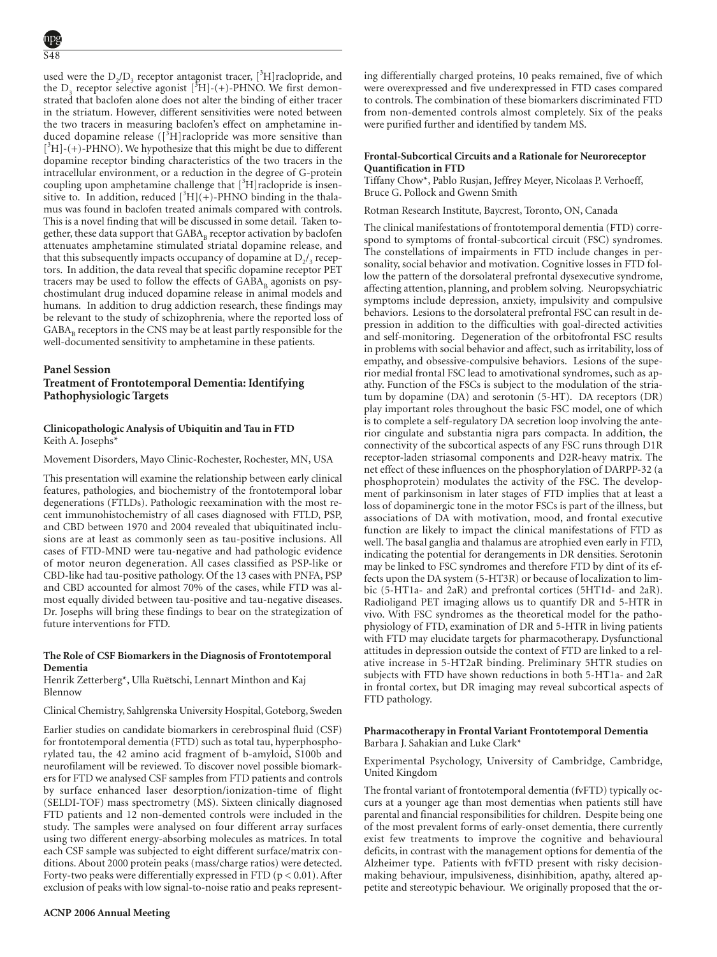used were the  $D_2/D_3$  receptor antagonist tracer, [<sup>3</sup>H]raclopride, and the  $D_3$  receptor selective agonist  $\binom{3}{1}$ -(+)-PHNO. We first demonstrated that baclofen alone does not alter the binding of either tracer in the striatum. However, different sensitivities were noted between the two tracers in measuring baclofen's effect on amphetamine induced dopamine release ([<sup>3</sup>H]raclopride was more sensitive than  $[^3H]$ -(+)-PHNO). We hypothesize that this might be due to different dopamine receptor binding characteristics of the two tracers in the intracellular environment, or a reduction in the degree of G-protein coupling upon amphetamine challenge that  $[^{3}H]$ raclopride is insensitive to. In addition, reduced  $[{}^{3}H](+)$ -PHNO binding in the thalamus was found in baclofen treated animals compared with controls. This is a novel finding that will be discussed in some detail. Taken together, these data support that GABA<sub>R</sub> receptor activation by baclofen attenuates amphetamine stimulated striatal dopamine release, and that this subsequently impacts occupancy of dopamine at  $D_2/3$  receptors. In addition, the data reveal that specific dopamine receptor PET tracers may be used to follow the effects of  $GABA_B$  agonists on psychostimulant drug induced dopamine release in animal models and humans. In addition to drug addiction research, these findings may be relevant to the study of schizophrenia, where the reported loss of  $GABA<sub>B</sub>$  receptors in the CNS may be at least partly responsible for the well-documented sensitivity to amphetamine in these patients.

### **Panel Session**

# **Treatment of Frontotemporal Dementia: Identifying Pathophysiologic Targets**

### **Clinicopathologic Analysis of Ubiquitin and Tau in FTD** Keith A. Josephs\*

Movement Disorders, Mayo Clinic-Rochester, Rochester, MN, USA

This presentation will examine the relationship between early clinical features, pathologies, and biochemistry of the frontotemporal lobar degenerations (FTLDs). Pathologic reexamination with the most recent immunohistochemistry of all cases diagnosed with FTLD, PSP, and CBD between 1970 and 2004 revealed that ubiquitinated inclusions are at least as commonly seen as tau-positive inclusions. All cases of FTD-MND were tau-negative and had pathologic evidence of motor neuron degeneration. All cases classified as PSP-like or CBD-like had tau-positive pathology. Of the 13 cases with PNFA, PSP and CBD accounted for almost 70% of the cases, while FTD was almost equally divided between tau-positive and tau-negative diseases. Dr. Josephs will bring these findings to bear on the strategization of future interventions for FTD.

# **The Role of CSF Biomarkers in the Diagnosis of Frontotemporal Dementia**

Henrik Zetterberg\*, Ulla Ruëtschi, Lennart Minthon and Kaj Blennow

Clinical Chemistry, Sahlgrenska University Hospital, Goteborg, Sweden

Earlier studies on candidate biomarkers in cerebrospinal fluid (CSF) for frontotemporal dementia (FTD) such as total tau, hyperphosphorylated tau, the 42 amino acid fragment of b-amyloid, S100b and neurofilament will be reviewed. To discover novel possible biomarkers for FTD we analysed CSF samples from FTD patients and controls by surface enhanced laser desorption/ionization-time of flight (SELDI-TOF) mass spectrometry (MS). Sixteen clinically diagnosed FTD patients and 12 non-demented controls were included in the study. The samples were analysed on four different array surfaces using two different energy-absorbing molecules as matrices. In total each CSF sample was subjected to eight different surface/matrix conditions. About 2000 protein peaks (mass/charge ratios) were detected. Forty-two peaks were differentially expressed in FTD (p < 0.01). After exclusion of peaks with low signal-to-noise ratio and peaks representing differentially charged proteins, 10 peaks remained, five of which were overexpressed and five underexpressed in FTD cases compared to controls. The combination of these biomarkers discriminated FTD from non-demented controls almost completely. Six of the peaks were purified further and identified by tandem MS.

### **Frontal-Subcortical Circuits and a Rationale for Neuroreceptor Quantification in FTD**

Tiffany Chow\*, Pablo Rusjan, Jeffrey Meyer, Nicolaas P. Verhoeff, Bruce G. Pollock and Gwenn Smith

Rotman Research Institute, Baycrest, Toronto, ON, Canada

The clinical manifestations of frontotemporal dementia (FTD) correspond to symptoms of frontal-subcortical circuit (FSC) syndromes. The constellations of impairments in FTD include changes in personality, social behavior and motivation. Cognitive losses in FTD follow the pattern of the dorsolateral prefrontal dysexecutive syndrome, affecting attention, planning, and problem solving. Neuropsychiatric symptoms include depression, anxiety, impulsivity and compulsive behaviors. Lesions to the dorsolateral prefrontal FSC can result in depression in addition to the difficulties with goal-directed activities and self-monitoring. Degeneration of the orbitofrontal FSC results in problems with social behavior and affect, such as irritability, loss of empathy, and obsessive-compulsive behaviors. Lesions of the superior medial frontal FSC lead to amotivational syndromes, such as apathy. Function of the FSCs is subject to the modulation of the striatum by dopamine (DA) and serotonin (5-HT). DA receptors (DR) play important roles throughout the basic FSC model, one of which is to complete a self-regulatory DA secretion loop involving the anterior cingulate and substantia nigra pars compacta. In addition, the connectivity of the subcortical aspects of any FSC runs through D1R receptor-laden striasomal components and D2R-heavy matrix. The net effect of these influences on the phosphorylation of DARPP-32 (a phosphoprotein) modulates the activity of the FSC. The development of parkinsonism in later stages of FTD implies that at least a loss of dopaminergic tone in the motor FSCs is part of the illness, but associations of DA with motivation, mood, and frontal executive function are likely to impact the clinical manifestations of FTD as well. The basal ganglia and thalamus are atrophied even early in FTD, indicating the potential for derangements in DR densities. Serotonin may be linked to FSC syndromes and therefore FTD by dint of its effects upon the DA system (5-HT3R) or because of localization to limbic (5-HT1a- and 2aR) and prefrontal cortices (5HT1d- and 2aR). Radioligand PET imaging allows us to quantify DR and 5-HTR in vivo. With FSC syndromes as the theoretical model for the pathophysiology of FTD, examination of DR and 5-HTR in living patients with FTD may elucidate targets for pharmacotherapy. Dysfunctional attitudes in depression outside the context of FTD are linked to a relative increase in 5-HT2aR binding. Preliminary 5HTR studies on subjects with FTD have shown reductions in both 5-HT1a- and 2aR in frontal cortex, but DR imaging may reveal subcortical aspects of FTD pathology.

### **Pharmacotherapy in Frontal Variant Frontotemporal Dementia** Barbara J. Sahakian and Luke Clark\*

Experimental Psychology, University of Cambridge, Cambridge, United Kingdom

The frontal variant of frontotemporal dementia (fvFTD) typically occurs at a younger age than most dementias when patients still have parental and financial responsibilities for children. Despite being one of the most prevalent forms of early-onset dementia, there currently exist few treatments to improve the cognitive and behavioural deficits, in contrast with the management options for dementia of the Alzheimer type. Patients with fvFTD present with risky decisionmaking behaviour, impulsiveness, disinhibition, apathy, altered appetite and stereotypic behaviour. We originally proposed that the or-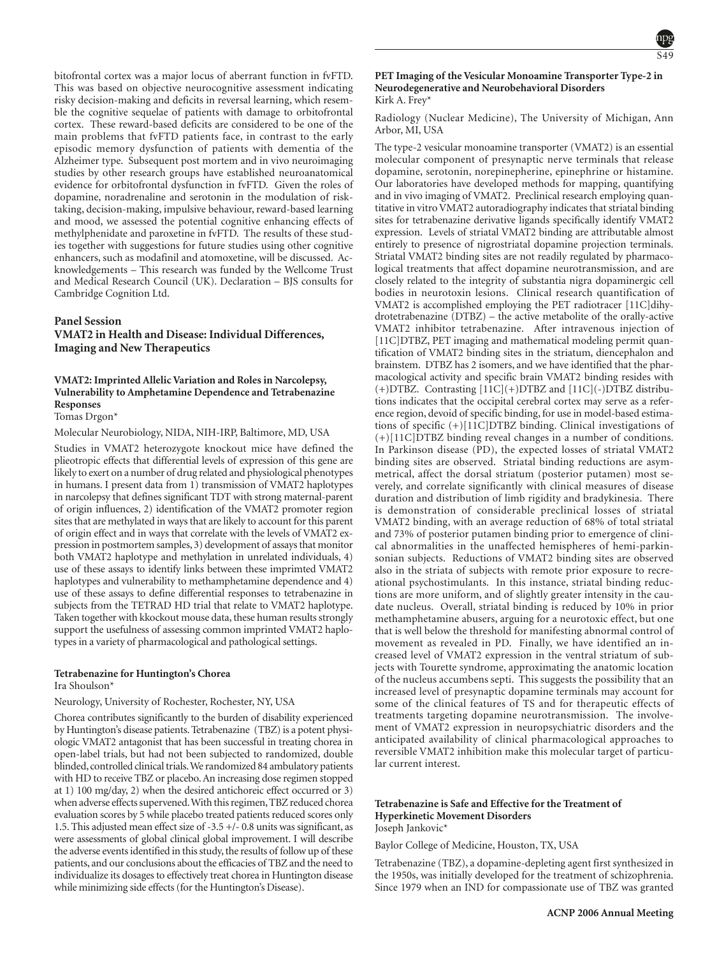bitofrontal cortex was a major locus of aberrant function in fvFTD. This was based on objective neurocognitive assessment indicating risky decision-making and deficits in reversal learning, which resemble the cognitive sequelae of patients with damage to orbitofrontal cortex. These reward-based deficits are considered to be one of the main problems that fvFTD patients face, in contrast to the early episodic memory dysfunction of patients with dementia of the Alzheimer type. Subsequent post mortem and in vivo neuroimaging studies by other research groups have established neuroanatomical evidence for orbitofrontal dysfunction in fvFTD. Given the roles of dopamine, noradrenaline and serotonin in the modulation of risktaking, decision-making, impulsive behaviour, reward-based learning and mood, we assessed the potential cognitive enhancing effects of methylphenidate and paroxetine in fvFTD. The results of these studies together with suggestions for future studies using other cognitive enhancers, such as modafinil and atomoxetine, will be discussed. Acknowledgements – This research was funded by the Wellcome Trust and Medical Research Council (UK). Declaration – BJS consults for Cambridge Cognition Ltd.

### **Panel Session**

# **VMAT2 in Health and Disease: Individual Differences, Imaging and New Therapeutics**

**VMAT2: Imprinted Allelic Variation and Roles in Narcolepsy, Vulnerability to Amphetamine Dependence and Tetrabenazine Responses**

Tomas Drgon\*

Molecular Neurobiology, NIDA, NIH-IRP, Baltimore, MD, USA

Studies in VMAT2 heterozygote knockout mice have defined the plieotropic effects that differential levels of expression of this gene are likely to exert on a number of drug related and physiological phenotypes in humans. I present data from 1) transmission of VMAT2 haplotypes in narcolepsy that defines significant TDT with strong maternal-parent of origin influences, 2) identification of the VMAT2 promoter region sites that are methylated in ways that are likely to account for this parent of origin effect and in ways that correlate with the levels of VMAT2 expression in postmortem samples, 3) development of assays that monitor both VMAT2 haplotype and methylation in unrelated individuals, 4) use of these assays to identify links between these imprimted VMAT2 haplotypes and vulnerability to methamphetamine dependence and 4) use of these assays to define differential responses to tetrabenazine in subjects from the TETRAD HD trial that relate to VMAT2 haplotype. Taken together with kkockout mouse data, these human results strongly support the usefulness of assessing common imprinted VMAT2 haplotypes in a variety of pharmacological and pathological settings.

### **Tetrabenazine for Huntington's Chorea**

Ira Shoulson\*

# Neurology, University of Rochester, Rochester, NY, USA

Chorea contributes significantly to the burden of disability experienced by Huntington's disease patients. Tetrabenazine (TBZ) is a potent physiologic VMAT2 antagonist that has been successful in treating chorea in open-label trials, but had not been subjected to randomized, double blinded, controlled clinical trials. We randomized 84 ambulatory patients with HD to receive TBZ or placebo. An increasing dose regimen stopped at 1) 100 mg/day, 2) when the desired antichoreic effect occurred or 3) when adverse effects supervened. With this regimen, TBZ reduced chorea evaluation scores by 5 while placebo treated patients reduced scores only 1.5. This adjusted mean effect size of -3.5 +/- 0.8 units was significant, as were assessments of global clinical global improvement. I will describe the adverse events identified in this study, the results of follow up of these patients, and our conclusions about the efficacies of TBZ and the need to individualize its dosages to effectively treat chorea in Huntington disease while minimizing side effects (for the Huntington's Disease).

### **PET Imaging of the Vesicular Monoamine Transporter Type-2 in Neurodegenerative and Neurobehavioral Disorders** Kirk A. Frey\*

Radiology (Nuclear Medicine), The University of Michigan, Ann Arbor, MI, USA

The type-2 vesicular monoamine transporter (VMAT2) is an essential molecular component of presynaptic nerve terminals that release dopamine, serotonin, norepinepherine, epinephrine or histamine. Our laboratories have developed methods for mapping, quantifying and in vivo imaging of VMAT2. Preclinical research employing quantitative in vitro VMAT2 autoradiography indicates that striatal binding sites for tetrabenazine derivative ligands specifically identify VMAT2 expression. Levels of striatal VMAT2 binding are attributable almost entirely to presence of nigrostriatal dopamine projection terminals. Striatal VMAT2 binding sites are not readily regulated by pharmacological treatments that affect dopamine neurotransmission, and are closely related to the integrity of substantia nigra dopaminergic cell bodies in neurotoxin lesions. Clinical research quantification of VMAT2 is accomplished employing the PET radiotracer [11C]dihydrotetrabenazine (DTBZ) – the active metabolite of the orally-active VMAT2 inhibitor tetrabenazine. After intravenous injection of [11C]DTBZ, PET imaging and mathematical modeling permit quantification of VMAT2 binding sites in the striatum, diencephalon and brainstem. DTBZ has 2 isomers, and we have identified that the pharmacological activity and specific brain VMAT2 binding resides with (+)DTBZ. Contrasting [11C](+)DTBZ and [11C](-)DTBZ distributions indicates that the occipital cerebral cortex may serve as a reference region, devoid of specific binding, for use in model-based estimations of specific (+)[11C]DTBZ binding. Clinical investigations of (+)[11C]DTBZ binding reveal changes in a number of conditions. In Parkinson disease (PD), the expected losses of striatal VMAT2 binding sites are observed. Striatal binding reductions are asymmetrical, affect the dorsal striatum (posterior putamen) most severely, and correlate significantly with clinical measures of disease duration and distribution of limb rigidity and bradykinesia. There is demonstration of considerable preclinical losses of striatal VMAT2 binding, with an average reduction of 68% of total striatal and 73% of posterior putamen binding prior to emergence of clinical abnormalities in the unaffected hemispheres of hemi-parkinsonian subjects. Reductions of VMAT2 binding sites are observed also in the striata of subjects with remote prior exposure to recreational psychostimulants. In this instance, striatal binding reductions are more uniform, and of slightly greater intensity in the caudate nucleus. Overall, striatal binding is reduced by 10% in prior methamphetamine abusers, arguing for a neurotoxic effect, but one that is well below the threshold for manifesting abnormal control of movement as revealed in PD. Finally, we have identified an increased level of VMAT2 expression in the ventral striatum of subjects with Tourette syndrome, approximating the anatomic location of the nucleus accumbens septi. This suggests the possibility that an increased level of presynaptic dopamine terminals may account for some of the clinical features of TS and for therapeutic effects of treatments targeting dopamine neurotransmission. The involvement of VMAT2 expression in neuropsychiatric disorders and the anticipated availability of clinical pharmacological approaches to reversible VMAT2 inhibition make this molecular target of particular current interest.

### **Tetrabenazine is Safe and Effective for the Treatment of Hyperkinetic Movement Disorders** Joseph Jankovic\*

Baylor College of Medicine, Houston, TX, USA

Tetrabenazine (TBZ), a dopamine-depleting agent first synthesized in the 1950s, was initially developed for the treatment of schizophrenia. Since 1979 when an IND for compassionate use of TBZ was granted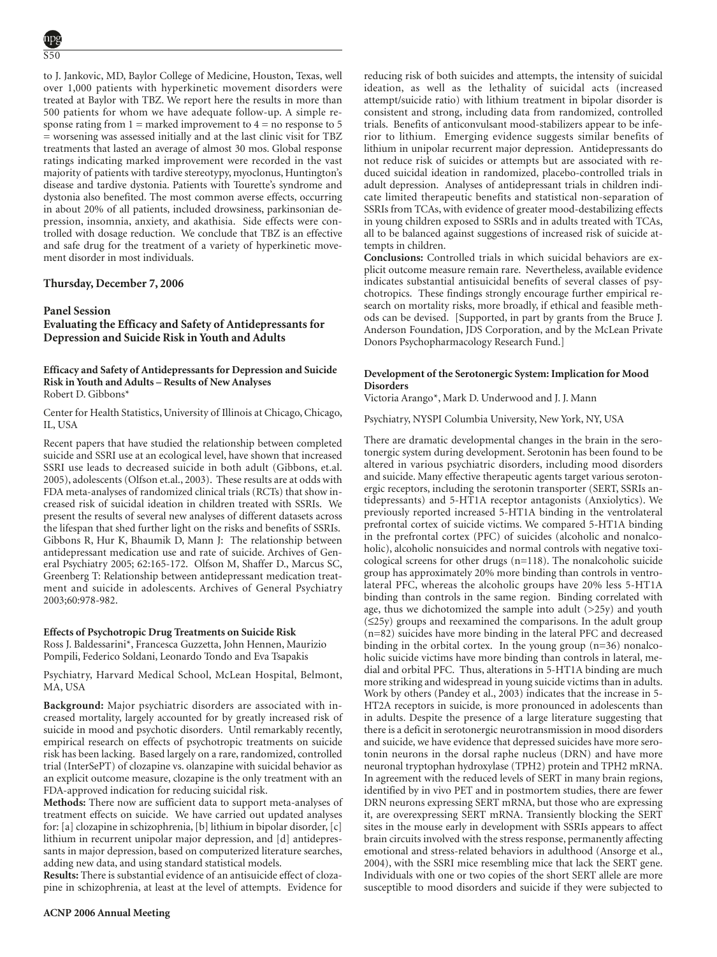to J. Jankovic, MD, Baylor College of Medicine, Houston, Texas, well over 1,000 patients with hyperkinetic movement disorders were treated at Baylor with TBZ. We report here the results in more than 500 patients for whom we have adequate follow-up. A simple response rating from  $1 =$  marked improvement to  $4 =$  no response to 5 = worsening was assessed initially and at the last clinic visit for TBZ treatments that lasted an average of almost 30 mos. Global response ratings indicating marked improvement were recorded in the vast majority of patients with tardive stereotypy, myoclonus, Huntington's disease and tardive dystonia. Patients with Tourette's syndrome and dystonia also benefited. The most common averse effects, occurring in about 20% of all patients, included drowsiness, parkinsonian depression, insomnia, anxiety, and akathisia. Side effects were controlled with dosage reduction. We conclude that TBZ is an effective and safe drug for the treatment of a variety of hyperkinetic movement disorder in most individuals.

**Thursday, December 7, 2006**

### **Panel Session**

**Evaluating the Efficacy and Safety of Antidepressants for Depression and Suicide Risk in Youth and Adults**

### **Efficacy and Safety of Antidepressants for Depression and Suicide Risk in Youth and Adults – Results of New Analyses** Robert D. Gibbons\*

Center for Health Statistics, University of Illinois at Chicago, Chicago, IL, USA

Recent papers that have studied the relationship between completed suicide and SSRI use at an ecological level, have shown that increased SSRI use leads to decreased suicide in both adult (Gibbons, et.al. 2005), adolescents (Olfson et.al., 2003). These results are at odds with FDA meta-analyses of randomized clinical trials (RCTs) that show increased risk of suicidal ideation in children treated with SSRIs. We present the results of several new analyses of different datasets across the lifespan that shed further light on the risks and benefits of SSRIs. Gibbons R, Hur K, Bhaumik D, Mann J: The relationship between antidepressant medication use and rate of suicide. Archives of General Psychiatry 2005; 62:165-172. Olfson M, Shaffer D., Marcus SC, Greenberg T: Relationship between antidepressant medication treatment and suicide in adolescents. Archives of General Psychiatry 2003;60:978-982.

# **Effects of Psychotropic Drug Treatments on Suicide Risk**

Ross J. Baldessarini\*, Francesca Guzzetta, John Hennen, Maurizio Pompili, Federico Soldani, Leonardo Tondo and Eva Tsapakis

Psychiatry, Harvard Medical School, McLean Hospital, Belmont, MA, USA

**Background:** Major psychiatric disorders are associated with increased mortality, largely accounted for by greatly increased risk of suicide in mood and psychotic disorders. Until remarkably recently, empirical research on effects of psychotropic treatments on suicide risk has been lacking. Based largely on a rare, randomized, controlled trial (InterSePT) of clozapine vs. olanzapine with suicidal behavior as an explicit outcome measure, clozapine is the only treatment with an FDA-approved indication for reducing suicidal risk.

**Methods:** There now are sufficient data to support meta-analyses of treatment effects on suicide. We have carried out updated analyses for: [a] clozapine in schizophrenia, [b] lithium in bipolar disorder, [c] lithium in recurrent unipolar major depression, and [d] antidepressants in major depression, based on computerized literature searches, adding new data, and using standard statistical models.

**Results:** There is substantial evidence of an antisuicide effect of clozapine in schizophrenia, at least at the level of attempts. Evidence for reducing risk of both suicides and attempts, the intensity of suicidal ideation, as well as the lethality of suicidal acts (increased attempt/suicide ratio) with lithium treatment in bipolar disorder is consistent and strong, including data from randomized, controlled trials. Benefits of anticonvulsant mood-stabilizers appear to be inferior to lithium. Emerging evidence suggests similar benefits of lithium in unipolar recurrent major depression. Antidepressants do not reduce risk of suicides or attempts but are associated with reduced suicidal ideation in randomized, placebo-controlled trials in adult depression. Analyses of antidepressant trials in children indicate limited therapeutic benefits and statistical non-separation of SSRIs from TCAs, with evidence of greater mood-destabilizing effects in young children exposed to SSRIs and in adults treated with TCAs, all to be balanced against suggestions of increased risk of suicide attempts in children.

**Conclusions:** Controlled trials in which suicidal behaviors are explicit outcome measure remain rare. Nevertheless, available evidence indicates substantial antisuicidal benefits of several classes of psychotropics. These findings strongly encourage further empirical research on mortality risks, more broadly, if ethical and feasible methods can be devised. [Supported, in part by grants from the Bruce J. Anderson Foundation, JDS Corporation, and by the McLean Private Donors Psychopharmacology Research Fund.]

# **Development of the Serotonergic System: Implication for Mood Disorders**

Victoria Arango\*, Mark D. Underwood and J. J. Mann

Psychiatry, NYSPI Columbia University, New York, NY, USA

There are dramatic developmental changes in the brain in the serotonergic system during development. Serotonin has been found to be altered in various psychiatric disorders, including mood disorders and suicide. Many effective therapeutic agents target various serotonergic receptors, including the serotonin transporter (SERT, SSRIs antidepressants) and 5-HT1A receptor antagonists (Anxiolytics). We previously reported increased 5-HT1A binding in the ventrolateral prefrontal cortex of suicide victims. We compared 5-HT1A binding in the prefrontal cortex (PFC) of suicides (alcoholic and nonalcoholic), alcoholic nonsuicides and normal controls with negative toxicological screens for other drugs (n=118). The nonalcoholic suicide group has approximately 20% more binding than controls in ventrolateral PFC, whereas the alcoholic groups have 20% less 5-HT1A binding than controls in the same region. Binding correlated with age, thus we dichotomized the sample into adult  $(>25y)$  and youth  $(\leq 25y)$  groups and reexamined the comparisons. In the adult group (n=82) suicides have more binding in the lateral PFC and decreased binding in the orbital cortex. In the young group (n=36) nonalcoholic suicide victims have more binding than controls in lateral, medial and orbital PFC. Thus, alterations in 5-HT1A binding are much more striking and widespread in young suicide victims than in adults. Work by others (Pandey et al., 2003) indicates that the increase in 5- HT2A receptors in suicide, is more pronounced in adolescents than in adults. Despite the presence of a large literature suggesting that there is a deficit in serotonergic neurotransmission in mood disorders and suicide, we have evidence that depressed suicides have more serotonin neurons in the dorsal raphe nucleus (DRN) and have more neuronal tryptophan hydroxylase (TPH2) protein and TPH2 mRNA. In agreement with the reduced levels of SERT in many brain regions, identified by in vivo PET and in postmortem studies, there are fewer DRN neurons expressing SERT mRNA, but those who are expressing it, are overexpressing SERT mRNA. Transiently blocking the SERT sites in the mouse early in development with SSRIs appears to affect brain circuits involved with the stress response, permanently affecting emotional and stress-related behaviors in adulthood (Ansorge et al., 2004), with the SSRI mice resembling mice that lack the SERT gene. Individuals with one or two copies of the short SERT allele are more susceptible to mood disorders and suicide if they were subjected to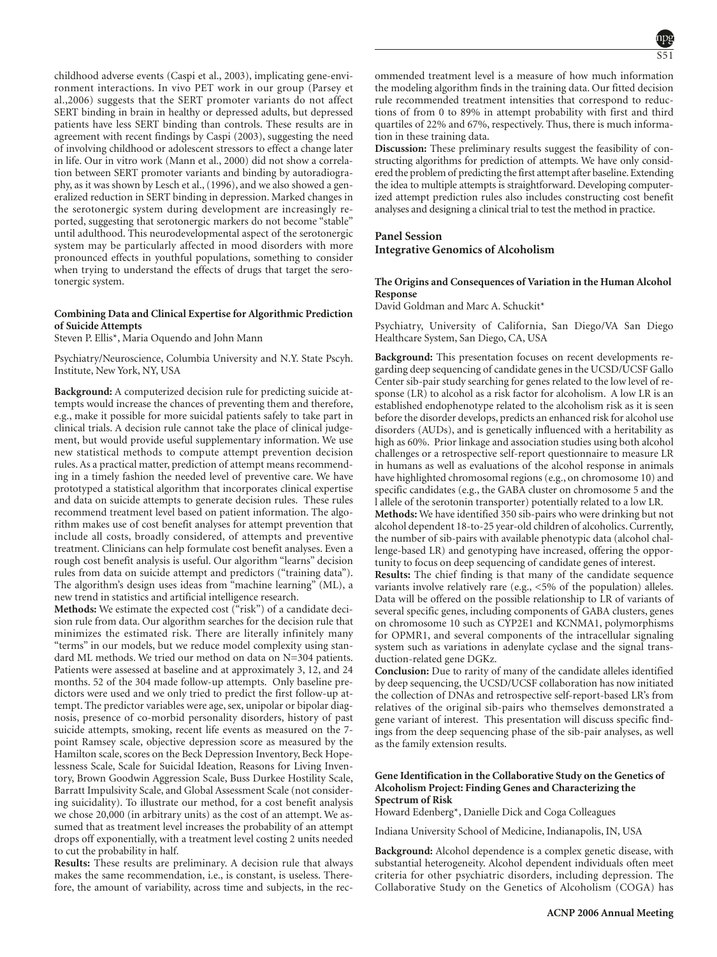childhood adverse events (Caspi et al., 2003), implicating gene-environment interactions. In vivo PET work in our group (Parsey et al.,2006) suggests that the SERT promoter variants do not affect SERT binding in brain in healthy or depressed adults, but depressed patients have less SERT binding than controls. These results are in agreement with recent findings by Caspi (2003), suggesting the need of involving childhood or adolescent stressors to effect a change later in life. Our in vitro work (Mann et al., 2000) did not show a correlation between SERT promoter variants and binding by autoradiography, as it was shown by Lesch et al., (1996), and we also showed a generalized reduction in SERT binding in depression. Marked changes in the serotonergic system during development are increasingly reported, suggesting that serotonergic markers do not become "stable" until adulthood. This neurodevelopmental aspect of the serotonergic system may be particularly affected in mood disorders with more pronounced effects in youthful populations, something to consider when trying to understand the effects of drugs that target the serotonergic system.

### **Combining Data and Clinical Expertise for Algorithmic Prediction of Suicide Attempts**

Steven P. Ellis\*, Maria Oquendo and John Mann

Psychiatry/Neuroscience, Columbia University and N.Y. State Pscyh. Institute, New York, NY, USA

**Background:** A computerized decision rule for predicting suicide attempts would increase the chances of preventing them and therefore, e.g., make it possible for more suicidal patients safely to take part in clinical trials. A decision rule cannot take the place of clinical judgement, but would provide useful supplementary information. We use new statistical methods to compute attempt prevention decision rules. As a practical matter, prediction of attempt means recommending in a timely fashion the needed level of preventive care. We have prototyped a statistical algorithm that incorporates clinical expertise and data on suicide attempts to generate decision rules. These rules recommend treatment level based on patient information. The algorithm makes use of cost benefit analyses for attempt prevention that include all costs, broadly considered, of attempts and preventive treatment. Clinicians can help formulate cost benefit analyses. Even a rough cost benefit analysis is useful. Our algorithm "learns" decision rules from data on suicide attempt and predictors ("training data"). The algorithm's design uses ideas from "machine learning" (ML), a new trend in statistics and artificial intelligence research.

Methods: We estimate the expected cost ("risk") of a candidate decision rule from data. Our algorithm searches for the decision rule that minimizes the estimated risk. There are literally infinitely many "terms" in our models, but we reduce model complexity using standard ML methods. We tried our method on data on N=304 patients. Patients were assessed at baseline and at approximately 3, 12, and 24 months. 52 of the 304 made follow-up attempts. Only baseline predictors were used and we only tried to predict the first follow-up attempt. The predictor variables were age, sex, unipolar or bipolar diagnosis, presence of co-morbid personality disorders, history of past suicide attempts, smoking, recent life events as measured on the 7 point Ramsey scale, objective depression score as measured by the Hamilton scale, scores on the Beck Depression Inventory, Beck Hopelessness Scale, Scale for Suicidal Ideation, Reasons for Living Inventory, Brown Goodwin Aggression Scale, Buss Durkee Hostility Scale, Barratt Impulsivity Scale, and Global Assessment Scale (not considering suicidality). To illustrate our method, for a cost benefit analysis we chose 20,000 (in arbitrary units) as the cost of an attempt. We assumed that as treatment level increases the probability of an attempt drops off exponentially, with a treatment level costing 2 units needed to cut the probability in half.

**Results:** These results are preliminary. A decision rule that always makes the same recommendation, i.e., is constant, is useless. Therefore, the amount of variability, across time and subjects, in the recommended treatment level is a measure of how much information the modeling algorithm finds in the training data. Our fitted decision rule recommended treatment intensities that correspond to reductions of from 0 to 89% in attempt probability with first and third quartiles of 22% and 67%, respectively. Thus, there is much information in these training data.

**Discussion:** These preliminary results suggest the feasibility of constructing algorithms for prediction of attempts. We have only considered the problem of predicting the first attempt after baseline. Extending the idea to multiple attempts is straightforward. Developing computerized attempt prediction rules also includes constructing cost benefit analyses and designing a clinical trial to test the method in practice.

# **Panel Session Integrative Genomics of Alcoholism**

## **The Origins and Consequences of Variation in the Human Alcohol Response**

David Goldman and Marc A. Schuckit\*

Psychiatry, University of California, San Diego/VA San Diego Healthcare System, San Diego, CA, USA

**Background:** This presentation focuses on recent developments regarding deep sequencing of candidate genes in the UCSD/UCSF Gallo Center sib-pair study searching for genes related to the low level of response (LR) to alcohol as a risk factor for alcoholism. A low LR is an established endophenotype related to the alcoholism risk as it is seen before the disorder develops, predicts an enhanced risk for alcohol use disorders (AUDs), and is genetically influenced with a heritability as high as 60%. Prior linkage and association studies using both alcohol challenges or a retrospective self-report questionnaire to measure LR in humans as well as evaluations of the alcohol response in animals have highlighted chromosomal regions (e.g., on chromosome 10) and specific candidates (e.g., the GABA cluster on chromosome 5 and the l allele of the serotonin transporter) potentially related to a low LR.

**Methods:** We have identified 350 sib-pairs who were drinking but not alcohol dependent 18-to-25 year-old children of alcoholics. Currently, the number of sib-pairs with available phenotypic data (alcohol challenge-based LR) and genotyping have increased, offering the opportunity to focus on deep sequencing of candidate genes of interest.

**Results:** The chief finding is that many of the candidate sequence variants involve relatively rare (e.g., <5% of the population) alleles. Data will be offered on the possible relationship to LR of variants of several specific genes, including components of GABA clusters, genes on chromosome 10 such as CYP2E1 and KCNMA1, polymorphisms for OPMR1, and several components of the intracellular signaling system such as variations in adenylate cyclase and the signal transduction-related gene DGKz.

**Conclusion:** Due to rarity of many of the candidate alleles identified by deep sequencing, the UCSD/UCSF collaboration has now initiated the collection of DNAs and retrospective self-report-based LR's from relatives of the original sib-pairs who themselves demonstrated a gene variant of interest. This presentation will discuss specific findings from the deep sequencing phase of the sib-pair analyses, as well as the family extension results.

# **Gene Identification in the Collaborative Study on the Genetics of Alcoholism Project: Finding Genes and Characterizing the Spectrum of Risk**

Howard Edenberg\*, Danielle Dick and Coga Colleagues

Indiana University School of Medicine, Indianapolis, IN, USA

**Background:** Alcohol dependence is a complex genetic disease, with substantial heterogeneity. Alcohol dependent individuals often meet criteria for other psychiatric disorders, including depression. The Collaborative Study on the Genetics of Alcoholism (COGA) has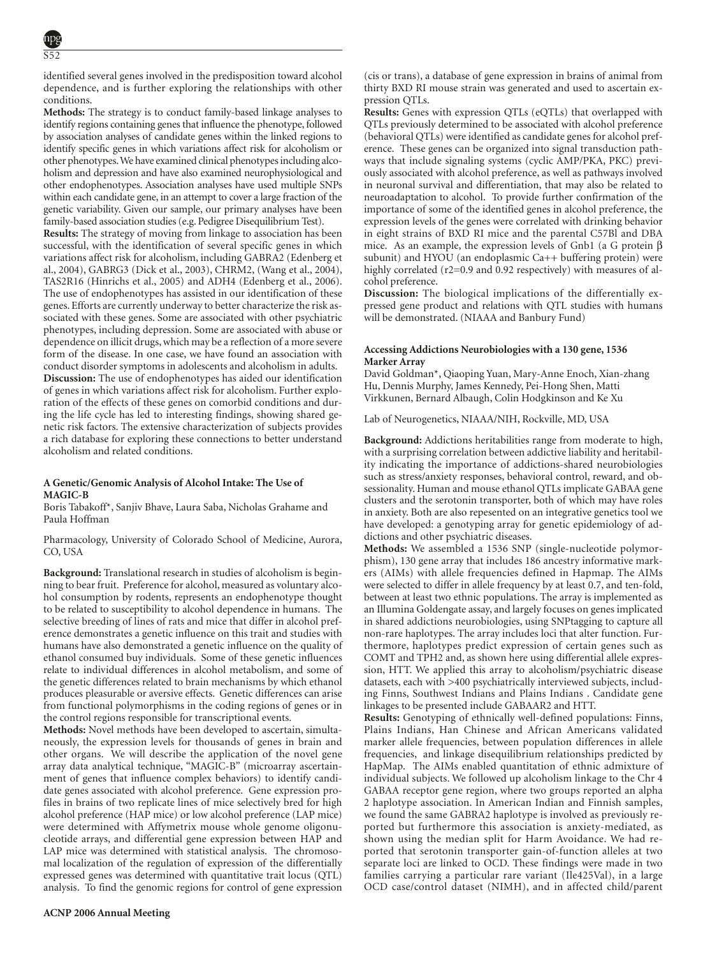identified several genes involved in the predisposition toward alcohol dependence, and is further exploring the relationships with other conditions.

**Methods:** The strategy is to conduct family-based linkage analyses to identify regions containing genes that influence the phenotype, followed by association analyses of candidate genes within the linked regions to identify specific genes in which variations affect risk for alcoholism or other phenotypes.We have examined clinical phenotypes including alcoholism and depression and have also examined neurophysiological and other endophenotypes. Association analyses have used multiple SNPs within each candidate gene, in an attempt to cover a large fraction of the genetic variability. Given our sample, our primary analyses have been family-based association studies (e.g. Pedigree Disequilibrium Test).

**Results:** The strategy of moving from linkage to association has been successful, with the identification of several specific genes in which variations affect risk for alcoholism, including GABRA2 (Edenberg et al., 2004), GABRG3 (Dick et al., 2003), CHRM2, (Wang et al., 2004), TAS2R16 (Hinrichs et al., 2005) and ADH4 (Edenberg et al., 2006). The use of endophenotypes has assisted in our identification of these genes. Efforts are currently underway to better characterize the risk associated with these genes. Some are associated with other psychiatric phenotypes, including depression. Some are associated with abuse or dependence on illicit drugs, which may be a reflection of a more severe form of the disease. In one case, we have found an association with conduct disorder symptoms in adolescents and alcoholism in adults. **Discussion:** The use of endophenotypes has aided our identification of genes in which variations affect risk for alcoholism. Further exploration of the effects of these genes on comorbid conditions and during the life cycle has led to interesting findings, showing shared genetic risk factors. The extensive characterization of subjects provides a rich database for exploring these connections to better understand

### **A Genetic/Genomic Analysis of Alcohol Intake: The Use of MAGIC-B**

alcoholism and related conditions.

Boris Tabakoff\*, Sanjiv Bhave, Laura Saba, Nicholas Grahame and Paula Hoffman

Pharmacology, University of Colorado School of Medicine, Aurora, CO, USA

**Background:** Translational research in studies of alcoholism is beginning to bear fruit. Preference for alcohol, measured as voluntary alcohol consumption by rodents, represents an endophenotype thought to be related to susceptibility to alcohol dependence in humans. The selective breeding of lines of rats and mice that differ in alcohol preference demonstrates a genetic influence on this trait and studies with humans have also demonstrated a genetic influence on the quality of ethanol consumed buy individuals. Some of these genetic influences relate to individual differences in alcohol metabolism, and some of the genetic differences related to brain mechanisms by which ethanol produces pleasurable or aversive effects. Genetic differences can arise from functional polymorphisms in the coding regions of genes or in the control regions responsible for transcriptional events.

**Methods:** Novel methods have been developed to ascertain, simultaneously, the expression levels for thousands of genes in brain and other organs. We will describe the application of the novel gene array data analytical technique, "MAGIC-B" (microarray ascertainment of genes that influence complex behaviors) to identify candidate genes associated with alcohol preference. Gene expression profiles in brains of two replicate lines of mice selectively bred for high alcohol preference (HAP mice) or low alcohol preference (LAP mice) were determined with Affymetrix mouse whole genome oligonucleotide arrays, and differential gene expression between HAP and LAP mice was determined with statistical analysis. The chromosomal localization of the regulation of expression of the differentially expressed genes was determined with quantitative trait locus (QTL) analysis. To find the genomic regions for control of gene expression (cis or trans), a database of gene expression in brains of animal from thirty BXD RI mouse strain was generated and used to ascertain expression QTLs.

**Results:** Genes with expression QTLs (eQTLs) that overlapped with QTLs previously determined to be associated with alcohol preference (behavioral QTLs) were identified as candidate genes for alcohol preference. These genes can be organized into signal transduction pathways that include signaling systems (cyclic AMP/PKA, PKC) previously associated with alcohol preference, as well as pathways involved in neuronal survival and differentiation, that may also be related to neuroadaptation to alcohol. To provide further confirmation of the importance of some of the identified genes in alcohol preference, the expression levels of the genes were correlated with drinking behavior in eight strains of BXD RI mice and the parental C57Bl and DBA mice. As an example, the expression levels of Gnb1 (a G protein β subunit) and HYOU (an endoplasmic Ca++ buffering protein) were highly correlated (r2=0.9 and 0.92 respectively) with measures of alcohol preference.

**Discussion:** The biological implications of the differentially expressed gene product and relations with QTL studies with humans will be demonstrated. (NIAAA and Banbury Fund)

# **Accessing Addictions Neurobiologies with a 130 gene, 1536 Marker Array**

David Goldman\*, Qiaoping Yuan, Mary-Anne Enoch, Xian-zhang Hu, Dennis Murphy, James Kennedy, Pei-Hong Shen, Matti Virkkunen, Bernard Albaugh, Colin Hodgkinson and Ke Xu

Lab of Neurogenetics, NIAAA/NIH, Rockville, MD, USA

**Background:** Addictions heritabilities range from moderate to high, with a surprising correlation between addictive liability and heritability indicating the importance of addictions-shared neurobiologies such as stress/anxiety responses, behavioral control, reward, and obsessionality. Human and mouse ethanol QTLs implicate GABAA gene clusters and the serotonin transporter, both of which may have roles in anxiety. Both are also repesented on an integrative genetics tool we have developed: a genotyping array for genetic epidemiology of addictions and other psychiatric diseases.

**Methods:** We assembled a 1536 SNP (single-nucleotide polymorphism), 130 gene array that includes 186 ancestry informative markers (AIMs) with allele frequencies defined in Hapmap. The AIMs were selected to differ in allele frequency by at least 0.7, and ten-fold, between at least two ethnic populations. The array is implemented as an Illumina Goldengate assay, and largely focuses on genes implicated in shared addictions neurobiologies, using SNPtagging to capture all non-rare haplotypes. The array includes loci that alter function. Furthermore, haplotypes predict expression of certain genes such as COMT and TPH2 and, as shown here using differential allele expression, HTT. We applied this array to alcoholism/psychiatric disease datasets, each with >400 psychiatrically interviewed subjects, including Finns, Southwest Indians and Plains Indians . Candidate gene linkages to be presented include GABAAR2 and HTT.

**Results:** Genotyping of ethnically well-defined populations: Finns, Plains Indians, Han Chinese and African Americans validated marker allele frequencies, between population differences in allele frequencies, and linkage disequilibrium relationships predicted by HapMap. The AIMs enabled quantitation of ethnic admixture of individual subjects. We followed up alcoholism linkage to the Chr 4 GABAA receptor gene region, where two groups reported an alpha 2 haplotype association. In American Indian and Finnish samples, we found the same GABRA2 haplotype is involved as previously reported but furthermore this association is anxiety-mediated, as shown using the median split for Harm Avoidance. We had reported that serotonin transporter gain-of-function alleles at two separate loci are linked to OCD. These findings were made in two families carrying a particular rare variant (Ile425Val), in a large OCD case/control dataset (NIMH), and in affected child/parent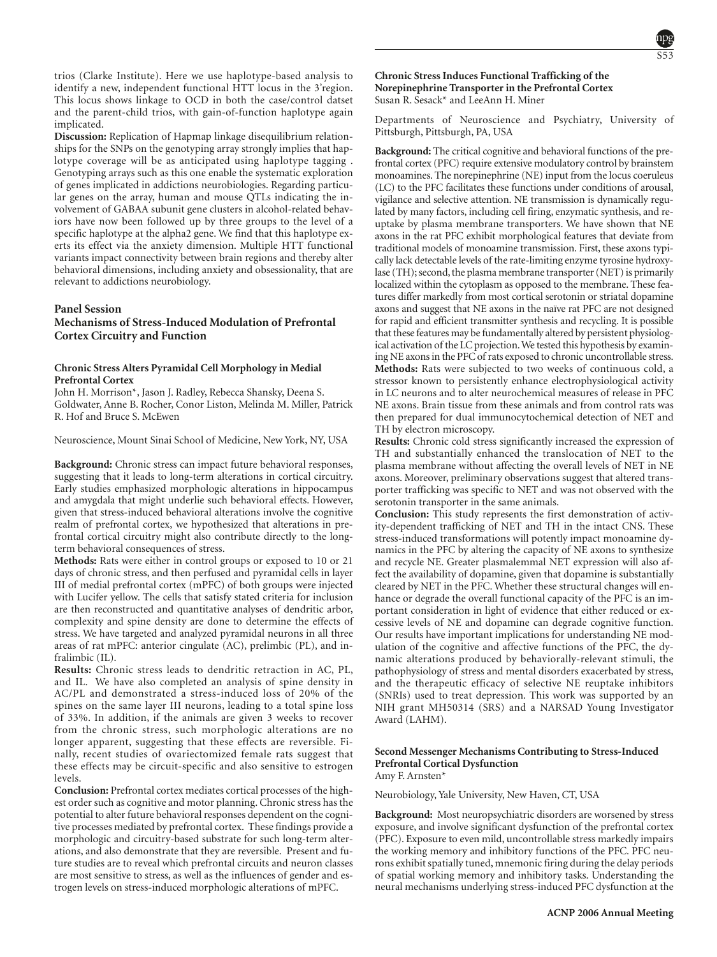trios (Clarke Institute). Here we use haplotype-based analysis to identify a new, independent functional HTT locus in the 3'region. This locus shows linkage to OCD in both the case/control datset and the parent-child trios, with gain-of-function haplotype again implicated.

**Discussion:** Replication of Hapmap linkage disequilibrium relationships for the SNPs on the genotyping array strongly implies that haplotype coverage will be as anticipated using haplotype tagging . Genotyping arrays such as this one enable the systematic exploration of genes implicated in addictions neurobiologies. Regarding particular genes on the array, human and mouse QTLs indicating the involvement of GABAA subunit gene clusters in alcohol-related behaviors have now been followed up by three groups to the level of a specific haplotype at the alpha2 gene. We find that this haplotype exerts its effect via the anxiety dimension. Multiple HTT functional variants impact connectivity between brain regions and thereby alter behavioral dimensions, including anxiety and obsessionality, that are relevant to addictions neurobiology.

### **Panel Session**

# **Mechanisms of Stress-Induced Modulation of Prefrontal Cortex Circuitry and Function**

### **Chronic Stress Alters Pyramidal Cell Morphology in Medial Prefrontal Cortex**

John H. Morrison\*, Jason J. Radley, Rebecca Shansky, Deena S. Goldwater, Anne B. Rocher, Conor Liston, Melinda M. Miller, Patrick R. Hof and Bruce S. McEwen

Neuroscience, Mount Sinai School of Medicine, New York, NY, USA

**Background:** Chronic stress can impact future behavioral responses, suggesting that it leads to long-term alterations in cortical circuitry. Early studies emphasized morphologic alterations in hippocampus and amygdala that might underlie such behavioral effects. However, given that stress-induced behavioral alterations involve the cognitive realm of prefrontal cortex, we hypothesized that alterations in prefrontal cortical circuitry might also contribute directly to the longterm behavioral consequences of stress.

**Methods:** Rats were either in control groups or exposed to 10 or 21 days of chronic stress, and then perfused and pyramidal cells in layer III of medial prefrontal cortex (mPFC) of both groups were injected with Lucifer yellow. The cells that satisfy stated criteria for inclusion are then reconstructed and quantitative analyses of dendritic arbor, complexity and spine density are done to determine the effects of stress. We have targeted and analyzed pyramidal neurons in all three areas of rat mPFC: anterior cingulate (AC), prelimbic (PL), and infralimbic (IL).

**Results:** Chronic stress leads to dendritic retraction in AC, PL, and IL. We have also completed an analysis of spine density in AC/PL and demonstrated a stress-induced loss of 20% of the spines on the same layer III neurons, leading to a total spine loss of 33%. In addition, if the animals are given 3 weeks to recover from the chronic stress, such morphologic alterations are no longer apparent, suggesting that these effects are reversible. Finally, recent studies of ovariectomized female rats suggest that these effects may be circuit-specific and also sensitive to estrogen levels.

**Conclusion:** Prefrontal cortex mediates cortical processes of the highest order such as cognitive and motor planning. Chronic stress has the potential to alter future behavioral responses dependent on the cognitive processes mediated by prefrontal cortex. These findings provide a morphologic and circuitry-based substrate for such long-term alterations, and also demonstrate that they are reversible. Present and future studies are to reveal which prefrontal circuits and neuron classes are most sensitive to stress, as well as the influences of gender and estrogen levels on stress-induced morphologic alterations of mPFC.

## **Chronic Stress Induces Functional Trafficking of the Norepinephrine Transporter in the Prefrontal Cortex** Susan R. Sesack\* and LeeAnn H. Miner

Departments of Neuroscience and Psychiatry, University of Pittsburgh, Pittsburgh, PA, USA

**Background:** The critical cognitive and behavioral functions of the prefrontal cortex (PFC) require extensive modulatory control by brainstem monoamines. The norepinephrine (NE) input from the locus coeruleus (LC) to the PFC facilitates these functions under conditions of arousal, vigilance and selective attention. NE transmission is dynamically regulated by many factors, including cell firing, enzymatic synthesis, and reuptake by plasma membrane transporters. We have shown that NE axons in the rat PFC exhibit morphological features that deviate from traditional models of monoamine transmission. First, these axons typically lack detectable levels of the rate-limiting enzyme tyrosine hydroxylase (TH); second, the plasma membrane transporter (NET) is primarily localized within the cytoplasm as opposed to the membrane. These features differ markedly from most cortical serotonin or striatal dopamine axons and suggest that NE axons in the naïve rat PFC are not designed for rapid and efficient transmitter synthesis and recycling. It is possible that these features may be fundamentally altered by persistent physiological activation of the LC projection.We tested this hypothesis by examining NE axons in the PFC of rats exposed to chronic uncontrollable stress. **Methods:** Rats were subjected to two weeks of continuous cold, a stressor known to persistently enhance electrophysiological activity in LC neurons and to alter neurochemical measures of release in PFC NE axons. Brain tissue from these animals and from control rats was then prepared for dual immunocytochemical detection of NET and TH by electron microscopy.

**Results:** Chronic cold stress significantly increased the expression of TH and substantially enhanced the translocation of NET to the plasma membrane without affecting the overall levels of NET in NE axons. Moreover, preliminary observations suggest that altered transporter trafficking was specific to NET and was not observed with the serotonin transporter in the same animals.

**Conclusion:** This study represents the first demonstration of activity-dependent trafficking of NET and TH in the intact CNS. These stress-induced transformations will potently impact monoamine dynamics in the PFC by altering the capacity of NE axons to synthesize and recycle NE. Greater plasmalemmal NET expression will also affect the availability of dopamine, given that dopamine is substantially cleared by NET in the PFC. Whether these structural changes will enhance or degrade the overall functional capacity of the PFC is an important consideration in light of evidence that either reduced or excessive levels of NE and dopamine can degrade cognitive function. Our results have important implications for understanding NE modulation of the cognitive and affective functions of the PFC, the dynamic alterations produced by behaviorally-relevant stimuli, the pathophysiology of stress and mental disorders exacerbated by stress, and the therapeutic efficacy of selective NE reuptake inhibitors (SNRIs) used to treat depression. This work was supported by an NIH grant MH50314 (SRS) and a NARSAD Young Investigator Award (LAHM).

# **Second Messenger Mechanisms Contributing to Stress-Induced Prefrontal Cortical Dysfunction**

Amy F. Arnsten\*

Neurobiology, Yale University, New Haven, CT, USA

**Background:** Most neuropsychiatric disorders are worsened by stress exposure, and involve significant dysfunction of the prefrontal cortex (PFC). Exposure to even mild, uncontrollable stress markedly impairs the working memory and inhibitory functions of the PFC. PFC neurons exhibit spatially tuned, mnemonic firing during the delay periods of spatial working memory and inhibitory tasks. Understanding the neural mechanisms underlying stress-induced PFC dysfunction at the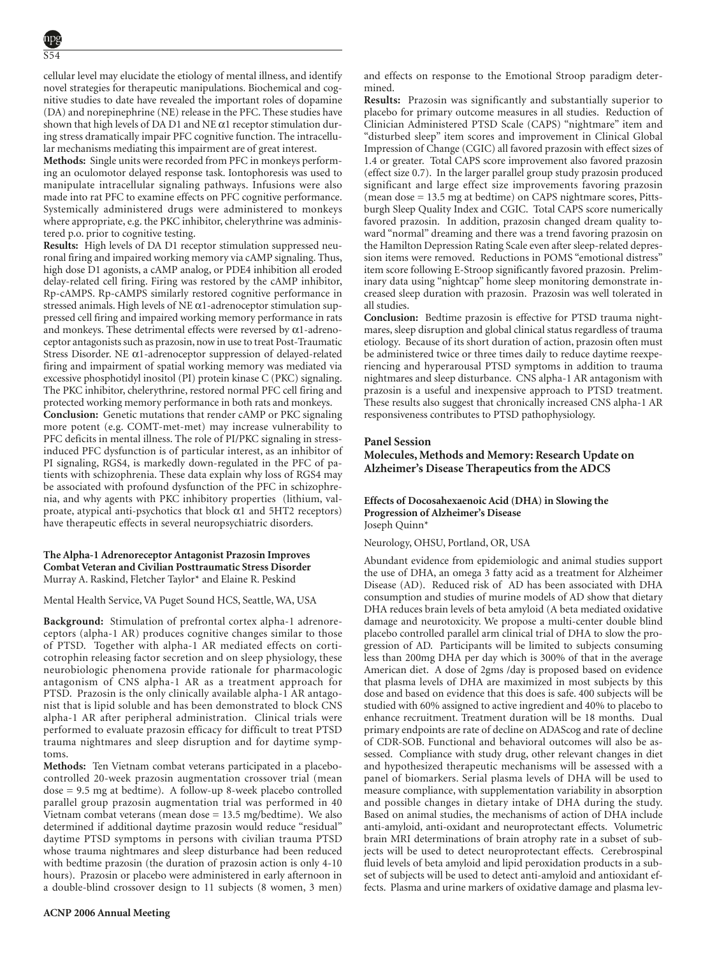cellular level may elucidate the etiology of mental illness, and identify novel strategies for therapeutic manipulations. Biochemical and cognitive studies to date have revealed the important roles of dopamine (DA) and norepinephrine (NE) release in the PFC. These studies have shown that high levels of DA D1 and NE  $\alpha$ 1 receptor stimulation during stress dramatically impair PFC cognitive function. The intracellular mechanisms mediating this impairment are of great interest.

**Methods:** Single units were recorded from PFC in monkeys performing an oculomotor delayed response task. Iontophoresis was used to manipulate intracellular signaling pathways. Infusions were also made into rat PFC to examine effects on PFC cognitive performance. Systemically administered drugs were administered to monkeys where appropriate, e.g. the PKC inhibitor, chelerythrine was administered p.o. prior to cognitive testing.

**Results:** High levels of DA D1 receptor stimulation suppressed neuronal firing and impaired working memory via cAMP signaling. Thus, high dose D1 agonists, a cAMP analog, or PDE4 inhibition all eroded delay-related cell firing. Firing was restored by the cAMP inhibitor, Rp-cAMPS. Rp-cAMPS similarly restored cognitive performance in stressed animals. High levels of NE  $\alpha$ 1-adrenoceptor stimulation suppressed cell firing and impaired working memory performance in rats and monkeys. These detrimental effects were reversed by  $\alpha$ 1-adrenoceptor antagonists such as prazosin, now in use to treat Post-Traumatic Stress Disorder. NE  $\alpha$ 1-adrenoceptor suppression of delayed-related firing and impairment of spatial working memory was mediated via excessive phosphotidyl inositol (PI) protein kinase C (PKC) signaling. The PKC inhibitor, chelerythrine, restored normal PFC cell firing and protected working memory performance in both rats and monkeys.

**Conclusion:** Genetic mutations that render cAMP or PKC signaling more potent (e.g. COMT-met-met) may increase vulnerability to PFC deficits in mental illness. The role of PI/PKC signaling in stressinduced PFC dysfunction is of particular interest, as an inhibitor of PI signaling, RGS4, is markedly down-regulated in the PFC of patients with schizophrenia. These data explain why loss of RGS4 may be associated with profound dysfunction of the PFC in schizophrenia, and why agents with PKC inhibitory properties (lithium, valproate, atypical anti-psychotics that block  $\alpha$ 1 and 5HT2 receptors) have therapeutic effects in several neuropsychiatric disorders.

### **The Alpha-1 Adrenoreceptor Antagonist Prazosin Improves Combat Veteran and Civilian Posttraumatic Stress Disorder** Murray A. Raskind, Fletcher Taylor\* and Elaine R. Peskind

Mental Health Service, VA Puget Sound HCS, Seattle, WA, USA

**Background:** Stimulation of prefrontal cortex alpha-1 adrenoreceptors (alpha-1 AR) produces cognitive changes similar to those of PTSD. Together with alpha-1 AR mediated effects on corticotrophin releasing factor secretion and on sleep physiology, these neurobiologic phenomena provide rationale for pharmacologic antagonism of CNS alpha-1 AR as a treatment approach for PTSD. Prazosin is the only clinically available alpha-1 AR antagonist that is lipid soluble and has been demonstrated to block CNS alpha-1 AR after peripheral administration. Clinical trials were performed to evaluate prazosin efficacy for difficult to treat PTSD trauma nightmares and sleep disruption and for daytime symptoms.

**Methods:** Ten Vietnam combat veterans participated in a placebocontrolled 20-week prazosin augmentation crossover trial (mean dose = 9.5 mg at bedtime). A follow-up 8-week placebo controlled parallel group prazosin augmentation trial was performed in 40 Vietnam combat veterans (mean dose = 13.5 mg/bedtime). We also determined if additional daytime prazosin would reduce "residual" daytime PTSD symptoms in persons with civilian trauma PTSD whose trauma nightmares and sleep disturbance had been reduced with bedtime prazosin (the duration of prazosin action is only 4-10 hours). Prazosin or placebo were administered in early afternoon in a double-blind crossover design to 11 subjects (8 women, 3 men)

and effects on response to the Emotional Stroop paradigm determined.

**Results:** Prazosin was significantly and substantially superior to placebo for primary outcome measures in all studies. Reduction of Clinician Administered PTSD Scale (CAPS) "nightmare" item and "disturbed sleep" item scores and improvement in Clinical Global Impression of Change (CGIC) all favored prazosin with effect sizes of 1.4 or greater. Total CAPS score improvement also favored prazosin (effect size 0.7). In the larger parallel group study prazosin produced significant and large effect size improvements favoring prazosin (mean dose = 13.5 mg at bedtime) on CAPS nightmare scores, Pittsburgh Sleep Quality Index and CGIC. Total CAPS score numerically favored prazosin. In addition, prazosin changed dream quality toward "normal" dreaming and there was a trend favoring prazosin on the Hamilton Depression Rating Scale even after sleep-related depression items were removed. Reductions in POMS "emotional distress" item score following E-Stroop significantly favored prazosin. Preliminary data using "nightcap" home sleep monitoring demonstrate increased sleep duration with prazosin. Prazosin was well tolerated in all studies.

**Conclusion:** Bedtime prazosin is effective for PTSD trauma nightmares, sleep disruption and global clinical status regardless of trauma etiology. Because of its short duration of action, prazosin often must be administered twice or three times daily to reduce daytime reexperiencing and hyperarousal PTSD symptoms in addition to trauma nightmares and sleep disturbance. CNS alpha-1 AR antagonism with prazosin is a useful and inexpensive approach to PTSD treatment. These results also suggest that chronically increased CNS alpha-1 AR responsiveness contributes to PTSD pathophysiology.

# **Panel Session**

**Molecules, Methods and Memory: Research Update on Alzheimer's Disease Therapeutics from the ADCS**

### **Effects of Docosahexaenoic Acid (DHA) in Slowing the Progression of Alzheimer's Disease** Joseph Quinn\*

Neurology, OHSU, Portland, OR, USA

Abundant evidence from epidemiologic and animal studies support the use of DHA, an omega 3 fatty acid as a treatment for Alzheimer Disease (AD). Reduced risk of AD has been associated with DHA consumption and studies of murine models of AD show that dietary DHA reduces brain levels of beta amyloid (A beta mediated oxidative damage and neurotoxicity. We propose a multi-center double blind placebo controlled parallel arm clinical trial of DHA to slow the progression of AD. Participants will be limited to subjects consuming less than 200mg DHA per day which is 300% of that in the average American diet. A dose of 2gms /day is proposed based on evidence that plasma levels of DHA are maximized in most subjects by this dose and based on evidence that this does is safe. 400 subjects will be studied with 60% assigned to active ingredient and 40% to placebo to enhance recruitment. Treatment duration will be 18 months. Dual primary endpoints are rate of decline on ADAScog and rate of decline of CDR-SOB. Functional and behavioral outcomes will also be assessed. Compliance with study drug, other relevant changes in diet and hypothesized therapeutic mechanisms will be assessed with a panel of biomarkers. Serial plasma levels of DHA will be used to measure compliance, with supplementation variability in absorption and possible changes in dietary intake of DHA during the study. Based on animal studies, the mechanisms of action of DHA include anti-amyloid, anti-oxidant and neuroprotectant effects. Volumetric brain MRI determinations of brain atrophy rate in a subset of subjects will be used to detect neuroprotectant effects. Cerebrospinal fluid levels of beta amyloid and lipid peroxidation products in a subset of subjects will be used to detect anti-amyloid and antioxidant effects. Plasma and urine markers of oxidative damage and plasma lev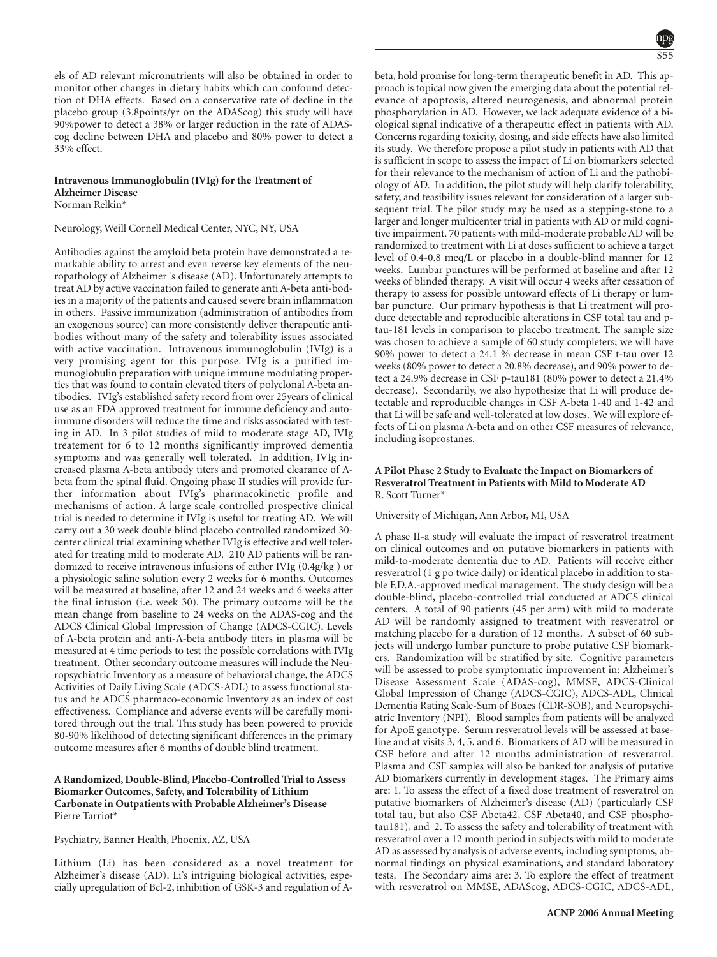els of AD relevant micronutrients will also be obtained in order to monitor other changes in dietary habits which can confound detection of DHA effects. Based on a conservative rate of decline in the placebo group (3.8points/yr on the ADAScog) this study will have 90%power to detect a 38% or larger reduction in the rate of ADAScog decline between DHA and placebo and 80% power to detect a 33% effect.

# **Intravenous Immunoglobulin (IVIg) for the Treatment of Alzheimer Disease**

Norman Relkin\*

## Neurology, Weill Cornell Medical Center, NYC, NY, USA

Antibodies against the amyloid beta protein have demonstrated a remarkable ability to arrest and even reverse key elements of the neuropathology of Alzheimer 's disease (AD). Unfortunately attempts to treat AD by active vaccination failed to generate anti A-beta anti-bodies in a majority of the patients and caused severe brain inflammation in others. Passive immunization (administration of antibodies from an exogenous source) can more consistently deliver therapeutic antibodies without many of the safety and tolerability issues associated with active vaccination. Intravenous immunoglobulin (IVIg) is a very promising agent for this purpose. IVIg is a purified immunoglobulin preparation with unique immune modulating properties that was found to contain elevated titers of polyclonal A-beta antibodies. IVIg's established safety record from over 25years of clinical use as an FDA approved treatment for immune deficiency and autoimmune disorders will reduce the time and risks associated with testing in AD. In 3 pilot studies of mild to moderate stage AD, IVIg treatement for 6 to 12 months significantly improved dementia symptoms and was generally well tolerated. In addition, IVIg increased plasma A-beta antibody titers and promoted clearance of Abeta from the spinal fluid. Ongoing phase II studies will provide further information about IVIg's pharmacokinetic profile and mechanisms of action. A large scale controlled prospective clinical trial is needed to determine if IVIg is useful for treating AD. We will carry out a 30 week double blind placebo controlled randomized 30 center clinical trial examining whether IVIg is effective and well tolerated for treating mild to moderate AD. 210 AD patients will be randomized to receive intravenous infusions of either IVIg (0.4g/kg ) or a physiologic saline solution every 2 weeks for 6 months. Outcomes will be measured at baseline, after 12 and 24 weeks and 6 weeks after the final infusion (i.e. week 30). The primary outcome will be the mean change from baseline to 24 weeks on the ADAS-cog and the ADCS Clinical Global Impression of Change (ADCS-CGIC). Levels of A-beta protein and anti-A-beta antibody titers in plasma will be measured at 4 time periods to test the possible correlations with IVIg treatment. Other secondary outcome measures will include the Neuropsychiatric Inventory as a measure of behavioral change, the ADCS Activities of Daily Living Scale (ADCS-ADL) to assess functional status and he ADCS pharmaco-economic Inventory as an index of cost effectiveness. Compliance and adverse events will be carefully monitored through out the trial. This study has been powered to provide 80-90% likelihood of detecting significant differences in the primary outcome measures after 6 months of double blind treatment.

# **A Randomized, Double-Blind, Placebo-Controlled Trial to Assess Biomarker Outcomes, Safety, and Tolerability of Lithium Carbonate in Outpatients with Probable Alzheimer's Disease** Pierre Tarriot\*

Psychiatry, Banner Health, Phoenix, AZ, USA

Lithium (Li) has been considered as a novel treatment for Alzheimer's disease (AD). Li's intriguing biological activities, especially upregulation of Bcl-2, inhibition of GSK-3 and regulation of A- beta, hold promise for long-term therapeutic benefit in AD. This approach is topical now given the emerging data about the potential relevance of apoptosis, altered neurogenesis, and abnormal protein phosphorylation in AD. However, we lack adequate evidence of a biological signal indicative of a therapeutic effect in patients with AD. Concerns regarding toxicity, dosing, and side effects have also limited its study. We therefore propose a pilot study in patients with AD that is sufficient in scope to assess the impact of Li on biomarkers selected for their relevance to the mechanism of action of Li and the pathobiology of AD. In addition, the pilot study will help clarify tolerability, safety, and feasibility issues relevant for consideration of a larger subsequent trial. The pilot study may be used as a stepping-stone to a larger and longer multicenter trial in patients with AD or mild cognitive impairment. 70 patients with mild-moderate probable AD will be randomized to treatment with Li at doses sufficient to achieve a target level of 0.4-0.8 meq/L or placebo in a double-blind manner for 12 weeks. Lumbar punctures will be performed at baseline and after 12 weeks of blinded therapy. A visit will occur 4 weeks after cessation of therapy to assess for possible untoward effects of Li therapy or lumbar puncture. Our primary hypothesis is that Li treatment will produce detectable and reproducible alterations in CSF total tau and ptau-181 levels in comparison to placebo treatment. The sample size was chosen to achieve a sample of 60 study completers; we will have 90% power to detect a 24.1 % decrease in mean CSF t-tau over 12 weeks (80% power to detect a 20.8% decrease), and 90% power to detect a 24.9% decrease in CSF p-tau181 (80% power to detect a 21.4% decrease). Secondarily, we also hypothesize that Li will produce detectable and reproducible changes in CSF A-beta 1-40 and 1-42 and that Li will be safe and well-tolerated at low doses. We will explore effects of Li on plasma A-beta and on other CSF measures of relevance, including isoprostanes.

# **A Pilot Phase 2 Study to Evaluate the Impact on Biomarkers of Resveratrol Treatment in Patients with Mild to Moderate AD** R. Scott Turner\*

### University of Michigan, Ann Arbor, MI, USA

A phase II-a study will evaluate the impact of resveratrol treatment on clinical outcomes and on putative biomarkers in patients with mild-to-moderate dementia due to AD. Patients will receive either resveratrol (1 g po twice daily) or identical placebo in addition to stable F.D.A.-approved medical management. The study design will be a double-blind, placebo-controlled trial conducted at ADCS clinical centers. A total of 90 patients (45 per arm) with mild to moderate AD will be randomly assigned to treatment with resveratrol or matching placebo for a duration of 12 months. A subset of 60 subjects will undergo lumbar puncture to probe putative CSF biomarkers. Randomization will be stratified by site. Cognitive parameters will be assessed to probe symptomatic improvement in: Alzheimer's Disease Assessment Scale (ADAS-cog), MMSE, ADCS-Clinical Global Impression of Change (ADCS-CGIC), ADCS-ADL, Clinical Dementia Rating Scale-Sum of Boxes (CDR-SOB), and Neuropsychiatric Inventory (NPI). Blood samples from patients will be analyzed for ApoE genotype. Serum resveratrol levels will be assessed at baseline and at visits 3, 4, 5, and 6. Biomarkers of AD will be measured in CSF before and after 12 months administration of resveratrol. Plasma and CSF samples will also be banked for analysis of putative AD biomarkers currently in development stages. The Primary aims are: 1. To assess the effect of a fixed dose treatment of resveratrol on putative biomarkers of Alzheimer's disease (AD) (particularly CSF total tau, but also CSF Abeta42, CSF Abeta40, and CSF phosphotau181), and 2. To assess the safety and tolerability of treatment with resveratrol over a 12 month period in subjects with mild to moderate AD as assessed by analysis of adverse events, including symptoms, abnormal findings on physical examinations, and standard laboratory tests. The Secondary aims are: 3. To explore the effect of treatment with resveratrol on MMSE, ADAScog, ADCS-CGIC, ADCS-ADL,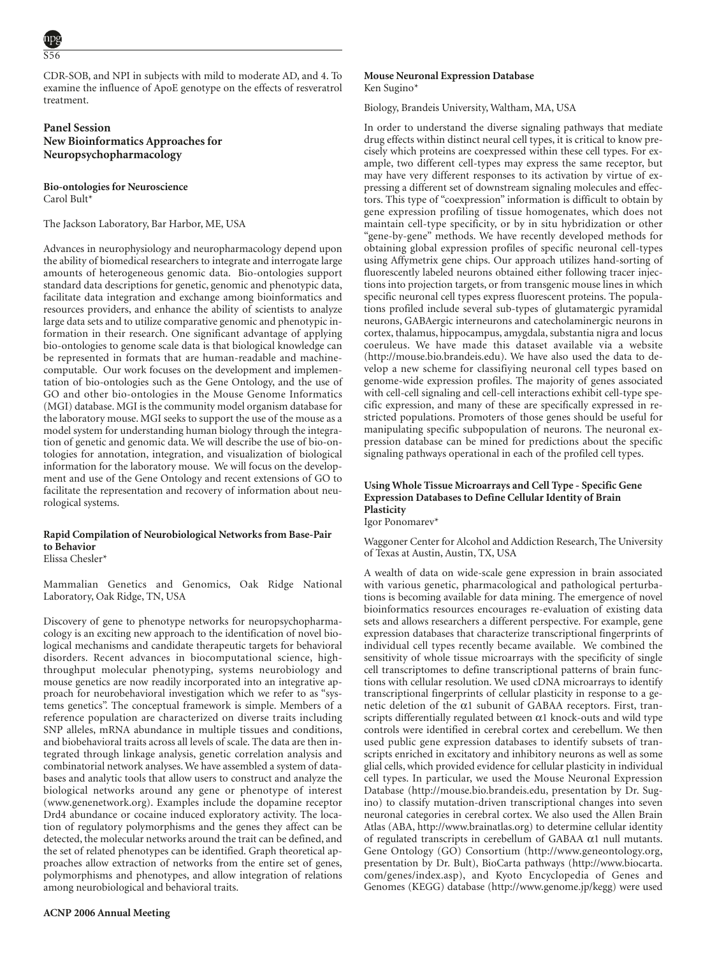CDR-SOB, and NPI in subjects with mild to moderate AD, and 4. To examine the influence of ApoE genotype on the effects of resveratrol treatment.

# **Panel Session New Bioinformatics Approaches for Neuropsychopharmacology**

**Bio-ontologies for Neuroscience** Carol Bult\*

The Jackson Laboratory, Bar Harbor, ME, USA

Advances in neurophysiology and neuropharmacology depend upon the ability of biomedical researchers to integrate and interrogate large amounts of heterogeneous genomic data. Bio-ontologies support standard data descriptions for genetic, genomic and phenotypic data, facilitate data integration and exchange among bioinformatics and resources providers, and enhance the ability of scientists to analyze large data sets and to utilize comparative genomic and phenotypic information in their research. One significant advantage of applying bio-ontologies to genome scale data is that biological knowledge can be represented in formats that are human-readable and machinecomputable. Our work focuses on the development and implementation of bio-ontologies such as the Gene Ontology, and the use of GO and other bio-ontologies in the Mouse Genome Informatics (MGI) database. MGI is the community model organism database for the laboratory mouse. MGI seeks to support the use of the mouse as a model system for understanding human biology through the integration of genetic and genomic data. We will describe the use of bio-ontologies for annotation, integration, and visualization of biological information for the laboratory mouse. We will focus on the development and use of the Gene Ontology and recent extensions of GO to facilitate the representation and recovery of information about neurological systems.

# **Rapid Compilation of Neurobiological Networks from Base-Pair to Behavior**

Elissa Chesler\*

Mammalian Genetics and Genomics, Oak Ridge National Laboratory, Oak Ridge, TN, USA

Discovery of gene to phenotype networks for neuropsychopharmacology is an exciting new approach to the identification of novel biological mechanisms and candidate therapeutic targets for behavioral disorders. Recent advances in biocomputational science, highthroughput molecular phenotyping, systems neurobiology and mouse genetics are now readily incorporated into an integrative approach for neurobehavioral investigation which we refer to as "systems genetics". The conceptual framework is simple. Members of a reference population are characterized on diverse traits including SNP alleles, mRNA abundance in multiple tissues and conditions, and biobehavioral traits across all levels of scale. The data are then integrated through linkage analysis, genetic correlation analysis and combinatorial network analyses. We have assembled a system of databases and analytic tools that allow users to construct and analyze the biological networks around any gene or phenotype of interest (www.genenetwork.org). Examples include the dopamine receptor Drd4 abundance or cocaine induced exploratory activity. The location of regulatory polymorphisms and the genes they affect can be detected, the molecular networks around the trait can be defined, and the set of related phenotypes can be identified. Graph theoretical approaches allow extraction of networks from the entire set of genes, polymorphisms and phenotypes, and allow integration of relations among neurobiological and behavioral traits.

# **ACNP 2006 Annual Meeting**

#### **Mouse Neuronal Expression Database** Ken Sugino\*

Biology, Brandeis University, Waltham, MA, USA

In order to understand the diverse signaling pathways that mediate drug effects within distinct neural cell types, it is critical to know precisely which proteins are coexpressed within these cell types. For example, two different cell-types may express the same receptor, but may have very different responses to its activation by virtue of expressing a different set of downstream signaling molecules and effectors. This type of "coexpression" information is difficult to obtain by gene expression profiling of tissue homogenates, which does not maintain cell-type specificity, or by in situ hybridization or other "gene-by-gene" methods. We have recently developed methods for obtaining global expression profiles of specific neuronal cell-types using Affymetrix gene chips. Our approach utilizes hand-sorting of fluorescently labeled neurons obtained either following tracer injections into projection targets, or from transgenic mouse lines in which specific neuronal cell types express fluorescent proteins. The populations profiled include several sub-types of glutamatergic pyramidal neurons, GABAergic interneurons and catecholaminergic neurons in cortex, thalamus, hippocampus, amygdala, substantia nigra and locus coeruleus. We have made this dataset available via a website (http://mouse.bio.brandeis.edu). We have also used the data to develop a new scheme for classifiying neuronal cell types based on genome-wide expression profiles. The majority of genes associated with cell-cell signaling and cell-cell interactions exhibit cell-type specific expression, and many of these are specifically expressed in restricted populations. Promoters of those genes should be useful for manipulating specific subpopulation of neurons. The neuronal expression database can be mined for predictions about the specific signaling pathways operational in each of the profiled cell types.

# **Using Whole Tissue Microarrays and Cell Type - Specific Gene Expression Databases to Define Cellular Identity of Brain Plasticity**

Igor Ponomarev\*

Waggoner Center for Alcohol and Addiction Research, The University of Texas at Austin, Austin, TX, USA

A wealth of data on wide-scale gene expression in brain associated with various genetic, pharmacological and pathological perturbations is becoming available for data mining. The emergence of novel bioinformatics resources encourages re-evaluation of existing data sets and allows researchers a different perspective. For example, gene expression databases that characterize transcriptional fingerprints of individual cell types recently became available. We combined the sensitivity of whole tissue microarrays with the specificity of single cell transcriptomes to define transcriptional patterns of brain functions with cellular resolution. We used cDNA microarrays to identify transcriptional fingerprints of cellular plasticity in response to a genetic deletion of the α1 subunit of GABAA receptors. First, transcripts differentially regulated between α1 knock-outs and wild type controls were identified in cerebral cortex and cerebellum. We then used public gene expression databases to identify subsets of transcripts enriched in excitatory and inhibitory neurons as well as some glial cells, which provided evidence for cellular plasticity in individual cell types. In particular, we used the Mouse Neuronal Expression Database (http://mouse.bio.brandeis.edu, presentation by Dr. Sugino) to classify mutation-driven transcriptional changes into seven neuronal categories in cerebral cortex. We also used the Allen Brain Atlas (ABA, http://www.brainatlas.org) to determine cellular identity of regulated transcripts in cerebellum of GABAA α1 null mutants. Gene Ontology (GO) Consortium (http://www.geneontology.org, presentation by Dr. Bult), BioCarta pathways (http://www.biocarta. com/genes/index.asp), and Kyoto Encyclopedia of Genes and Genomes (KEGG) database (http://www.genome.jp/kegg) were used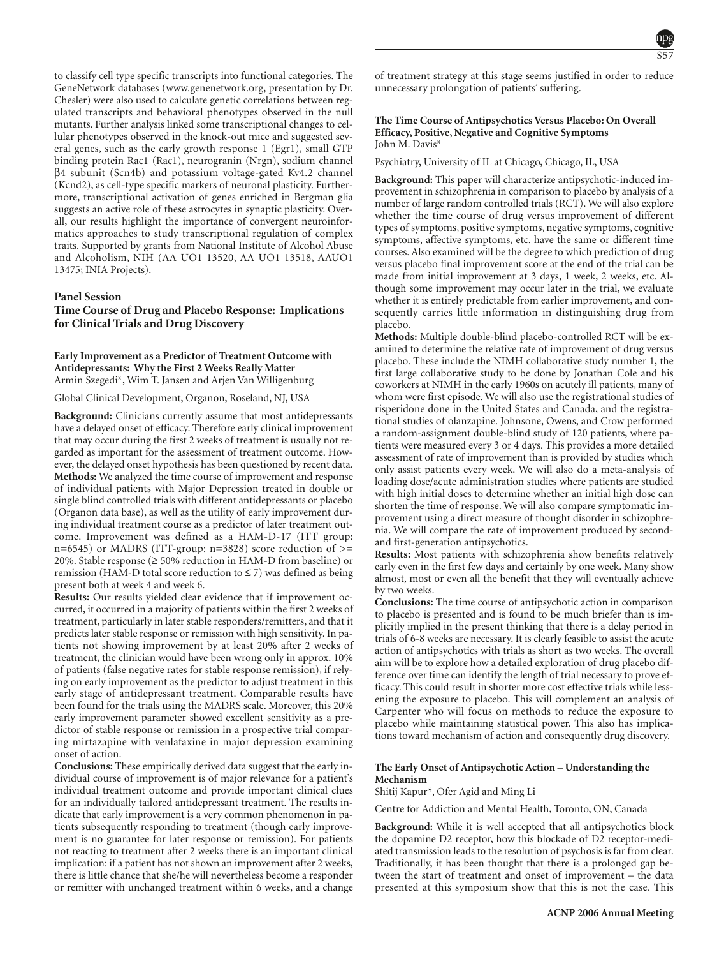to classify cell type specific transcripts into functional categories. The GeneNetwork databases (www.genenetwork.org, presentation by Dr. Chesler) were also used to calculate genetic correlations between regulated transcripts and behavioral phenotypes observed in the null mutants. Further analysis linked some transcriptional changes to cellular phenotypes observed in the knock-out mice and suggested several genes, such as the early growth response 1 (Egr1), small GTP binding protein Rac1 (Rac1), neurogranin (Nrgn), sodium channel β4 subunit (Scn4b) and potassium voltage-gated Kv4.2 channel (Kcnd2), as cell-type specific markers of neuronal plasticity. Furthermore, transcriptional activation of genes enriched in Bergman glia suggests an active role of these astrocytes in synaptic plasticity. Overall, our results highlight the importance of convergent neuroinformatics approaches to study transcriptional regulation of complex traits. Supported by grants from National Institute of Alcohol Abuse and Alcoholism, NIH (AA UO1 13520, AA UO1 13518, AAUO1 13475; INIA Projects).

### **Panel Session**

**Time Course of Drug and Placebo Response: Implications for Clinical Trials and Drug Discovery**

### **Early Improvement as a Predictor of Treatment Outcome with Antidepressants: Why the First 2 Weeks Really Matter** Armin Szegedi\*, Wim T. Jansen and Arjen Van Willigenburg

Global Clinical Development, Organon, Roseland, NJ, USA

**Background:** Clinicians currently assume that most antidepressants have a delayed onset of efficacy. Therefore early clinical improvement that may occur during the first 2 weeks of treatment is usually not regarded as important for the assessment of treatment outcome. However, the delayed onset hypothesis has been questioned by recent data. **Methods:** We analyzed the time course of improvement and response of individual patients with Major Depression treated in double or single blind controlled trials with different antidepressants or placebo (Organon data base), as well as the utility of early improvement during individual treatment course as a predictor of later treatment outcome. Improvement was defined as a HAM-D-17 (ITT group: n=6545) or MADRS (ITT-group:  $n=3828$ ) score reduction of  $>=$ 20%. Stable response ( $\geq$  50% reduction in HAM-D from baseline) or remission (HAM-D total score reduction to  $\leq$  7) was defined as being present both at week 4 and week 6.

**Results:** Our results yielded clear evidence that if improvement occurred, it occurred in a majority of patients within the first 2 weeks of treatment, particularly in later stable responders/remitters, and that it predicts later stable response or remission with high sensitivity. In patients not showing improvement by at least 20% after 2 weeks of treatment, the clinician would have been wrong only in approx. 10% of patients (false negative rates for stable response remission), if relying on early improvement as the predictor to adjust treatment in this early stage of antidepressant treatment. Comparable results have been found for the trials using the MADRS scale. Moreover, this 20% early improvement parameter showed excellent sensitivity as a predictor of stable response or remission in a prospective trial comparing mirtazapine with venlafaxine in major depression examining onset of action.

**Conclusions:** These empirically derived data suggest that the early individual course of improvement is of major relevance for a patient's individual treatment outcome and provide important clinical clues for an individually tailored antidepressant treatment. The results indicate that early improvement is a very common phenomenon in patients subsequently responding to treatment (though early improvement is no guarantee for later response or remission). For patients not reacting to treatment after 2 weeks there is an important clinical implication: if a patient has not shown an improvement after 2 weeks, there is little chance that she/he will nevertheless become a responder or remitter with unchanged treatment within 6 weeks, and a change

of treatment strategy at this stage seems justified in order to reduce unnecessary prolongation of patients' suffering.

### **The Time Course of Antipsychotics Versus Placebo: On Overall Efficacy, Positive, Negative and Cognitive Symptoms** John M. Davis\*

Psychiatry, University of IL at Chicago, Chicago, IL, USA

**Background:** This paper will characterize antipsychotic-induced improvement in schizophrenia in comparison to placebo by analysis of a number of large random controlled trials (RCT). We will also explore whether the time course of drug versus improvement of different types of symptoms, positive symptoms, negative symptoms, cognitive symptoms, affective symptoms, etc. have the same or different time courses. Also examined will be the degree to which prediction of drug versus placebo final improvement score at the end of the trial can be made from initial improvement at 3 days, 1 week, 2 weeks, etc. Although some improvement may occur later in the trial, we evaluate whether it is entirely predictable from earlier improvement, and consequently carries little information in distinguishing drug from placebo.

**Methods:** Multiple double-blind placebo-controlled RCT will be examined to determine the relative rate of improvement of drug versus placebo. These include the NIMH collaborative study number 1, the first large collaborative study to be done by Jonathan Cole and his coworkers at NIMH in the early 1960s on acutely ill patients, many of whom were first episode. We will also use the registrational studies of risperidone done in the United States and Canada, and the registrational studies of olanzapine. Johnsone, Owens, and Crow performed a random-assignment double-blind study of 120 patients, where patients were measured every 3 or 4 days. This provides a more detailed assessment of rate of improvement than is provided by studies which only assist patients every week. We will also do a meta-analysis of loading dose/acute administration studies where patients are studied with high initial doses to determine whether an initial high dose can shorten the time of response. We will also compare symptomatic improvement using a direct measure of thought disorder in schizophrenia. We will compare the rate of improvement produced by secondand first-generation antipsychotics.

**Results:** Most patients with schizophrenia show benefits relatively early even in the first few days and certainly by one week. Many show almost, most or even all the benefit that they will eventually achieve by two weeks.

**Conclusions:** The time course of antipsychotic action in comparison to placebo is presented and is found to be much briefer than is implicitly implied in the present thinking that there is a delay period in trials of 6-8 weeks are necessary. It is clearly feasible to assist the acute action of antipsychotics with trials as short as two weeks. The overall aim will be to explore how a detailed exploration of drug placebo difference over time can identify the length of trial necessary to prove efficacy. This could result in shorter more cost effective trials while lessening the exposure to placebo. This will complement an analysis of Carpenter who will focus on methods to reduce the exposure to placebo while maintaining statistical power. This also has implications toward mechanism of action and consequently drug discovery.

# **The Early Onset of Antipsychotic Action – Understanding the Mechanism**

Shitij Kapur\*, Ofer Agid and Ming Li

Centre for Addiction and Mental Health, Toronto, ON, Canada

**Background:** While it is well accepted that all antipsychotics block the dopamine D2 receptor, how this blockade of D2 receptor-mediated transmission leads to the resolution of psychosis is far from clear. Traditionally, it has been thought that there is a prolonged gap between the start of treatment and onset of improvement – the data presented at this symposium show that this is not the case. This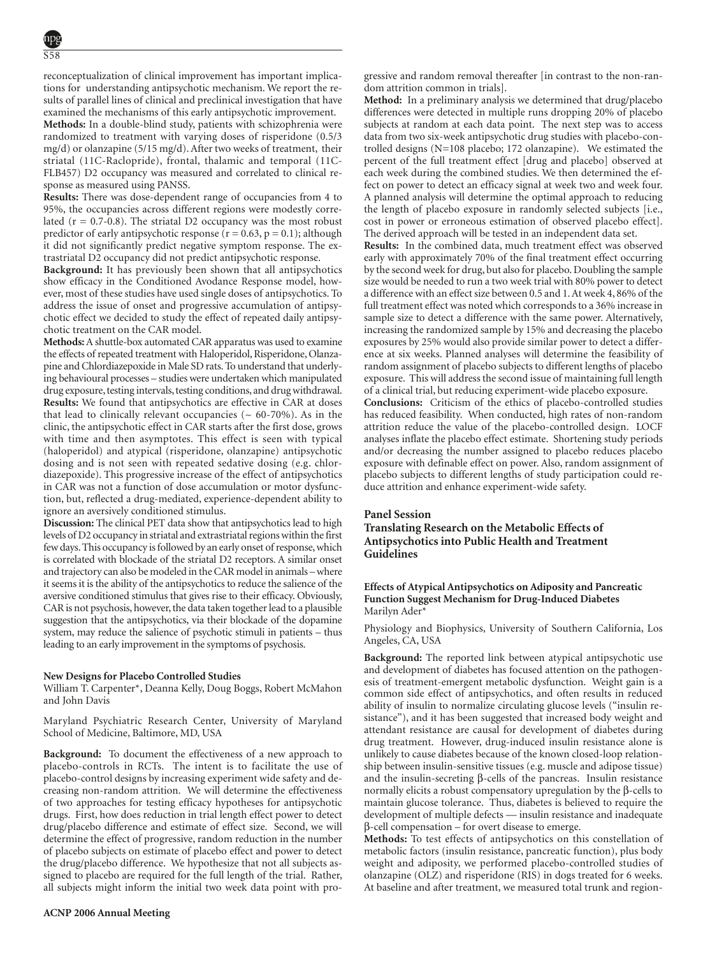reconceptualization of clinical improvement has important implications for understanding antipsychotic mechanism. We report the results of parallel lines of clinical and preclinical investigation that have examined the mechanisms of this early antipsychotic improvement.

**Methods:** In a double-blind study, patients with schizophrenia were randomized to treatment with varying doses of risperidone (0.5/3 mg/d) or olanzapine (5/15 mg/d). After two weeks of treatment, their striatal (11C-Raclopride), frontal, thalamic and temporal (11C-FLB457) D2 occupancy was measured and correlated to clinical response as measured using PANSS.

**Results:** There was dose-dependent range of occupancies from 4 to 95%, the occupancies across different regions were modestly correlated  $(r = 0.7-0.8)$ . The striatal D2 occupancy was the most robust predictor of early antipsychotic response ( $r = 0.63$ ,  $p = 0.1$ ); although it did not significantly predict negative symptom response. The extrastriatal D2 occupancy did not predict antipsychotic response.

**Background:** It has previously been shown that all antipsychotics show efficacy in the Conditioned Avodance Response model, however, most of these studies have used single doses of antipsychotics. To address the issue of onset and progressive accumulation of antipsychotic effect we decided to study the effect of repeated daily antipsychotic treatment on the CAR model.

**Methods:**A shuttle-box automated CAR apparatus was used to examine the effects of repeated treatment with Haloperidol, Risperidone, Olanzapine and Chlordiazepoxide in Male SD rats. To understand that underlying behavioural processes – studies were undertaken which manipulated drug exposure, testing intervals, testing conditions, and drug withdrawal. **Results:** We found that antipsychotics are effective in CAR at doses that lead to clinically relevant occupancies ( $\sim 60$ -70%). As in the clinic, the antipsychotic effect in CAR starts after the first dose, grows with time and then asymptotes. This effect is seen with typical (haloperidol) and atypical (risperidone, olanzapine) antipsychotic dosing and is not seen with repeated sedative dosing (e.g. chlordiazepoxide). This progressive increase of the effect of antipsychotics in CAR was not a function of dose accumulation or motor dysfunction, but, reflected a drug-mediated, experience-dependent ability to ignore an aversively conditioned stimulus.

**Discussion:** The clinical PET data show that antipsychotics lead to high levels of D2 occupancy in striatal and extrastriatal regions within the first few days. This occupancy is followed by an early onset of response, which is correlated with blockade of the striatal D2 receptors. A similar onset and trajectory can also be modeled in the CAR model in animals – where it seems it is the ability of the antipsychotics to reduce the salience of the aversive conditioned stimulus that gives rise to their efficacy. Obviously, CAR is not psychosis, however, the data taken together lead to a plausible suggestion that the antipsychotics, via their blockade of the dopamine system, may reduce the salience of psychotic stimuli in patients – thus leading to an early improvement in the symptoms of psychosis.

### **New Designs for Placebo Controlled Studies**

William T. Carpenter\*, Deanna Kelly, Doug Boggs, Robert McMahon and John Davis

Maryland Psychiatric Research Center, University of Maryland School of Medicine, Baltimore, MD, USA

**Background:** To document the effectiveness of a new approach to placebo-controls in RCTs. The intent is to facilitate the use of placebo-control designs by increasing experiment wide safety and decreasing non-random attrition. We will determine the effectiveness of two approaches for testing efficacy hypotheses for antipsychotic drugs. First, how does reduction in trial length effect power to detect drug/placebo difference and estimate of effect size. Second, we will determine the effect of progressive, random reduction in the number of placebo subjects on estimate of placebo effect and power to detect the drug/placebo difference. We hypothesize that not all subjects assigned to placebo are required for the full length of the trial. Rather, all subjects might inform the initial two week data point with progressive and random removal thereafter [in contrast to the non-random attrition common in trials].

**Method:** In a preliminary analysis we determined that drug/placebo differences were detected in multiple runs dropping 20% of placebo subjects at random at each data point. The next step was to access data from two six-week antipsychotic drug studies with placebo-controlled designs (N=108 placebo; 172 olanzapine). We estimated the percent of the full treatment effect [drug and placebo] observed at each week during the combined studies. We then determined the effect on power to detect an efficacy signal at week two and week four. A planned analysis will determine the optimal approach to reducing the length of placebo exposure in randomly selected subjects [i.e., cost in power or erroneous estimation of observed placebo effect]. The derived approach will be tested in an independent data set.

**Results:** In the combined data, much treatment effect was observed early with approximately 70% of the final treatment effect occurring by the second week for drug, but also for placebo. Doubling the sample size would be needed to run a two week trial with 80% power to detect a difference with an effect size between 0.5 and 1. At week 4, 86% of the full treatment effect was noted which corresponds to a 36% increase in sample size to detect a difference with the same power. Alternatively, increasing the randomized sample by 15% and decreasing the placebo exposures by 25% would also provide similar power to detect a difference at six weeks. Planned analyses will determine the feasibility of random assignment of placebo subjects to different lengths of placebo exposure. This will address the second issue of maintaining full length of a clinical trial, but reducing experiment-wide placebo exposure.

**Conclusions:** Criticism of the ethics of placebo-controlled studies has reduced feasibility. When conducted, high rates of non-random attrition reduce the value of the placebo-controlled design. LOCF analyses inflate the placebo effect estimate. Shortening study periods and/or decreasing the number assigned to placebo reduces placebo exposure with definable effect on power. Also, random assignment of placebo subjects to different lengths of study participation could reduce attrition and enhance experiment-wide safety.

# **Panel Session**

**Translating Research on the Metabolic Effects of Antipsychotics into Public Health and Treatment Guidelines**

### **Effects of Atypical Antipsychotics on Adiposity and Pancreatic Function Suggest Mechanism for Drug-Induced Diabetes** Marilyn Ader\*

Physiology and Biophysics, University of Southern California, Los Angeles, CA, USA

**Background:** The reported link between atypical antipsychotic use and development of diabetes has focused attention on the pathogenesis of treatment-emergent metabolic dysfunction. Weight gain is a common side effect of antipsychotics, and often results in reduced ability of insulin to normalize circulating glucose levels ("insulin resistance"), and it has been suggested that increased body weight and attendant resistance are causal for development of diabetes during drug treatment. However, drug-induced insulin resistance alone is unlikely to cause diabetes because of the known closed-loop relationship between insulin-sensitive tissues (e.g. muscle and adipose tissue) and the insulin-secreting β-cells of the pancreas. Insulin resistance normally elicits a robust compensatory upregulation by the β-cells to maintain glucose tolerance. Thus, diabetes is believed to require the development of multiple defects — insulin resistance and inadequate β-cell compensation – for overt disease to emerge.

**Methods:** To test effects of antipsychotics on this constellation of metabolic factors (insulin resistance, pancreatic function), plus body weight and adiposity, we performed placebo-controlled studies of olanzapine (OLZ) and risperidone (RIS) in dogs treated for 6 weeks. At baseline and after treatment, we measured total trunk and region-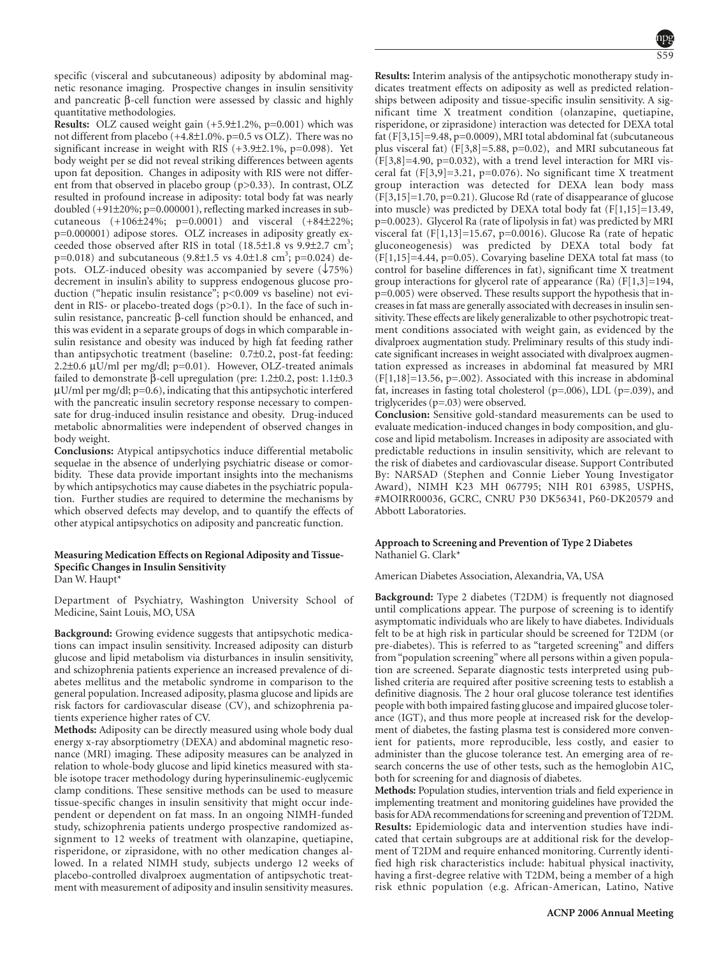specific (visceral and subcutaneous) adiposity by abdominal magnetic resonance imaging. Prospective changes in insulin sensitivity and pancreatic β-cell function were assessed by classic and highly quantitative methodologies.

**Results:** OLZ caused weight gain (+5.9±1.2%, p=0.001) which was not different from placebo (+4.8±1.0%. p=0.5 vs OLZ). There was no significant increase in weight with RIS (+3.9±2.1%, p=0.098). Yet body weight per se did not reveal striking differences between agents upon fat deposition. Changes in adiposity with RIS were not different from that observed in placebo group (p>0.33). In contrast, OLZ resulted in profound increase in adiposity: total body fat was nearly doubled (+91±20%; p=0.000001), reflecting marked increases in subcutaneous (+106±24%; p=0.0001) and visceral (+84±22%; p=0.000001) adipose stores. OLZ increases in adiposity greatly exceeded those observed after RIS in total  $(18.5\pm1.8 \text{ vs } 9.9\pm2.7 \text{ cm}^3;$  $p=0.018$ ) and subcutaneous (9.8 $\pm 1.5$  vs 4.0 $\pm 1.8$  cm<sup>3</sup>; p=0.024) depots. OLZ-induced obesity was accompanied by severe  $(\sqrt{75\%})$ decrement in insulin's ability to suppress endogenous glucose production ("hepatic insulin resistance"; p<0.009 vs baseline) not evident in RIS- or placebo-treated dogs (p>0.1). In the face of such insulin resistance, pancreatic β-cell function should be enhanced, and this was evident in a separate groups of dogs in which comparable insulin resistance and obesity was induced by high fat feeding rather than antipsychotic treatment (baseline: 0.7±0.2, post-fat feeding: 2.2±0.6 µU/ml per mg/dl; p=0.01). However, OLZ-treated animals failed to demonstrate β-cell upregulation (pre: 1.2±0.2, post: 1.1±0.3  $\mu$ U/ml per mg/dl; p=0.6), indicating that this antipsychotic interfered with the pancreatic insulin secretory response necessary to compensate for drug-induced insulin resistance and obesity. Drug-induced metabolic abnormalities were independent of observed changes in body weight.

**Conclusions:** Atypical antipsychotics induce differential metabolic sequelae in the absence of underlying psychiatric disease or comorbidity. These data provide important insights into the mechanisms by which antipsychotics may cause diabetes in the psychiatric population. Further studies are required to determine the mechanisms by which observed defects may develop, and to quantify the effects of other atypical antipsychotics on adiposity and pancreatic function.

### **Measuring Medication Effects on Regional Adiposity and Tissue-Specific Changes in Insulin Sensitivity** Dan W. Haupt\*

Department of Psychiatry, Washington University School of Medicine, Saint Louis, MO, USA

**Background:** Growing evidence suggests that antipsychotic medications can impact insulin sensitivity. Increased adiposity can disturb glucose and lipid metabolism via disturbances in insulin sensitivity, and schizophrenia patients experience an increased prevalence of diabetes mellitus and the metabolic syndrome in comparison to the general population. Increased adiposity, plasma glucose and lipids are risk factors for cardiovascular disease (CV), and schizophrenia patients experience higher rates of CV.

**Methods:** Adiposity can be directly measured using whole body dual energy x-ray absorptiometry (DEXA) and abdominal magnetic resonance (MRI) imaging. These adiposity measures can be analyzed in relation to whole-body glucose and lipid kinetics measured with stable isotope tracer methodology during hyperinsulinemic-euglycemic clamp conditions. These sensitive methods can be used to measure tissue-specific changes in insulin sensitivity that might occur independent or dependent on fat mass. In an ongoing NIMH-funded study, schizophrenia patients undergo prospective randomized assignment to 12 weeks of treatment with olanzapine, quetiapine, risperidone, or ziprasidone, with no other medication changes allowed. In a related NIMH study, subjects undergo 12 weeks of placebo-controlled divalproex augmentation of antipsychotic treatment with measurement of adiposity and insulin sensitivity measures.

**Results:** Interim analysis of the antipsychotic monotherapy study indicates treatment effects on adiposity as well as predicted relationships between adiposity and tissue-specific insulin sensitivity. A significant time X treatment condition (olanzapine, quetiapine, risperidone, or ziprasidone) interaction was detected for DEXA total fat  $(F[3,15]=9.48, p=0.0009)$ , MRI total abdominal fat (subcutaneous plus visceral fat)  $(F[3,8] = 5.88, p=0.02)$ , and MRI subcutaneous fat  $(F[3,8]=4.90, p=0.032)$ , with a trend level interaction for MRI visceral fat  $(F[3,9]=3.21, p=0.076)$ . No significant time X treatment group interaction was detected for DEXA lean body mass (F[3,15]=1.70, p=0.21). Glucose Rd (rate of disappearance of glucose into muscle) was predicted by DEXA total body fat  $(F[1,15] = 13.49)$ , p=0.0023). Glycerol Ra (rate of lipolysis in fat) was predicted by MRI visceral fat (F[1,13]=15.67, p=0.0016). Glucose Ra (rate of hepatic gluconeogenesis) was predicted by DEXA total body fat (F[1,15]=4.44, p=0.05). Covarying baseline DEXA total fat mass (to control for baseline differences in fat), significant time X treatment group interactions for glycerol rate of appearance (Ra) (F[1,3]=194, p=0.005) were observed. These results support the hypothesis that increases in fat mass are generally associated with decreases in insulin sensitivity. These effects are likely generalizable to other psychotropic treatment conditions associated with weight gain, as evidenced by the divalproex augmentation study. Preliminary results of this study indicate significant increases in weight associated with divalproex augmentation expressed as increases in abdominal fat measured by MRI  $(F[1,18]=13.56, p=.002)$ . Associated with this increase in abdominal fat, increases in fasting total cholesterol ( $p=0.006$ ), LDL ( $p=0.039$ ), and triglycerides (p=.03) were observed.

**Conclusion:** Sensitive gold-standard measurements can be used to evaluate medication-induced changes in body composition, and glucose and lipid metabolism. Increases in adiposity are associated with predictable reductions in insulin sensitivity, which are relevant to the risk of diabetes and cardiovascular disease. Support Contributed By: NARSAD (Stephen and Connie Lieber Young Investigator Award), NIMH K23 MH 067795; NIH R01 63985, USPHS, #MOIRR00036, GCRC, CNRU P30 DK56341, P60-DK20579 and Abbott Laboratories.

# **Approach to Screening and Prevention of Type 2 Diabetes** Nathaniel G. Clark\*

American Diabetes Association, Alexandria, VA, USA

**Background:** Type 2 diabetes (T2DM) is frequently not diagnosed until complications appear. The purpose of screening is to identify asymptomatic individuals who are likely to have diabetes. Individuals felt to be at high risk in particular should be screened for T2DM (or pre-diabetes). This is referred to as "targeted screening" and differs from "population screening" where all persons within a given population are screened. Separate diagnostic tests interpreted using published criteria are required after positive screening tests to establish a definitive diagnosis. The 2 hour oral glucose tolerance test identifies people with both impaired fasting glucose and impaired glucose tolerance (IGT), and thus more people at increased risk for the development of diabetes, the fasting plasma test is considered more convenient for patients, more reproducible, less costly, and easier to administer than the glucose tolerance test. An emerging area of research concerns the use of other tests, such as the hemoglobin A1C, both for screening for and diagnosis of diabetes.

**Methods:** Population studies, intervention trials and field experience in implementing treatment and monitoring guidelines have provided the basis for ADA recommendations for screening and prevention of T2DM. **Results:** Epidemiologic data and intervention studies have indicated that certain subgroups are at additional risk for the development of T2DM and require enhanced monitoring. Currently identified high risk characteristics include: habitual physical inactivity, having a first-degree relative with T2DM, being a member of a high risk ethnic population (e.g. African-American, Latino, Native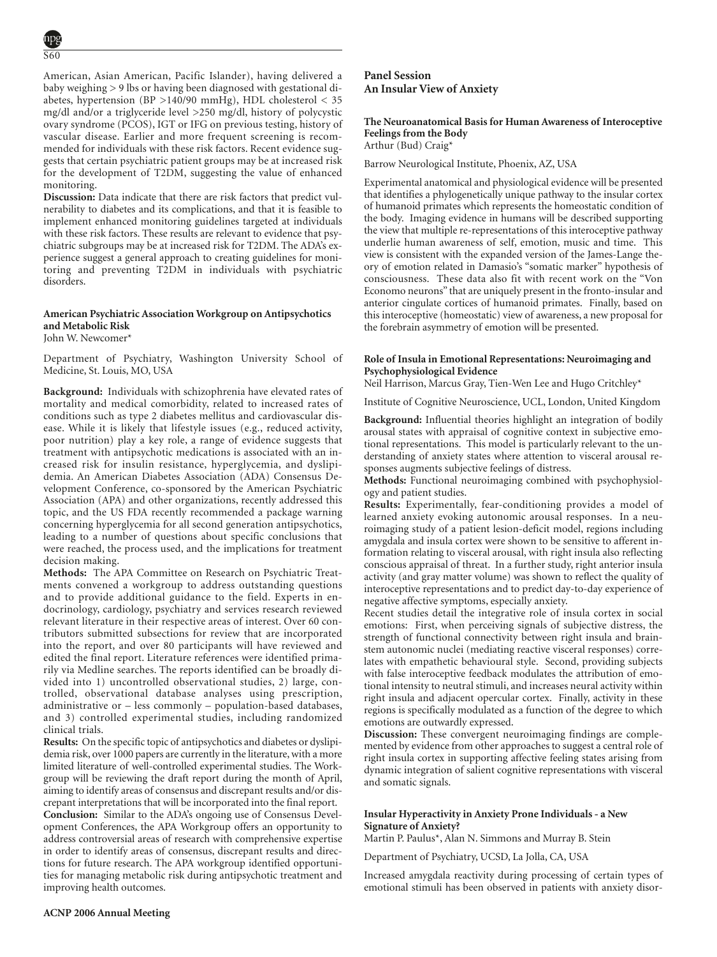American, Asian American, Pacific Islander), having delivered a baby weighing > 9 lbs or having been diagnosed with gestational diabetes, hypertension (BP >140/90 mmHg), HDL cholesterol < 35 mg/dl and/or a triglyceride level >250 mg/dl, history of polycystic ovary syndrome (PCOS), IGT or IFG on previous testing, history of vascular disease. Earlier and more frequent screening is recommended for individuals with these risk factors. Recent evidence suggests that certain psychiatric patient groups may be at increased risk for the development of T2DM, suggesting the value of enhanced monitoring.

**Discussion:** Data indicate that there are risk factors that predict vulnerability to diabetes and its complications, and that it is feasible to implement enhanced monitoring guidelines targeted at individuals with these risk factors. These results are relevant to evidence that psychiatric subgroups may be at increased risk for T2DM. The ADA's experience suggest a general approach to creating guidelines for monitoring and preventing T2DM in individuals with psychiatric disorders.

# **American Psychiatric Association Workgroup on Antipsychotics and Metabolic Risk**

John W. Newcomer<sup>y</sup>

Department of Psychiatry, Washington University School of Medicine, St. Louis, MO, USA

**Background:** Individuals with schizophrenia have elevated rates of mortality and medical comorbidity, related to increased rates of conditions such as type 2 diabetes mellitus and cardiovascular disease. While it is likely that lifestyle issues (e.g., reduced activity, poor nutrition) play a key role, a range of evidence suggests that treatment with antipsychotic medications is associated with an increased risk for insulin resistance, hyperglycemia, and dyslipidemia. An American Diabetes Association (ADA) Consensus Development Conference, co-sponsored by the American Psychiatric Association (APA) and other organizations, recently addressed this topic, and the US FDA recently recommended a package warning concerning hyperglycemia for all second generation antipsychotics, leading to a number of questions about specific conclusions that were reached, the process used, and the implications for treatment decision making.

**Methods:** The APA Committee on Research on Psychiatric Treatments convened a workgroup to address outstanding questions and to provide additional guidance to the field. Experts in endocrinology, cardiology, psychiatry and services research reviewed relevant literature in their respective areas of interest. Over 60 contributors submitted subsections for review that are incorporated into the report, and over 80 participants will have reviewed and edited the final report. Literature references were identified primarily via Medline searches. The reports identified can be broadly divided into 1) uncontrolled observational studies, 2) large, controlled, observational database analyses using prescription, administrative or – less commonly – population-based databases, and 3) controlled experimental studies, including randomized clinical trials.

**Results:** On the specific topic of antipsychotics and diabetes or dyslipidemia risk, over 1000 papers are currently in the literature, with a more limited literature of well-controlled experimental studies. The Workgroup will be reviewing the draft report during the month of April, aiming to identify areas of consensus and discrepant results and/or discrepant interpretations that will be incorporated into the final report.

**Conclusion:** Similar to the ADA's ongoing use of Consensus Development Conferences, the APA Workgroup offers an opportunity to address controversial areas of research with comprehensive expertise in order to identify areas of consensus, discrepant results and directions for future research. The APA workgroup identified opportunities for managing metabolic risk during antipsychotic treatment and improving health outcomes.

# **Panel Session An Insular View of Anxiety**

# **The Neuroanatomical Basis for Human Awareness of Interoceptive Feelings from the Body**

Arthur (Bud) Craig\*

Barrow Neurological Institute, Phoenix, AZ, USA

Experimental anatomical and physiological evidence will be presented that identifies a phylogenetically unique pathway to the insular cortex of humanoid primates which represents the homeostatic condition of the body. Imaging evidence in humans will be described supporting the view that multiple re-representations of this interoceptive pathway underlie human awareness of self, emotion, music and time. This view is consistent with the expanded version of the James-Lange theory of emotion related in Damasio's "somatic marker" hypothesis of consciousness. These data also fit with recent work on the "Von Economo neurons" that are uniquely present in the fronto-insular and anterior cingulate cortices of humanoid primates. Finally, based on this interoceptive (homeostatic) view of awareness, a new proposal for the forebrain asymmetry of emotion will be presented.

# **Role of Insula in Emotional Representations: Neuroimaging and Psychophysiological Evidence**

Neil Harrison, Marcus Gray, Tien-Wen Lee and Hugo Critchley\*

Institute of Cognitive Neuroscience, UCL, London, United Kingdom

**Background:** Influential theories highlight an integration of bodily arousal states with appraisal of cognitive context in subjective emotional representations. This model is particularly relevant to the understanding of anxiety states where attention to visceral arousal responses augments subjective feelings of distress.

**Methods:** Functional neuroimaging combined with psychophysiology and patient studies.

**Results:** Experimentally, fear-conditioning provides a model of learned anxiety evoking autonomic arousal responses. In a neuroimaging study of a patient lesion-deficit model, regions including amygdala and insula cortex were shown to be sensitive to afferent information relating to visceral arousal, with right insula also reflecting conscious appraisal of threat. In a further study, right anterior insula activity (and gray matter volume) was shown to reflect the quality of interoceptive representations and to predict day-to-day experience of negative affective symptoms, especially anxiety.

Recent studies detail the integrative role of insula cortex in social emotions: First, when perceiving signals of subjective distress, the strength of functional connectivity between right insula and brainstem autonomic nuclei (mediating reactive visceral responses) correlates with empathetic behavioural style. Second, providing subjects with false interoceptive feedback modulates the attribution of emotional intensity to neutral stimuli, and increases neural activity within right insula and adjacent opercular cortex. Finally, activity in these regions is specifically modulated as a function of the degree to which emotions are outwardly expressed.

**Discussion:** These convergent neuroimaging findings are complemented by evidence from other approaches to suggest a central role of right insula cortex in supporting affective feeling states arising from dynamic integration of salient cognitive representations with visceral and somatic signals.

# **Insular Hyperactivity in Anxiety Prone Individuals - a New Signature of Anxiety?**

Martin P. Paulus\*, Alan N. Simmons and Murray B. Stein

Department of Psychiatry, UCSD, La Jolla, CA, USA

Increased amygdala reactivity during processing of certain types of emotional stimuli has been observed in patients with anxiety disor-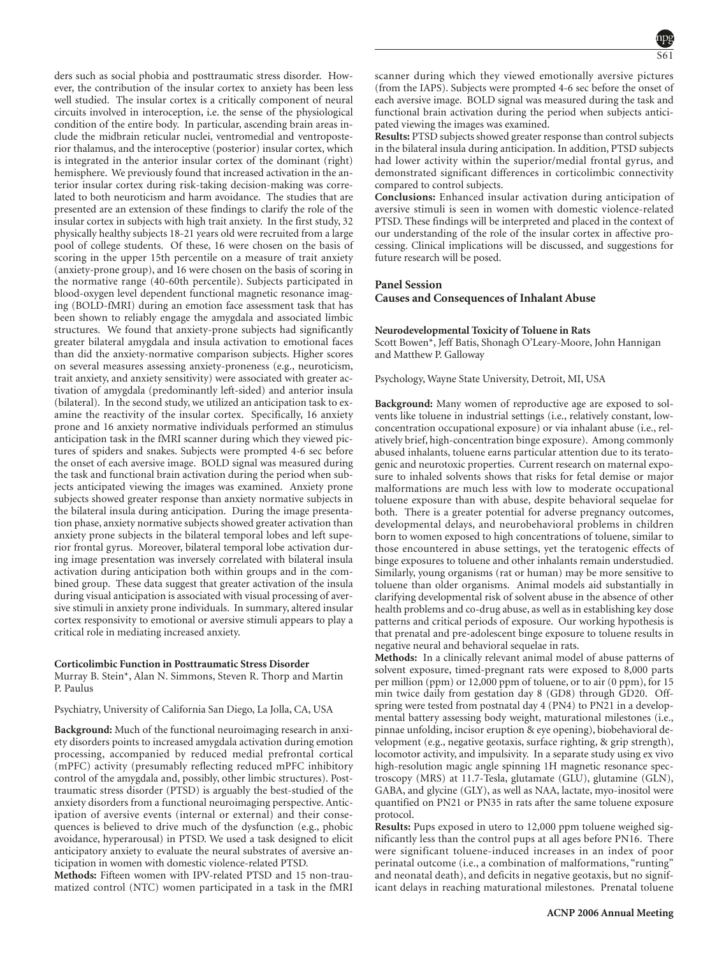ders such as social phobia and posttraumatic stress disorder. However, the contribution of the insular cortex to anxiety has been less well studied. The insular cortex is a critically component of neural circuits involved in interoception, i.e. the sense of the physiological condition of the entire body. In particular, ascending brain areas include the midbrain reticular nuclei, ventromedial and ventroposterior thalamus, and the interoceptive (posterior) insular cortex, which is integrated in the anterior insular cortex of the dominant (right) hemisphere. We previously found that increased activation in the anterior insular cortex during risk-taking decision-making was correlated to both neuroticism and harm avoidance. The studies that are presented are an extension of these findings to clarify the role of the insular cortex in subjects with high trait anxiety. In the first study, 32 physically healthy subjects 18-21 years old were recruited from a large pool of college students. Of these, 16 were chosen on the basis of scoring in the upper 15th percentile on a measure of trait anxiety (anxiety-prone group), and 16 were chosen on the basis of scoring in the normative range (40-60th percentile). Subjects participated in blood-oxygen level dependent functional magnetic resonance imaging (BOLD-fMRI) during an emotion face assessment task that has been shown to reliably engage the amygdala and associated limbic structures. We found that anxiety-prone subjects had significantly greater bilateral amygdala and insula activation to emotional faces than did the anxiety-normative comparison subjects. Higher scores on several measures assessing anxiety-proneness (e.g., neuroticism, trait anxiety, and anxiety sensitivity) were associated with greater activation of amygdala (predominantly left-sided) and anterior insula (bilateral). In the second study, we utilized an anticipation task to examine the reactivity of the insular cortex. Specifically, 16 anxiety prone and 16 anxiety normative individuals performed an stimulus anticipation task in the fMRI scanner during which they viewed pictures of spiders and snakes. Subjects were prompted 4-6 sec before the onset of each aversive image. BOLD signal was measured during the task and functional brain activation during the period when subjects anticipated viewing the images was examined. Anxiety prone subjects showed greater response than anxiety normative subjects in the bilateral insula during anticipation. During the image presentation phase, anxiety normative subjects showed greater activation than anxiety prone subjects in the bilateral temporal lobes and left superior frontal gyrus. Moreover, bilateral temporal lobe activation during image presentation was inversely correlated with bilateral insula activation during anticipation both within groups and in the combined group. These data suggest that greater activation of the insula during visual anticipation is associated with visual processing of aversive stimuli in anxiety prone individuals. In summary, altered insular cortex responsivity to emotional or aversive stimuli appears to play a

### **Corticolimbic Function in Posttraumatic Stress Disorder**

critical role in mediating increased anxiety.

Murray B. Stein\*, Alan N. Simmons, Steven R. Thorp and Martin P. Paulus

### Psychiatry, University of California San Diego, La Jolla, CA, USA

**Background:** Much of the functional neuroimaging research in anxiety disorders points to increased amygdala activation during emotion processing, accompanied by reduced medial prefrontal cortical (mPFC) activity (presumably reflecting reduced mPFC inhibitory control of the amygdala and, possibly, other limbic structures). Posttraumatic stress disorder (PTSD) is arguably the best-studied of the anxiety disorders from a functional neuroimaging perspective. Anticipation of aversive events (internal or external) and their consequences is believed to drive much of the dysfunction (e.g., phobic avoidance, hyperarousal) in PTSD. We used a task designed to elicit anticipatory anxiety to evaluate the neural substrates of aversive anticipation in women with domestic violence-related PTSD.

**Methods:** Fifteen women with IPV-related PTSD and 15 non-traumatized control (NTC) women participated in a task in the fMRI

scanner during which they viewed emotionally aversive pictures (from the IAPS). Subjects were prompted 4-6 sec before the onset of each aversive image. BOLD signal was measured during the task and functional brain activation during the period when subjects anticipated viewing the images was examined.

**Results:** PTSD subjects showed greater response than control subjects in the bilateral insula during anticipation. In addition, PTSD subjects had lower activity within the superior/medial frontal gyrus, and demonstrated significant differences in corticolimbic connectivity compared to control subjects.

**Conclusions:** Enhanced insular activation during anticipation of aversive stimuli is seen in women with domestic violence-related PTSD. These findings will be interpreted and placed in the context of our understanding of the role of the insular cortex in affective processing. Clinical implications will be discussed, and suggestions for future research will be posed.

# **Panel Session**

### **Causes and Consequences of Inhalant Abuse**

**Neurodevelopmental Toxicity of Toluene in Rats** Scott Bowen\*, Jeff Batis, Shonagh O'Leary-Moore, John Hannigan and Matthew P. Galloway

Psychology, Wayne State University, Detroit, MI, USA

**Background:** Many women of reproductive age are exposed to solvents like toluene in industrial settings (i.e., relatively constant, lowconcentration occupational exposure) or via inhalant abuse (i.e., relatively brief, high-concentration binge exposure). Among commonly abused inhalants, toluene earns particular attention due to its teratogenic and neurotoxic properties. Current research on maternal exposure to inhaled solvents shows that risks for fetal demise or major malformations are much less with low to moderate occupational toluene exposure than with abuse, despite behavioral sequelae for both. There is a greater potential for adverse pregnancy outcomes, developmental delays, and neurobehavioral problems in children born to women exposed to high concentrations of toluene, similar to those encountered in abuse settings, yet the teratogenic effects of binge exposures to toluene and other inhalants remain understudied. Similarly, young organisms (rat or human) may be more sensitive to toluene than older organisms. Animal models aid substantially in clarifying developmental risk of solvent abuse in the absence of other health problems and co-drug abuse, as well as in establishing key dose patterns and critical periods of exposure. Our working hypothesis is that prenatal and pre-adolescent binge exposure to toluene results in negative neural and behavioral sequelae in rats.

**Methods:** In a clinically relevant animal model of abuse patterns of solvent exposure, timed-pregnant rats were exposed to 8,000 parts per million (ppm) or 12,000 ppm of toluene, or to air (0 ppm), for 15 min twice daily from gestation day 8 (GD8) through GD20. Offspring were tested from postnatal day 4 (PN4) to PN21 in a developmental battery assessing body weight, maturational milestones (i.e., pinnae unfolding, incisor eruption & eye opening), biobehavioral development (e.g., negative geotaxis, surface righting, & grip strength), locomotor activity, and impulsivity. In a separate study using ex vivo high-resolution magic angle spinning 1H magnetic resonance spectroscopy (MRS) at 11.7-Tesla, glutamate (GLU), glutamine (GLN), GABA, and glycine (GLY), as well as NAA, lactate, myo-inositol were quantified on PN21 or PN35 in rats after the same toluene exposure protocol.

**Results:** Pups exposed in utero to 12,000 ppm toluene weighed significantly less than the control pups at all ages before PN16. There were significant toluene-induced increases in an index of poor perinatal outcome (i.e., a combination of malformations, "runting" and neonatal death), and deficits in negative geotaxis, but no significant delays in reaching maturational milestones. Prenatal toluene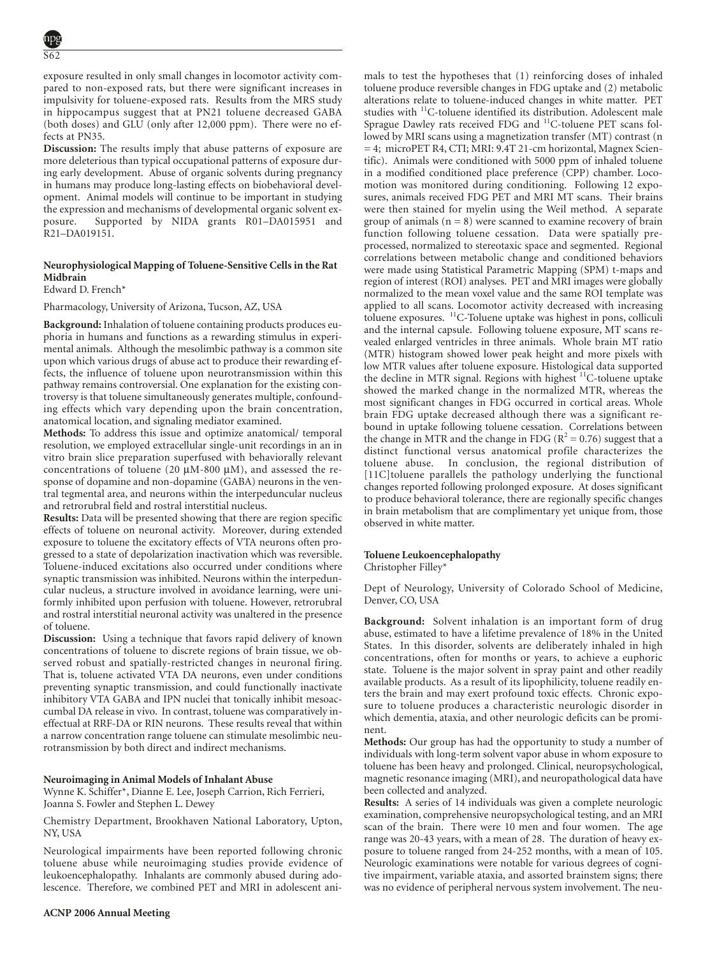

exposure resulted in only small changes in locomotor activity compared to non-exposed rats, but there were significant increases in impulsivity for toluene-exposed rats. Results from the MRS study in hippocampus suggest that at PN21 toluene decreased GABA (both doses) and GLU (only after 12,000 ppm). There were no effects at PN35.

**Discussion:** The results imply that abuse patterns of exposure are more deleterious than typical occupational patterns of exposure during early development. Abuse of organic solvents during pregnancy in humans may produce long-lasting effects on biobehavioral development. Animal models will continue to be important in studying the expression and mechanisms of developmental organic solvent exposure. Supported by NIDA grants R01–DA015951 and R21–DA019151.

# **Neurophysiological Mapping of Toluene-Sensitive Cells in the Rat Midbrain**

Edward D. French\*

## Pharmacology, University of Arizona, Tucson, AZ, USA

**Background:** Inhalation of toluene containing products produces euphoria in humans and functions as a rewarding stimulus in experimental animals. Although the mesolimbic pathway is a common site upon which various drugs of abuse act to produce their rewarding effects, the influence of toluene upon neurotransmission within this pathway remains controversial. One explanation for the existing controversy is that toluene simultaneously generates multiple, confounding effects which vary depending upon the brain concentration, anatomical location, and signaling mediator examined.

**Methods:** To address this issue and optimize anatomical/ temporal resolution, we employed extracellular single-unit recordings in an in vitro brain slice preparation superfused with behaviorally relevant concentrations of toluene (20  $\mu$ M-800  $\mu$ M), and assessed the response of dopamine and non-dopamine (GABA) neurons in the ventral tegmental area, and neurons within the interpeduncular nucleus and retrorubral field and rostral interstitial nucleus.

**Results:** Data will be presented showing that there are region specific effects of toluene on neuronal activity. Moreover, during extended exposure to toluene the excitatory effects of VTA neurons often progressed to a state of depolarization inactivation which was reversible. Toluene-induced excitations also occurred under conditions where synaptic transmission was inhibited. Neurons within the interpeduncular nucleus, a structure involved in avoidance learning, were uniformly inhibited upon perfusion with toluene. However, retrorubral and rostral interstitial neuronal activity was unaltered in the presence of toluene.

**Discussion:** Using a technique that favors rapid delivery of known concentrations of toluene to discrete regions of brain tissue, we observed robust and spatially-restricted changes in neuronal firing. That is, toluene activated VTA DA neurons, even under conditions preventing synaptic transmission, and could functionally inactivate inhibitory VTA GABA and IPN nuclei that tonically inhibit mesoaccumbal DA release in vivo. In contrast, toluene was comparatively ineffectual at RRF-DA or RIN neurons. These results reveal that within a narrow concentration range toluene can stimulate mesolimbic neurotransmission by both direct and indirect mechanisms.

### **Neuroimaging in Animal Models of Inhalant Abuse**

Wynne K. Schiffer\*, Dianne E. Lee, Joseph Carrion, Rich Ferrieri, Joanna S. Fowler and Stephen L. Dewey

Chemistry Department, Brookhaven National Laboratory, Upton, NY, USA

Neurological impairments have been reported following chronic toluene abuse while neuroimaging studies provide evidence of leukoencephalopathy. Inhalants are commonly abused during adolescence. Therefore, we combined PET and MRI in adolescent animals to test the hypotheses that (1) reinforcing doses of inhaled toluene produce reversible changes in FDG uptake and (2) metabolic alterations relate to toluene-induced changes in white matter. PET studies with <sup>11</sup>C-toluene identified its distribution. Adolescent male Sprague Dawley rats received FDG and  ${}^{11}$ C-toluene PET scans followed by MRI scans using a magnetization transfer (MT) contrast (n = 4; microPET R4, CTI; MRI: 9.4T 21-cm horizontal, Magnex Scientific). Animals were conditioned with 5000 ppm of inhaled toluene in a modified conditioned place preference (CPP) chamber. Locomotion was monitored during conditioning. Following 12 exposures, animals received FDG PET and MRI MT scans. Their brains were then stained for myelin using the Weil method. A separate group of animals  $(n = 8)$  were scanned to examine recovery of brain function following toluene cessation. Data were spatially preprocessed, normalized to stereotaxic space and segmented. Regional correlations between metabolic change and conditioned behaviors were made using Statistical Parametric Mapping (SPM) t-maps and region of interest (ROI) analyses. PET and MRI images were globally normalized to the mean voxel value and the same ROI template was applied to all scans. Locomotor activity decreased with increasing toluene exposures. 11C-Toluene uptake was highest in pons, colliculi and the internal capsule. Following toluene exposure, MT scans revealed enlarged ventricles in three animals. Whole brain MT ratio (MTR) histogram showed lower peak height and more pixels with low MTR values after toluene exposure. Histological data supported the decline in MTR signal. Regions with highest <sup>11</sup>C-toluene uptake showed the marked change in the normalized MTR, whereas the most significant changes in FDG occurred in cortical areas. Whole brain FDG uptake decreased although there was a significant rebound in uptake following toluene cessation. Correlations between the change in MTR and the change in FDG ( $R^2 = 0.76$ ) suggest that a distinct functional versus anatomical profile characterizes the toluene abuse. In conclusion, the regional distribution of [11C]toluene parallels the pathology underlying the functional changes reported following prolonged exposure. At doses significant to produce behavioral tolerance, there are regionally specific changes in brain metabolism that are complimentary yet unique from, those observed in white matter.

### **Toluene Leukoencephalopathy**

Christopher Filley\*

Dept of Neurology, University of Colorado School of Medicine, Denver, CO, USA

**Background:** Solvent inhalation is an important form of drug abuse, estimated to have a lifetime prevalence of 18% in the United States. In this disorder, solvents are deliberately inhaled in high concentrations, often for months or years, to achieve a euphoric state. Toluene is the major solvent in spray paint and other readily available products. As a result of its lipophilicity, toluene readily enters the brain and may exert profound toxic effects. Chronic exposure to toluene produces a characteristic neurologic disorder in which dementia, ataxia, and other neurologic deficits can be prominent.

**Methods:** Our group has had the opportunity to study a number of individuals with long-term solvent vapor abuse in whom exposure to toluene has been heavy and prolonged. Clinical, neuropsychological, magnetic resonance imaging (MRI), and neuropathological data have been collected and analyzed.

**Results:** A series of 14 individuals was given a complete neurologic examination, comprehensive neuropsychological testing, and an MRI scan of the brain. There were 10 men and four women. The age range was 20-43 years, with a mean of 28. The duration of heavy exposure to toluene ranged from 24-252 months, with a mean of 105. Neurologic examinations were notable for various degrees of cognitive impairment, variable ataxia, and assorted brainstem signs; there was no evidence of peripheral nervous system involvement. The neu-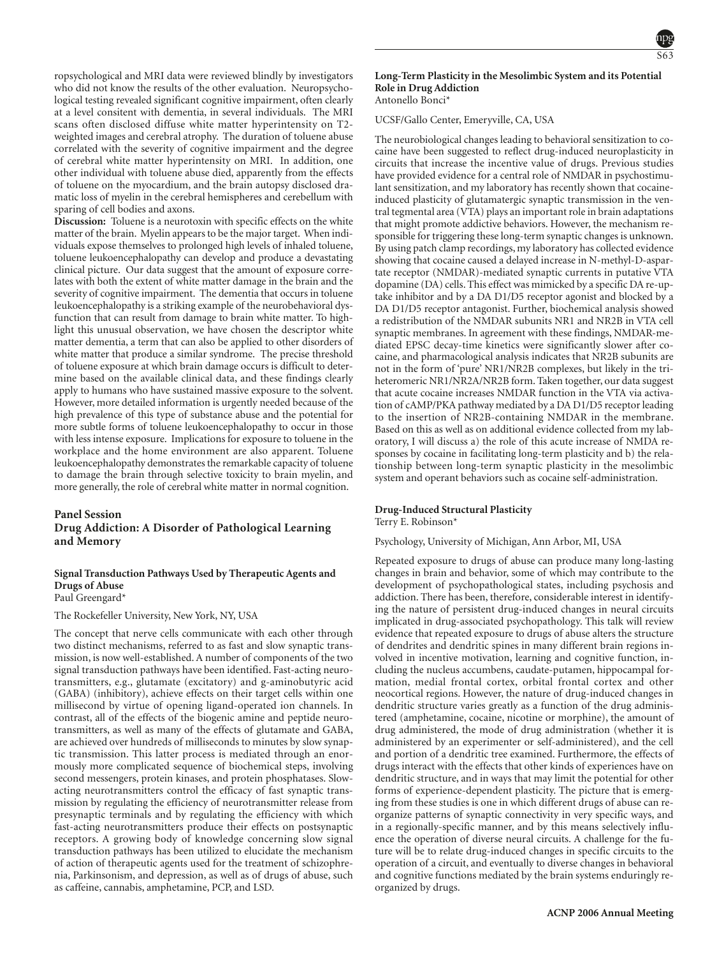ropsychological and MRI data were reviewed blindly by investigators who did not know the results of the other evaluation. Neuropsychological testing revealed significant cognitive impairment, often clearly at a level consitent with dementia, in several individuals. The MRI scans often disclosed diffuse white matter hyperintensity on T2 weighted images and cerebral atrophy. The duration of toluene abuse correlated with the severity of cognitive impairment and the degree of cerebral white matter hyperintensity on MRI. In addition, one other individual with toluene abuse died, apparently from the effects of toluene on the myocardium, and the brain autopsy disclosed dramatic loss of myelin in the cerebral hemispheres and cerebellum with sparing of cell bodies and axons.

**Discussion:** Toluene is a neurotoxin with specific effects on the white matter of the brain. Myelin appears to be the major target. When individuals expose themselves to prolonged high levels of inhaled toluene, toluene leukoencephalopathy can develop and produce a devastating clinical picture. Our data suggest that the amount of exposure correlates with both the extent of white matter damage in the brain and the severity of cognitive impairment. The dementia that occurs in toluene leukoencephalopathy is a striking example of the neurobehavioral dysfunction that can result from damage to brain white matter. To highlight this unusual observation, we have chosen the descriptor white matter dementia, a term that can also be applied to other disorders of white matter that produce a similar syndrome. The precise threshold of toluene exposure at which brain damage occurs is difficult to determine based on the available clinical data, and these findings clearly apply to humans who have sustained massive exposure to the solvent. However, more detailed information is urgently needed because of the high prevalence of this type of substance abuse and the potential for more subtle forms of toluene leukoencephalopathy to occur in those with less intense exposure. Implications for exposure to toluene in the workplace and the home environment are also apparent. Toluene leukoencephalopathy demonstrates the remarkable capacity of toluene to damage the brain through selective toxicity to brain myelin, and more generally, the role of cerebral white matter in normal cognition.

# **Panel Session Drug Addiction: A Disorder of Pathological Learning and Memory**

# **Signal Transduction Pathways Used by Therapeutic Agents and Drugs of Abuse**

Paul Greengard\*

### The Rockefeller University, New York, NY, USA

The concept that nerve cells communicate with each other through two distinct mechanisms, referred to as fast and slow synaptic transmission, is now well-established. A number of components of the two signal transduction pathways have been identified. Fast-acting neurotransmitters, e.g., glutamate (excitatory) and g-aminobutyric acid (GABA) (inhibitory), achieve effects on their target cells within one millisecond by virtue of opening ligand-operated ion channels. In contrast, all of the effects of the biogenic amine and peptide neurotransmitters, as well as many of the effects of glutamate and GABA, are achieved over hundreds of milliseconds to minutes by slow synaptic transmission. This latter process is mediated through an enormously more complicated sequence of biochemical steps, involving second messengers, protein kinases, and protein phosphatases. Slowacting neurotransmitters control the efficacy of fast synaptic transmission by regulating the efficiency of neurotransmitter release from presynaptic terminals and by regulating the efficiency with which fast-acting neurotransmitters produce their effects on postsynaptic receptors. A growing body of knowledge concerning slow signal transduction pathways has been utilized to elucidate the mechanism of action of therapeutic agents used for the treatment of schizophrenia, Parkinsonism, and depression, as well as of drugs of abuse, such as caffeine, cannabis, amphetamine, PCP, and LSD.

### **Long-Term Plasticity in the Mesolimbic System and its Potential Role in Drug Addiction** Antonello Bonci\*

# UCSF/Gallo Center, Emeryville, CA, USA

The neurobiological changes leading to behavioral sensitization to cocaine have been suggested to reflect drug-induced neuroplasticity in circuits that increase the incentive value of drugs. Previous studies have provided evidence for a central role of NMDAR in psychostimulant sensitization, and my laboratory has recently shown that cocaineinduced plasticity of glutamatergic synaptic transmission in the ventral tegmental area (VTA) plays an important role in brain adaptations that might promote addictive behaviors. However, the mechanism responsible for triggering these long-term synaptic changes is unknown. By using patch clamp recordings, my laboratory has collected evidence showing that cocaine caused a delayed increase in N-methyl-D-aspartate receptor (NMDAR)-mediated synaptic currents in putative VTA dopamine (DA) cells. This effect was mimicked by a specific DA re-uptake inhibitor and by a DA D1/D5 receptor agonist and blocked by a DA D1/D5 receptor antagonist. Further, biochemical analysis showed a redistribution of the NMDAR subunits NR1 and NR2B in VTA cell synaptic membranes. In agreement with these findings, NMDAR-mediated EPSC decay-time kinetics were significantly slower after cocaine, and pharmacological analysis indicates that NR2B subunits are not in the form of 'pure' NR1/NR2B complexes, but likely in the triheteromeric NR1/NR2A/NR2B form. Taken together, our data suggest that acute cocaine increases NMDAR function in the VTA via activation of cAMP/PKA pathway mediated by a DA D1/D5 receptor leading to the insertion of NR2B-containing NMDAR in the membrane. Based on this as well as on additional evidence collected from my laboratory, I will discuss a) the role of this acute increase of NMDA responses by cocaine in facilitating long-term plasticity and b) the relationship between long-term synaptic plasticity in the mesolimbic system and operant behaviors such as cocaine self-administration.

# **Drug-Induced Structural Plasticity**

Terry E. Robinson\*

Psychology, University of Michigan, Ann Arbor, MI, USA

Repeated exposure to drugs of abuse can produce many long-lasting changes in brain and behavior, some of which may contribute to the development of psychopathological states, including psychosis and addiction. There has been, therefore, considerable interest in identifying the nature of persistent drug-induced changes in neural circuits implicated in drug-associated psychopathology. This talk will review evidence that repeated exposure to drugs of abuse alters the structure of dendrites and dendritic spines in many different brain regions involved in incentive motivation, learning and cognitive function, including the nucleus accumbens, caudate-putamen, hippocampal formation, medial frontal cortex, orbital frontal cortex and other neocortical regions. However, the nature of drug-induced changes in dendritic structure varies greatly as a function of the drug administered (amphetamine, cocaine, nicotine or morphine), the amount of drug administered, the mode of drug administration (whether it is administered by an experimenter or self-administered), and the cell and portion of a dendritic tree examined. Furthermore, the effects of drugs interact with the effects that other kinds of experiences have on dendritic structure, and in ways that may limit the potential for other forms of experience-dependent plasticity. The picture that is emerging from these studies is one in which different drugs of abuse can reorganize patterns of synaptic connectivity in very specific ways, and in a regionally-specific manner, and by this means selectively influence the operation of diverse neural circuits. A challenge for the future will be to relate drug-induced changes in specific circuits to the operation of a circuit, and eventually to diverse changes in behavioral and cognitive functions mediated by the brain systems enduringly reorganized by drugs.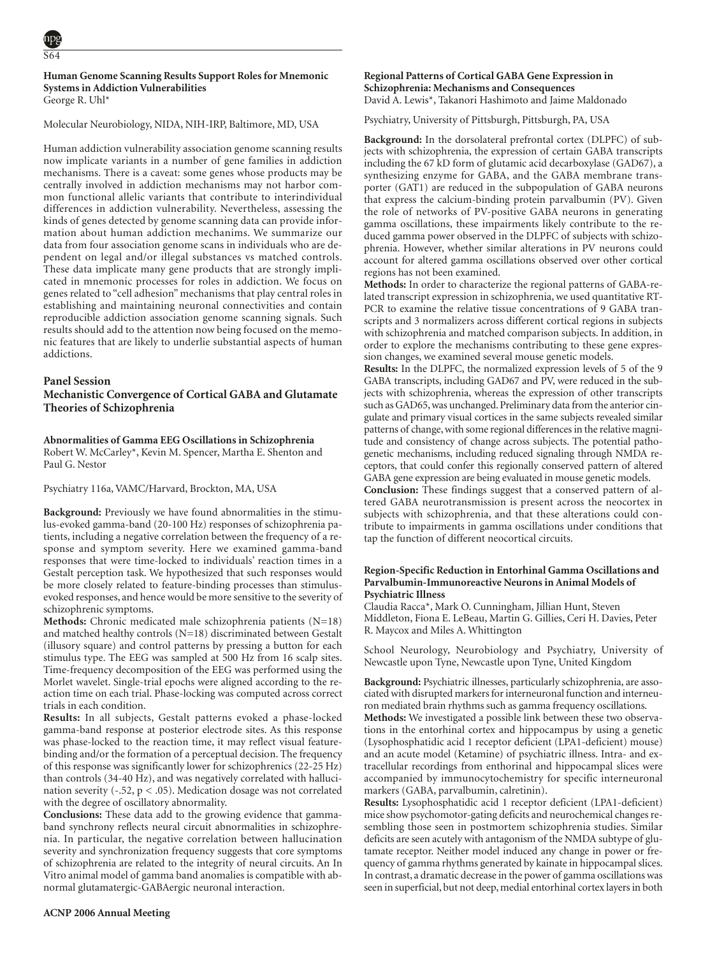### **Human Genome Scanning Results Support Roles for Mnemonic Systems in Addiction Vulnerabilities** George R. Uhl\*

### Molecular Neurobiology, NIDA, NIH-IRP, Baltimore, MD, USA

Human addiction vulnerability association genome scanning results now implicate variants in a number of gene families in addiction mechanisms. There is a caveat: some genes whose products may be centrally involved in addiction mechanisms may not harbor common functional allelic variants that contribute to interindividual differences in addiction vulnerability. Nevertheless, assessing the kinds of genes detected by genome scanning data can provide information about human addiction mechanims. We summarize our data from four association genome scans in individuals who are dependent on legal and/or illegal substances vs matched controls. These data implicate many gene products that are strongly implicated in mnemonic processes for roles in addiction. We focus on genes related to "cell adhesion" mechanisms that play central roles in establishing and maintaining neuronal connectivities and contain reproducible addiction association genome scanning signals. Such results should add to the attention now being focused on the memonic features that are likely to underlie substantial aspects of human addictions.

### **Panel Session**

# **Mechanistic Convergence of Cortical GABA and Glutamate Theories of Schizophrenia**

**Abnormalities of Gamma EEG Oscillations in Schizophrenia** Robert W. McCarley\*, Kevin M. Spencer, Martha E. Shenton and Paul G. Nestor

### Psychiatry 116a, VAMC/Harvard, Brockton, MA, USA

**Background:** Previously we have found abnormalities in the stimulus-evoked gamma-band (20-100 Hz) responses of schizophrenia patients, including a negative correlation between the frequency of a response and symptom severity. Here we examined gamma-band responses that were time-locked to individuals' reaction times in a Gestalt perception task. We hypothesized that such responses would be more closely related to feature-binding processes than stimulusevoked responses, and hence would be more sensitive to the severity of schizophrenic symptoms.

**Methods:** Chronic medicated male schizophrenia patients (N=18) and matched healthy controls (N=18) discriminated between Gestalt (illusory square) and control patterns by pressing a button for each stimulus type. The EEG was sampled at 500 Hz from 16 scalp sites. Time-frequency decomposition of the EEG was performed using the Morlet wavelet. Single-trial epochs were aligned according to the reaction time on each trial. Phase-locking was computed across correct trials in each condition.

**Results:** In all subjects, Gestalt patterns evoked a phase-locked gamma-band response at posterior electrode sites. As this response was phase-locked to the reaction time, it may reflect visual featurebinding and/or the formation of a perceptual decision. The frequency of this response was significantly lower for schizophrenics (22-25 Hz) than controls (34-40 Hz), and was negatively correlated with hallucination severity (-.52,  $p < .05$ ). Medication dosage was not correlated with the degree of oscillatory abnormality.

**Conclusions:** These data add to the growing evidence that gammaband synchrony reflects neural circuit abnormalities in schizophrenia. In particular, the negative correlation between hallucination severity and synchronization frequency suggests that core symptoms of schizophrenia are related to the integrity of neural circuits. An In Vitro animal model of gamma band anomalies is compatible with abnormal glutamatergic-GABAergic neuronal interaction.

### **Regional Patterns of Cortical GABA Gene Expression in Schizophrenia: Mechanisms and Consequences** David A. Lewis\*, Takanori Hashimoto and Jaime Maldonado

Psychiatry, University of Pittsburgh, Pittsburgh, PA, USA

**Background:** In the dorsolateral prefrontal cortex (DLPFC) of subjects with schizophrenia, the expression of certain GABA transcripts including the 67 kD form of glutamic acid decarboxylase (GAD67), a synthesizing enzyme for GABA, and the GABA membrane transporter (GAT1) are reduced in the subpopulation of GABA neurons that express the calcium-binding protein parvalbumin (PV). Given the role of networks of PV-positive GABA neurons in generating gamma oscillations, these impairments likely contribute to the reduced gamma power observed in the DLPFC of subjects with schizophrenia. However, whether similar alterations in PV neurons could account for altered gamma oscillations observed over other cortical regions has not been examined.

**Methods:** In order to characterize the regional patterns of GABA-related transcript expression in schizophrenia, we used quantitative RT-PCR to examine the relative tissue concentrations of 9 GABA transcripts and 3 normalizers across different cortical regions in subjects with schizophrenia and matched comparison subjects. In addition, in order to explore the mechanisms contributing to these gene expression changes, we examined several mouse genetic models.

**Results:** In the DLPFC, the normalized expression levels of 5 of the 9 GABA transcripts, including GAD67 and PV, were reduced in the subjects with schizophrenia, whereas the expression of other transcripts such as GAD65, was unchanged. Preliminary data from the anterior cingulate and primary visual cortices in the same subjects revealed similar patterns of change, with some regional differences in the relative magnitude and consistency of change across subjects. The potential pathogenetic mechanisms, including reduced signaling through NMDA receptors, that could confer this regionally conserved pattern of altered GABA gene expression are being evaluated in mouse genetic models. **Conclusion:** These findings suggest that a conserved pattern of altered GABA neurotransmission is present across the neocortex in subjects with schizophrenia, and that these alterations could contribute to impairments in gamma oscillations under conditions that tap the function of different neocortical circuits.

## **Region-Specific Reduction in Entorhinal Gamma Oscillations and Parvalbumin-Immunoreactive Neurons in Animal Models of Psychiatric Illness**

Claudia Racca\*, Mark O. Cunningham, Jillian Hunt, Steven Middleton, Fiona E. LeBeau, Martin G. Gillies, Ceri H. Davies, Peter R. Maycox and Miles A. Whittington

School Neurology, Neurobiology and Psychiatry, University of Newcastle upon Tyne, Newcastle upon Tyne, United Kingdom

**Background:** Psychiatric illnesses, particularly schizophrenia, are associated with disrupted markers for interneuronal function and interneuron mediated brain rhythms such as gamma frequency oscillations. **Methods:** We investigated a possible link between these two observations in the entorhinal cortex and hippocampus by using a genetic (Lysophosphatidic acid 1 receptor deficient (LPA1-deficient) mouse) and an acute model (Ketamine) of psychiatric illness. Intra- and extracellular recordings from enthorinal and hippocampal slices were accompanied by immunocytochemistry for specific interneuronal markers (GABA, parvalbumin, calretinin).

**Results:** Lysophosphatidic acid 1 receptor deficient (LPA1-deficient) mice show psychomotor-gating deficits and neurochemical changes resembling those seen in postmortem schizophrenia studies. Similar deficits are seen acutely with antagonism of the NMDA subtype of glutamate receptor. Neither model induced any change in power or frequency of gamma rhythms generated by kainate in hippocampal slices. In contrast, a dramatic decrease in the power of gamma oscillations was seen in superficial, but not deep, medial entorhinal cortex layers in both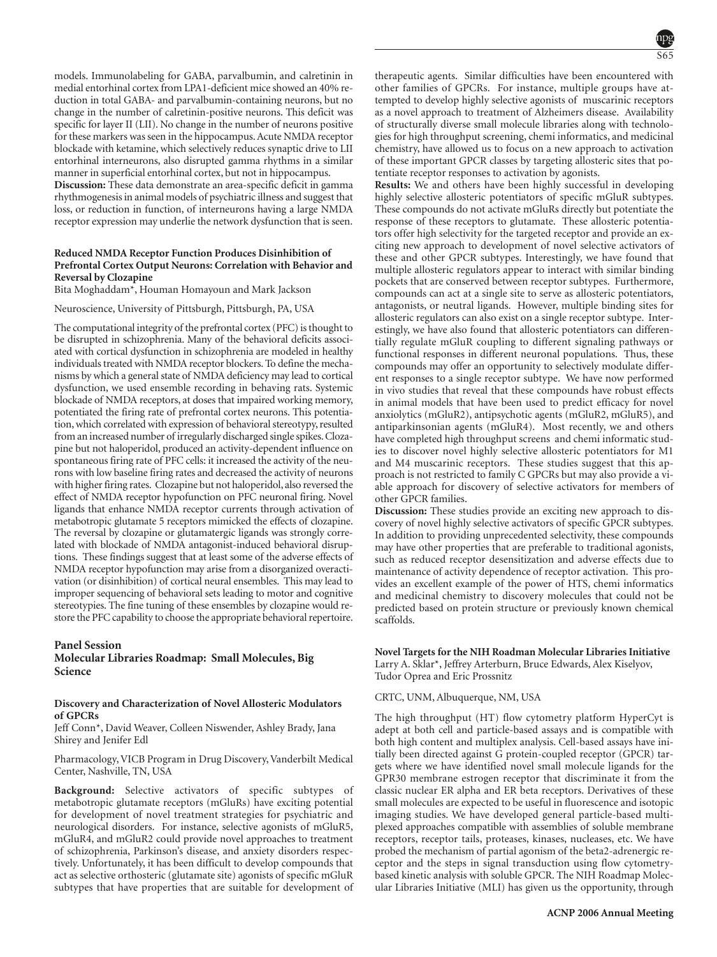models. Immunolabeling for GABA, parvalbumin, and calretinin in medial entorhinal cortex from LPA1-deficient mice showed an 40% reduction in total GABA- and parvalbumin-containing neurons, but no change in the number of calretinin-positive neurons. This deficit was specific for layer II (LII). No change in the number of neurons positive for these markers was seen in the hippocampus. Acute NMDA receptor blockade with ketamine, which selectively reduces synaptic drive to LII entorhinal interneurons, also disrupted gamma rhythms in a similar manner in superficial entorhinal cortex, but not in hippocampus. **Discussion:** These data demonstrate an area-specific deficit in gamma rhythmogenesis in animal models of psychiatric illness and suggest that loss, or reduction in function, of interneurons having a large NMDA receptor expression may underlie the network dysfunction that is seen.

# **Reduced NMDA Receptor Function Produces Disinhibition of Prefrontal Cortex Output Neurons: Correlation with Behavior and Reversal by Clozapine**

Bita Moghaddam\*, Houman Homayoun and Mark Jackson

### Neuroscience, University of Pittsburgh, Pittsburgh, PA, USA

The computational integrity of the prefrontal cortex (PFC) is thought to be disrupted in schizophrenia. Many of the behavioral deficits associated with cortical dysfunction in schizophrenia are modeled in healthy individuals treated with NMDA receptor blockers. To define the mechanisms by which a general state of NMDA deficiency may lead to cortical dysfunction, we used ensemble recording in behaving rats. Systemic blockade of NMDA receptors, at doses that impaired working memory, potentiated the firing rate of prefrontal cortex neurons. This potentiation, which correlated with expression of behavioral stereotypy, resulted from an increased number of irregularly discharged single spikes. Clozapine but not haloperidol, produced an activity-dependent influence on spontaneous firing rate of PFC cells: it increased the activity of the neurons with low baseline firing rates and decreased the activity of neurons with higher firing rates. Clozapine but not haloperidol, also reversed the effect of NMDA receptor hypofunction on PFC neuronal firing. Novel ligands that enhance NMDA receptor currents through activation of metabotropic glutamate 5 receptors mimicked the effects of clozapine. The reversal by clozapine or glutamatergic ligands was strongly correlated with blockade of NMDA antagonist-induced behavioral disruptions. These findings suggest that at least some of the adverse effects of NMDA receptor hypofunction may arise from a disorganized overactivation (or disinhibition) of cortical neural ensembles. This may lead to improper sequencing of behavioral sets leading to motor and cognitive stereotypies. The fine tuning of these ensembles by clozapine would restore the PFC capability to choose the appropriate behavioral repertoire.

# **Panel Session**

# **Molecular Libraries Roadmap: Small Molecules, Big Science**

### **Discovery and Characterization of Novel Allosteric Modulators of GPCRs**

Jeff Conn\*, David Weaver, Colleen Niswender, Ashley Brady, Jana Shirey and Jenifer Edl

Pharmacology, VICB Program in Drug Discovery, Vanderbilt Medical Center, Nashville, TN, USA

**Background:** Selective activators of specific subtypes of metabotropic glutamate receptors (mGluRs) have exciting potential for development of novel treatment strategies for psychiatric and neurological disorders. For instance, selective agonists of mGluR5, mGluR4, and mGluR2 could provide novel approaches to treatment of schizophrenia, Parkinson's disease, and anxiety disorders respectively. Unfortunately, it has been difficult to develop compounds that act as selective orthosteric (glutamate site) agonists of specific mGluR subtypes that have properties that are suitable for development of therapeutic agents. Similar difficulties have been encountered with other families of GPCRs. For instance, multiple groups have attempted to develop highly selective agonists of muscarinic receptors as a novel approach to treatment of Alzheimers disease. Availability of structurally diverse small molecule libraries along with technologies for high throughput screening, chemi informatics, and medicinal chemistry, have allowed us to focus on a new approach to activation of these important GPCR classes by targeting allosteric sites that potentiate receptor responses to activation by agonists.

**Results:** We and others have been highly successful in developing highly selective allosteric potentiators of specific mGluR subtypes. These compounds do not activate mGluRs directly but potentiate the response of these receptors to glutamate. These allosteric potentiators offer high selectivity for the targeted receptor and provide an exciting new approach to development of novel selective activators of these and other GPCR subtypes. Interestingly, we have found that multiple allosteric regulators appear to interact with similar binding pockets that are conserved between receptor subtypes. Furthermore, compounds can act at a single site to serve as allosteric potentiators, antagonists, or neutral ligands. However, multiple binding sites for allosteric regulators can also exist on a single receptor subtype. Interestingly, we have also found that allosteric potentiators can differentially regulate mGluR coupling to different signaling pathways or functional responses in different neuronal populations. Thus, these compounds may offer an opportunity to selectively modulate different responses to a single receptor subtype. We have now performed in vivo studies that reveal that these compounds have robust effects in animal models that have been used to predict efficacy for novel anxiolytics (mGluR2), antipsychotic agents (mGluR2, mGluR5), and antiparkinsonian agents (mGluR4). Most recently, we and others have completed high throughput screens and chemi informatic studies to discover novel highly selective allosteric potentiators for M1 and M4 muscarinic receptors. These studies suggest that this approach is not restricted to family C GPCRs but may also provide a viable approach for discovery of selective activators for members of other GPCR families.

**Discussion:** These studies provide an exciting new approach to discovery of novel highly selective activators of specific GPCR subtypes. In addition to providing unprecedented selectivity, these compounds may have other properties that are preferable to traditional agonists, such as reduced receptor desensitization and adverse effects due to maintenance of activity dependence of receptor activation. This provides an excellent example of the power of HTS, chemi informatics and medicinal chemistry to discovery molecules that could not be predicted based on protein structure or previously known chemical scaffolds.

# **Novel Targets for the NIH Roadman Molecular Libraries Initiative**

Larry A. Sklar\*, Jeffrey Arterburn, Bruce Edwards, Alex Kiselyov, Tudor Oprea and Eric Prossnitz

### CRTC, UNM, Albuquerque, NM, USA

The high throughput (HT) flow cytometry platform HyperCyt is adept at both cell and particle-based assays and is compatible with both high content and multiplex analysis. Cell-based assays have initially been directed against G protein-coupled receptor (GPCR) targets where we have identified novel small molecule ligands for the GPR30 membrane estrogen receptor that discriminate it from the classic nuclear ER alpha and ER beta receptors. Derivatives of these small molecules are expected to be useful in fluorescence and isotopic imaging studies. We have developed general particle-based multiplexed approaches compatible with assemblies of soluble membrane receptors, receptor tails, proteases, kinases, nucleases, etc. We have probed the mechanism of partial agonism of the beta2-adrenergic receptor and the steps in signal transduction using flow cytometrybased kinetic analysis with soluble GPCR. The NIH Roadmap Molecular Libraries Initiative (MLI) has given us the opportunity, through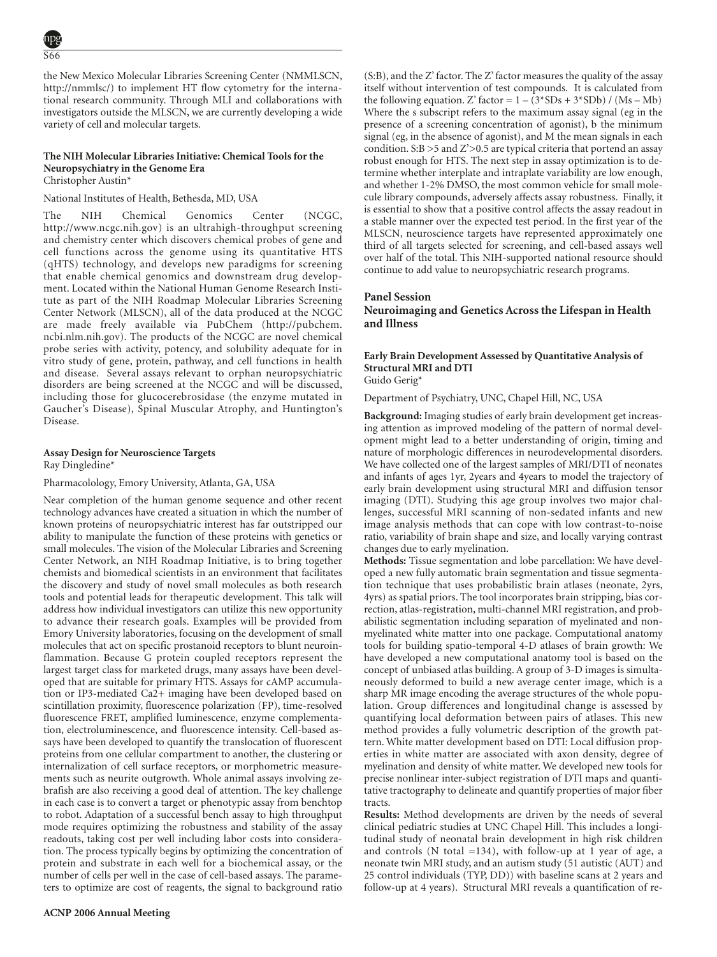the New Mexico Molecular Libraries Screening Center (NMMLSCN, http://nmmlsc/) to implement HT flow cytometry for the international research community. Through MLI and collaborations with investigators outside the MLSCN, we are currently developing a wide variety of cell and molecular targets.

### **The NIH Molecular Libraries Initiative: Chemical Tools for the Neuropsychiatry in the Genome Era** Christopher Austin\*

# National Institutes of Health, Bethesda, MD, USA

The NIH Chemical Genomics Center (NCGC, http://www.ncgc.nih.gov) is an ultrahigh-throughput screening and chemistry center which discovers chemical probes of gene and cell functions across the genome using its quantitative HTS (qHTS) technology, and develops new paradigms for screening that enable chemical genomics and downstream drug development. Located within the National Human Genome Research Institute as part of the NIH Roadmap Molecular Libraries Screening Center Network (MLSCN), all of the data produced at the NCGC are made freely available via PubChem (http://pubchem. ncbi.nlm.nih.gov). The products of the NCGC are novel chemical probe series with activity, potency, and solubility adequate for in vitro study of gene, protein, pathway, and cell functions in health and disease. Several assays relevant to orphan neuropsychiatric disorders are being screened at the NCGC and will be discussed, including those for glucocerebrosidase (the enzyme mutated in Gaucher's Disease), Spinal Muscular Atrophy, and Huntington's Disease.

### **Assay Design for Neuroscience Targets** Ray Dingledine\*

Pharmacolology, Emory University, Atlanta, GA, USA

Near completion of the human genome sequence and other recent technology advances have created a situation in which the number of known proteins of neuropsychiatric interest has far outstripped our ability to manipulate the function of these proteins with genetics or small molecules. The vision of the Molecular Libraries and Screening Center Network, an NIH Roadmap Initiative, is to bring together chemists and biomedical scientists in an environment that facilitates the discovery and study of novel small molecules as both research tools and potential leads for therapeutic development. This talk will address how individual investigators can utilize this new opportunity to advance their research goals. Examples will be provided from Emory University laboratories, focusing on the development of small molecules that act on specific prostanoid receptors to blunt neuroinflammation. Because G protein coupled receptors represent the largest target class for marketed drugs, many assays have been developed that are suitable for primary HTS. Assays for cAMP accumulation or IP3-mediated Ca2+ imaging have been developed based on scintillation proximity, fluorescence polarization (FP), time-resolved fluorescence FRET, amplified luminescence, enzyme complementation, electroluminescence, and fluorescence intensity. Cell-based assays have been developed to quantify the translocation of fluorescent proteins from one cellular compartment to another, the clustering or internalization of cell surface receptors, or morphometric measurements such as neurite outgrowth. Whole animal assays involving zebrafish are also receiving a good deal of attention. The key challenge in each case is to convert a target or phenotypic assay from benchtop to robot. Adaptation of a successful bench assay to high throughput mode requires optimizing the robustness and stability of the assay readouts, taking cost per well including labor costs into consideration. The process typically begins by optimizing the concentration of protein and substrate in each well for a biochemical assay, or the number of cells per well in the case of cell-based assays. The parameters to optimize are cost of reagents, the signal to background ratio

(S:B), and the Z' factor. The Z' factor measures the quality of the assay itself without intervention of test compounds. It is calculated from the following equation. Z' factor =  $1 - (3*SDs + 3*SDb) / (Ms - Mb)$ Where the s subscript refers to the maximum assay signal (eg in the presence of a screening concentration of agonist), b the minimum signal (eg, in the absence of agonist), and M the mean signals in each condition. S:B >5 and Z'>0.5 are typical criteria that portend an assay robust enough for HTS. The next step in assay optimization is to determine whether interplate and intraplate variability are low enough, and whether 1-2% DMSO, the most common vehicle for small molecule library compounds, adversely affects assay robustness. Finally, it is essential to show that a positive control affects the assay readout in a stable manner over the expected test period. In the first year of the MLSCN, neuroscience targets have represented approximately one third of all targets selected for screening, and cell-based assays well over half of the total. This NIH-supported national resource should continue to add value to neuropsychiatric research programs.

## **Panel Session**

**Neuroimaging and Genetics Across the Lifespan in Health and Illness**

### **Early Brain Development Assessed by Quantitative Analysis of Structural MRI and DTI** Guido Gerig\*

Department of Psychiatry, UNC, Chapel Hill, NC, USA

**Background:** Imaging studies of early brain development get increasing attention as improved modeling of the pattern of normal development might lead to a better understanding of origin, timing and nature of morphologic differences in neurodevelopmental disorders. We have collected one of the largest samples of MRI/DTI of neonates and infants of ages 1yr, 2years and 4years to model the trajectory of early brain development using structural MRI and diffusion tensor imaging (DTI). Studying this age group involves two major challenges, successful MRI scanning of non-sedated infants and new image analysis methods that can cope with low contrast-to-noise ratio, variability of brain shape and size, and locally varying contrast changes due to early myelination.

**Methods:** Tissue segmentation and lobe parcellation: We have developed a new fully automatic brain segmentation and tissue segmentation technique that uses probabilistic brain atlases (neonate, 2yrs, 4yrs) as spatial priors. The tool incorporates brain stripping, bias correction, atlas-registration, multi-channel MRI registration, and probabilistic segmentation including separation of myelinated and nonmyelinated white matter into one package. Computational anatomy tools for building spatio-temporal 4-D atlases of brain growth: We have developed a new computational anatomy tool is based on the concept of unbiased atlas building. A group of 3-D images is simultaneously deformed to build a new average center image, which is a sharp MR image encoding the average structures of the whole population. Group differences and longitudinal change is assessed by quantifying local deformation between pairs of atlases. This new method provides a fully volumetric description of the growth pattern. White matter development based on DTI: Local diffusion properties in white matter are associated with axon density, degree of myelination and density of white matter. We developed new tools for precise nonlinear inter-subject registration of DTI maps and quantitative tractography to delineate and quantify properties of major fiber tracts.

**Results:** Method developments are driven by the needs of several clinical pediatric studies at UNC Chapel Hill. This includes a longitudinal study of neonatal brain development in high risk children and controls (N total  $=134$ ), with follow-up at 1 year of age, a neonate twin MRI study, and an autism study (51 autistic (AUT) and 25 control individuals (TYP, DD)) with baseline scans at 2 years and follow-up at 4 years). Structural MRI reveals a quantification of re-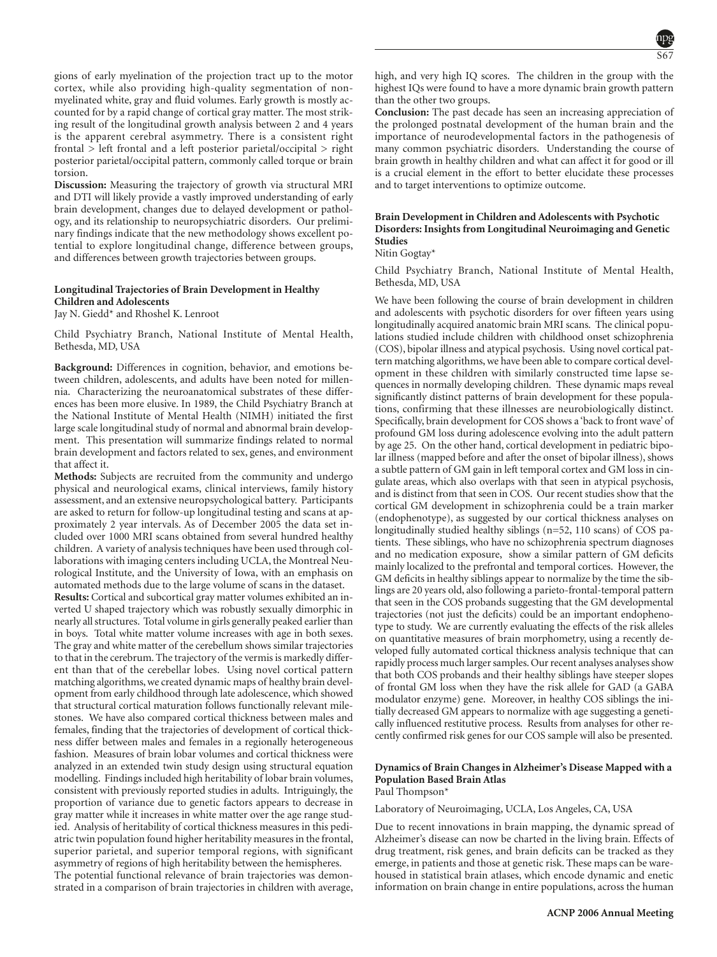

gions of early myelination of the projection tract up to the motor cortex, while also providing high-quality segmentation of nonmyelinated white, gray and fluid volumes. Early growth is mostly accounted for by a rapid change of cortical gray matter. The most striking result of the longitudinal growth analysis between 2 and 4 years is the apparent cerebral asymmetry. There is a consistent right frontal > left frontal and a left posterior parietal/occipital > right posterior parietal/occipital pattern, commonly called torque or brain torsion.

**Discussion:** Measuring the trajectory of growth via structural MRI and DTI will likely provide a vastly improved understanding of early brain development, changes due to delayed development or pathology, and its relationship to neuropsychiatric disorders. Our preliminary findings indicate that the new methodology shows excellent potential to explore longitudinal change, difference between groups, and differences between growth trajectories between groups.

## **Longitudinal Trajectories of Brain Development in Healthy Children and Adolescents**

Jay N. Giedd\* and Rhoshel K. Lenroot

Child Psychiatry Branch, National Institute of Mental Health, Bethesda, MD, USA

**Background:** Differences in cognition, behavior, and emotions between children, adolescents, and adults have been noted for millennia. Characterizing the neuroanatomical substrates of these differences has been more elusive. In 1989, the Child Psychiatry Branch at the National Institute of Mental Health (NIMH) initiated the first large scale longitudinal study of normal and abnormal brain development. This presentation will summarize findings related to normal brain development and factors related to sex, genes, and environment that affect it.

**Methods:** Subjects are recruited from the community and undergo physical and neurological exams, clinical interviews, family history assessment, and an extensive neuropsychological battery. Participants are asked to return for follow-up longitudinal testing and scans at approximately 2 year intervals. As of December 2005 the data set included over 1000 MRI scans obtained from several hundred healthy children. A variety of analysis techniques have been used through collaborations with imaging centers including UCLA, the Montreal Neurological Institute, and the University of Iowa, with an emphasis on automated methods due to the large volume of scans in the dataset.

**Results:** Cortical and subcortical gray matter volumes exhibited an inverted U shaped trajectory which was robustly sexually dimorphic in nearly all structures. Total volume in girls generally peaked earlier than in boys. Total white matter volume increases with age in both sexes. The gray and white matter of the cerebellum shows similar trajectories to that in the cerebrum. The trajectory of the vermis is markedly different than that of the cerebellar lobes. Using novel cortical pattern matching algorithms, we created dynamic maps of healthy brain development from early childhood through late adolescence, which showed that structural cortical maturation follows functionally relevant milestones. We have also compared cortical thickness between males and females, finding that the trajectories of development of cortical thickness differ between males and females in a regionally heterogeneous fashion. Measures of brain lobar volumes and cortical thickness were analyzed in an extended twin study design using structural equation modelling. Findings included high heritability of lobar brain volumes, consistent with previously reported studies in adults. Intriguingly, the proportion of variance due to genetic factors appears to decrease in gray matter while it increases in white matter over the age range studied. Analysis of heritability of cortical thickness measures in this pediatric twin population found higher heritability measures in the frontal, superior parietal, and superior temporal regions, with significant asymmetry of regions of high heritability between the hemispheres. The potential functional relevance of brain trajectories was demonstrated in a comparison of brain trajectories in children with average, high, and very high IQ scores. The children in the group with the highest IQs were found to have a more dynamic brain growth pattern than the other two groups.

**Conclusion:** The past decade has seen an increasing appreciation of the prolonged postnatal development of the human brain and the importance of neurodevelopmental factors in the pathogenesis of many common psychiatric disorders. Understanding the course of brain growth in healthy children and what can affect it for good or ill is a crucial element in the effort to better elucidate these processes and to target interventions to optimize outcome.

# **Brain Development in Children and Adolescents with Psychotic Disorders: Insights from Longitudinal Neuroimaging and Genetic Studies**

Nitin Gogtay\*

Child Psychiatry Branch, National Institute of Mental Health, Bethesda, MD, USA

We have been following the course of brain development in children and adolescents with psychotic disorders for over fifteen years using longitudinally acquired anatomic brain MRI scans. The clinical populations studied include children with childhood onset schizophrenia (COS), bipolar illness and atypical psychosis. Using novel cortical pattern matching algorithms, we have been able to compare cortical development in these children with similarly constructed time lapse sequences in normally developing children. These dynamic maps reveal significantly distinct patterns of brain development for these populations, confirming that these illnesses are neurobiologically distinct. Specifically, brain development for COS shows a 'back to front wave' of profound GM loss during adolescence evolving into the adult pattern by age 25. On the other hand, cortical development in pediatric bipolar illness (mapped before and after the onset of bipolar illness), shows a subtle pattern of GM gain in left temporal cortex and GM loss in cingulate areas, which also overlaps with that seen in atypical psychosis, and is distinct from that seen in COS. Our recent studies show that the cortical GM development in schizophrenia could be a train marker (endophenotype), as suggested by our cortical thickness analyses on longitudinally studied healthy siblings (n=52, 110 scans) of COS patients. These siblings, who have no schizophrenia spectrum diagnoses and no medication exposure, show a similar pattern of GM deficits mainly localized to the prefrontal and temporal cortices. However, the GM deficits in healthy siblings appear to normalize by the time the siblings are 20 years old, also following a parieto-frontal-temporal pattern that seen in the COS probands suggesting that the GM developmental trajectories (not just the deficits) could be an important endophenotype to study. We are currently evaluating the effects of the risk alleles on quantitative measures of brain morphometry, using a recently developed fully automated cortical thickness analysis technique that can rapidly process much larger samples. Our recent analyses analyses show that both COS probands and their healthy siblings have steeper slopes of frontal GM loss when they have the risk allele for GAD (a GABA modulator enzyme) gene. Moreover, in healthy COS siblings the initially decreased GM appears to normalize with age suggesting a genetically influenced restitutive process. Results from analyses for other recently confirmed risk genes for our COS sample will also be presented.

#### **Dynamics of Brain Changes in Alzheimer's Disease Mapped with a Population Based Brain Atlas** Paul Thompson\*

Laboratory of Neuroimaging, UCLA, Los Angeles, CA, USA

Due to recent innovations in brain mapping, the dynamic spread of Alzheimer's disease can now be charted in the living brain. Effects of drug treatment, risk genes, and brain deficits can be tracked as they emerge, in patients and those at genetic risk. These maps can be warehoused in statistical brain atlases, which encode dynamic and enetic information on brain change in entire populations, across the human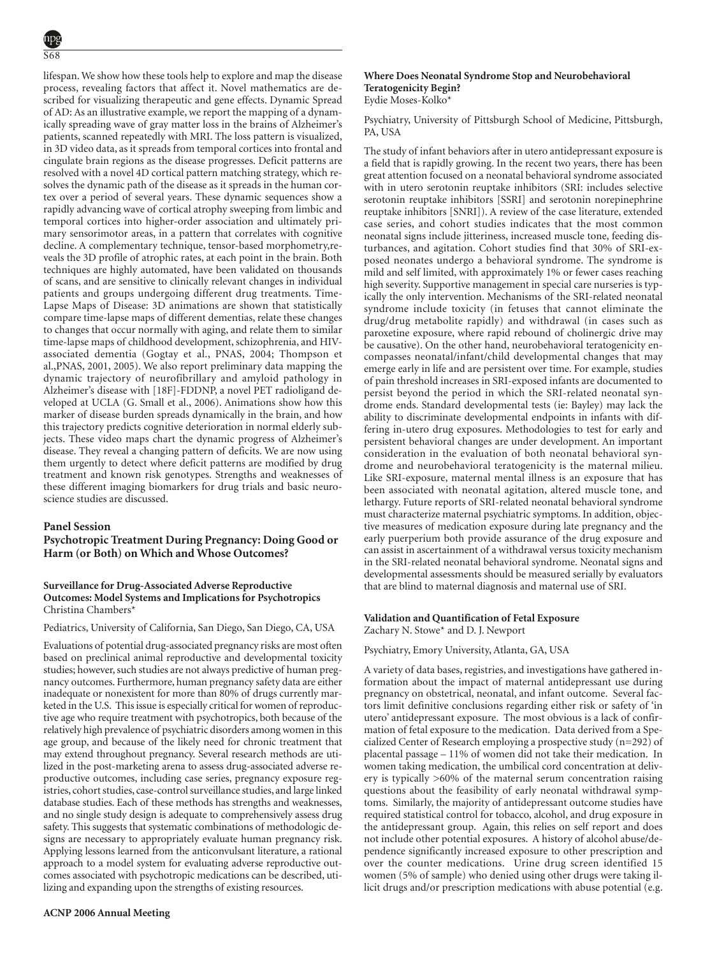lifespan. We show how these tools help to explore and map the disease process, revealing factors that affect it. Novel mathematics are described for visualizing therapeutic and gene effects. Dynamic Spread of AD: As an illustrative example, we report the mapping of a dynamically spreading wave of gray matter loss in the brains of Alzheimer's patients, scanned repeatedly with MRI. The loss pattern is visualized, in 3D video data, as it spreads from temporal cortices into frontal and cingulate brain regions as the disease progresses. Deficit patterns are resolved with a novel 4D cortical pattern matching strategy, which resolves the dynamic path of the disease as it spreads in the human cortex over a period of several years. These dynamic sequences show a rapidly advancing wave of cortical atrophy sweeping from limbic and temporal cortices into higher-order association and ultimately primary sensorimotor areas, in a pattern that correlates with cognitive decline. A complementary technique, tensor-based morphometry,reveals the 3D profile of atrophic rates, at each point in the brain. Both techniques are highly automated, have been validated on thousands of scans, and are sensitive to clinically relevant changes in individual patients and groups undergoing different drug treatments. Time-Lapse Maps of Disease: 3D animations are shown that statistically compare time-lapse maps of different dementias, relate these changes to changes that occur normally with aging, and relate them to similar time-lapse maps of childhood development, schizophrenia, and HIVassociated dementia (Gogtay et al., PNAS, 2004; Thompson et al.,PNAS, 2001, 2005). We also report preliminary data mapping the dynamic trajectory of neurofibrillary and amyloid pathology in Alzheimer's disease with [18F]-FDDNP, a novel PET radioligand developed at UCLA (G. Small et al., 2006). Animations show how this marker of disease burden spreads dynamically in the brain, and how this trajectory predicts cognitive deterioration in normal elderly subjects. These video maps chart the dynamic progress of Alzheimer's disease. They reveal a changing pattern of deficits. We are now using them urgently to detect where deficit patterns are modified by drug treatment and known risk genotypes. Strengths and weaknesses of these different imaging biomarkers for drug trials and basic neuroscience studies are discussed.

# **Panel Session**

# **Psychotropic Treatment During Pregnancy: Doing Good or Harm (or Both) on Which and Whose Outcomes?**

# **Surveillance for Drug-Associated Adverse Reproductive Outcomes: Model Systems and Implications for Psychotropics** Christina Chambers\*

Pediatrics, University of California, San Diego, San Diego, CA, USA

Evaluations of potential drug-associated pregnancy risks are most often based on preclinical animal reproductive and developmental toxicity studies; however, such studies are not always predictive of human pregnancy outcomes. Furthermore, human pregnancy safety data are either inadequate or nonexistent for more than 80% of drugs currently marketed in the U.S. This issue is especially critical for women of reproductive age who require treatment with psychotropics, both because of the relatively high prevalence of psychiatric disorders among women in this age group, and because of the likely need for chronic treatment that may extend throughout pregnancy. Several research methods are utilized in the post-marketing arena to assess drug-associated adverse reproductive outcomes, including case series, pregnancy exposure registries, cohort studies, case-control surveillance studies, and large linked database studies. Each of these methods has strengths and weaknesses, and no single study design is adequate to comprehensively assess drug safety. This suggests that systematic combinations of methodologic designs are necessary to appropriately evaluate human pregnancy risk. Applying lessons learned from the anticonvulsant literature, a rational approach to a model system for evaluating adverse reproductive outcomes associated with psychotropic medications can be described, utilizing and expanding upon the strengths of existing resources.

# **ACNP 2006 Annual Meeting**

### **Where Does Neonatal Syndrome Stop and Neurobehavioral Teratogenicity Begin?** Eydie Moses-Kolko\*

Psychiatry, University of Pittsburgh School of Medicine, Pittsburgh, PA, USA

The study of infant behaviors after in utero antidepressant exposure is a field that is rapidly growing. In the recent two years, there has been great attention focused on a neonatal behavioral syndrome associated with in utero serotonin reuptake inhibitors (SRI: includes selective serotonin reuptake inhibitors [SSRI] and serotonin norepinephrine reuptake inhibitors [SNRI]). A review of the case literature, extended case series, and cohort studies indicates that the most common neonatal signs include jitteriness, increased muscle tone, feeding disturbances, and agitation. Cohort studies find that 30% of SRI-exposed neonates undergo a behavioral syndrome. The syndrome is mild and self limited, with approximately 1% or fewer cases reaching high severity. Supportive management in special care nurseries is typically the only intervention. Mechanisms of the SRI-related neonatal syndrome include toxicity (in fetuses that cannot eliminate the drug/drug metabolite rapidly) and withdrawal (in cases such as paroxetine exposure, where rapid rebound of cholinergic drive may be causative). On the other hand, neurobehavioral teratogenicity encompasses neonatal/infant/child developmental changes that may emerge early in life and are persistent over time. For example, studies of pain threshold increases in SRI-exposed infants are documented to persist beyond the period in which the SRI-related neonatal syndrome ends. Standard developmental tests (ie: Bayley) may lack the ability to discriminate developmental endpoints in infants with differing in-utero drug exposures. Methodologies to test for early and persistent behavioral changes are under development. An important consideration in the evaluation of both neonatal behavioral syndrome and neurobehavioral teratogenicity is the maternal milieu. Like SRI-exposure, maternal mental illness is an exposure that has been associated with neonatal agitation, altered muscle tone, and lethargy. Future reports of SRI-related neonatal behavioral syndrome must characterize maternal psychiatric symptoms. In addition, objective measures of medication exposure during late pregnancy and the early puerperium both provide assurance of the drug exposure and can assist in ascertainment of a withdrawal versus toxicity mechanism in the SRI-related neonatal behavioral syndrome. Neonatal signs and developmental assessments should be measured serially by evaluators that are blind to maternal diagnosis and maternal use of SRI.

# **Validation and Quantification of Fetal Exposure**

Zachary N. Stowe\* and D. J. Newport

Psychiatry, Emory University, Atlanta, GA, USA

A variety of data bases, registries, and investigations have gathered information about the impact of maternal antidepressant use during pregnancy on obstetrical, neonatal, and infant outcome. Several factors limit definitive conclusions regarding either risk or safety of 'in utero' antidepressant exposure. The most obvious is a lack of confirmation of fetal exposure to the medication. Data derived from a Specialized Center of Research employing a prospective study (n=292) of placental passage – 11% of women did not take their medication. In women taking medication, the umbilical cord concentration at delivery is typically >60% of the maternal serum concentration raising questions about the feasibility of early neonatal withdrawal symptoms. Similarly, the majority of antidepressant outcome studies have required statistical control for tobacco, alcohol, and drug exposure in the antidepressant group. Again, this relies on self report and does not include other potential exposures. A history of alcohol abuse/dependence significantly increased exposure to other prescription and over the counter medications. Urine drug screen identified 15 women (5% of sample) who denied using other drugs were taking illicit drugs and/or prescription medications with abuse potential (e.g.